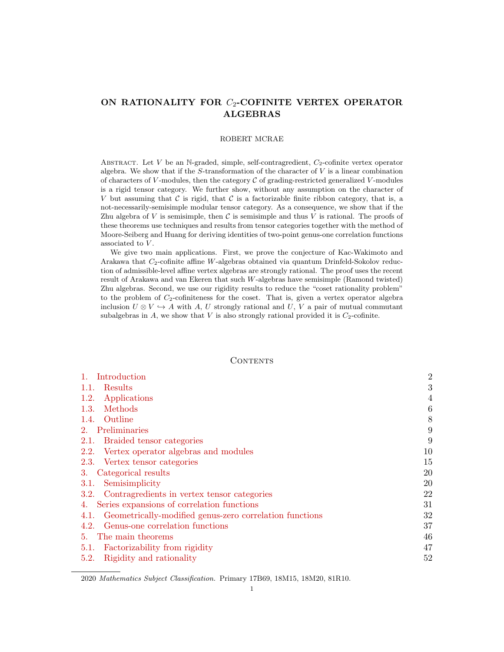# ON RATIONALITY FOR  $C_2$ -COFINITE VERTEX OPERATOR ALGEBRAS

### ROBERT MCRAE

ABSTRACT. Let V be an N-graded, simple, self-contragredient,  $C_2$ -cofinite vertex operator algebra. We show that if the  $S$ -transformation of the character of  $V$  is a linear combination of characters of V-modules, then the category  $\mathcal C$  of grading-restricted generalized V-modules is a rigid tensor category. We further show, without any assumption on the character of V but assuming that  $C$  is rigid, that  $C$  is a factorizable finite ribbon category, that is, a not-necessarily-semisimple modular tensor category. As a consequence, we show that if the Zhu algebra of V is semisimple, then C is semisimple and thus V is rational. The proofs of these theorems use techniques and results from tensor categories together with the method of Moore-Seiberg and Huang for deriving identities of two-point genus-one correlation functions associated to V.

We give two main applications. First, we prove the conjecture of Kac-Wakimoto and Arakawa that  $C_2$ -cofinite affine W-algebras obtained via quantum Drinfeld-Sokolov reduction of admissible-level affine vertex algebras are strongly rational. The proof uses the recent result of Arakawa and van Ekeren that such W-algebras have semisimple (Ramond twisted) Zhu algebras. Second, we use our rigidity results to reduce the "coset rationality problem" to the problem of  $C_2$ -cofiniteness for the coset. That is, given a vertex operator algebra inclusion  $U \otimes V \hookrightarrow A$  with A, U strongly rational and U, V a pair of mutual commutant subalgebras in  $A$ , we show that  $V$  is also strongly rational provided it is  $C_2$ -cofinite.

## **CONTENTS**

| Introduction                                                    | $\overline{2}$ |
|-----------------------------------------------------------------|----------------|
| Results<br>1.1.                                                 | 3              |
| 1.2.<br>Applications                                            | 4              |
| Methods<br>1.3.                                                 | 6              |
| Outline<br>1.4.                                                 | 8              |
| 2. Preliminaries                                                | 9              |
| Braided tensor categories<br>2.1.                               | 9              |
| Vertex operator algebras and modules<br>2.2.                    | 10             |
| Vertex tensor categories<br>2.3.                                | 15             |
| Categorical results<br>3.                                       | 20             |
| Semisimplicity<br>3.1.                                          | 20             |
| 3.2. Contragredients in vertex tensor categories                | 22             |
| 4. Series expansions of correlation functions                   | 31             |
| Geometrically-modified genus-zero correlation functions<br>4.1. | 32             |
| Genus-one correlation functions<br>4.2.                         | 37             |
| The main theorems<br>5.                                         | 46             |
| Factorizability from rigidity<br>5.1.                           | 47             |
| Rigidity and rationality<br>5.2.                                | 52             |

<sup>2020</sup> Mathematics Subject Classification. Primary 17B69, 18M15, 18M20, 81R10.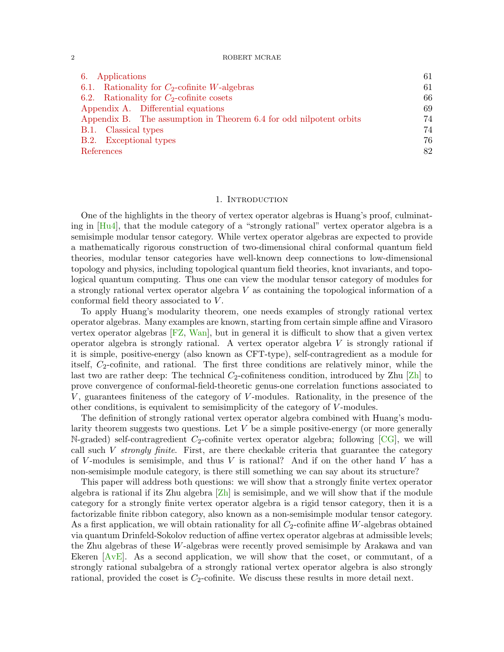| Applications<br>6.                                                 | 61 |
|--------------------------------------------------------------------|----|
| Rationality for $C_2$ -cofinite W-algebras<br>6.1.                 | 61 |
| 6.2. Rationality for $C_2$ -cofinite cosets                        | 66 |
| Appendix A. Differential equations                                 | 69 |
| Appendix B. The assumption in Theorem 6.4 for odd nilpotent orbits | 74 |
| B.1. Classical types                                               | 74 |
| B.2. Exceptional types                                             | 76 |
| References                                                         | 82 |

## 1. INTRODUCTION

<span id="page-1-0"></span>One of the highlights in the theory of vertex operator algebras is Huang's proof, culminating in [\[Hu4\]](#page-82-0), that the module category of a "strongly rational" vertex operator algebra is a semisimple modular tensor category. While vertex operator algebras are expected to provide a mathematically rigorous construction of two-dimensional chiral conformal quantum field theories, modular tensor categories have well-known deep connections to low-dimensional topology and physics, including topological quantum field theories, knot invariants, and topological quantum computing. Thus one can view the modular tensor category of modules for a strongly rational vertex operator algebra V as containing the topological information of a conformal field theory associated to V .

To apply Huang's modularity theorem, one needs examples of strongly rational vertex operator algebras. Many examples are known, starting from certain simple affine and Virasoro vertex operator algebras [\[FZ,](#page-82-1) [Wan\]](#page-84-0), but in general it is difficult to show that a given vertex operator algebra is strongly rational. A vertex operator algebra  $V$  is strongly rational if it is simple, positive-energy (also known as CFT-type), self-contragredient as a module for itself,  $C_2$ -cofinite, and rational. The first three conditions are relatively minor, while the last two are rather deep: The technical  $C_2$ -cofiniteness condition, introduced by Zhu [\[Zh\]](#page-84-1) to prove convergence of conformal-field-theoretic genus-one correlation functions associated to  $V$ , guarantees finiteness of the category of  $V$ -modules. Rationality, in the presence of the other conditions, is equivalent to semisimplicity of the category of V -modules.

The definition of strongly rational vertex operator algebra combined with Huang's modularity theorem suggests two questions. Let  $V$  be a simple positive-energy (or more generally N-graded) self-contragredient  $C_2$ -cofinite vertex operator algebra; following [\[CG\]](#page-81-1), we will call such  $V$  strongly finite. First, are there checkable criteria that guarantee the category of V-modules is semisimple, and thus  $V$  is rational? And if on the other hand  $V$  has a non-semisimple module category, is there still something we can say about its structure?

This paper will address both questions: we will show that a strongly finite vertex operator algebra is rational if its Zhu algebra  $[Zh]$  is semisimple, and we will show that if the module category for a strongly finite vertex operator algebra is a rigid tensor category, then it is a factorizable finite ribbon category, also known as a non-semisimple modular tensor category. As a first application, we will obtain rationality for all  $C_2$ -cofinite affine W-algebras obtained via quantum Drinfeld-Sokolov reduction of affine vertex operator algebras at admissible levels; the Zhu algebras of these W-algebras were recently proved semisimple by Arakawa and van Ekeren  $[AvE]$ . As a second application, we will show that the coset, or commutant, of a strongly rational subalgebra of a strongly rational vertex operator algebra is also strongly rational, provided the coset is  $C_2$ -cofinite. We discuss these results in more detail next.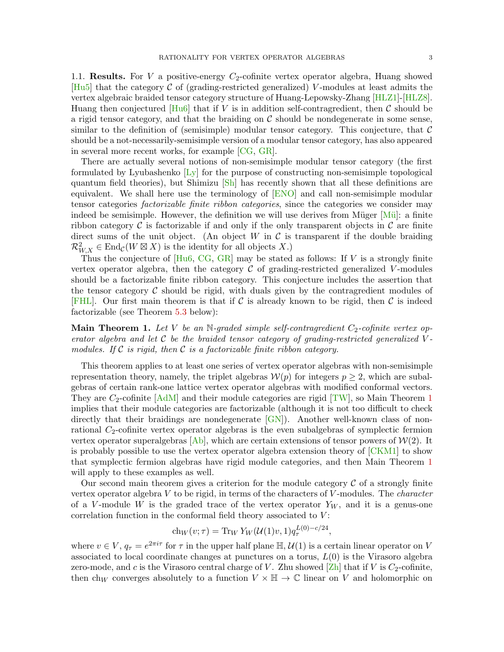<span id="page-2-0"></span>1.1. Results. For V a positive-energy  $C_2$ -cofinite vertex operator algebra, Huang showed  $[Hu5]$  that the category C of (grading-restricted generalized) V-modules at least admits the vertex algebraic braided tensor category structure of Huang-Lepowsky-Zhang [\[HLZ1\]](#page-83-0)-[\[HLZ8\]](#page-83-1). Huang then conjectured  $[Hu6]$  that if V is in addition self-contragredient, then C should be a rigid tensor category, and that the braiding on  $\mathcal C$  should be nondegenerate in some sense, similar to the definition of (semisimple) modular tensor category. This conjecture, that  $\mathcal C$ should be a not-necessarily-semisimple version of a modular tensor category, has also appeared in several more recent works, for example [\[CG,](#page-81-1) [GR\]](#page-82-4).

There are actually several notions of non-semisimple modular tensor category (the first formulated by Lyubashenko  $[L_y]$  for the purpose of constructing non-semisimple topological quantum field theories), but Shimizu [\[Sh\]](#page-84-2) has recently shown that all these definitions are equivalent. We shall here use the terminology of [\[ENO\]](#page-82-5) and call non-semisimple modular tensor categories factorizable finite ribbon categories, since the categories we consider may indeed be semisimple. However, the definition we will use derives from Müger  $[M\ddot{u}]$ : a finite ribbon category  $\mathcal C$  is factorizable if and only if the only transparent objects in  $\mathcal C$  are finite direct sums of the unit object. (An object W in  $\mathcal C$  is transparent if the double braiding  $\mathcal{R}_{W,X}^2 \in \text{End}_{\mathcal{C}}(W \boxtimes X)$  is the identity for all objects X.)

Thus the conjecture of  $[Hu6, CG, GR]$  $[Hu6, CG, GR]$  $[Hu6, CG, GR]$  $[Hu6, CG, GR]$  $[Hu6, CG, GR]$  may be stated as follows: If V is a strongly finite vertex operator algebra, then the category  $\mathcal C$  of grading-restricted generalized V-modules should be a factorizable finite ribbon category. This conjecture includes the assertion that the tensor category  $\mathcal C$  should be rigid, with duals given by the contragredient modules of [\[FHL\]](#page-82-6). Our first main theorem is that if C is already known to be rigid, then C is indeed factorizable (see Theorem [5.3](#page-50-0) below):

<span id="page-2-1"></span>**Main Theorem 1.** Let V be an N-graded simple self-contragredient  $C_2$ -cofinite vertex operator algebra and let  $\mathcal C$  be the braided tensor category of grading-restricted generalized Vmodules. If C is rigid, then C is a factorizable finite ribbon category.

This theorem applies to at least one series of vertex operator algebras with non-semisimple representation theory, namely, the triplet algebras  $\mathcal{W}(p)$  for integers  $p \geq 2$ , which are subalgebras of certain rank-one lattice vertex operator algebras with modified conformal vectors. They are  $C_2$ -cofinite  $[AdM]$  and their module categories are rigid  $[TW]$ , so Main Theorem [1](#page-2-1) implies that their module categories are factorizable (although it is not too difficult to check directly that their braidings are nondegenerate  $\lfloor \text{GN} \rfloor$ . Another well-known class of nonrational  $C_2$ -cofinite vertex operator algebras is the even subalgebras of symplectic fermion vertex operator superalgebras  $[A_b]$ , which are certain extensions of tensor powers of  $W(2)$ . It is probably possible to use the vertex operator algebra extension theory of [\[CKM1\]](#page-81-5) to show that symplectic fermion algebras have rigid module categories, and then Main Theorem [1](#page-2-1) will apply to these examples as well.

Our second main theorem gives a criterion for the module category  $\mathcal C$  of a strongly finite vertex operator algebra  $V$  to be rigid, in terms of the characters of  $V$ -modules. The *character* of a V-module W is the graded trace of the vertex operator  $Y_W$ , and it is a genus-one correlation function in the conformal field theory associated to  $V$ :

$$
ch_W(v;\tau) = \text{Tr}_W Y_W(\mathcal{U}(1)v, 1) q_\tau^{L(0) - c/24},
$$

where  $v \in V$ ,  $q_{\tau} = e^{2\pi i \tau}$  for  $\tau$  in the upper half plane  $\mathbb{H}, \mathcal{U}(1)$  is a certain linear operator on V associated to local coordinate changes at punctures on a torus,  $L(0)$  is the Virasoro algebra zero-mode, and c is the Virasoro central charge of V. Zhu showed  $\operatorname{Zh}$  that if V is  $C_2$ -cofinite, then ch<sub>W</sub> converges absolutely to a function  $V \times \mathbb{H} \to \mathbb{C}$  linear on V and holomorphic on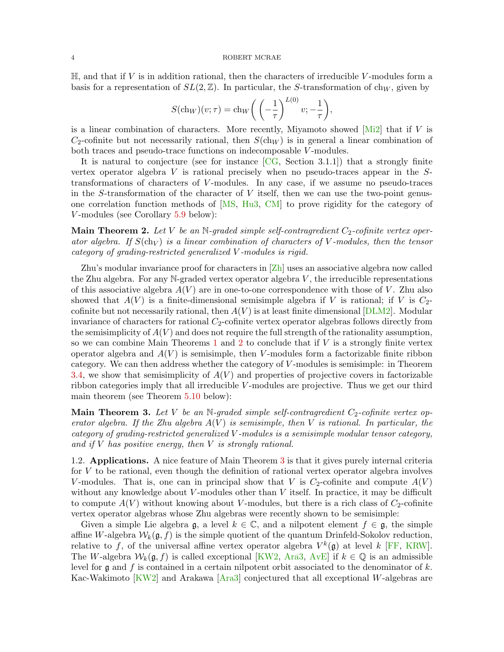$\mathbb{H}$ , and that if V is in addition rational, then the characters of irreducible V-modules form a basis for a representation of  $SL(2, \mathbb{Z})$ . In particular, the S-transformation of ch<sub>W</sub>, given by

$$
S(\mathrm{ch}_W)(v;\tau) = \mathrm{ch}_W\bigg(\left(-\frac{1}{\tau}\right)^{L(0)}v; -\frac{1}{\tau}\bigg),\,
$$

is a linear combination of characters. More recently, Miyamoto showed  $[Mi2]$  that if V is  $C_2$ -cofinite but not necessarily rational, then  $S(\text{ch}_W)$  is in general a linear combination of both traces and pseudo-trace functions on indecomposable V -modules.

It is natural to conjecture (see for instance  $[CG, Section 3.1.1])$  $[CG, Section 3.1.1])$  that a strongly finite vertex operator algebra V is rational precisely when no pseudo-traces appear in the Stransformations of characters of V-modules. In any case, if we assume no pseudo-traces in the S-transformation of the character of  $V$  itself, then we can use the two-point genusone correlation function methods of [\[MS,](#page-84-6) [Hu3,](#page-82-8) [CM\]](#page-81-6) to prove rigidity for the category of V -modules (see Corollary [5.9](#page-56-0) below):

<span id="page-3-1"></span>Main Theorem 2. Let V be an N-graded simple self-contragredient  $C_2$ -cofinite vertex operator algebra. If  $S(\text{ch}_V)$  is a linear combination of characters of V-modules, then the tensor category of grading-restricted generalized V -modules is rigid.

Zhu's modular invariance proof for characters in [\[Zh\]](#page-84-1) uses an associative algebra now called the Zhu algebra. For any  $N$ -graded vertex operator algebra  $V$ , the irreducible representations of this associative algebra  $A(V)$  are in one-to-one correspondence with those of V. Zhu also showed that  $A(V)$  is a finite-dimensional semisimple algebra if V is rational; if V is  $C_2$ cofinite but not necessarily rational, then  $A(V)$  is at least finite dimensional  $[DLM2]$ . Modular invariance of characters for rational  $C_2$ -cofinite vertex operator algebras follows directly from the semisimplicity of  $A(V)$  and does not require the full strength of the rationality assumption, so we can combine Main Theorems [1](#page-2-1) and [2](#page-3-1) to conclude that if  $V$  is a strongly finite vertex operator algebra and  $A(V)$  is semisimple, then V-modules form a factorizable finite ribbon category. We can then address whether the category of V -modules is semisimple: in Theorem [3.4,](#page-20-0) we show that semisimplicity of  $A(V)$  and properties of projective covers in factorizable ribbon categories imply that all irreducible V -modules are projective. Thus we get our third main theorem (see Theorem [5.10](#page-57-0) below):

<span id="page-3-2"></span>**Main Theorem 3.** Let V be an N-graded simple self-contragredient  $C_2$ -cofinite vertex operator algebra. If the Zhu algebra  $A(V)$  is semisimple, then V is rational. In particular, the category of grading-restricted generalized V -modules is a semisimple modular tensor category, and if  $V$  has positive energy, then  $V$  is strongly rational.

<span id="page-3-0"></span>1.2. Applications. A nice feature of Main Theorem [3](#page-3-2) is that it gives purely internal criteria for  $V$  to be rational, even though the definition of rational vertex operator algebra involves V-modules. That is, one can in principal show that V is  $C_2$ -cofinite and compute  $A(V)$ without any knowledge about  $V$ -modules other than  $V$  itself. In practice, it may be difficult to compute  $A(V)$  without knowing about V-modules, but there is a rich class of  $C_2$ -cofinite vertex operator algebras whose Zhu algebras were recently shown to be semisimple:

Given a simple Lie algebra  $\mathfrak{g}$ , a level  $k \in \mathbb{C}$ , and a nilpotent element  $f \in \mathfrak{g}$ , the simple affine W-algebra  $W_k(\mathfrak{g}, f)$  is the simple quotient of the quantum Drinfeld-Sokolov reduction, relative to f, of the universal affine vertex operator algebra  $V^k(\mathfrak{g})$  at level k [\[FF,](#page-82-10) [KRW\]](#page-83-3). The W-algebra  $W_k(\mathfrak{g}, f)$  is called exceptional [\[KW2,](#page-83-4) [Ara3,](#page-81-7) [AvE\]](#page-81-2) if  $k \in \mathbb{Q}$  is an admissible level for  $\mathfrak g$  and  $f$  is contained in a certain nilpotent orbit associated to the denominator of k. Kac-Wakimoto  $\overline{KW2}$  and Arakawa  $\overline{Ara3}$  conjectured that all exceptional W-algebras are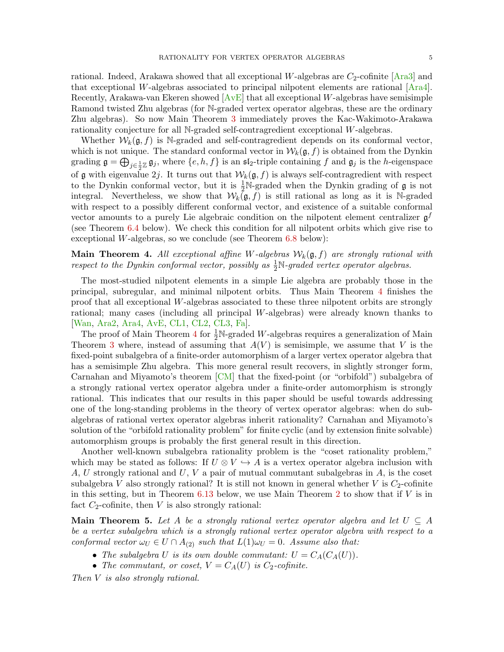rational. Indeed, Arakawa showed that all exceptional W-algebras are  $C_2$ -cofinite [\[Ara3\]](#page-81-7) and that exceptional W-algebras associated to principal nilpotent elements are rational  $[{\text{Ara4}}]$ . Recently, Arakawa-van Ekeren showed  $[AvE]$  that all exceptional W-algebras have semisimple Ramond twisted Zhu algebras (for N-graded vertex operator algebras, these are the ordinary Zhu algebras). So now Main Theorem [3](#page-3-2) immediately proves the Kac-Wakimoto-Arakawa rationality conjecture for all N-graded self-contragredient exceptional W-algebras.

Whether  $W_k(\mathfrak{g}, f)$  is N-graded and self-contragredient depends on its conformal vector, which is not unique. The standard conformal vector in  $W_k(\mathfrak{g}, f)$  is obtained from the Dynkin grading  $\mathfrak{g} = \bigoplus_{j \in \frac{1}{2}\mathbb{Z}} \mathfrak{g}_j$ , where  $\{e, h, f\}$  is an  $\mathfrak{sl}_2$ -triple containing f and  $\mathfrak{g}_j$  is the h-eigenspace of g with eigenvalue 2j. It turns out that  $W_k(\mathfrak{g}, f)$  is always self-contragredient with respect to the Dynkin conformal vector, but it is  $\frac{1}{2}N$ -graded when the Dynkin grading of  $\mathfrak g$  is not integral. Nevertheless, we show that  $W_k(\mathfrak{g},f)$  is still rational as long as it is N-graded with respect to a possibly different conformal vector, and existence of a suitable conformal vector amounts to a purely Lie algebraic condition on the nilpotent element centralizer  $\mathfrak{g}^f$ (see Theorem [6.4](#page-62-0) below). We check this condition for all nilpotent orbits which give rise to exceptional W-algebras, so we conclude (see Theorem [6.8](#page-64-0) below):

# <span id="page-4-0"></span>**Main Theorem 4.** All exceptional affine W-algebras  $W_k(\mathfrak{g},f)$  are strongly rational with respect to the Dynkin conformal vector, possibly as  $\frac{1}{2}N$ -graded vertex operator algebras.

The most-studied nilpotent elements in a simple Lie algebra are probably those in the principal, subregular, and minimal nilpotent orbits. Thus Main Theorem [4](#page-4-0) finishes the proof that all exceptional W-algebras associated to these three nilpotent orbits are strongly rational; many cases (including all principal W-algebras) were already known thanks to [\[Wan,](#page-84-0) [Ara2,](#page-81-9) [Ara4,](#page-81-8) [AvE,](#page-81-2) [CL1,](#page-81-10) [CL2,](#page-82-11) [CL3,](#page-82-12) [Fa\]](#page-82-13).

The proof of Main Theorem [4](#page-4-0) for  $\frac{1}{2}N$ -graded W-algebras requires a generalization of Main Theorem [3](#page-3-2) where, instead of assuming that  $A(V)$  is semisimple, we assume that V is the fixed-point subalgebra of a finite-order automorphism of a larger vertex operator algebra that has a semisimple Zhu algebra. This more general result recovers, in slightly stronger form, Carnahan and Miyamoto's theorem [\[CM\]](#page-81-6) that the fixed-point (or "orbifold") subalgebra of a strongly rational vertex operator algebra under a finite-order automorphism is strongly rational. This indicates that our results in this paper should be useful towards addressing one of the long-standing problems in the theory of vertex operator algebras: when do subalgebras of rational vertex operator algebras inherit rationality? Carnahan and Miyamoto's solution of the "orbifold rationality problem" for finite cyclic (and by extension finite solvable) automorphism groups is probably the first general result in this direction.

Another well-known subalgebra rationality problem is the "coset rationality problem," which may be stated as follows: If  $U \otimes V \hookrightarrow A$  is a vertex operator algebra inclusion with A, U strongly rational and U, V a pair of mutual commutant subalgebras in  $A$ , is the coset subalgebra V also strongly rational? It is still not known in general whether V is  $C_2$ -cofinite in this setting, but in Theorem  $6.13$  below, we use Main Theorem [2](#page-3-1) to show that if V is in fact  $C_2$ -cofinite, then  $V$  is also strongly rational:

<span id="page-4-1"></span>**Main Theorem 5.** Let A be a strongly rational vertex operator algebra and let  $U \subseteq A$ be a vertex subalgebra which is a strongly rational vertex operator algebra with respect to a conformal vector  $\omega_U \in U \cap A_{(2)}$  such that  $L(1)\omega_U = 0$ . Assume also that:

- The subalgebra U is its own double commutant:  $U = C_A(C_A(U)).$
- The commutant, or coset,  $V = C<sub>A</sub>(U)$  is  $C<sub>2</sub>$ -cofinite.

Then V is also strongly rational.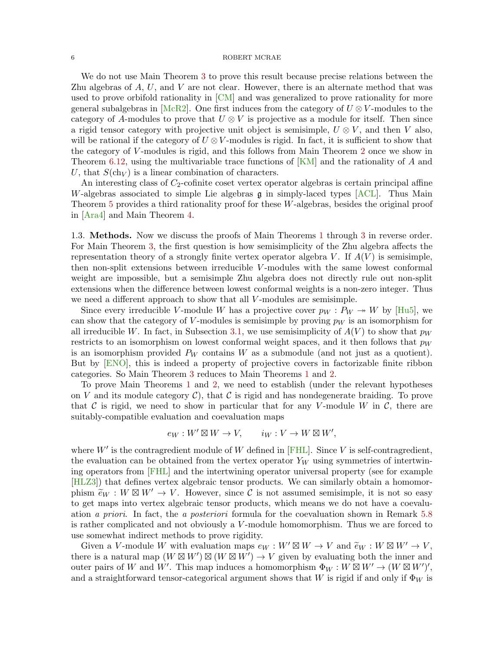#### $\begin{array}{lllllllll} 6 & \hspace{-10mm} & \text{ROBERT MCRAE} \end{array}$

We do not use Main Theorem [3](#page-3-2) to prove this result because precise relations between the Zhu algebras of  $A, U$ , and  $V$  are not clear. However, there is an alternate method that was used to prove orbifold rationality in [\[CM\]](#page-81-6) and was generalized to prove rationality for more general subalgebras in [\[McR2\]](#page-83-5). One first induces from the category of  $U \otimes V$ -modules to the category of A-modules to prove that  $U \otimes V$  is projective as a module for itself. Then since a rigid tensor category with projective unit object is semisimple,  $U \otimes V$ , and then V also, will be rational if the category of  $U \otimes V$ -modules is rigid. In fact, it is sufficient to show that the category of V -modules is rigid, and this follows from Main Theorem [2](#page-3-1) once we show in Theorem [6.12,](#page-66-0) using the multivariable trace functions of  $\overline{[KM]}$  $\overline{[KM]}$  $\overline{[KM]}$  and the rationality of A and U, that  $S(\ch_V)$  is a linear combination of characters.

An interesting class of  $C_2$ -cofinite coset vertex operator algebras is certain principal affine W-algebras associated to simple Lie algebras  $\mathfrak g$  in simply-laced types  $[ACL]$ . Thus Main Theorem [5](#page-4-1) provides a third rationality proof for these W-algebras, besides the original proof in [\[Ara4\]](#page-81-8) and Main Theorem [4.](#page-4-0)

<span id="page-5-0"></span>1.3. Methods. Now we discuss the proofs of Main Theorems [1](#page-2-1) through [3](#page-3-2) in reverse order. For Main Theorem [3,](#page-3-2) the first question is how semisimplicity of the Zhu algebra affects the representation theory of a strongly finite vertex operator algebra V. If  $A(V)$  is semisimple, then non-split extensions between irreducible V -modules with the same lowest conformal weight are impossible, but a semisimple Zhu algebra does not directly rule out non-split extensions when the difference between lowest conformal weights is a non-zero integer. Thus we need a different approach to show that all V-modules are semisimple.

Since every irreducible V-module W has a projective cover  $p_W : P_W \rightarrow W$  by [\[Hu5\]](#page-82-2), we can show that the category of V-modules is semisimple by proving  $p_W$  is an isomorphism for all irreducible W. In fact, in Subsection [3.1,](#page-19-1) we use semisimplicity of  $A(V)$  to show that  $p_W$ restricts to an isomorphism on lowest conformal weight spaces, and it then follows that  $p_W$ is an isomorphism provided  $P_W$  contains W as a submodule (and not just as a quotient). But by [\[ENO\]](#page-82-5), this is indeed a property of projective covers in factorizable finite ribbon categories. So Main Theorem [3](#page-3-2) reduces to Main Theorems [1](#page-2-1) and [2.](#page-3-1)

To prove Main Theorems [1](#page-2-1) and [2,](#page-3-1) we need to establish (under the relevant hypotheses on V and its module category  $\mathcal{C}$ ), that C is rigid and has nondegenerate braiding. To prove that C is rigid, we need to show in particular that for any V-module W in C, there are suitably-compatible evaluation and coevaluation maps

$$
e_W: W' \boxtimes W \to V, \qquad i_W: V \to W \boxtimes W',
$$

where  $W'$  is the contragredient module of W defined in [\[FHL\]](#page-82-6). Since V is self-contragredient, the evaluation can be obtained from the vertex operator  $Y_W$  using symmetries of intertwining operators from [\[FHL\]](#page-82-6) and the intertwining operator universal property (see for example [\[HLZ3\]](#page-83-7)) that defines vertex algebraic tensor products. We can similarly obtain a homomorphism  $\widetilde{e}_W : W \boxtimes W' \to V$ . However, since C is not assumed semisimple, it is not so easy to get mans into vertex algebraic tonsor products, which mans we do not have a coordinate to get maps into vertex algebraic tensor products, which means we do not have a coevaluation a priori. In fact, the a posteriori formula for the coevaluation shown in Remark [5.8](#page-56-1) is rather complicated and not obviously a  $V$ -module homomorphism. Thus we are forced to use somewhat indirect methods to prove rigidity.

Given a V-module W with evaluation maps  $e_W : W' \boxtimes W \to V$  and  $\widetilde{e}_W : W \boxtimes W' \to V$ ,<br>are is a natural map  $(W \boxtimes W') \boxtimes (W \boxtimes W') \to V$  given by evaluating both the inner and there is a natural map  $(W \boxtimes W') \boxtimes (W \boxtimes W') \rightarrow V$  given by evaluating both the inner and outer pairs of W and W'. This map induces a homomorphism  $\Phi_W : W \boxtimes W' \to (W \boxtimes W')',$ and a straightforward tensor-categorical argument shows that W is rigid if and only if  $\Phi_W$  is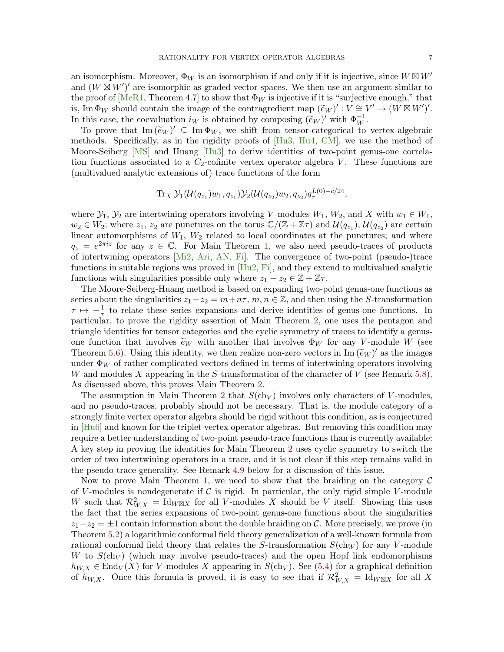an isomorphism. Moreover,  $\Phi_W$  is an isomorphism if and only if it is injective, since  $W \boxtimes W'$ and  $(W \boxtimes W')'$  are isomorphic as graded vector spaces. We then use an argument similar to the proof of  $[McR1, Theorem 4.7]$  $[McR1, Theorem 4.7]$  to show that  $\Phi_W$  is injective if it is "surjective enough," that is, Im  $\Phi_W$  should contain the image of the contragredient map  $(\widetilde{e}_W)' : V \cong V' \to (W \boxtimes W')'.$ <br>In this associate compluation is a shained by composing  $(\widetilde{e}_W)'$  with  $\Phi^{-1}$ In this case, the coevaluation  $i_W$  is obtained by composing  $(\tilde{e}_W)'$  with  $\Phi_W^{-1}$ .<br>To prove that  $\text{Im } (\tilde{e}_W)' \subseteq \text{Im } \Phi_W$  we shift from tonsor attoration to

To prove that  $\text{Im}(\widetilde{e}_W)' \subseteq \text{Im} \Phi_W$ , we shift from tensor-categorical to vertex-algebraic<br>sthocks. Specifically as in the rigidity proofs of  $\text{H}_{11}^3$ ,  $\text{H}_{11}^4$ ,  $\text{CM}$ , we use the method of methods. Specifically, as in the rigidity proofs of [\[Hu3,](#page-82-8) [Hu4,](#page-82-0) [CM\]](#page-81-6), we use the method of Moore-Seiberg [\[MS\]](#page-84-6) and Huang [\[Hu3\]](#page-82-8) to derive identities of two-point genus-one correlation functions associated to a  $C_2$ -cofinite vertex operator algebra V. These functions are (multivalued analytic extensions of) trace functions of the form

$$
\mathop{\rm Tr}\nolimits_X\mathcal{Y}_1(\mathcal{U}(q_{z_1})w_1,q_{z_1})\mathcal{Y}_2(\mathcal{U}(q_{z_2})w_2,q_{z_2})q_\tau^{L(0)-c/24},
$$

where  $\mathcal{Y}_1, \mathcal{Y}_2$  are intertwining operators involving V-modules  $W_1, W_2$ , and X with  $w_1 \in W_1$ ,  $w_2 \in W_2$ ; where  $z_1, z_2$  are punctures on the torus  $\mathbb{C}/(\mathbb{Z} + \mathbb{Z}\tau)$  and  $\mathcal{U}(q_{z_1}), \mathcal{U}(q_{z_2})$  are certain linear automorphisms of  $W_1$ ,  $W_2$  related to local coordinates at the punctures; and where  $q_z = e^{2\pi i z}$  for any  $z \in \mathbb{C}$ . For Main Theorem [1,](#page-2-1) we also need pseudo-traces of products of intertwining operators [\[Mi2,](#page-84-5) [Ari,](#page-81-12) [AN,](#page-81-13) [Fi\]](#page-82-14). The convergence of two-point (pseudo-)trace functions in suitable regions was proved in [\[Hu2,](#page-82-15) [Fi\]](#page-82-14), and they extend to multivalued analytic functions with singularities possible only where  $z_1 - z_2 \in \mathbb{Z} + \mathbb{Z}\tau$ .

The Moore-Seiberg-Huang method is based on expanding two-point genus-one functions as series about the singularities  $z_1-z_2 = m+n\tau$ ,  $m, n \in \mathbb{Z}$ , and then using the S-transformation  $\tau \mapsto -\frac{1}{\tau}$  to relate these series expansions and derive identities of genus-one functions. In particular, to prove the rigidity assertion of Main Theorem [2,](#page-3-1) one uses the pentagon and triangle identities for tensor categories and the cyclic symmetry of traces to identify a genusone function that involves  $\tilde{e}_W$  with another that involves  $\Phi_W$  for any V-module W (see Theorem [5.6\)](#page-52-0). Using this identity, we then realize non-zero vectors in  $\text{Im}(\tilde{e}_W)'$  as the images<br>under  $\Phi_W$  of rather complicated vectors defined in terms of intertwining eperators involving under  $\Phi_W$  of rather complicated vectors defined in terms of intertwining operators involving W and modules X appearing in the S-transformation of the character of V (see Remark [5.8\)](#page-56-1). As discussed above, this proves Main Theorem [2.](#page-3-1)

The assumption in Main Theorem [2](#page-3-1) that  $S(\text{ch}_V)$  involves only characters of V-modules, and no pseudo-traces, probably should not be necessary. That is, the module category of a strongly finite vertex operator algebra should be rigid without this condition, as is conjectured in [\[Hu6\]](#page-82-3) and known for the triplet vertex operator algebras. But removing this condition may require a better understanding of two-point pseudo-trace functions than is currently available: A key step in proving the identities for Main Theorem [2](#page-3-1) uses cyclic symmetry to switch the order of two intertwining operators in a trace, and it is not clear if this step remains valid in the pseudo-trace generality. See Remark [4.9](#page-44-0) below for a discussion of this issue.

Now to prove Main Theorem [1,](#page-2-1) we need to show that the braiding on the category  $\mathcal C$ of V-modules is nondegenerate if C is rigid. In particular, the only rigid simple V-module W such that  $\mathcal{R}_{W,X}^2 = \text{Id}_{W \boxtimes X}$  for all V-modules X should be V itself. Showing this uses the fact that the series expansions of two-point genus-one functions about the singularities  $z_1-z_2 = \pm 1$  contain information about the double braiding on C. More precisely, we prove (in Theorem [5.2\)](#page-48-0) a logarithmic conformal field theory generalization of a well-known formula from rational conformal field theory that relates the S-transformation  $S(\text{ch}_W)$  for any V-module W to  $S(\ch_V)$  (which may involve pseudo-traces) and the open Hopf link endomorphisms  $h_{W,X} \in \text{End}_V(X)$  for V-modules X appearing in  $S(\text{ch}_V)$ . See [\(5.4\)](#page-47-0) for a graphical definition of  $h_{W,X}$ . Once this formula is proved, it is easy to see that if  $\mathcal{R}_{W,X}^2 = \text{Id}_{W \boxtimes X}$  for all X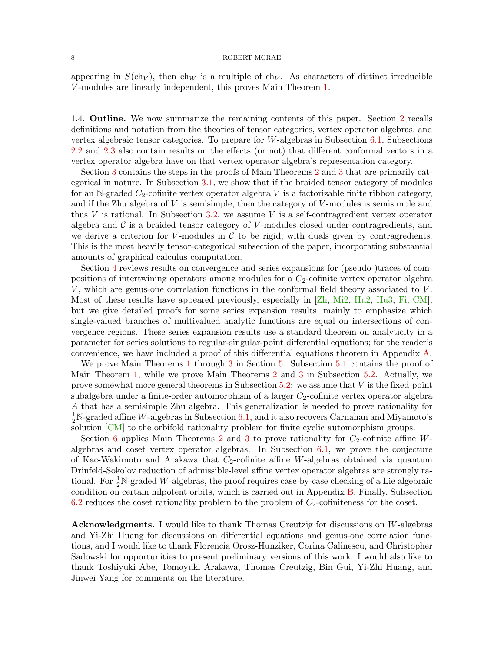appearing in  $S(\ch_V)$ , then  $\ch_V$  is a multiple of  $\ch_V$ . As characters of distinct irreducible V -modules are linearly independent, this proves Main Theorem [1.](#page-2-1)

<span id="page-7-0"></span>1.4. Outline. We now summarize the remaining contents of this paper. Section [2](#page-8-0) recalls definitions and notation from the theories of tensor categories, vertex operator algebras, and vertex algebraic tensor categories. To prepare for  $W$ -algebras in Subsection [6.1,](#page-60-1) Subsections [2.2](#page-9-0) and [2.3](#page-14-0) also contain results on the effects (or not) that different conformal vectors in a vertex operator algebra have on that vertex operator algebra's representation category.

Section [3](#page-19-0) contains the steps in the proofs of Main Theorems [2](#page-3-1) and [3](#page-3-2) that are primarily categorical in nature. In Subsection [3.1,](#page-19-1) we show that if the braided tensor category of modules for an N-graded  $C_2$ -cofinite vertex operator algebra V is a factorizable finite ribbon category, and if the Zhu algebra of  $V$  is semisimple, then the category of  $V$ -modules is semisimple and thus V is rational. In Subsection [3.2,](#page-21-0) we assume V is a self-contragredient vertex operator algebra and  $\mathcal C$  is a braided tensor category of V-modules closed under contragredients, and we derive a criterion for V-modules in  $\mathcal C$  to be rigid, with duals given by contragredients. This is the most heavily tensor-categorical subsection of the paper, incorporating substantial amounts of graphical calculus computation.

Section [4](#page-30-0) reviews results on convergence and series expansions for (pseudo-)traces of compositions of intertwining operators among modules for a  $C_2$ -cofinite vertex operator algebra  $V$ , which are genus-one correlation functions in the conformal field theory associated to  $V$ . Most of these results have appeared previously, especially in [\[Zh,](#page-84-1) [Mi2,](#page-84-5) [Hu2,](#page-82-15) [Hu3,](#page-82-8) [Fi,](#page-82-14) [CM\]](#page-81-6), but we give detailed proofs for some series expansion results, mainly to emphasize which single-valued branches of multivalued analytic functions are equal on intersections of convergence regions. These series expansion results use a standard theorem on analyticity in a parameter for series solutions to regular-singular-point differential equations; for the reader's convenience, we have included a proof of this differential equations theorem in Appendix [A.](#page-68-0)

We prove Main Theorems [1](#page-2-1) through [3](#page-3-2) in Section [5.](#page-45-0) Subsection [5.1](#page-46-0) contains the proof of Main Theorem [1,](#page-2-1) while we prove Main Theorems [2](#page-3-1) and [3](#page-3-2) in Subsection [5.2.](#page-51-0) Actually, we prove somewhat more general theorems in Subsection [5.2:](#page-51-0) we assume that V is the fixed-point subalgebra under a finite-order automorphism of a larger  $C_2$ -cofinite vertex operator algebra A that has a semisimple Zhu algebra. This generalization is needed to prove rationality for  $\frac{1}{2}$ N-graded affine W-algebras in Subsection [6.1,](#page-60-1) and it also recovers Carnahan and Miyamoto's solution [\[CM\]](#page-81-6) to the orbifold rationality problem for finite cyclic automorphism groups.

Section [6](#page-60-0) applies Main Theorems [2](#page-3-1) and [3](#page-3-2) to prove rationality for  $C_2$ -cofinite affine Walgebras and coset vertex operator algebras. In Subsection [6.1,](#page-60-1) we prove the conjecture of Kac-Wakimoto and Arakawa that  $C_2$ -cofinite affine W-algebras obtained via quantum Drinfeld-Sokolov reduction of admissible-level affine vertex operator algebras are strongly rational. For  $\frac{1}{2}N$ -graded W-algebras, the proof requires case-by-case checking of a Lie algebraic condition on certain nilpotent orbits, which is carried out in Appendix [B.](#page-73-0) Finally, Subsection [6.2](#page-65-0) reduces the coset rationality problem to the problem of  $C_2$ -cofiniteness for the coset.

Acknowledgments. I would like to thank Thomas Creutzig for discussions on W-algebras and Yi-Zhi Huang for discussions on differential equations and genus-one correlation functions, and I would like to thank Florencia Orosz-Hunziker, Corina Calinescu, and Christopher Sadowski for opportunities to present preliminary versions of this work. I would also like to thank Toshiyuki Abe, Tomoyuki Arakawa, Thomas Creutzig, Bin Gui, Yi-Zhi Huang, and Jinwei Yang for comments on the literature.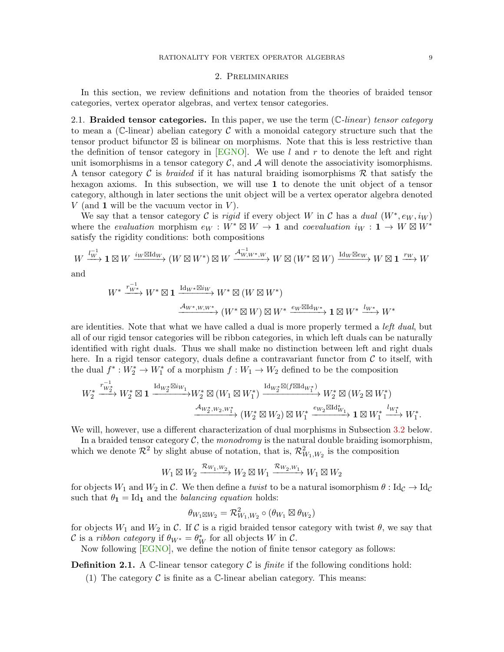# 2. Preliminaries

<span id="page-8-0"></span>In this section, we review definitions and notation from the theories of braided tensor categories, vertex operator algebras, and vertex tensor categories.

<span id="page-8-1"></span>2.1. Braided tensor categories. In this paper, we use the term  $(\mathbb{C}\text{-}linear)$  tensor category to mean a (C-linear) abelian category  $\mathcal C$  with a monoidal category structure such that the tensor product bifunctor  $\boxtimes$  is bilinear on morphisms. Note that this is less restrictive than the definition of tensor category in [\[EGNO\]](#page-82-16). We use l and r to denote the left and right unit isomorphisms in a tensor category  $\mathcal C$ , and  $\mathcal A$  will denote the associativity isomorphisms. A tensor category C is *braided* if it has natural braiding isomorphisms R that satisfy the hexagon axioms. In this subsection, we will use 1 to denote the unit object of a tensor category, although in later sections the unit object will be a vertex operator algebra denoted V (and 1 will be the vacuum vector in  $V$ ).

We say that a tensor category C is rigid if every object W in C has a dual  $(W^*, e_W, i_W)$ where the *evaluation* morphism  $e_W : W^* \boxtimes W \to \mathbf{1}$  and *coevaluation*  $i_W : \mathbf{1} \to W \boxtimes W^*$ satisfy the rigidity conditions: both compositions

$$
W \xrightarrow{l_W^{-1}} \mathbf{1} \boxtimes W \xrightarrow{i_W \boxtimes \mathrm{Id}_W} (W \boxtimes W^*) \boxtimes W \xrightarrow{\mathcal{A}_{W,W^*,W}^{-1}} W \boxtimes (W^* \boxtimes W) \xrightarrow{\mathrm{Id}_W \boxtimes e_W} W \boxtimes \mathbf{1} \xrightarrow{r_W} W
$$

and

$$
W^* \xrightarrow{r_{W^*}^{-1}} W^* \boxtimes \mathbf{1} \xrightarrow{\mathrm{Id}_{W^*} \boxtimes i_W} W^* \boxtimes (W \boxtimes W^*)
$$
  

$$
\xrightarrow{\mathcal{A}_{W^*, W, W^*}} (W^* \boxtimes W) \boxtimes W^* \xrightarrow{e_W \boxtimes \mathrm{Id}_{W^*}} \mathbf{1} \boxtimes W^* \xrightarrow{l_{W^*}} W^*
$$

are identities. Note that what we have called a dual is more properly termed a left dual, but all of our rigid tensor categories will be ribbon categories, in which left duals can be naturally identified with right duals. Thus we shall make no distinction between left and right duals here. In a rigid tensor category, duals define a contravariant functor from  $\mathcal C$  to itself, with the dual  $f^*: W_2^* \to W_1^*$  of a morphism  $f: W_1 \to W_2$  defined to be the composition

$$
W_2^* \xrightarrow{r_{W_2^*}^{-1}} W_2^* \boxtimes \mathbf{1} \xrightarrow{\mathrm{Id}_{W_2^*} \boxtimes i_{W_1}} W_2^* \boxtimes (W_1 \boxtimes W_1^*) \xrightarrow{\mathrm{Id}_{W_2^*} \boxtimes (f \boxtimes \mathrm{Id}_{W_1^*})} W_2^* \boxtimes (W_2 \boxtimes W_1^*)
$$
  

$$
\xrightarrow{\mathcal{A}_{W_2^*, W_2, W_1^*}} (W_2^* \boxtimes W_2) \boxtimes W_1^* \xrightarrow{e_{W_2} \boxtimes \mathrm{Id}_{W_1}^*} \mathbf{1} \boxtimes W_1^* \xrightarrow{l_{W_1^*}} W_1^*.
$$

We will, however, use a different characterization of dual morphisms in Subsection [3.2](#page-21-0) below.

In a braided tensor category  $\mathcal{C}$ , the monodromy is the natural double braiding isomorphism, which we denote  $\mathcal{R}^2$  by slight abuse of notation, that is,  $\mathcal{R}_{W_1,W_2}^2$  is the composition

$$
W_1\boxtimes W_2 \xrightarrow{\mathcal{R}_{W_1,W_2}} W_2\boxtimes W_1 \xrightarrow{\mathcal{R}_{W_2,W_1}} W_1\boxtimes W_2
$$

for objects  $W_1$  and  $W_2$  in C. We then define a twist to be a natural isomorphism  $\theta$  : Id<sub>C</sub>  $\rightarrow$  Id<sub>C</sub> such that  $\theta_1 = \text{Id}_1$  and the *balancing equation* holds:

$$
\theta_{W_1\boxtimes W_2}=\mathcal{R}_{W_1,W_2}^2\circ(\theta_{W_1}\boxtimes\theta_{W_2})
$$

for objects  $W_1$  and  $W_2$  in C. If C is a rigid braided tensor category with twist  $\theta$ , we say that C is a ribbon category if  $\theta_{W^*} = \theta_W^*$  for all objects W in C.

Now following [\[EGNO\]](#page-82-16), we define the notion of finite tensor category as follows:

**Definition 2.1.** A C-linear tensor category C is *finite* if the following conditions hold:

(1) The category  $\mathcal C$  is finite as a  $\mathbb C$ -linear abelian category. This means: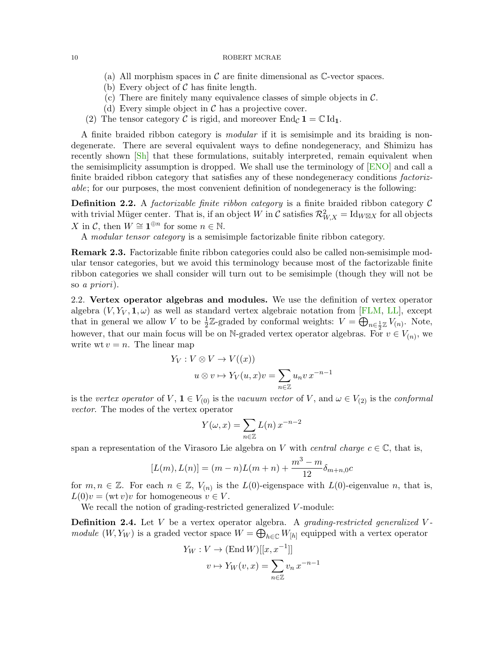- (a) All morphism spaces in  $\mathcal C$  are finite dimensional as  $\mathbb C$ -vector spaces.
- (b) Every object of  $\mathcal C$  has finite length.
- (c) There are finitely many equivalence classes of simple objects in  $\mathcal{C}$ .
- (d) Every simple object in  $\mathcal C$  has a projective cover.
- (2) The tensor category C is rigid, and moreover  $\text{End}_{\mathcal{C}} \mathbf{1} = \mathbb{C} \text{Id}_{\mathbf{1}}$ .

A finite braided ribbon category is modular if it is semisimple and its braiding is nondegenerate. There are several equivalent ways to define nondegeneracy, and Shimizu has recently shown [\[Sh\]](#page-84-2) that these formulations, suitably interpreted, remain equivalent when the semisimplicity assumption is dropped. We shall use the terminology of [\[ENO\]](#page-82-5) and call a finite braided ribbon category that satisfies any of these nondegeneracy conditions *factoriz*able; for our purposes, the most convenient definition of nondegeneracy is the following:

**Definition 2.2.** A *factorizable finite ribbon category* is a finite braided ribbon category  $\mathcal{C}$ with trivial Müger center. That is, if an object W in C satisfies  $\mathcal{R}_{W,X}^2 = \text{Id}_{W \boxtimes X}$  for all objects X in C, then  $W \cong \mathbf{1}^{\oplus n}$  for some  $n \in \mathbb{N}$ .

A modular tensor category is a semisimple factorizable finite ribbon category.

Remark 2.3. Factorizable finite ribbon categories could also be called non-semisimple modular tensor categories, but we avoid this terminology because most of the factorizable finite ribbon categories we shall consider will turn out to be semisimple (though they will not be so a priori).

<span id="page-9-0"></span>2.2. Vertex operator algebras and modules. We use the definition of vertex operator algebra  $(V, Y_V, 1, \omega)$  as well as standard vertex algebraic notation from [\[FLM,](#page-82-17) [LL\]](#page-83-9), except that in general we allow V to be  $\frac{1}{2}\mathbb{Z}$ -graded by conformal weights:  $V = \bigoplus_{n \in \frac{1}{2}\mathbb{Z}} V_{(n)}$ . Note, however, that our main focus will be on N-graded vertex operator algebras. For  $v \in V_{(n)}$ , we write wt  $v = n$ . The linear map

$$
Y_V : V \otimes V \to V((x))
$$
  

$$
u \otimes v \mapsto Y_V(u, x)v = \sum_{n \in \mathbb{Z}} u_n v x^{-n-1}
$$

is the vertex operator of V,  $\mathbf{1} \in V_{(0)}$  is the vacuum vector of V, and  $\omega \in V_{(2)}$  is the conformal vector. The modes of the vertex operator

$$
Y(\omega, x) = \sum_{n \in \mathbb{Z}} L(n) x^{-n-2}
$$

span a representation of the Virasoro Lie algebra on V with central charge  $c \in \mathbb{C}$ , that is,

$$
[L(m), L(n)] = (m - n)L(m + n) + \frac{m^3 - m}{12} \delta_{m+n,0}c
$$

for  $m, n \in \mathbb{Z}$ . For each  $n \in \mathbb{Z}$ ,  $V_{(n)}$  is the  $L(0)$ -eigenspace with  $L(0)$ -eigenvalue n, that is,  $L(0)v = (wt v)v$  for homogeneous  $v \in V$ .

We recall the notion of grading-restricted generalized V-module:

**Definition 2.4.** Let  $V$  be a vertex operator algebra. A *grading-restricted generalized*  $V$ module  $(W, Y_W)$  is a graded vector space  $W = \bigoplus_{h \in \mathbb{C}} W_{[h]}$  equipped with a vertex operator

$$
Y_W : V \to (\text{End } W)[[x, x^{-1}]]
$$

$$
v \mapsto Y_W(v, x) = \sum_{n \in \mathbb{Z}} v_n x^{-n-1}
$$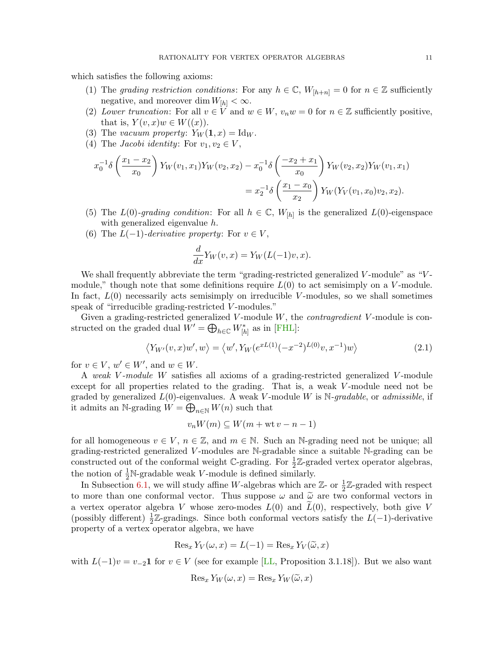which satisfies the following axioms:

- (1) The grading restriction conditions: For any  $h \in \mathbb{C}$ ,  $W_{[h+n]} = 0$  for  $n \in \mathbb{Z}$  sufficiently negative, and moreover dim  $W_{[h]} < \infty$ .
- (2) Lower truncation: For all  $v \in V$  and  $w \in W$ ,  $v_nw = 0$  for  $n \in \mathbb{Z}$  sufficiently positive, that is,  $Y(v, x)w \in W((x))$ .
- (3) The vacuum property:  $Y_W(1, x) = \text{Id}_W$ .
- (4) The *Jacobi identity*: For  $v_1, v_2 \in V$ ,

$$
x_0^{-1}\delta\left(\frac{x_1 - x_2}{x_0}\right)Y_W(v_1, x_1)Y_W(v_2, x_2) - x_0^{-1}\delta\left(\frac{-x_2 + x_1}{x_0}\right)Y_W(v_2, x_2)Y_W(v_1, x_1)
$$
  
=  $x_2^{-1}\delta\left(\frac{x_1 - x_0}{x_2}\right)Y_W(Y_V(v_1, x_0)v_2, x_2).$ 

- (5) The  $L(0)$ -grading condition: For all  $h \in \mathbb{C}$ ,  $W_{[h]}$  is the generalized  $L(0)$ -eigenspace with generalized eigenvalue h.
- (6) The  $L(-1)$ -derivative property: For  $v \in V$ ,

<span id="page-10-0"></span>
$$
\frac{d}{dx}Y_W(v,x) = Y_W(L(-1)v,x).
$$

We shall frequently abbreviate the term "grading-restricted generalized V-module" as "Vmodule," though note that some definitions require  $L(0)$  to act semisimply on a V-module. In fact,  $L(0)$  necessarily acts semisimply on irreducible V-modules, so we shall sometimes speak of "irreducible grading-restricted V-modules."

Given a grading-restricted generalized V-module  $W$ , the *contragredient* V-module is constructed on the graded dual  $W' = \bigoplus_{h \in \mathbb{C}} W_{[h]}^*$  as in [\[FHL\]](#page-82-6):

$$
\langle Y_{W'}(v,x)w',w\rangle = \langle w', Y_W(e^{xL(1)}(-x^{-2})^{L(0)}v,x^{-1})w\rangle \tag{2.1}
$$

for  $v \in V$ ,  $w' \in W'$ , and  $w \in W$ .

A weak V -module W satisfies all axioms of a grading-restricted generalized V -module except for all properties related to the grading. That is, a weak V-module need not be graded by generalized  $L(0)$ -eigenvalues. A weak V-module W is N-gradable, or admissible, if it admits an N-grading  $W = \bigoplus_{n \in \mathbb{N}} W(n)$  such that

$$
v_n W(m) \subseteq W(m + wt v - n - 1)
$$

for all homogeneous  $v \in V$ ,  $n \in \mathbb{Z}$ , and  $m \in \mathbb{N}$ . Such an N-grading need not be unique; all grading-restricted generalized V -modules are N-gradable since a suitable N-grading can be constructed out of the conformal weight  $\mathbb{C}$ -grading. For  $\frac{1}{2}\mathbb{Z}$ -graded vertex operator algebras, the notion of  $\frac{1}{2}N$ -gradable weak V-module is defined similarly.

In Subsection [6.1,](#page-60-1) we will study affine W-algebras which are  $\mathbb{Z}$ - or  $\frac{1}{2}\mathbb{Z}$ -graded with respect to more than one conformal vector. Thus suppose  $\omega$  and  $\tilde{\omega}$  are two conformal vectors in a vertex operator algebra V whose zero-modes  $L(0)$  and  $L(0)$ , respectively, both give V (possibly different)  $\frac{1}{2}\mathbb{Z}$ -gradings. Since both conformal vectors satisfy the L(-1)-derivative property of a vertex operator algebra, we have

$$
\operatorname{Res}_{x} Y_{V}(\omega, x) = L(-1) = \operatorname{Res}_{x} Y_{V}(\widetilde{\omega}, x)
$$

with  $L(-1)v = v_{-2}1$  for  $v \in V$  (see for example [\[LL,](#page-83-9) Proposition 3.1.18]). But we also want

$$
\operatorname{Res}_x Y_W(\omega, x) = \operatorname{Res}_x Y_W(\widetilde{\omega}, x)
$$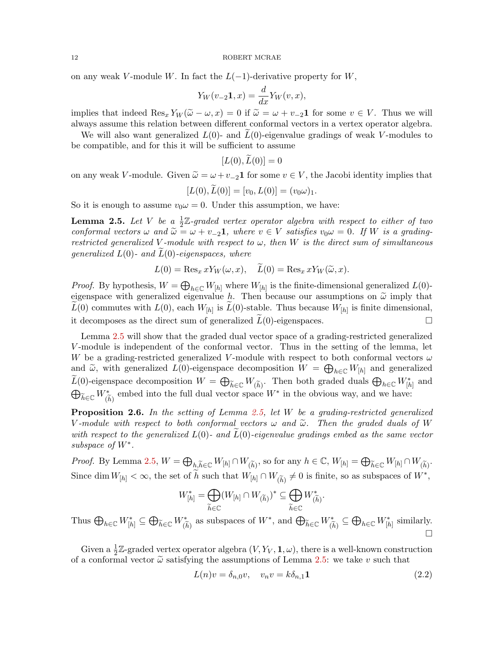on any weak V-module W. In fact the  $L(-1)$ -derivative property for W,

$$
Y_W(v_{-2}\mathbf{1},x) = \frac{d}{dx}Y_W(v,x),
$$

implies that indeed  $\text{Res}_x Y_W(\tilde{\omega}-\omega, x)=0$  if  $\tilde{\omega}=\omega+v_{-2}\mathbf{1}$  for some  $v \in V$ . Thus we will always assume this relation between different conformal vectors in a vertex operator algebra.

We will also want generalized  $L(0)$ - and  $L(0)$ -eigenvalue gradings of weak V-modules to be compatible, and for this it will be sufficient to assume

$$
[L(0),L(0)]=0
$$

on any weak V-module. Given  $\widetilde{\omega} = \omega + v_{-2} \mathbf{1}$  for some  $v \in V$ , the Jacobi identity implies that

$$
[L(0), \dot{L}(0)] = [v_0, L(0)] = (v_0 \omega)_1.
$$

So it is enough to assume  $v_0 \omega = 0$ . Under this assumption, we have:

<span id="page-11-0"></span>**Lemma 2.5.** Let V be a  $\frac{1}{2}\mathbb{Z}$ -graded vertex operator algebra with respect to either of two conformal vectors  $\omega$  and  $\tilde{\omega} = \omega + v_{-2} \mathbf{1}$ , where  $v \in V$  satisfies  $v_0 \omega = 0$ . If W is a gradingrestricted generalized V-module with respect to  $\omega$ , then W is the direct sum of simultaneous generalized  $L(0)$ - and  $\widetilde{L}(0)$ -eigenspaces, where

$$
L(0) = \operatorname{Res}_{x} x Y_{W}(\omega, x), \quad \widetilde{L}(0) = \operatorname{Res}_{x} x Y_{W}(\widetilde{\omega}, x).
$$

*Proof.* By hypothesis,  $W = \bigoplus_{h \in \mathbb{C}} W_{[h]}$  where  $W_{[h]}$  is the finite-dimensional generalized  $L(0)$ eigenspace with generalized eigenvalue h. Then because our assumptions on  $\tilde{\omega}$  imply that  $L(0)$  commutes with  $L(0)$ , each  $W_{[h]}$  is  $L(0)$ -stable. Thus because  $W_{[h]}$  is finite dimensional, it decomposes as the direct sum of generalized  $\overline{L}(0)$ -eigenspaces.

Lemma [2.5](#page-11-0) will show that the graded dual vector space of a grading-restricted generalized V -module is independent of the conformal vector. Thus in the setting of the lemma, let W be a grading-restricted generalized V-module with respect to both conformal vectors  $\omega$ and  $\tilde{\omega}$ , with generalized  $L(0)$ -eigenspace decomposition  $W = \bigoplus_{h \in \mathbb{C}} W_{[h]}$  and generalized  $\widetilde{L}(0)$ -eigenspace decomposition  $W = \bigoplus_{\widetilde{h} \in \mathbb{C}} W_{(\widetilde{h})}$ . Then both graded duals  $\bigoplus_{h \in \mathbb{C}} W_{[h]}^*$  and  $\bigoplus_{\widetilde{h} \in \mathbb{C}} W^*_{(\widetilde{h})}$ embed into the full dual vector space  $W^*$  in the obvious way, and we have:

<span id="page-11-2"></span>Proposition 2.6. In the setting of Lemma [2.5,](#page-11-0) let W be a grading-restricted generalized V-module with respect to both conformal vectors  $\omega$  and  $\tilde{\omega}$ . Then the graded duals of W with respect to the generalized  $L(0)$ - and  $L(0)$ -eigenvalue gradings embed as the same vector subspace of  $W^*$ .

Proof. By Lemma [2.5,](#page-11-0)  $W = \bigoplus_{h \in \widetilde{h} \in \mathbb{C}} W_{[h]} \cap W_{(\widetilde{h})}$ , so for any  $h \in \mathbb{C}$ ,  $W_{[h]} = \bigoplus_{\widetilde{h} \in \mathbb{C}} W_{[h]} \cap W_{(\widetilde{h})}$ . Since dim  $W_{[h]} < \infty$ , the set of  $\tilde{h}$  such that  $W_{[h]} \cap W_{(\tilde{h})} \neq 0$  is finite, so as subspaces of  $W^*$ ,

$$
W^*_{[h]} = \bigoplus_{\widetilde{h} \in \mathbb{C}} (W_{[h]} \cap W_{(\widetilde{h})})^* \subseteq \bigoplus_{\widetilde{h} \in \mathbb{C}} W^*_{(\widetilde{h})}.
$$

Thus  $\bigoplus_{h\in\mathbb{C}}W^*_{[h]}\subseteq \bigoplus_{\widetilde{h}\in\mathbb{C}}W^*_{(\widetilde{h})}$ as subspaces of  $W^*$ , and  $\bigoplus_{\widetilde{h} \in \mathbb{C}} W^*_{(\widetilde{h})}$  $\subseteq \bigoplus_{h \in \mathbb{C}} W_{[h]}^*$  similarly.  $\Box$ 

Given a  $\frac{1}{2}\mathbb{Z}$ -graded vertex operator algebra  $(V, Y_V, \mathbf{1}, \omega)$ , there is a well-known construction of a conformal vector  $\tilde{\omega}$  satisfying the assumptions of Lemma [2.5:](#page-11-0) we take v such that

<span id="page-11-1"></span>
$$
L(n)v = \delta_{n,0}v, \quad v_n v = k\delta_{n,1}\mathbf{1}
$$
\n
$$
(2.2)
$$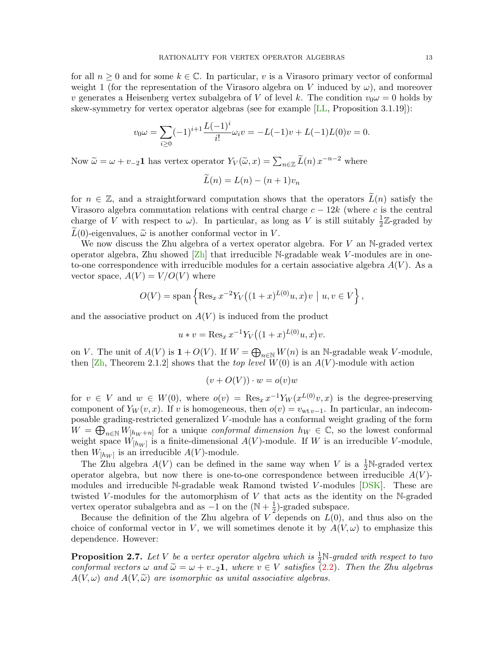for all  $n \geq 0$  and for some  $k \in \mathbb{C}$ . In particular, v is a Virasoro primary vector of conformal weight 1 (for the representation of the Virasoro algebra on V induced by  $\omega$ ), and moreover v generates a Heisenberg vertex subalgebra of V of level k. The condition  $v_0 \omega = 0$  holds by skew-symmetry for vertex operator algebras (see for example [\[LL,](#page-83-9) Proposition 3.1.19]):

$$
v_0 \omega = \sum_{i \ge 0} (-1)^{i+1} \frac{L(-1)^i}{i!} \omega_i v = -L(-1)v + L(-1)L(0)v = 0.
$$

Now  $\tilde{\omega} = \omega + v_{-2} \mathbf{1}$  has vertex operator  $Y_V(\tilde{\omega}, x) = \sum_{n \in \mathbb{Z}} \tilde{L}(n) x^{-n-2}$  where

$$
\widetilde{L}(n) = L(n) - (n+1)v_n
$$

for  $n \in \mathbb{Z}$ , and a straightforward computation shows that the operators  $\tilde{L}(n)$  satisfy the Virasoro algebra commutation relations with central charge  $c - 12k$  (where c is the central charge of V with respect to  $\omega$ ). In particular, as long as V is still suitably  $\frac{1}{2}\mathbb{Z}$ -graded by  $L(0)$ -eigenvalues,  $\tilde{\omega}$  is another conformal vector in V.

We now discuss the Zhu algebra of a vertex operator algebra. For  $V$  an N-graded vertex operator algebra, Zhu showed  $[Z_h]$  that irreducible N-gradable weak V-modules are in oneto-one correspondence with irreducible modules for a certain associative algebra  $A(V)$ . As a vector space,  $A(V) = V/O(V)$  where

$$
O(V) = \text{span}\left\{ \text{Res}_x x^{-2} Y_V \big( (1+x)^{L(0)} u, x \big) v \mid u, v \in V \right\},\
$$

and the associative product on  $A(V)$  is induced from the product

$$
u * v = \operatorname{Res}_{x} x^{-1} Y_{V} \big( (1+x)^{L(0)} u, x \big) v.
$$

on V. The unit of  $A(V)$  is  $1 + O(V)$ . If  $W = \bigoplus_{n \in \mathbb{N}} W(n)$  is an N-gradable weak V-module, then  $[\text{Zh}, \text{Theorem 2.1.2}]$  shows that the *top level*  $W(0)$  is an  $A(V)$ -module with action

$$
(v + O(V)) \cdot w = o(v)w
$$

for  $v \in V$  and  $w \in W(0)$ , where  $o(v) = \text{Res}_x x^{-1} Y_W(x^{L(0)}v, x)$  is the degree-preserving component of  $Y_W(v, x)$ . If v is homogeneous, then  $o(v) = v_{wt v-1}$ . In particular, an indecomposable grading-restricted generalized V -module has a conformal weight grading of the form  $W = \bigoplus_{n \in \mathbb{N}} W_{[h_W + n]}$  for a unique *conformal dimension*  $h_W \in \mathbb{C}$ , so the lowest conformal weight space  $W_{[h_W]}$  is a finite-dimensional  $A(V)$ -module. If W is an irreducible V-module, then  $W_{[h_W]}$  is an irreducible  $A(V)$ -module.

The Zhu algebra  $A(V)$  can be defined in the same way when V is a  $\frac{1}{2}N$ -graded vertex operator algebra, but now there is one-to-one correspondence between irreducible  $A(V)$ modules and irreducible N-gradable weak Ramond twisted V-modules  $[DSK]$ . These are twisted V-modules for the automorphism of  $V$  that acts as the identity on the N-graded vertex operator subalgebra and as  $-1$  on the  $(N + \frac{1}{2})$  $(\frac{1}{2})$ -graded subspace.

Because the definition of the Zhu algebra of  $V$  depends on  $L(0)$ , and thus also on the choice of conformal vector in V, we will sometimes denote it by  $A(V, \omega)$  to emphasize this dependence. However:

**Proposition 2.7.** Let V be a vertex operator algebra which is  $\frac{1}{2}N$ -graded with respect to two conformal vectors  $\omega$  and  $\tilde{\omega} = \omega + \nu_{-2} \mathbf{1}$ , where  $v \in V$  satisfies [\(2.2\)](#page-11-1). Then the Zhu algebras  $A(V, \omega)$  and  $A(V, \widetilde{\omega})$  are isomorphic as unital associative algebras.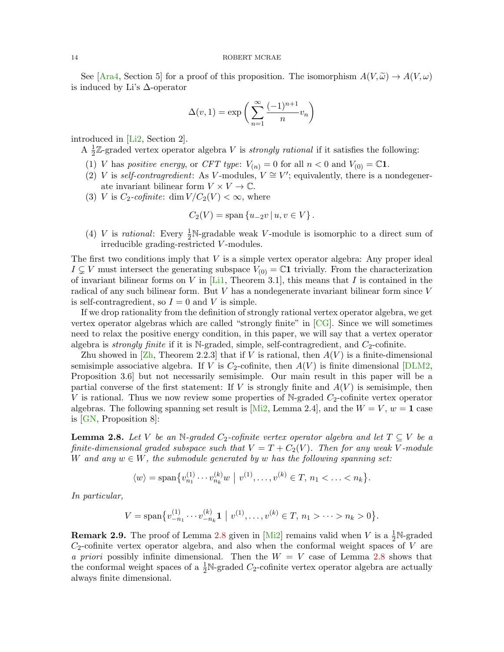See [\[Ara4,](#page-81-8) Section 5] for a proof of this proposition. The isomorphism  $A(V,\tilde{\omega}) \to A(V,\omega)$ is induced by Li's ∆-operator

$$
\Delta(v,1) = \exp\left(\sum_{n=1}^{\infty} \frac{(-1)^{n+1}}{n} v_n\right)
$$

introduced in [\[Li2,](#page-83-10) Section 2].

A  $\frac{1}{2}$  $\frac{1}{2}\mathbb{Z}$ -graded vertex operator algebra V is *strongly rational* if it satisfies the following:

- (1) V has positive energy, or CFT type:  $V_{(n)} = 0$  for all  $n < 0$  and  $V_{(0)} = \mathbb{C} \mathbf{1}$ .
- (2) V is self-contragredient: As V-modules,  $V \cong V'$ ; equivalently, there is a nondegenerate invariant bilinear form  $V \times V \to \mathbb{C}$ .
- (3) V is  $C_2$ -cofinite: dim  $V/C_2(V) < \infty$ , where

$$
C_2(V) = \text{span}\left\{u_{-2}v \,|\, u, v \in V\right\}.
$$

(4) *V* is *rational*: Every  $\frac{1}{2}N$ -gradable weak *V*-module is isomorphic to a direct sum of irreducible grading-restricted V -modules.

The first two conditions imply that  $V$  is a simple vertex operator algebra: Any proper ideal  $I \subsetneq V$  must intersect the generating subspace  $V_{(0)} = \mathbb{C}1$  trivially. From the characterization of invariant bilinear forms on V in  $[L_1, L_1]$ , Theorem 3.1, this means that I is contained in the radical of any such bilinear form. But V has a nondegenerate invariant bilinear form since V is self-contragredient, so  $I = 0$  and V is simple.

If we drop rationality from the definition of strongly rational vertex operator algebra, we get vertex operator algebras which are called "strongly finite" in  $[CG]$ . Since we will sometimes need to relax the positive energy condition, in this paper, we will say that a vertex operator algebra is *strongly finite* if it is N-graded, simple, self-contragredient, and  $C_2$ -cofinite.

Zhu showed in  $[\mathbb{Z}h]$ , Theorem 2.2.3 that if V is rational, then  $A(V)$  is a finite-dimensional semisimple associative algebra. If V is  $C_2$ -cofinite, then  $A(V)$  is finite dimensional [\[DLM2,](#page-82-9) Proposition 3.6] but not necessarily semisimple. Our main result in this paper will be a partial converse of the first statement: If V is strongly finite and  $A(V)$  is semisimple, then V is rational. Thus we now review some properties of N-graded  $C_2$ -cofinite vertex operator algebras. The following spanning set result is [\[Mi2,](#page-84-5) Lemma 2.4], and the  $W = V$ ,  $w = 1$  case is [\[GN,](#page-82-7) Proposition 8]:

<span id="page-13-0"></span>**Lemma 2.8.** Let V be an N-graded  $C_2$ -cofinite vertex operator algebra and let  $T \subseteq V$  be a finite-dimensional graded subspace such that  $V = T + C_2(V)$ . Then for any weak V-module W and any  $w \in W$ , the submodule generated by w has the following spanning set:

$$
\langle w \rangle = \text{span}\{v_{n_1}^{(1)} \cdots v_{n_k}^{(k)} w \mid v^{(1)}, \ldots, v^{(k)} \in T, n_1 < \ldots < n_k\}.
$$

In particular,

$$
V = \mathrm{span}\{v_{-n_1}^{(1)} \cdots v_{-n_k}^{(k)} \mathbf{1} \mid v^{(1)}, \ldots, v^{(k)} \in T, n_1 > \cdots > n_k > 0\}.
$$

**Remark 2.9.** The proof of Lemma [2.8](#page-13-0) given in [\[Mi2\]](#page-84-5) remains valid when V is a  $\frac{1}{2}N$ -graded  $C_2$ -cofinite vertex operator algebra, and also when the conformal weight spaces of V are a priori possibly infinite dimensional. Then the  $W = V$  case of Lemma [2.8](#page-13-0) shows that the conformal weight spaces of a  $\frac{1}{2}N$ -graded  $C_2$ -cofinite vertex operator algebra are actually always finite dimensional.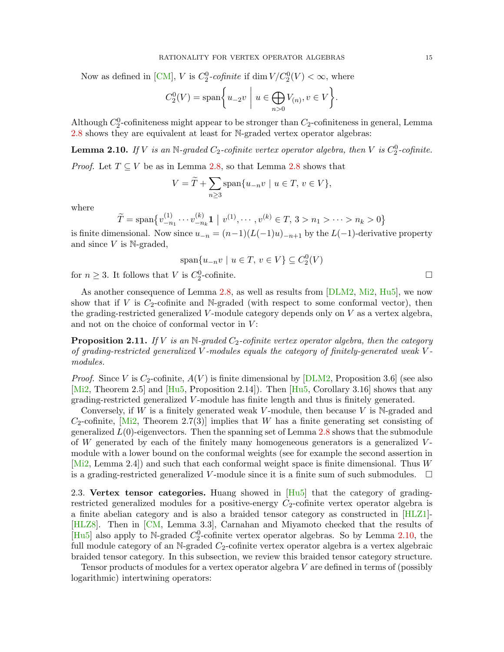Now as defined in [\[CM\]](#page-81-6), V is  $C_2^0$ -cofinite if  $\dim V/C_2^0(V) < \infty$ , where

$$
C_2^0(V) = \text{span}\bigg\{u_{-2}v \mid u \in \bigoplus_{n>0} V_{(n)}, v \in V\bigg\}.
$$

Although  $C_2^0$ -cofiniteness might appear to be stronger than  $C_2$ -cofiniteness in general, Lemma [2.8](#page-13-0) shows they are equivalent at least for N-graded vertex operator algebras:

<span id="page-14-1"></span>**Lemma 2.10.** If V is an N-graded  $C_2$ -cofinite vertex operator algebra, then V is  $C_2^0$ -cofinite.

*Proof.* Let  $T \subseteq V$  be as in Lemma [2.8,](#page-13-0) so that Lemma [2.8](#page-13-0) shows that

$$
V = \widetilde{T} + \sum_{n \ge 3} \text{span}\{u_{-n}v \mid u \in T, v \in V\},\
$$

where

$$
\widetilde{T} = \text{span}\{v_{-n_1}^{(1)} \cdots v_{-n_k}^{(k)} \mathbf{1} \mid v^{(1)}, \cdots, v^{(k)} \in T, 3 > n_1 > \cdots > n_k > 0\}
$$

is finite dimensional. Now since  $u_{-n} = (n-1)(L(-1)u)_{-n+1}$  by the  $L(-1)$ -derivative property and since  $V$  is N-graded,

$$
\text{span}\{u_{-n}v \mid u \in T, v \in V\} \subseteq C_2^0(V)
$$

for  $n \geq 3$ . It follows that V is  $C_2^0$ -cofinite.

As another consequence of Lemma [2.8,](#page-13-0) as well as results from [\[DLM2,](#page-82-9) [Mi2,](#page-84-5) [Hu5\]](#page-82-2), we now show that if V is  $C_2$ -cofinite and N-graded (with respect to some conformal vector), then the grading-restricted generalized V-module category depends only on  $V$  as a vertex algebra, and not on the choice of conformal vector in  $V$ :

<span id="page-14-2"></span>**Proposition 2.11.** If V is an N-graded  $C_2$ -cofinite vertex operator algebra, then the category of grading-restricted generalized V -modules equals the category of finitely-generated weak V modules.

*Proof.* Since V is  $C_2$ -cofinite,  $A(V)$  is finite dimensional by [\[DLM2,](#page-82-9) Proposition 3.6] (see also [\[Mi2,](#page-84-5) Theorem 2.5] and [\[Hu5,](#page-82-2) Proposition 2.14]). Then [Hu5, Corollary 3.16] shows that any grading-restricted generalized V -module has finite length and thus is finitely generated.

Conversely, if W is a finitely generated weak V-module, then because V is  $\mathbb{N}$ -graded and  $C_2$ -cofinite, Mi2, Theorem 2.7(3) implies that W has a finite generating set consisting of generalized  $L(0)$ -eigenvectors. Then the spanning set of Lemma [2.8](#page-13-0) shows that the submodule of  $W$  generated by each of the finitely many homogeneous generators is a generalized  $V$ module with a lower bound on the conformal weights (see for example the second assertion in [\[Mi2,](#page-84-5) Lemma 2.4]) and such that each conformal weight space is finite dimensional. Thus W is a grading-restricted generalized V-module since it is a finite sum of such submodules.  $\square$ 

<span id="page-14-0"></span>2.3. Vertex tensor categories. Huang showed in  $[Hu5]$  that the category of gradingrestricted generalized modules for a positive-energy  $C_2$ -cofinite vertex operator algebra is a finite abelian category and is also a braided tensor category as constructed in [\[HLZ1\]](#page-83-0)- [\[HLZ8\]](#page-83-1). Then in [\[CM,](#page-81-6) Lemma 3.3], Carnahan and Miyamoto checked that the results of [\[Hu5\]](#page-82-2) also apply to N-graded  $C_2^0$ -cofinite vertex operator algebras. So by Lemma [2.10,](#page-14-1) the full module category of an N-graded  $C_2$ -cofinite vertex operator algebra is a vertex algebraic braided tensor category. In this subsection, we review this braided tensor category structure.

Tensor products of modules for a vertex operator algebra V are defined in terms of (possibly logarithmic) intertwining operators: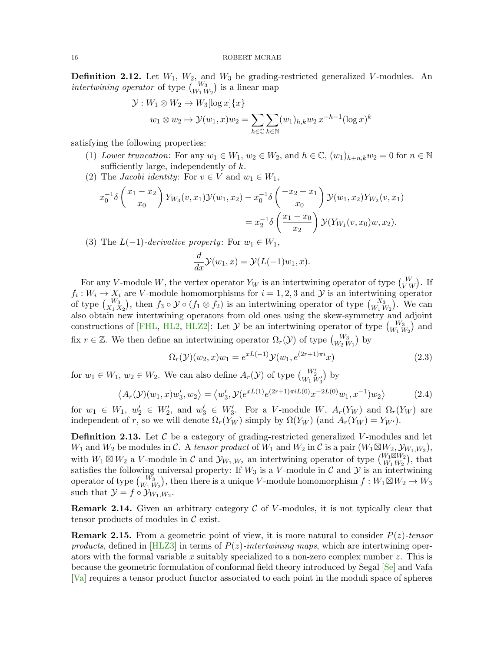**Definition 2.12.** Let  $W_1$ ,  $W_2$ , and  $W_3$  be grading-restricted generalized V-modules. An intertwining operator of type  ${W_3 \choose W_1 W_2}$  is a linear map

$$
\mathcal{Y}: W_1 \otimes W_2 \to W_3[\log x] \{x\}
$$
  

$$
w_1 \otimes w_2 \mapsto \mathcal{Y}(w_1, x)w_2 = \sum_{h \in \mathbb{C}} \sum_{k \in \mathbb{N}} (w_1)_{h,k} w_2 x^{-h-1} (\log x)^k
$$

satisfying the following properties:

- (1) Lower truncation: For any  $w_1 \in W_1$ ,  $w_2 \in W_2$ , and  $h \in \mathbb{C}$ ,  $(w_1)_{h+n,k}w_2 = 0$  for  $n \in \mathbb{N}$ sufficiently large, independently of  $k$ .
- (2) The *Jacobi identity*: For  $v \in V$  and  $w_1 \in W_1$ ,

$$
x_0^{-1}\delta\left(\frac{x_1 - x_2}{x_0}\right)Y_{W_3}(v, x_1)\mathcal{Y}(w_1, x_2) - x_0^{-1}\delta\left(\frac{-x_2 + x_1}{x_0}\right)\mathcal{Y}(w_1, x_2)Y_{W_2}(v, x_1)
$$
  
=  $x_2^{-1}\delta\left(\frac{x_1 - x_0}{x_2}\right)\mathcal{Y}(Y_{W_1}(v, x_0)w, x_2).$ 

(3) The  $L(-1)$ -derivative property: For  $w_1 \in W_1$ ,

<span id="page-15-1"></span>
$$
\frac{d}{dx}\mathcal{Y}(w_1,x) = \mathcal{Y}(L(-1)w_1,x).
$$

For any V-module W, the vertex operator  $Y_W$  is an intertwining operator of type  $\binom{W}{V_W}$ . If  $f_i: W_i \to X_i$  are V-module homomorphisms for  $i = 1, 2, 3$  and  $\mathcal Y$  is an intertwining operator of type  $\binom{W_3}{X_1 X_2}$ , then  $f_3 \circ \mathcal{Y} \circ (f_1 \otimes f_2)$  is an intertwining operator of type  $\binom{X_3}{W_1 W_2}$ . We can also obtain new intertwining operators from old ones using the skew-symmetry and adjoint constructions of [\[FHL,](#page-82-6) [HL2,](#page-83-12) [HLZ2\]](#page-83-13): Let  $\mathcal{Y}$  be an intertwining operator of type  $\binom{W_3}{W_1 W_2}$  and fix  $r \in \mathbb{Z}$ . We then define an intertwining operator  $\Omega_r(\mathcal{Y})$  of type  ${W_3 \choose W_2 W_1}$  by

<span id="page-15-2"></span>
$$
\Omega_r(\mathcal{Y})(w_2, x)w_1 = e^{xL(-1)}\mathcal{Y}(w_1, e^{(2r+1)\pi i}x)
$$
\n(2.3)

for  $w_1 \in W_1$ ,  $w_2 \in W_2$ . We can also define  $A_r(\mathcal{Y})$  of type  $\binom{W_2'}{W_1 W_3'}$  by

$$
\langle A_r(\mathcal{Y})(w_1, x)w_3', w_2 \rangle = \langle w_3', \mathcal{Y}(e^{xL(1)}e^{(2r+1)\pi i L(0)}x^{-2L(0)}w_1, x^{-1})w_2 \rangle \tag{2.4}
$$

for  $w_1 \in W_1$ ,  $w_2' \in W_2'$ , and  $w_3' \in W_3'$ . For a V-module W,  $A_r(Y_W)$  and  $\Omega_r(Y_W)$  are independent of r, so we will denote  $\Omega_r(Y_W)$  simply by  $\Omega(Y_W)$  (and  $A_r(Y_W) = Y_{W'}$ ).

<span id="page-15-0"></span>**Definition 2.13.** Let  $\mathcal{C}$  be a category of grading-restricted generalized V-modules and let  $W_1$  and  $W_2$  be modules in C. A tensor product of  $\tilde{W}_1$  and  $W_2$  in C is a pair  $(W_1 \boxtimes W_2, \mathcal{Y}_{W_1,W_2}),$ with  $W_1 \boxtimes W_2$  a V-module in C and  $\mathcal{Y}_{W_1,W_2}$  an intertwining operator of type  $\begin{pmatrix} W_1 \boxtimes W_2 \\ W_1 W_2 \end{pmatrix}$  $\binom{W_1 \boxtimes W_2}{W_1 \, W_2}$ , that satisfies the following universal property: If  $W_3$  is a V-module in C and Y is an intertwining operator of type  ${W_3 \choose W_1 W_2}$ , then there is a unique V-module homomorphism  $f: W_1 \boxtimes W_2 \to W_3$ such that  $\mathcal{Y} = f \circ \mathcal{Y}_{W_1, W_2}$ .

**Remark 2.14.** Given an arbitrary category  $\mathcal C$  of V-modules, it is not typically clear that tensor products of modules in  $\mathcal C$  exist.

**Remark 2.15.** From a geometric point of view, it is more natural to consider  $P(z)$ -tensor products, defined in [\[HLZ3\]](#page-83-7) in terms of  $P(z)$ -intertwining maps, which are intertwining operators with the formal variable x suitably specialized to a non-zero complex number  $z$ . This is because the geometric formulation of conformal field theory introduced by Segal [\[Se\]](#page-84-7) and Vafa [\[Va\]](#page-84-8) requires a tensor product functor associated to each point in the moduli space of spheres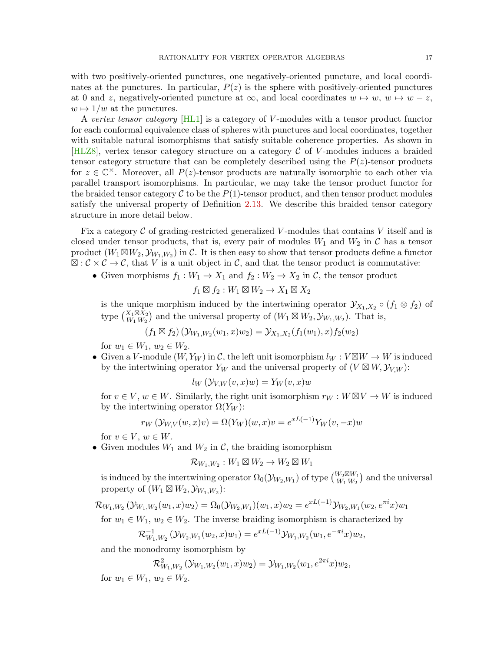with two positively-oriented punctures, one negatively-oriented puncture, and local coordinates at the punctures. In particular,  $P(z)$  is the sphere with positively-oriented punctures at 0 and z, negatively-oriented puncture at  $\infty$ , and local coordinates  $w \mapsto w$ ,  $w \mapsto w - z$ ,  $w \mapsto 1/w$  at the punctures.

A vertex tensor category [\[HL1\]](#page-83-14) is a category of V-modules with a tensor product functor for each conformal equivalence class of spheres with punctures and local coordinates, together with suitable natural isomorphisms that satisfy suitable coherence properties. As shown in [\[HLZ8\]](#page-83-1), vertex tensor category structure on a category  $\mathcal C$  of V-modules induces a braided tensor category structure that can be completely described using the  $P(z)$ -tensor products for  $z \in \mathbb{C}^{\times}$ . Moreover, all  $P(z)$ -tensor products are naturally isomorphic to each other via parallel transport isomorphisms. In particular, we may take the tensor product functor for the braided tensor category  $\mathcal C$  to be the  $P(1)$ -tensor product, and then tensor product modules satisfy the universal property of Definition [2.13.](#page-15-0) We describe this braided tensor category structure in more detail below.

Fix a category  $\mathcal C$  of grading-restricted generalized V-modules that contains V itself and is closed under tensor products, that is, every pair of modules  $W_1$  and  $W_2$  in C has a tensor product  $(W_1 \boxtimes W_2, \mathcal{Y}_{W_1,W_2})$  in C. It is then easy to show that tensor products define a functor  $\mathbb{E}: \mathcal{C} \times \mathcal{C} \to \mathcal{C}$ , that V is a unit object in C, and that the tensor product is commutative:

• Given morphisms  $f_1: W_1 \to X_1$  and  $f_2: W_2 \to X_2$  in C, the tensor product

$$
f_1 \boxtimes f_2 : W_1 \boxtimes W_2 \to X_1 \boxtimes X_2
$$

is the unique morphism induced by the intertwining operator  $\mathcal{Y}_{X_1,X_2} \circ (f_1 \otimes f_2)$  of type  $\binom{X_1 \boxtimes X_2}{W_1\ W_2}$  $W_1 \boxtimes X_2$  and the universal property of  $(W_1 \boxtimes W_2, \mathcal{Y}_{W_1, W_2})$ . That is,

$$
(f_1 \boxtimes f_2) (\mathcal{Y}_{W_1,W_2}(w_1,x)w_2) = \mathcal{Y}_{X_1,X_2}(f_1(w_1),x) f_2(w_2)
$$

for  $w_1 \in W_1$ ,  $w_2 \in W_2$ .

• Given a V-module  $(W, Y_W)$  in C, the left unit isomorphism  $l_W : V \boxtimes W \to W$  is induced by the intertwining operator  $Y_W$  and the universal property of  $(V \boxtimes W, \mathcal{Y}_{V,W})$ :

$$
l_W(\mathcal{Y}_{V,W}(v,x)w) = Y_W(v,x)w
$$

for  $v \in V$ ,  $w \in W$ . Similarly, the right unit isomorphism  $r_W : W \boxtimes V \to W$  is induced by the intertwining operator  $\Omega(Y_W)$ :

$$
r_W(\mathcal{Y}_{W,V}(w,x)v) = \Omega(Y_W)(w,x)v = e^{xL(-1)}Y_W(v,-x)w
$$

for  $v \in V$ ,  $w \in W$ .

• Given modules  $W_1$  and  $W_2$  in  $\mathcal{C}$ , the braiding isomorphism

$$
\mathcal{R}_{W_1,W_2}: W_1\boxtimes W_2\to W_2\boxtimes W_1
$$

is induced by the intertwining operator  $\Omega_0(\mathcal{Y}_{W_2,W_1})$  of type  ${W_2 \boxtimes W_1 \choose W_1 W_2}$  $\binom{W_2 \boxtimes W_1}{W_1 W_2}$  and the universal property of  $(W_1 \boxtimes W_2, \mathcal{Y}_{W_1,W_2})$ :

 $\mathcal{R}_{W_1,W_2}\left(\mathcal{Y}_{W_1,W_2}(w_1,x)w_2\right)=\Omega_0(\mathcal{Y}_{W_2,W_1})(w_1,x)w_2=e^{xL(-1)}\mathcal{Y}_{W_2,W_1}(w_2,e^{\pi i}x)w_1$ 

for  $w_1 \in W_1$ ,  $w_2 \in W_2$ . The inverse braiding isomorphism is characterized by

$$
\mathcal{R}_{W_1,W_2}^{-1}(\mathcal{Y}_{W_2,W_1}(w_2,x)w_1) = e^{xL(-1)}\mathcal{Y}_{W_1,W_2}(w_1,e^{-\pi i}x)w_2,
$$

and the monodromy isomorphism by

 $\mathcal{R}_{W_1,W_2}^2(\mathcal{Y}_{W_1,W_2}(w_1,x)w_2) = \mathcal{Y}_{W_1,W_2}(w_1,e^{2\pi i}x)w_2,$ for  $w_1 \in W_1$ ,  $w_2 \in W_2$ .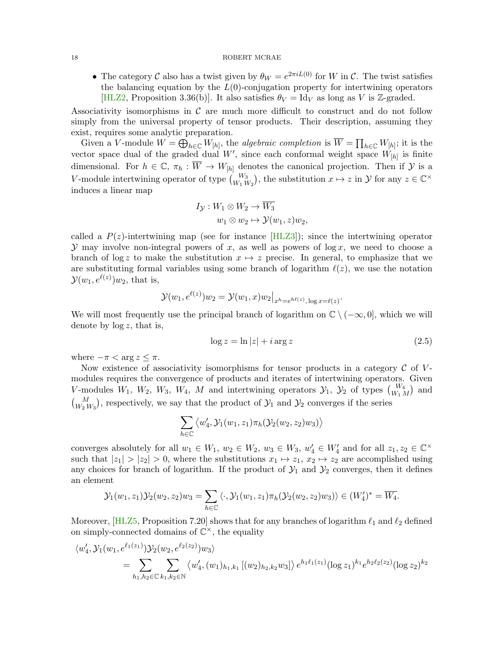• The category C also has a twist given by  $\theta_W = e^{2\pi i L(0)}$  for W in C. The twist satisfies the balancing equation by the  $L(0)$ -conjugation property for intertwining operators [\[HLZ2,](#page-83-13) Proposition 3.36(b)]. It also satisfies  $\theta_V = \text{Id}_V$  as long as V is Z-graded.

Associativity isomorphisms in  $\mathcal C$  are much more difficult to construct and do not follow simply from the universal property of tensor products. Their description, assuming they exist, requires some analytic preparation.

Given a V-module  $W = \bigoplus_{h \in \mathbb{C}} W_{[h]},$  the *algebraic completion* is  $\overline{W} = \prod_{h \in \mathbb{C}} W_{[h]}$ ; it is the vector space dual of the graded dual W', since each conformal weight space  $\hat{W}_{[h]}$  is finite dimensional. For  $h \in \mathbb{C}$ ,  $\pi_h : \overline{W} \to W_{[h]}$  denotes the canonical projection. Then if  $\mathcal Y$  is a V-module intertwining operator of type  $\binom{W_3}{W_1 W_2}$ , the substitution  $x \mapsto z$  in  $\mathcal{Y}$  for any  $z \in \mathbb{C}^\times$ induces a linear map

$$
I_{\mathcal{Y}}: W_1 \otimes W_2 \to \overline{W_3}
$$
  

$$
w_1 \otimes w_2 \mapsto \mathcal{Y}(w_1, z)w_2,
$$

called a  $P(z)$ -intertwining map (see for instance [\[HLZ3\]](#page-83-7)); since the intertwining operator  $\mathcal Y$  may involve non-integral powers of x, as well as powers of log x, we need to choose a branch of log z to make the substitution  $x \mapsto z$  precise. In general, to emphasize that we are substituting formal variables using some branch of logarithm  $\ell(z)$ , we use the notation  $\mathcal{Y}(w_1, e^{\ell(z)})w_2$ , that is,

$$
\mathcal{Y}(w_1, e^{\ell(z)})w_2 = \mathcal{Y}(w_1, x)w_2\big|_{x^h = e^{h\ell(z)}, \log x = \ell(z)}.
$$

We will most frequently use the principal branch of logarithm on  $\mathbb{C} \setminus (-\infty, 0]$ , which we will denote by  $\log z$ , that is,

<span id="page-17-0"></span>
$$
\log z = \ln|z| + i \arg z \tag{2.5}
$$

where  $-\pi < \arg z \leq \pi$ .

Now existence of associativity isomorphisms for tensor products in a category  $\mathcal C$  of Vmodules requires the convergence of products and iterates of intertwining operators. Given V-modules  $W_1$ ,  $W_2$ ,  $W_3$ ,  $W_4$ , M and intertwining operators  $\mathcal{Y}_1$ ,  $\mathcal{Y}_2$  of types  $\binom{W_4}{W_1\,M}$  and  $\binom{M}{W_2 W_3}$ , respectively, we say that the product of  $\mathcal{Y}_1$  and  $\mathcal{Y}_2$  converges if the series

$$
\sum_{h\in \mathbb C}\left\langle w_4', \mathcal Y_1(w_1,z_1)\pi_h(\mathcal Y_2(w_2,z_2)w_3)\right\rangle
$$

converges absolutely for all  $w_1 \in W_1$ ,  $w_2 \in W_2$ ,  $w_3 \in W_3$ ,  $w'_4 \in W'_4$  and for all  $z_1, z_2 \in \mathbb{C}^\times$ such that  $|z_1| > |z_2| > 0$ , where the substitutions  $x_1 \mapsto z_1, x_2 \mapsto z_2$  are accomplished using any choices for branch of logarithm. If the product of  $\mathcal{Y}_1$  and  $\mathcal{Y}_2$  converges, then it defines an element

$$
\mathcal{Y}_1(w_1, z_1)\mathcal{Y}_2(w_2, z_2)w_3 = \sum_{h \in \mathbb{C}} \langle \cdot, \mathcal{Y}_1(w_1, z_1)\pi_h(\mathcal{Y}_2(w_2, z_2)w_3) \rangle \in (W'_4)^* = \overline{W_4}.
$$

Moreover,  $\left[\text{HLZ5}, \text{Proposition 7.20}\right]$  shows that for any branches of logarithm  $\ell_1$  and  $\ell_2$  defined on simply-connected domains of  $\mathbb{C}^{\times}$ , the equality

$$
\langle w_4', \mathcal{Y}_1(w_1, e^{\ell_1(z_1)}) \mathcal{Y}_2(w_2, e^{\ell_2(z_2)}) w_3 \rangle
$$
  
= 
$$
\sum_{h_1, h_2 \in \mathbb{C}} \sum_{k_1, k_2 \in \mathbb{N}} \langle w_4', (w_1)_{h_1, k_1} [(w_2)_{h_2, k_2} w_3] \rangle e^{h_1 \ell_1(z_1)} (\log z_1)^{k_1} e^{h_2 \ell_2(z_2)} (\log z_2)^{k_2}
$$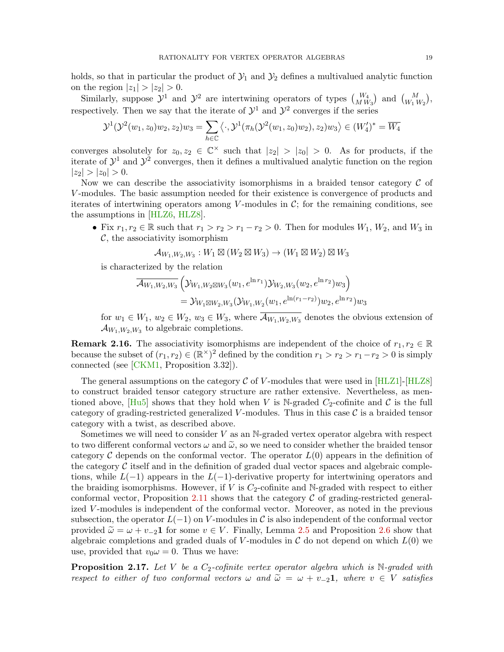holds, so that in particular the product of  $\mathcal{Y}_1$  and  $\mathcal{Y}_2$  defines a multivalued analytic function on the region  $|z_1| > |z_2| > 0$ .

Similarly, suppose  $\mathcal{Y}^1$  and  $\mathcal{Y}^2$  are intertwining operators of types  $\binom{W_4}{MW_3}$  and  $\binom{M}{W_1 W_2}$ , respectively. Then we say that the iterate of  $\mathcal{Y}^1$  and  $\mathcal{Y}^2$  converges if the series

$$
\mathcal{Y}^{1}(\mathcal{Y}^{2}(w_{1}, z_{0})w_{2}, z_{2})w_{3} = \sum_{h \in \mathbb{C}} \langle \cdot, \mathcal{Y}^{1}(\pi_{h}(\mathcal{Y}^{2}(w_{1}, z_{0})w_{2}), z_{2})w_{3} \rangle \in (W_{4}')^{*} = \overline{W_{4}}
$$

converges absolutely for  $z_0, z_2 \in \mathbb{C}^\times$  such that  $|z_2| > |z_0| > 0$ . As for products, if the iterate of  $\mathcal{Y}^1$  and  $\mathcal{Y}^2$  converges, then it defines a multivalued analytic function on the region  $|z_2| > |z_0| > 0.$ 

Now we can describe the associativity isomorphisms in a braided tensor category  $\mathcal C$  of V -modules. The basic assumption needed for their existence is convergence of products and iterates of intertwining operators among V-modules in  $\mathcal{C}$ ; for the remaining conditions, see the assumptions in [\[HLZ6,](#page-83-16) [HLZ8\]](#page-83-1).

• Fix  $r_1, r_2 \in \mathbb{R}$  such that  $r_1 > r_2 > r_1 - r_2 > 0$ . Then for modules  $W_1, W_2$ , and  $W_3$  in  $\mathcal{C}$ , the associativity isomorphism

$$
\mathcal{A}_{W_1,W_2,W_3}: W_1 \boxtimes (W_2 \boxtimes W_3) \to (W_1 \boxtimes W_2) \boxtimes W_3
$$

is characterized by the relation

$$
\overline{\mathcal{A}_{W_1,W_2,W_3}}\left(\mathcal{Y}_{W_1,W_2\boxtimes W_3}(w_1, e^{\ln r_1})\mathcal{Y}_{W_2,W_3}(w_2, e^{\ln r_2})w_3\right)
$$
  
=  $\mathcal{Y}_{W_1\boxtimes W_2,W_3}(\mathcal{Y}_{W_1,W_2}(w_1, e^{\ln (r_1-r_2)})w_2, e^{\ln r_2})w_3$ 

for  $w_1 \in W_1$ ,  $w_2 \in W_2$ ,  $w_3 \in W_3$ , where  $\overline{\mathcal{A}_{W_1,W_2,W_3}}$  denotes the obvious extension of  $\mathcal{A}_{W_1,W_2,W_3}$  to algebraic completions.

**Remark 2.16.** The associativity isomorphisms are independent of the choice of  $r_1, r_2 \in \mathbb{R}$ because the subset of  $(r_1, r_2) \in (\mathbb{R}^{\times})^2$  defined by the condition  $r_1 > r_2 > r_1 - r_2 > 0$  is simply connected (see [\[CKM1,](#page-81-5) Proposition 3.32]).

The general assumptions on the category  $\mathcal C$  of V-modules that were used in [\[HLZ1\]](#page-83-0)-[\[HLZ8\]](#page-83-1) to construct braided tensor category structure are rather extensive. Nevertheless, as mentioned above,  $[Hu5]$  shows that they hold when V is N-graded  $C_2$ -cofinite and C is the full category of grading-restricted generalized V-modules. Thus in this case  $\mathcal C$  is a braided tensor category with a twist, as described above.

Sometimes we will need to consider  $V$  as an N-graded vertex operator algebra with respect to two different conformal vectors  $\omega$  and  $\tilde{\omega}$ , so we need to consider whether the braided tensor category C depends on the conformal vector. The operator  $L(0)$  appears in the definition of the category  $\mathcal C$  itself and in the definition of graded dual vector spaces and algebraic completions, while  $L(-1)$  appears in the  $L(-1)$ -derivative property for intertwining operators and the braiding isomorphisms. However, if  $V$  is  $C_2$ -cofinite and N-graded with respect to either conformal vector, Proposition [2.11](#page-14-2) shows that the category  $\mathcal C$  of grading-restricted generalized V -modules is independent of the conformal vector. Moreover, as noted in the previous subsection, the operator  $L(-1)$  on V-modules in C is also independent of the conformal vector provided  $\tilde{\omega} = \omega + v_{-2}$ 1 for some  $v \in V$ . Finally, Lemma [2.5](#page-11-0) and Proposition [2.6](#page-11-2) show that algebraic completions and graded duals of V-modules in  $\mathcal C$  do not depend on which  $L(0)$  we use, provided that  $v_0 \omega = 0$ . Thus we have:

<span id="page-18-0"></span>**Proposition 2.17.** Let V be a  $C_2$ -cofinite vertex operator algebra which is N-graded with respect to either of two conformal vectors  $\omega$  and  $\tilde{\omega} = \omega + v_{-2}$ , where  $v \in V$  satisfies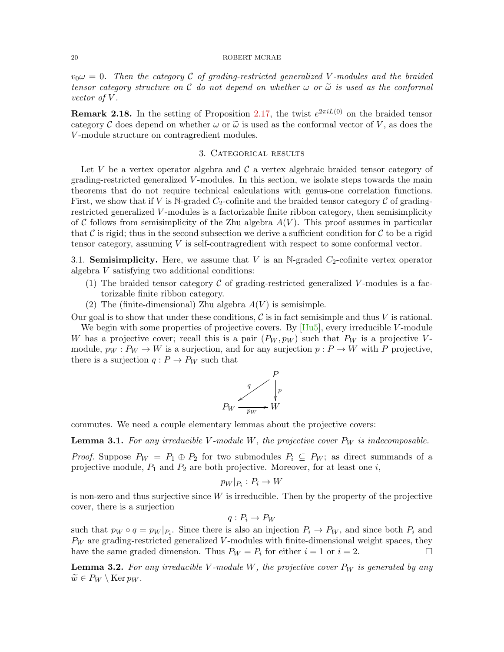$v_0 \omega = 0$ . Then the category C of grading-restricted generalized V-modules and the braided tensor category structure on C do not depend on whether  $\omega$  or  $\tilde{\omega}$  is used as the conformal vector of V.

**Remark 2.18.** In the setting of Proposition [2.17,](#page-18-0) the twist  $e^{2\pi iL(0)}$  on the braided tensor category C does depend on whether  $\omega$  or  $\tilde{\omega}$  is used as the conformal vector of V, as does the V -module structure on contragredient modules.

# 3. Categorical results

<span id="page-19-0"></span>Let V be a vertex operator algebra and  $\mathcal C$  a vertex algebraic braided tensor category of grading-restricted generalized V -modules. In this section, we isolate steps towards the main theorems that do not require technical calculations with genus-one correlation functions. First, we show that if V is N-graded  $C_2$ -cofinite and the braided tensor category C of gradingrestricted generalized  $V$ -modules is a factorizable finite ribbon category, then semisimplicity of C follows from semisimplicity of the Zhu algebra  $A(V)$ . This proof assumes in particular that C is rigid; thus in the second subsection we derive a sufficient condition for C to be a rigid tensor category, assuming V is self-contragredient with respect to some conformal vector.

<span id="page-19-1"></span>3.1. Semisimplicity. Here, we assume that V is an N-graded  $C_2$ -cofinite vertex operator algebra V satisfying two additional conditions:

- (1) The braided tensor category  $\mathcal C$  of grading-restricted generalized V-modules is a factorizable finite ribbon category.
- (2) The (finite-dimensional) Zhu algebra  $A(V)$  is semisimple.

Our goal is to show that under these conditions,  $\mathcal C$  is in fact semisimple and thus V is rational.

We begin with some properties of projective covers. By  $[Hu5]$ , every irreducible V-module W has a projective cover; recall this is a pair  $(P_W, p_W)$  such that  $P_W$  is a projective Vmodule,  $p_W : P_W \to W$  is a surjection, and for any surjection  $p : P \to W$  with P projective, there is a surjection  $q: P \to P_W$  such that



commutes. We need a couple elementary lemmas about the projective covers:

<span id="page-19-2"></span>**Lemma 3.1.** For any irreducible V-module W, the projective cover  $P_W$  is indecomposable.

*Proof.* Suppose  $P_W = P_1 \oplus P_2$  for two submodules  $P_i \subseteq P_W$ ; as direct summands of a projective module,  $P_1$  and  $P_2$  are both projective. Moreover, for at least one i,

$$
p_W|_{P_i}: P_i \to W
$$

is non-zero and thus surjective since  $W$  is irreducible. Then by the property of the projective cover, there is a surjection

$$
q: P_i \to P_W
$$

such that  $p_W \circ q = p_W |_{P_i}$ . Since there is also an injection  $P_i \to P_W$ , and since both  $P_i$  and  $P_W$  are grading-restricted generalized V-modules with finite-dimensional weight spaces, they have the same graded dimension. Thus  $P_W = P_i$  for either  $i = 1$  or  $i = 2$ .

<span id="page-19-3"></span>**Lemma 3.2.** For any irreducible V-module W, the projective cover  $P_W$  is generated by any  $\widetilde{w} \in P_W \setminus \text{Ker } p_W$ .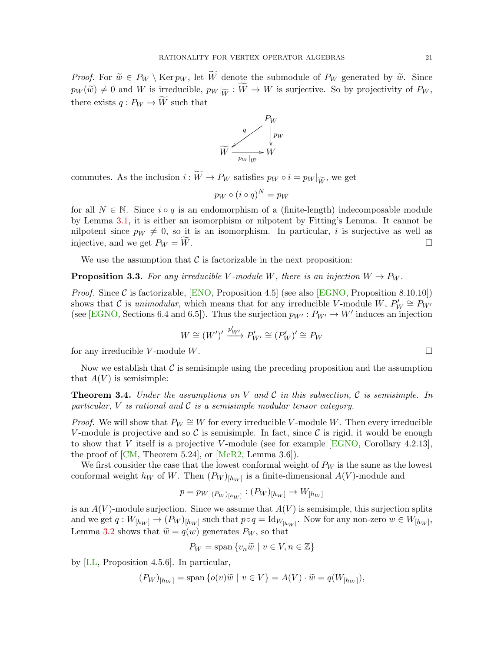*Proof.* For  $\widetilde{w} \in P_W \setminus \text{Ker } p_W$ , let  $\widetilde{W}$  denote the submodule of  $P_W$  generated by  $\widetilde{w}$ . Since  $p_W(\widetilde{w}) \neq 0$  and W is irreducible,  $p_W |_{\widetilde{W}} : \widetilde{W} \to W$  is surjective. So by projectivity of  $P_W$ , there exists  $q: P_W \to \widetilde{W}$  such that



commutes. As the inclusion  $i : \widetilde{W} \to P_W$  satisfies  $p_W \circ i = p_W |_{\widetilde{W}}$ , we get

$$
p_W \circ (i \circ q)^N = p_W
$$

for all  $N \in \mathbb{N}$ . Since  $i \circ q$  is an endomorphism of a (finite-length) indecomposable module by Lemma [3.1,](#page-19-2) it is either an isomorphism or nilpotent by Fitting's Lemma. It cannot be nilpotent since  $p_W \neq 0$ , so it is an isomorphism. In particular, i is surjective as well as injective, and we get  $P_W = W$ .

We use the assumption that  $\mathcal C$  is factorizable in the next proposition:

<span id="page-20-1"></span>**Proposition 3.3.** For any irreducible V-module W, there is an injection  $W \to P_W$ .

*Proof.* Since C is factorizable,  $[ENO,$  Proposition 4.5 (see also  $[EGNO,$  Proposition 8.10.10)) shows that C is unimodular, which means that for any irreducible V-module W,  $P'_W \cong P'_{W'}$ (see [\[EGNO,](#page-82-16) Sections 6.4 and 6.5]). Thus the surjection  $p_{W'} : P_{W'} \to W'$  induces an injection

$$
W \cong (W')' \xrightarrow{p'_{W'}} P'_{W'} \cong (P'_{W})' \cong P_{W}
$$

for any irreducible V-module W.

Now we establish that  $\mathcal C$  is semisimple using the preceding proposition and the assumption that  $A(V)$  is semisimple:

<span id="page-20-0"></span>**Theorem 3.4.** Under the assumptions on V and C in this subsection, C is semisimple. In particular,  $V$  is rational and  $\mathcal C$  is a semisimple modular tensor category.

*Proof.* We will show that  $P_W \cong W$  for every irreducible V-module W. Then every irreducible V-module is projective and so C is semisimple. In fact, since C is rigid, it would be enough to show that V itself is a projective V-module (see for example  $[EGNO, Corollary 4.2.13]$  $[EGNO, Corollary 4.2.13]$ , the proof of  $[CM, Theorem 5.24]$  $[CM, Theorem 5.24]$ , or  $[McR2, Lemma 3.6]$  $[McR2, Lemma 3.6]$ .

We first consider the case that the lowest conformal weight of  $P_W$  is the same as the lowest conformal weight  $h_W$  of W. Then  $(P_W)_{[h_W]}$  is a finite-dimensional  $A(V)$ -module and

$$
p = p_W|_{(P_W)_{[h_W]}} : (P_W)_{[h_W]} \to W_{[h_W]}
$$

is an  $A(V)$ -module surjection. Since we assume that  $A(V)$  is semisimple, this surjection splits and we get  $q: W_{[h_W]} \to (P_W)_{[h_W]}$  such that  $p \circ q = \text{Id}_{W_{[h_W]}}$ . Now for any non-zero  $w \in W_{[h_W]}$ , Lemma [3.2](#page-19-3) shows that  $\tilde{w} = q(w)$  generates  $P_W$ , so that

$$
P_W = \text{span}\{v_n\widetilde{w} \mid v \in V, n \in \mathbb{Z}\}\
$$

by [\[LL,](#page-83-9) Proposition 4.5.6]. In particular,

$$
(P_W)_{[h_W]} = \text{span}\{o(v)\widetilde{w} \mid v \in V\} = A(V) \cdot \widetilde{w} = q(W_{[h_W]}),
$$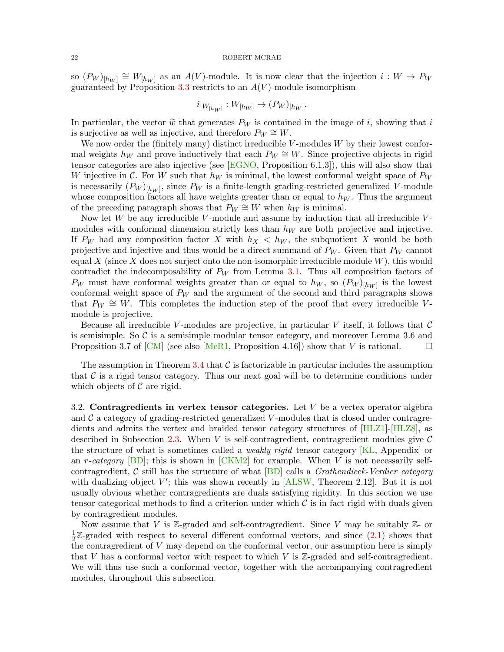so  $(P_W)_{[h_W]} \cong W_{[h_W]}$  as an  $A(V)$ -module. It is now clear that the injection  $i: W \to P_W$ guaranteed by Proposition [3.3](#page-20-1) restricts to an  $A(V)$ -module isomorphism

$$
i|_{W[h_W]}: W_{[h_W]} \to (P_W)_{[h_W]}.
$$

In particular, the vector  $\tilde{w}$  that generates  $P_W$  is contained in the image of i, showing that i is surjective as well as injective, and therefore  $P_W \cong W$ .

We now order the (finitely many) distinct irreducible  $V$ -modules  $W$  by their lowest conformal weights  $h_W$  and prove inductively that each  $P_W \cong W$ . Since projective objects in rigid tensor categories are also injective (see  $[EGNO,$  Proposition 6.1.3]), this will also show that W injective in C. For W such that  $h_W$  is minimal, the lowest conformal weight space of  $P_W$ is necessarily  $(P_W)_{[h_W]}$ , since  $P_W$  is a finite-length grading-restricted generalized V-module whose composition factors all have weights greater than or equal to  $h_W$ . Thus the argument of the preceding paragraph shows that  $P_W \cong W$  when  $h_W$  is minimal.

Now let  $W$  be any irreducible  $V$ -module and assume by induction that all irreducible  $V$ modules with conformal dimension strictly less than  $h_W$  are both projective and injective. If P<sub>W</sub> had any composition factor X with  $h_X < h_W$ , the subquotient X would be both projective and injective and thus would be a direct summand of  $P_W$ . Given that  $P_W$  cannot equal X (since X does not surject onto the non-isomorphic irreducible module  $W$ ), this would contradict the indecomposability of  $P_W$  from Lemma [3.1.](#page-19-2) Thus all composition factors of  $P_W$  must have conformal weights greater than or equal to  $h_W$ , so  $(P_W)_{[h_W]}$  is the lowest conformal weight space of  $P_W$  and the argument of the second and third paragraphs shows that  $P_W \cong W$ . This completes the induction step of the proof that every irreducible Vmodule is projective.

Because all irreducible V-modules are projective, in particular V itself, it follows that  $\mathcal C$ is semisimple. So  $\mathcal C$  is a semisimple modular tensor category, and moreover Lemma 3.6 and Proposition 3.7 of [\[CM\]](#page-81-6) (see also [\[McR1,](#page-83-8) Proposition 4.16]) show that V is rational.

The assumption in Theorem [3.4](#page-20-0) that  $\mathcal C$  is factorizable in particular includes the assumption that  $\mathcal C$  is a rigid tensor category. Thus our next goal will be to determine conditions under which objects of  $\mathcal C$  are rigid.

<span id="page-21-0"></span>3.2. Contragredients in vertex tensor categories. Let  $V$  be a vertex operator algebra and  $\mathcal C$  a category of grading-restricted generalized V-modules that is closed under contragredients and admits the vertex and braided tensor category structures of [\[HLZ1\]](#page-83-0)-[\[HLZ8\]](#page-83-1), as described in Subsection [2.3.](#page-14-0) When V is self-contragredient, contragredient modules give  $\mathcal C$ the structure of what is sometimes called a weakly rigid tensor category [\[KL,](#page-83-17) Appendix] or an r-category  $\boxed{BD}$ ; this is shown in  $\boxed{CKM2}$  for example. When V is not necessarily selfcontragredient, C still has the structure of what  $[BD]$  calls a *Grothendieck-Verdier category* with dualizing object  $V'$ ; this was shown recently in [\[ALSW,](#page-81-16) Theorem 2.12]. But it is not usually obvious whether contragredients are duals satisfying rigidity. In this section we use tensor-categorical methods to find a criterion under which  $\mathcal C$  is in fact rigid with duals given by contragredient modules.

Now assume that V is  $\mathbb{Z}$ -graded and self-contragredient. Since V may be suitably  $\mathbb{Z}$ - or 1  $\frac{1}{2}\mathbb{Z}$ -graded with respect to several different conformal vectors, and since  $(2.1)$  shows that the contragredient of V may depend on the conformal vector, our assumption here is simply that  $V$  has a conformal vector with respect to which  $V$  is  $\mathbb{Z}$ -graded and self-contragredient. We will thus use such a conformal vector, together with the accompanying contragredient modules, throughout this subsection.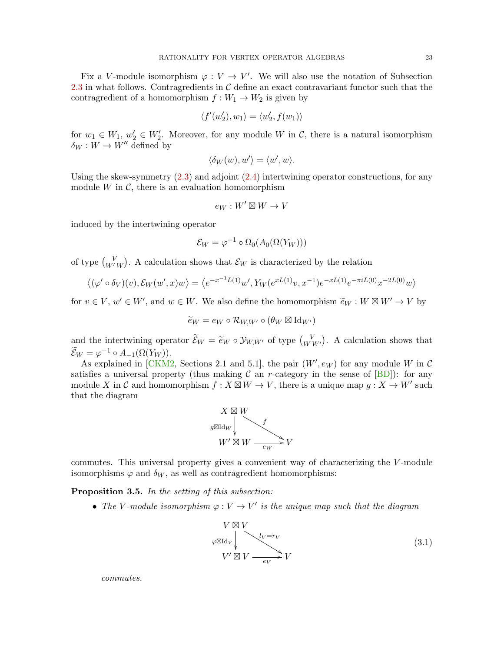Fix a V-module isomorphism  $\varphi: V \to V'$ . We will also use the notation of Subsection [2.3](#page-14-0) in what follows. Contragredients in  $\mathcal C$  define an exact contravariant functor such that the contragredient of a homomorphism  $f : W_1 \to W_2$  is given by

$$
\langle f'(w_2'), w_1 \rangle = \langle w_2', f(w_1) \rangle
$$

for  $w_1 \in W_1$ ,  $w_2' \in W_2'$ . Moreover, for any module W in C, there is a natural isomorphism  $\delta_W : W \to W''$  defined by

$$
\langle \delta_W(w), w' \rangle = \langle w', w \rangle.
$$

Using the skew-symmetry  $(2.3)$  and adjoint  $(2.4)$  intertwining operator constructions, for any module W in  $\mathcal{C}$ , there is an evaluation homomorphism

$$
e_W:W'\boxtimes W\to V
$$

induced by the intertwining operator

$$
\mathcal{E}_W = \varphi^{-1} \circ \Omega_0(A_0(\Omega(Y_W)))
$$

of type  $\begin{pmatrix} V \\ W'W \end{pmatrix}$ . A calculation shows that  $\mathcal{E}_W$  is characterized by the relation

$$
\langle (\varphi' \circ \delta_V)(v), \mathcal{E}_W(w', x) w \rangle = \langle e^{-x^{-1}L(1)}w', Y_W(e^{xL(1)}v, x^{-1})e^{-xL(1)}e^{-\pi iL(0)}x^{-2L(0)}w \rangle
$$

for  $v \in V$ ,  $w' \in W'$ , and  $w \in W$ . We also define the homomorphism  $\widetilde{e}_W : W \boxtimes W' \to V$  by

$$
\widetilde{e}_W = e_W \circ \mathcal{R}_{W,W'} \circ (\theta_W \boxtimes \mathrm{Id}_{W'})
$$

and the intertwining operator  $\widetilde{\mathcal{E}}_W = \widetilde{e}_W \circ \mathcal{Y}_{W,W'}$  of type  $\binom{V}{W W'}$ . A calculation shows that  $\widetilde{\mathcal{E}}_W = \varphi^{-1} \circ A_{-1}(\Omega(Y_W)).$ 

As explained in [\[CKM2,](#page-81-15) Sections 2.1 and 5.1], the pair  $(W', e_W)$  for any module W in C satisfies a universal property (thus making  $\mathcal C$  an r-category in the sense of  $[BD]$ ): for any module X in C and homomorphism  $f: X \boxtimes W \to V$ , there is a unique map  $g: X \to W'$  such that the diagram



commutes. This universal property gives a convenient way of characterizing the V-module isomorphisms  $\varphi$  and  $\delta_W$ , as well as contragredient homomorphisms:

Proposition 3.5. In the setting of this subsection:

• The V-module isomorphism  $\varphi: V \to V'$  is the unique map such that the diagram

<span id="page-22-0"></span>

commutes.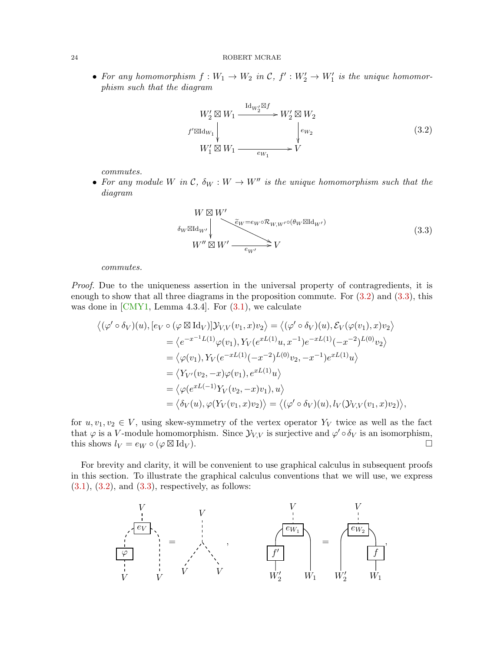• For any homomorphism  $f: W_1 \to W_2$  in  $\mathcal{C}, f': W_2' \to W_1'$  is the unique homomorphism such that the diagram

<span id="page-23-0"></span>

commutes.

• For any module W in C,  $\delta_W : W \to W''$  is the unique homomorphism such that the diagram

<span id="page-23-1"></span>
$$
W \boxtimes W'
$$
  
\n
$$
\delta_W \boxtimes \mathrm{Id}_{W'} \downarrow
$$
  
\n
$$
W'' \boxtimes W' \longrightarrow \epsilon_{W'} \longrightarrow V
$$
  
\n
$$
W'' \boxtimes W' \longrightarrow \epsilon_{W'} \longrightarrow V
$$
\n(3.3)

commutes.

Proof. Due to the uniqueness assertion in the universal property of contragredients, it is enough to show that all three diagrams in the proposition commute. For  $(3.2)$  and  $(3.3)$ , this was done in  $[CMY1, Lemma 4.3.4]$  $[CMY1, Lemma 4.3.4]$ . For  $(3.1)$ , we calculate

$$
\langle (\varphi' \circ \delta_V)(u), [e_V \circ (\varphi \boxtimes \mathrm{Id}_V)] \mathcal{Y}_{V,V}(v_1, x) v_2 \rangle = \langle (\varphi' \circ \delta_V)(u), \mathcal{E}_V(\varphi(v_1), x) v_2 \rangle
$$
  
\n
$$
= \langle e^{-x^{-1}L(1)} \varphi(v_1), Y_V(e^{xL(1)}u, x^{-1}) e^{-xL(1)}(-x^{-2})^{L(0)} v_2 \rangle
$$
  
\n
$$
= \langle \varphi(v_1), Y_V(e^{-xL(1)}(-x^{-2})^{L(0)} v_2, -x^{-1}) e^{xL(1)} u \rangle
$$
  
\n
$$
= \langle Y_{V'}(v_2, -x) \varphi(v_1), e^{xL(1)} u \rangle
$$
  
\n
$$
= \langle \varphi(e^{xL(-1)} Y_V(v_2, -x) v_1), u \rangle
$$
  
\n
$$
= \langle \delta_V(u), \varphi(Y_V(v_1, x) v_2) \rangle = \langle (\varphi' \circ \delta_V)(u), l_V(Y_{V,V}(v_1, x) v_2) \rangle,
$$

for  $u, v_1, v_2 \in V$ , using skew-symmetry of the vertex operator  $Y_V$  twice as well as the fact that  $\varphi$  is a V-module homomorphism. Since  $\mathcal{Y}_{V,V}$  is surjective and  $\varphi' \circ \delta_V$  is an isomorphism, this shows  $l_V = e_W \circ (\varphi \boxtimes \mathrm{Id}_V).$  $\mathrm{Id}_V$ ).

For brevity and clarity, it will be convenient to use graphical calculus in subsequent proofs in this section. To illustrate the graphical calculus conventions that we will use, we express  $(3.1), (3.2), \text{ and } (3.3), \text{ respectively, as follows:}$  $(3.1), (3.2), \text{ and } (3.3), \text{ respectively, as follows:}$  $(3.1), (3.2), \text{ and } (3.3), \text{ respectively, as follows:}$  $(3.1), (3.2), \text{ and } (3.3), \text{ respectively, as follows:}$  $(3.1), (3.2), \text{ and } (3.3), \text{ respectively, as follows:}$  $(3.1), (3.2), \text{ and } (3.3), \text{ respectively, as follows:}$ 

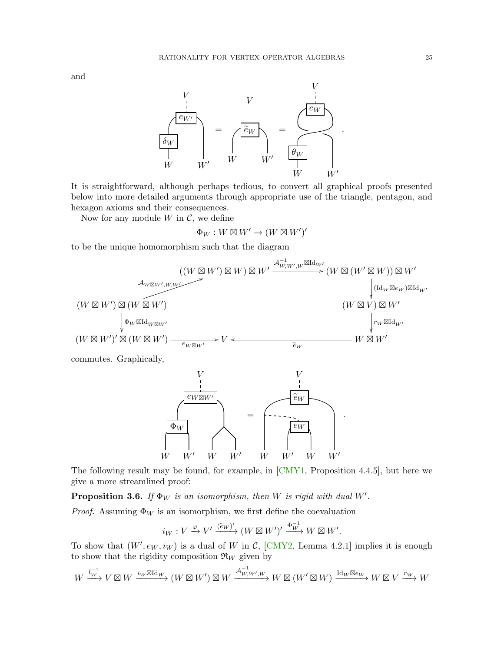

It is straightforward, although perhaps tedious, to convert all graphical proofs presented below into more detailed arguments through appropriate use of the triangle, pentagon, and hexagon axioms and their consequences.

Now for any module  $W$  in  $\mathcal{C}$ , we define

$$
\Phi_W: W\boxtimes W'\to (W\boxtimes W')'
$$

to be the unique homomorphism such that the diagram



commutes. Graphically,



The following result may be found, for example, in [\[CMY1,](#page-82-19) Proposition 4.4.5], but here we give a more streamlined proof:

**Proposition 3.6.** If  $\Phi_W$  is an isomorphism, then W is rigid with dual W'.

*Proof.* Assuming  $\Phi_W$  is an isomorphism, we first define the coevaluation

$$
i_W: V \xrightarrow{\varphi} V' \xrightarrow{(\widetilde{e}_W)'} (W \boxtimes W')' \xrightarrow{\Phi_W^{-1}} W \boxtimes W'.
$$

To show that  $(W', e_W, i_W)$  is a dual of W in C, [\[CMY2,](#page-82-20) Lemma 4.2.1] implies it is enough to show that the rigidity composition  $\mathfrak{R}_W$  given by

$$
W\xrightarrow{l_W^{-1}}V\boxtimes W\xrightarrow{i_W\boxtimes \mathrm{Id}_W} (W\boxtimes W')\boxtimes W\xrightarrow{\mathcal{A}_{W,W',W}^{-1}} W\boxtimes (W'\boxtimes W)\xrightarrow{\mathrm{Id}_W\boxtimes e_W} W\boxtimes V\xrightarrow{r_W} W
$$

and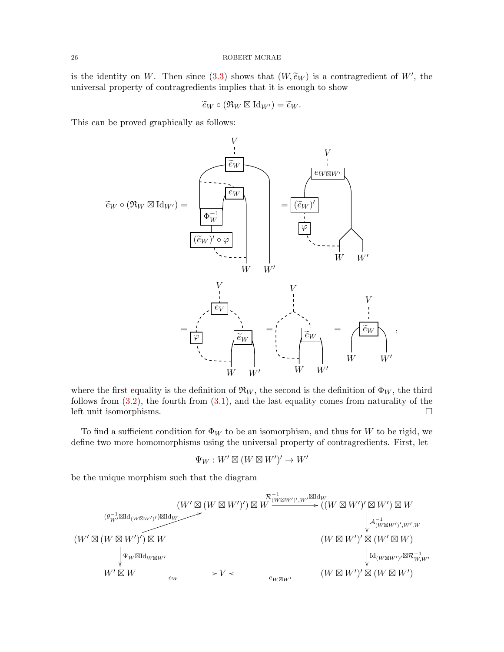is the identity on W. Then since [\(3.3\)](#page-23-1) shows that  $(W, \tilde{e}_W)$  is a contragredient of W', the universal property of contragredients implies that it is enough to show

$$
\widetilde{e}_W \circ (\mathfrak{R}_W \boxtimes \mathrm{Id}_{W'}) = \widetilde{e}_W.
$$

This can be proved graphically as follows:



where the first equality is the definition of  $\mathfrak{R}_W$ , the second is the definition of  $\Phi_W$ , the third follows from  $(3.2)$ , the fourth from  $(3.1)$ , and the last equality comes from naturality of the left unit isomorphisms.

To find a sufficient condition for  $\Phi_W$  to be an isomorphism, and thus for W to be rigid, we define two more homomorphisms using the universal property of contragredients. First, let

$$
\Psi_W:W'\boxtimes(W\boxtimes W')'\to W'
$$

be the unique morphism such that the diagram

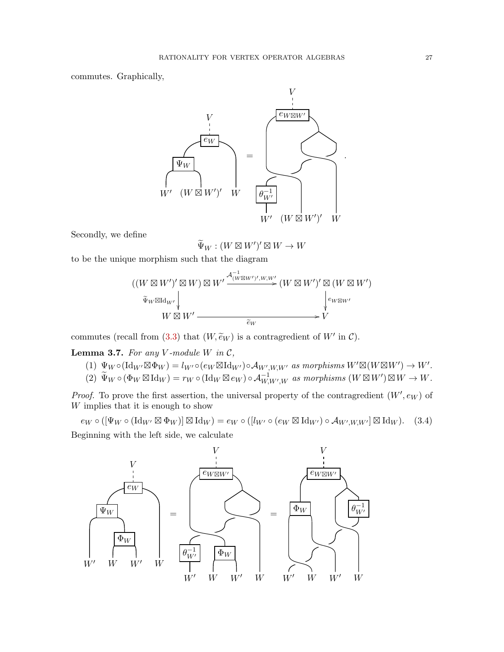commutes. Graphically,



Secondly, we define

<span id="page-26-0"></span> $\widetilde{\Psi}_W : (W \boxtimes W')' \boxtimes W \to W$ 

to be the unique morphism such that the diagram

$$
((W \boxtimes W')' \boxtimes W) \boxtimes W' \xrightarrow{\mathcal{A}_{(W \boxtimes W')', W, W'}} (W \boxtimes W')' \boxtimes (W \boxtimes W')'
$$
  

$$
\widetilde{\Psi}_W \boxtimes \mathrm{Id}_{W'} \downarrow \qquad \qquad W \boxtimes W' \xrightarrow{\widetilde{e}_W} V'
$$

commutes (recall from [\(3.3\)](#page-23-1) that  $(W, \widetilde{e}_W)$  is a contragredient of  $W'$  in  $\mathcal{C}$ ).

<span id="page-26-1"></span>**Lemma 3.7.** For any V-module W in  $C$ ,

- (1)  $\Psi_W \circ (\mathrm{Id}_{W'} \boxtimes \Phi_W) = l_{W'} \circ (e_W \boxtimes \mathrm{Id}_{W'}) \circ \mathcal{A}_{W',W,W'}$  as morphisms  $W' \boxtimes (W \boxtimes W') \to W'$ .
- (2)  $\widetilde{\Psi}_W \circ (\Phi_W \boxtimes \mathrm{Id}_W) = r_W \circ (\mathrm{Id}_W \boxtimes e_W) \circ \mathcal{A}_{W,W',W}^{-1} \text{ as morphisms } (W \boxtimes W') \boxtimes W \to W.$

*Proof.* To prove the first assertion, the universal property of the contragredient  $(W', e_W)$  of W implies that it is enough to show

 $e_W \circ ([\Psi_W \circ (\mathrm{Id}_{W'} \boxtimes \Phi_W)] \boxtimes \mathrm{Id}_W) = e_W \circ ([l_{W'} \circ (e_W \boxtimes \mathrm{Id}_{W'}) \circ \mathcal{A}_{W',W,W'}] \boxtimes \mathrm{Id}_W).$  (3.4) Beginning with the left side, we calculate

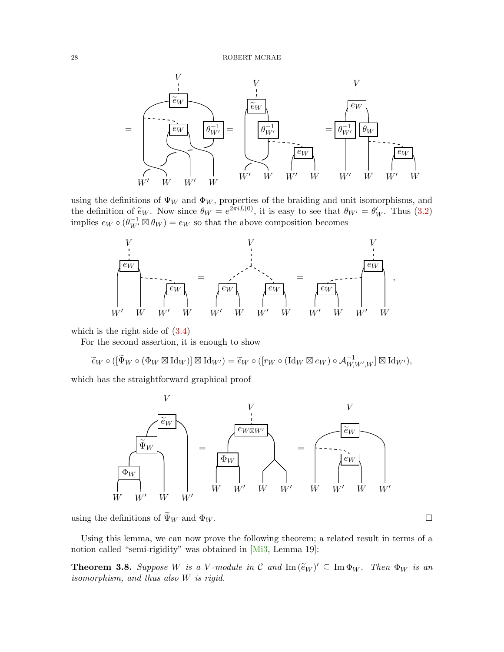

using the definitions of  $\Psi_W$  and  $\Phi_W$ , properties of the braiding and unit isomorphisms, and the definition of  $\tilde{e}_W$ . Now since  $\theta_W = e^{2\pi i L(0)}$ , it is easy to see that  $\theta_{W'} = \theta'_W$ . Thus [\(3.2\)](#page-23-0) implies  $e_W \circ (\theta_W^{-1} \boxtimes \theta_W) = e_W$  so that the above composition becomes



which is the right side of [\(3.4\)](#page-26-0)

For the second assertion, it is enough to show

$$
\widetilde{e}_W \circ ([\widetilde{\Psi}_W \circ (\Phi_W \boxtimes \mathrm{Id}_W)] \boxtimes \mathrm{Id}_{W'}) = \widetilde{e}_W \circ ([r_W \circ (\mathrm{Id}_W \boxtimes e_W) \circ \mathcal{A}_{W,W',W}^{-1}] \boxtimes \mathrm{Id}_{W'}),
$$

which has the straightforward graphical proof



using the definitions of  $\widetilde{\Psi}_W$  and  $\Phi_W$ .

Using this lemma, we can now prove the following theorem; a related result in terms of a notion called "semi-rigidity" was obtained in [\[Mi3,](#page-84-9) Lemma 19]:

<span id="page-27-0"></span>**Theorem 3.8.** Suppose W is a V-module in C and  $\text{Im}(\widetilde{e}_W)' \subseteq \text{Im } \Phi_W$ . Then  $\Phi_W$  is an isomorphism, and thus also W is rigid. isomorphism, and thus also W is rigid.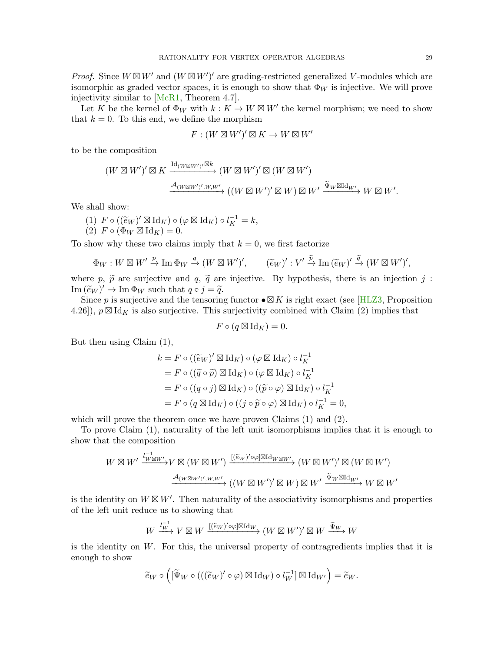*Proof.* Since  $W \boxtimes W'$  and  $(W \boxtimes W')'$  are grading-restricted generalized V-modules which are isomorphic as graded vector spaces, it is enough to show that  $\Phi_W$  is injective. We will prove injectivity similar to [\[McR1,](#page-83-8) Theorem 4.7].

Let K be the kernel of  $\Phi_W$  with  $k: K \to W \boxtimes W'$  the kernel morphism; we need to show that  $k = 0$ . To this end, we define the morphism

$$
F: (W \boxtimes W')' \boxtimes K \to W \boxtimes W'
$$

to be the composition

$$
(W \boxtimes W')' \boxtimes K \xrightarrow{\mathrm{Id}_{(W \boxtimes W')'} \boxtimes k} (W \boxtimes W')' \boxtimes (W \boxtimes W')
$$

$$
\xrightarrow{\mathcal{A}_{(W \boxtimes W')', W, W'}} ((W \boxtimes W')' \boxtimes W) \boxtimes W' \xrightarrow{\widetilde{\Psi}_W \boxtimes \mathrm{Id}_{W'}} W \boxtimes W'.
$$

We shall show:

(1)  $F \circ ((\tilde{e}_W)' \boxtimes \mathrm{Id}_K) \circ (\varphi \boxtimes \mathrm{Id}_K) \circ l_K^{-1} = k,$ <br>(2)  $F \circ (\Phi_{W} \boxtimes \mathrm{Id}_K) = 0$ (2)  $F \circ (\Phi_W \boxtimes \mathrm{Id}_K) = 0.$ 

To show why these two claims imply that  $k = 0$ , we first factorize

$$
\Phi_W: W \boxtimes W' \xrightarrow{p} \text{Im } \Phi_W \xrightarrow{q} (W \boxtimes W')', \qquad (\widetilde{e}_W)' : V' \xrightarrow{\widetilde{p}} \text{Im } (\widetilde{e}_W)' \xrightarrow{\widetilde{q}} (W \boxtimes W')',
$$

where p,  $\tilde{p}$  are surjective and q,  $\tilde{q}$  are injective. By hypothesis, there is an injection j:  $\text{Im}(\widetilde{e}_W)' \to \text{Im} \Phi_W$  such that  $q \circ j = \widetilde{q}$ .<br>Since n is surjective and the tensoring

Since p is surjective and the tensoring functor  $\bullet \boxtimes K$  is right exact (see [\[HLZ3,](#page-83-7) Proposition 4.26]),  $p \boxtimes \mathrm{Id}_K$  is also surjective. This surjectivity combined with Claim (2) implies that

$$
F \circ (q \boxtimes \mathrm{Id}_K) = 0.
$$

But then using Claim (1),

$$
k = F \circ ((\widetilde{e}_W)' \boxtimes \mathrm{Id}_K) \circ (\varphi \boxtimes \mathrm{Id}_K) \circ l_K^{-1}
$$
  
=  $F \circ ((\widetilde{q} \circ \widetilde{p}) \boxtimes \mathrm{Id}_K) \circ (\varphi \boxtimes \mathrm{Id}_K) \circ l_K^{-1}$   
=  $F \circ ((q \circ j) \boxtimes \mathrm{Id}_K) \circ ((\widetilde{p} \circ \varphi) \boxtimes \mathrm{Id}_K) \circ l_K^{-1}$   
=  $F \circ (q \boxtimes \mathrm{Id}_K) \circ ((j \circ \widetilde{p} \circ \varphi) \boxtimes \mathrm{Id}_K) \circ l_K^{-1} = 0,$ 

which will prove the theorem once we have proven Claims (1) and (2).

To prove Claim (1), naturality of the left unit isomorphisms implies that it is enough to show that the composition

$$
W \boxtimes W' \xrightarrow{\frac{l^{-1}W \boxtimes W'}{W \boxtimes W}} V \boxtimes (W \boxtimes W') \xrightarrow{[(\widetilde{e}_W)' \circ \varphi] \boxtimes \mathrm{Id}_{W \boxtimes W'}} (W \boxtimes W')' \boxtimes (W \boxtimes W')
$$
  

$$
\xrightarrow{\mathcal{A}_{(W \boxtimes W')',W,W'}} ((W \boxtimes W')' \boxtimes W) \boxtimes W' \xrightarrow{\widetilde{\Psi}_W \boxtimes \mathrm{Id}_{W'}} W \boxtimes W'
$$

is the identity on  $W \boxtimes W'$ . Then naturality of the associativity isomorphisms and properties of the left unit reduce us to showing that

$$
W \xrightarrow{l_W^{-1}} V \boxtimes W \xrightarrow{[(\tilde{e}_W)' \circ \varphi] \boxtimes \mathrm{Id}_W} (W \boxtimes W')' \boxtimes W \xrightarrow{\tilde{\Psi}_W} W
$$

is the identity on  $W$ . For this, the universal property of contragredients implies that it is enough to show

$$
\widetilde{e}_W \circ \left( [\widetilde{\Psi}_W \circ (((\widetilde{e}_W)' \circ \varphi) \boxtimes \mathrm{Id}_W) \circ l_W^{-1}] \boxtimes \mathrm{Id}_{W'} \right) = \widetilde{e}_W.
$$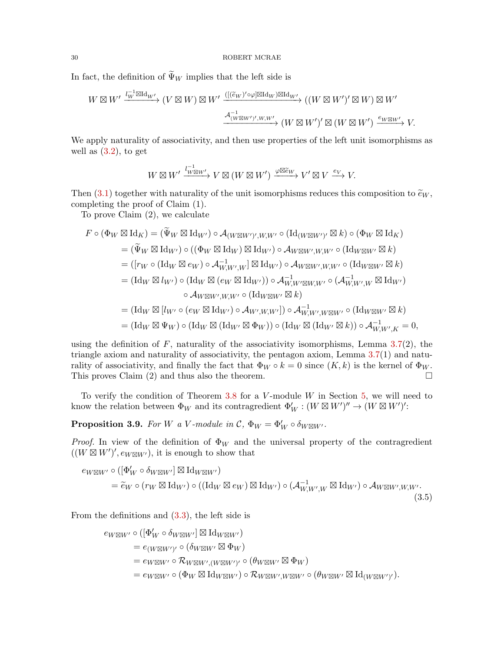In fact, the definition of  $\widetilde{\Psi}_W$  implies that the left side is

$$
W \boxtimes W' \xrightarrow{l_W^{-1} \boxtimes \mathrm{Id}_{W'}} (V \boxtimes W) \boxtimes W' \xrightarrow{(([\widetilde{e}_W)' \circ \varphi] \boxtimes \mathrm{Id}_W) \boxtimes \mathrm{Id}_{W'}} ((W \boxtimes W')' \boxtimes W) \boxtimes W'
$$

$$
\xrightarrow{\mathcal{A}_{(W \boxtimes W')', W, W'}^{-1}} (W \boxtimes W')' \boxtimes (W \boxtimes W') \xrightarrow{e_{W \boxtimes W'}} V.
$$

We apply naturality of associativity, and then use properties of the left unit isomorphisms as well as  $(3.2)$ , to get

$$
W \boxtimes W' \xrightarrow{l^{-1} W \boxtimes W'} V \boxtimes (W \boxtimes W') \xrightarrow{\varphi \boxtimes \widetilde{e}_W} V' \boxtimes V \xrightarrow{e_V} V.
$$

Then [\(3.1\)](#page-22-0) together with naturality of the unit isomorphisms reduces this composition to  $\tilde{e}_W$ , completing the proof of Claim (1).

To prove Claim (2), we calculate

$$
F \circ (\Phi_W \boxtimes \mathrm{Id}_K) = (\widetilde{\Psi}_W \boxtimes \mathrm{Id}_{W'}) \circ \mathcal{A}_{(W \boxtimes W')', W, W'} \circ (\mathrm{Id}_{(W \boxtimes W')'} \boxtimes k) \circ (\Phi_W \boxtimes \mathrm{Id}_K)
$$
  
\n
$$
= (\widetilde{\Psi}_W \boxtimes \mathrm{Id}_{W'}) \circ ((\Phi_W \boxtimes \mathrm{Id}_W) \boxtimes \mathrm{Id}_{W'}) \circ \mathcal{A}_{W \boxtimes W', W, W'} \circ (\mathrm{Id}_{W \boxtimes W'} \boxtimes k)
$$
  
\n
$$
= ([r_W \circ (\mathrm{Id}_W \boxtimes e_W) \circ \mathcal{A}_{W, W', W}^{-1}] \boxtimes \mathrm{Id}_{W'}) \circ \mathcal{A}_{W \boxtimes W', W, W'} \circ (\mathrm{Id}_{W \boxtimes W'} \boxtimes k)
$$
  
\n
$$
= (\mathrm{Id}_W \boxtimes l_{W'}) \circ (\mathrm{Id}_W \boxtimes (e_W \boxtimes \mathrm{Id}_{W'})) \circ \mathcal{A}_{W, W' \boxtimes W, W'}^{-1} \circ (\mathcal{A}_{W, W', W}^{-1} \boxtimes \mathrm{Id}_{W'})
$$
  
\n
$$
\circ \mathcal{A}_{W \boxtimes W', W, W'} \circ (\mathrm{Id}_{W \boxtimes W'} \boxtimes k)
$$
  
\n
$$
= (\mathrm{Id}_W \boxtimes [l_{W'} \circ (e_W \boxtimes \mathrm{Id}_{W'}) \circ \mathcal{A}_{W', W, W'}) \circ \mathcal{A}_{W, W', W \boxtimes W'}^{-1} \circ (\mathrm{Id}_{W \boxtimes W'} \boxtimes k)
$$
  
\n
$$
= (\mathrm{Id}_W \boxtimes \Psi_W) \circ (\mathrm{Id}_W \boxtimes (\mathrm{Id}_{W'} \boxtimes \Phi_W)) \circ (\mathrm{Id}_W \boxtimes (\mathrm{Id}_{W'} \boxtimes k)) \circ \mathcal{A}_{W, W', K}^{-1} = 0,
$$

using the definition of  $F$ , naturality of the associativity isomorphisms, Lemma [3.7\(](#page-26-1)2), the triangle axiom and naturality of associativity, the pentagon axiom, Lemma [3.7\(](#page-26-1)1) and naturality of associativity, and finally the fact that  $\Phi_W \circ k = 0$  since  $(K, k)$  is the kernel of  $\Phi_W$ . This proves Claim (2) and thus also the theorem.  $\Box$ 

To verify the condition of Theorem  $3.8$  for a V-module W in Section [5,](#page-45-0) we will need to know the relation between  $\Phi_W$  and its contragredient  $\Phi_W' : (W \boxtimes W')'' \to (W \boxtimes W')'$ :

**Proposition 3.9.** For W a V-module in C,  $\Phi_W = \Phi_W' \circ \delta_{W \boxtimes W'}$ .

*Proof.* In view of the definition of  $\Phi_W$  and the universal property of the contragredient  $((W \boxtimes W')', e_{W \boxtimes W'}),$  it is enough to show that

$$
e_{W\boxtimes W'} \circ ([\Phi'_W \circ \delta_{W\boxtimes W'}] \boxtimes \mathrm{Id}_{W\boxtimes W'})
$$
  
=  $\tilde{e}_W \circ (r_W \boxtimes \mathrm{Id}_{W'}) \circ ((\mathrm{Id}_W \boxtimes e_W) \boxtimes \mathrm{Id}_{W'}) \circ (\mathcal{A}_{W,W',W}^{-1} \boxtimes \mathrm{Id}_{W'}) \circ \mathcal{A}_{W\boxtimes W',W,W'}.$   
(3.5)

From the definitions and [\(3.3\)](#page-23-1), the left side is

<span id="page-29-0"></span>
$$
ew \boxtimes W' \circ ([\Phi'_{W} \circ \delta_{W \boxtimes W'}] \boxtimes \mathrm{Id}_{W \boxtimes W'})
$$
  
=  $e_{(W \boxtimes W')} \circ (\delta_{W \boxtimes W'} \boxtimes \Phi_W)$   
=  $e_{W \boxtimes W'} \circ \mathcal{R}_{W \boxtimes W', (W \boxtimes W')} \circ (\theta_{W \boxtimes W'} \boxtimes \Phi_W)$   
=  $e_{W \boxtimes W'} \circ (\Phi_W \boxtimes \mathrm{Id}_{W \boxtimes W'}) \circ \mathcal{R}_{W \boxtimes W', W \boxtimes W'} \circ (\theta_{W \boxtimes W'} \boxtimes \mathrm{Id}_{(W \boxtimes W')}).$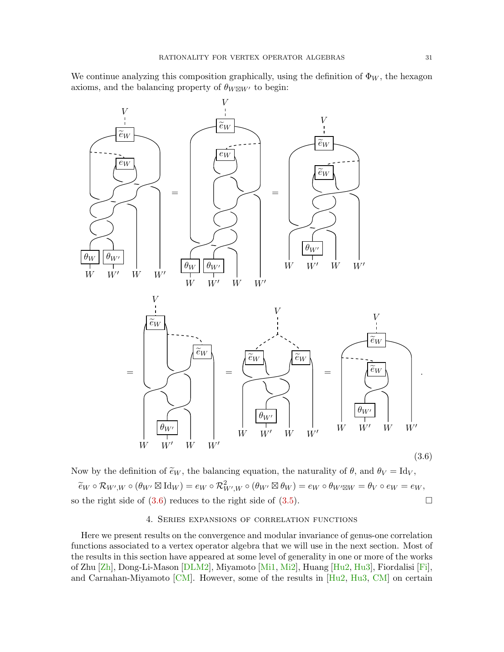We continue analyzing this composition graphically, using the definition of  $\Phi_W$ , the hexagon axioms, and the balancing property of  $\theta_{W\boxtimes W'}$  to begin:



Now by the definition of  $\tilde{e}_W$ , the balancing equation, the naturality of  $\theta$ , and  $\theta_V = \text{Id}_V$ ,  $\widetilde{e}_W \circ \mathcal{R}_{W',W} \circ (\theta_W \boxtimes \mathrm{Id}_W) = e_W \circ \mathcal{R}_{W',W}^2 \circ (\theta_{W'} \boxtimes \theta_W) = e_W \circ \theta_{W' \boxtimes W} = \theta_V \circ e_W = e_W,$ so the right side of  $(3.6)$  reduces to the right side of  $(3.5)$ .

# <span id="page-30-1"></span>4. Series expansions of correlation functions

<span id="page-30-0"></span>Here we present results on the convergence and modular invariance of genus-one correlation functions associated to a vertex operator algebra that we will use in the next section. Most of the results in this section have appeared at some level of generality in one or more of the works of Zhu [\[Zh\]](#page-84-1), Dong-Li-Mason [\[DLM2\]](#page-82-9), Miyamoto [\[Mi1,](#page-84-10) [Mi2\]](#page-84-5), Huang [\[Hu2,](#page-82-15) [Hu3\]](#page-82-8), Fiordalisi [\[Fi\]](#page-82-14), and Carnahan-Miyamoto  $\lbrack CM \rbrack$ . However, some of the results in  $\lbrack Hu2, Hu3, CM \rbrack$  $\lbrack Hu2, Hu3, CM \rbrack$  $\lbrack Hu2, Hu3, CM \rbrack$  on certain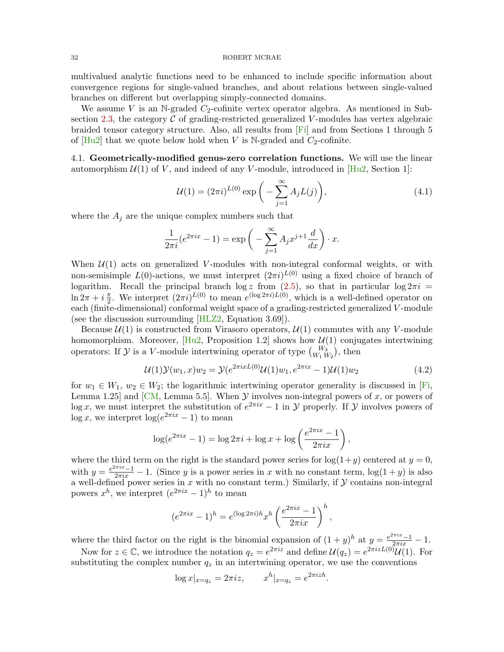multivalued analytic functions need to be enhanced to include specific information about convergence regions for single-valued branches, and about relations between single-valued branches on different but overlapping simply-connected domains.

We assume V is an N-graded  $C_2$ -cofinite vertex operator algebra. As mentioned in Sub-section [2.3,](#page-14-0) the category  $\mathcal C$  of grading-restricted generalized V-modules has vertex algebraic braided tensor category structure. Also, all results from [\[Fi\]](#page-82-14) and from Sections 1 through 5 of  $[Hu2]$  that we quote below hold when V is N-graded and  $C_2$ -cofinite.

<span id="page-31-0"></span>4.1. Geometrically-modified genus-zero correlation functions. We will use the linear automorphism  $U(1)$  of V, and indeed of any V-module, introduced in [\[Hu2,](#page-82-15) Section 1]:

$$
U(1) = (2\pi i)^{L(0)} \exp\bigg(-\sum_{j=1}^{\infty} A_j L(j)\bigg),\tag{4.1}
$$

where the  $A_j$  are the unique complex numbers such that

$$
\frac{1}{2\pi i}(e^{2\pi ix} - 1) = \exp\left(-\sum_{j=1}^{\infty} A_j x^{j+1} \frac{d}{dx}\right) \cdot x.
$$

When  $\mathcal{U}(1)$  acts on generalized V-modules with non-integral conformal weights, or with non-semisimple  $L(0)$ -actions, we must interpret  $(2\pi i)^{L(0)}$  using a fixed choice of branch of logarithm. Recall the principal branch log z from [\(2.5\)](#page-17-0), so that in particular log  $2\pi i$  =  $\ln 2\pi + i\frac{\pi}{2}$  $\frac{\pi}{2}$ . We interpret  $(2\pi i)^{L(0)}$  to mean  $e^{(\log 2\pi i)L(0)}$ , which is a well-defined operator on each (finite-dimensional) conformal weight space of a grading-restricted generalized V-module (see the discussion surrounding [\[HLZ2,](#page-83-13) Equation 3.69]).

Because  $\mathcal{U}(1)$  is constructed from Virasoro operators,  $\mathcal{U}(1)$  commutes with any V-module homomorphism. Moreover,  $[Hu2, Proposition 1.2]$  $[Hu2, Proposition 1.2]$  shows how  $\mathcal{U}(1)$  conjugates intertwining operators: If  $\mathcal{Y}$  is a V-module intertwining operator of type  $\binom{W_3}{W_1 W_2}$ , then

$$
\mathcal{U}(1)\mathcal{Y}(w_1,x)w_2 = \mathcal{Y}(e^{2\pi ixL(0)}\mathcal{U}(1)w_1, e^{2\pi ix} - 1)\mathcal{U}(1)w_2
$$
\n(4.2)

for  $w_1 \in W_1$ ,  $w_2 \in W_2$ ; the logarithmic intertwining operator generality is discussed in [\[Fi,](#page-82-14) Lemma 1.25] and [\[CM,](#page-81-6) Lemma 5.5]. When  $\mathcal Y$  involves non-integral powers of x, or powers of log x, we must interpret the substitution of  $e^{2\pi ix} - 1$  in  $\mathcal Y$  properly. If  $\mathcal Y$  involves powers of  $\log x$ , we interpret  $\log(e^{2\pi ix} - 1)$  to mean

<span id="page-31-1"></span>
$$
\log(e^{2\pi ix} - 1) = \log 2\pi i + \log x + \log \left( \frac{e^{2\pi ix} - 1}{2\pi ix} \right),
$$

where the third term on the right is the standard power series for  $log(1+y)$  centered at  $y=0$ , with  $y = \frac{e^{2\pi ix} - 1}{2\pi ix} - 1$ . (Since y is a power series in x with no constant term,  $\log(1 + y)$  is also a well-defined power series in x with no constant term.) Similarly, if  $\mathcal Y$  contains non-integral powers  $x^h$ , we interpret  $(e^{2\pi ix} - 1)^h$  to mean

$$
(e^{2\pi ix} - 1)^h = e^{(\log 2\pi i)h} x^h \left(\frac{e^{2\pi ix} - 1}{2\pi ix}\right)^h,
$$

where the third factor on the right is the binomial expansion of  $(1 + y)^h$  at  $y = \frac{e^{2\pi ix} - 1}{e^{2\pi ix}} - 1$ .

Now for  $z \in \mathbb{C}$ , we introduce the notation  $q_z = e^{2\pi i z}$  and define  $\mathcal{U}(q_z) = e^{2\pi i z L(0)} \mathcal{U}(1)$ . For substituting the complex number  $q_z$  in an intertwining operator, we use the conventions

$$
\log x|_{x=q_z} = 2\pi i z
$$
,  $x^h|_{x=q_z} = e^{2\pi i z h}$ .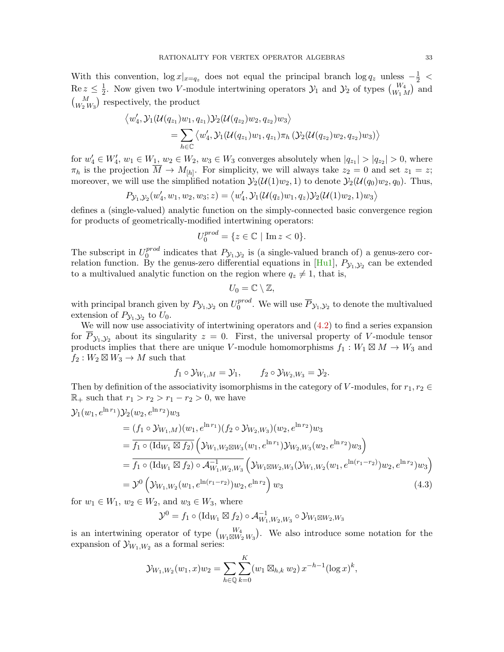With this convention,  $\log x|_{x=q_z}$  does not equal the principal branch  $\log q_z$  unless  $-\frac{1}{2}$  <  $\operatorname{Re} z \leq \frac{1}{2}$ <sup>1</sup>/<sub>2</sub>. Now given two *V*-module intertwining operators  $\mathcal{Y}_1$  and  $\mathcal{Y}_2$  of types  $\binom{W_4}{W_1 M}$  and  $\binom{M}{W_2 W_3}$  respectively, the product

$$
\langle w_4', \mathcal{Y}_1(\mathcal{U}(q_{z_1})w_1, q_{z_1})\mathcal{Y}_2(\mathcal{U}(q_{z_2})w_2, q_{z_2})w_3 \rangle
$$
  
=  $\sum_{h \in \mathbb{C}} \langle w_4', \mathcal{Y}_1(\mathcal{U}(q_{z_1})w_1, q_{z_1})\pi_h(\mathcal{Y}_2(\mathcal{U}(q_{z_2})w_2, q_{z_2})w_3) \rangle$ 

for  $w'_4 \in W'_4$ ,  $w_1 \in W_1$ ,  $w_2 \in W_2$ ,  $w_3 \in W_3$  converges absolutely when  $|q_{z_1}| > |q_{z_2}| > 0$ , where  $\pi_h$  is the projection  $M \to M_{[h]}$ . For simplicity, we will always take  $z_2 = 0$  and set  $z_1 = z$ ; moreover, we will use the simplified notation  $\mathcal{Y}_2(\mathcal{U}(1)w_2, 1)$  to denote  $\mathcal{Y}_2(\mathcal{U}(q_0)w_2, q_0)$ . Thus,

$$
P_{\mathcal{Y}_1, \mathcal{Y}_2}(w'_4, w_1, w_2, w_3; z) = \langle w'_4, \mathcal{Y}_1(\mathcal{U}(q_z)w_1, q_z) \mathcal{Y}_2(\mathcal{U}(1)w_2, 1) w_3 \rangle
$$

defines a (single-valued) analytic function on the simply-connected basic convergence region for products of geometrically-modified intertwining operators:

$$
U_0^{prod} = \{ z \in \mathbb{C} \mid \text{Im } z < 0 \}.
$$

The subscript in  $U_0^{prod}$  $_{0}^{proa}$  indicates that  $P_{\mathcal{Y}_1,\mathcal{Y}_2}$  is (a single-valued branch of) a genus-zero correlation function. By the genus-zero differential equations in  $[Hul]$ ,  $P_{\mathcal{Y}_1,\mathcal{Y}_2}$  can be extended to a multivalued analytic function on the region where  $q_z \neq 1$ , that is,

$$
U_0=\mathbb{C}\setminus\mathbb{Z},
$$

with principal branch given by  $P_{\mathcal{Y}_1, \mathcal{Y}_2}$  on  $U_0^{prod}$  $_0^{prod}$ . We will use  $\overline{P}_{\mathcal{Y}_1,\mathcal{Y}_2}$  to denote the multivalued extension of  $P_{\mathcal{Y}_1,\mathcal{Y}_2}$  to  $U_0$ .

We will now use associativity of intertwining operators and [\(4.2\)](#page-31-1) to find a series expansion for  $P_{\mathcal{Y}_1,\mathcal{Y}_2}$  about its singularity  $z=0$ . First, the universal property of V-module tensor products implies that there are unique V-module homomorphisms  $f_1: W_1 \boxtimes M \to W_3$  and  $f_2: W_2 \boxtimes W_3 \to M$  such that

$$
f_1 \circ \mathcal{Y}_{W_1,M} = \mathcal{Y}_1, \qquad f_2 \circ \mathcal{Y}_{W_2,W_3} = \mathcal{Y}_2.
$$

Then by definition of the associativity isomorphisms in the category of V-modules, for  $r_1, r_2 \in$  $ℝ_+$  such that  $r_1 > r_2 > r_1 - r_2 > 0$ , we have

$$
\mathcal{Y}_1(w_1, e^{\ln r_1}) \mathcal{Y}_2(w_2, e^{\ln r_2}) w_3
$$
\n
$$
= (f_1 \circ \mathcal{Y}_{W_1,M})(w_1, e^{\ln r_1}) (f_2 \circ \mathcal{Y}_{W_2,W_3})(w_2, e^{\ln r_2}) w_3
$$
\n
$$
= \overline{f_1 \circ (\text{Id}_{W_1} \boxtimes f_2)} \left( \mathcal{Y}_{W_1,W_2 \boxtimes W_3}(w_1, e^{\ln r_1}) \mathcal{Y}_{W_2,W_3}(w_2, e^{\ln r_2}) w_3 \right)
$$
\n
$$
= \overline{f_1 \circ (\text{Id}_{W_1} \boxtimes f_2) \circ \mathcal{A}_{W_1,W_2,W_3}^{-1}} \left( \mathcal{Y}_{W_1 \boxtimes W_2,W_3}(\mathcal{Y}_{W_1,W_2}(w_1, e^{\ln (r_1 - r_2)}) w_2, e^{\ln r_2}) w_3 \right)
$$
\n
$$
= \mathcal{Y}^0 \left( \mathcal{Y}_{W_1,W_2}(w_1, e^{\ln (r_1 - r_2)}) w_2, e^{\ln r_2} \right) w_3 \tag{4.3}
$$

for  $w_1 \in W_1$ ,  $w_2 \in W_2$ , and  $w_3 \in W_3$ , where

<span id="page-32-0"></span>
$$
\mathcal{Y}^0 = f_1 \circ (\mathrm{Id}_{W_1} \boxtimes f_2) \circ \mathcal{A}_{W_1,W_2,W_3}^{-1} \circ \mathcal{Y}_{W_1 \boxtimes W_2,W_3}
$$

is an intertwining operator of type  $\binom{W_4}{W_1 \boxtimes W_2 W_3}$ . We also introduce some notation for the expansion of  $\mathcal{Y}_{W_1,W_2}$  as a formal series:

$$
\mathcal{Y}_{W_1,W_2}(w_1,x)w_2 = \sum_{h \in \mathbb{Q}} \sum_{k=0}^K (w_1 \boxtimes_{h,k} w_2) x^{-h-1} (\log x)^k,
$$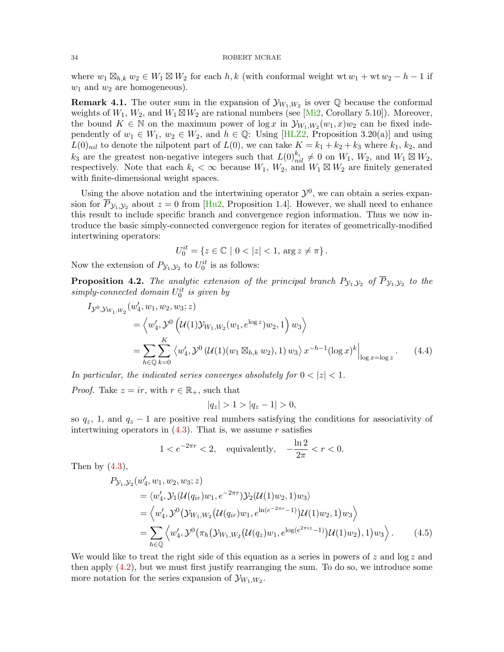where  $w_1 \boxtimes_{h,k} w_2 \in W_1 \boxtimes W_2$  for each  $h, k$  (with conformal weight wt  $w_1 + w w_2 - h - 1$  if  $w_1$  and  $w_2$  are homogeneous).

**Remark 4.1.** The outer sum in the expansion of  $\mathcal{Y}_{W_1,W_2}$  is over  $\mathbb Q$  because the conformal weights of  $W_1, W_2$ , and  $W_1 \boxtimes W_2$  are rational numbers (see [\[Mi2,](#page-84-5) Corollary 5.10]). Moreover, the bound  $K \in \mathbb{N}$  on the maximum power of  $\log x$  in  $\mathcal{Y}_{W_1,W_2}(w_1,x)w_2$  can be fixed independently of  $w_1 \in W_1$ ,  $w_2 \in W_2$ , and  $h \in \mathbb{Q}$ : Using [\[HLZ2,](#page-83-13) Proposition 3.20(a)] and using  $L(0)_{nil}$  to denote the nilpotent part of  $L(0)$ , we can take  $K = k_1 + k_2 + k_3$  where  $k_1, k_2$ , and  $k_3$  are the greatest non-negative integers such that  $L(0)_{nil}^{k_i} \neq 0$  on  $W_1$ ,  $W_2$ , and  $W_1 \boxtimes W_2$ , respectively. Note that each  $k_i < \infty$  because  $W_1, W_2$ , and  $W_1 \boxtimes W_2$  are finitely generated with finite-dimensional weight spaces.

Using the above notation and the intertwining operator  $\mathcal{Y}^0$ , we can obtain a series expansion for  $\overline{P}_{y_1,y_2}$  about  $z=0$  from [\[Hu2,](#page-82-15) Proposition 1.4]. However, we shall need to enhance this result to include specific branch and convergence region information. Thus we now introduce the basic simply-connected convergence region for iterates of geometrically-modified intertwining operators:

$$
U_0^{it} = \{ z \in \mathbb{C} \mid 0 < |z| < 1, \, \arg z \neq \pi \} \, .
$$

Now the extension of  $P_{\mathcal{Y}_1, \mathcal{Y}_2}$  to  $U_0^{it}$  is as follows:

**Proposition 4.2.** The analytic extension of the principal branch  $P_{\mathcal{Y}_1,\mathcal{Y}_2}$  of  $\overline{P}_{\mathcal{Y}_1,\mathcal{Y}_2}$  to the  $simply-connected \ domain \ U_0^{it} \ is \ given \ by$ 

$$
I_{\mathcal{Y}^{0},\mathcal{Y}_{W_{1},W_{2}}}(w'_{4},w_{1},w_{2},w_{3};z)
$$
  
=  $\langle w'_{4}, \mathcal{Y}^{0} (\mathcal{U}(1)\mathcal{Y}_{W_{1},W_{2}}(w_{1},e^{\log z})w_{2},1) w_{3} \rangle$   
=  $\sum_{h \in \mathbb{Q}} \sum_{k=0}^{K} \langle w'_{4}, \mathcal{Y}^{0} (\mathcal{U}(1)(w_{1} \boxtimes_{h,k} w_{2}),1) w_{3} \rangle x^{-h-1} (\log x)^{k}|_{\log x = \log z}$ . (4.4)

In particular, the indicated series converges absolutely for  $0 < |z| < 1$ .

*Proof.* Take  $z = ir$ , with  $r \in \mathbb{R}_+$ , such that

<span id="page-33-1"></span><span id="page-33-0"></span>
$$
|q_z| > 1 > |q_z - 1| > 0,
$$

so  $q_z$ , 1, and  $q_z - 1$  are positive real numbers satisfying the conditions for associativity of intertwining operators in  $(4.3)$ . That is, we assume r satisfies

$$
1 < e^{-2\pi r} < 2, \quad \text{equivalently,} \quad -\frac{\ln 2}{2\pi} < r < 0.
$$

Then by  $(4.3)$ ,

$$
P_{\mathcal{Y}_1, \mathcal{Y}_2}(w'_4, w_1, w_2, w_3; z)
$$
  
=  $\langle w'_4, \mathcal{Y}_1(\mathcal{U}(q_{ir})w_1, e^{-2\pi r}) \mathcal{Y}_2(\mathcal{U}(1)w_2, 1)w_3 \rangle$   
=  $\langle w'_4, \mathcal{Y}^0(\mathcal{Y}_{W_1, W_2}(\mathcal{U}(q_{ir})w_1, e^{\ln(e^{-2\pi r} - 1)})\mathcal{U}(1)w_2, 1)w_3 \rangle$   
=  $\sum_{h \in \mathbb{Q}} \langle w'_4, \mathcal{Y}^0(\pi_h(\mathcal{Y}_{W_1, W_2}(\mathcal{U}(q_z)w_1, e^{\log(e^{2\pi iz} - 1)})\mathcal{U}(1)w_2), 1)w_3 \rangle.$  (4.5)

We would like to treat the right side of this equation as a series in powers of z and  $\log z$  and then apply [\(4.2\)](#page-31-1), but we must first justify rearranging the sum. To do so, we introduce some more notation for the series expansion of  $\mathcal{Y}_{W_1,W_2}$ .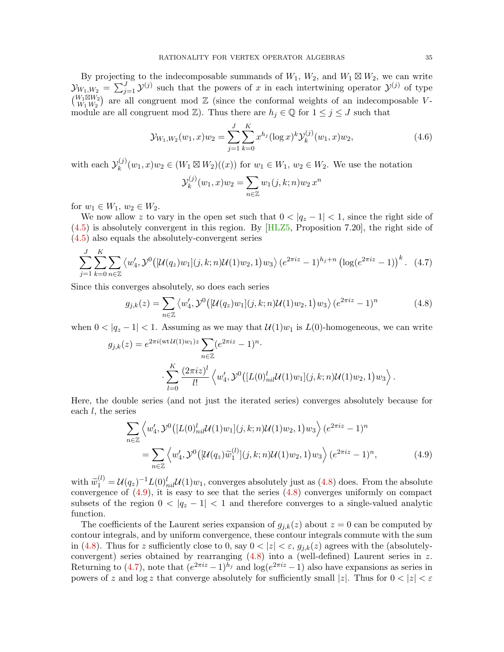By projecting to the indecomposable summands of  $W_1$ ,  $W_2$ , and  $W_1 \boxtimes W_2$ , we can write  $\mathcal{Y}_{W_1,W_2} = \sum_{j=1}^J \mathcal{Y}^{(j)}$  such that the powers of x in each intertwining operator  $\mathcal{Y}^{(j)}$  of type  $\binom{W_1\boxtimes W_2}{W_1\cdots W_n}$  $\binom{W_1 \boxtimes W_2}{W_1 \ W_2}$  are all congruent mod  $\mathbb Z$  (since the conformal weights of an indecomposable Vmodule are all congruent mod  $\mathbb{Z}$ ). Thus there are  $h_j \in \mathbb{Q}$  for  $1 \leq j \leq J$  such that

$$
\mathcal{Y}_{W_1,W_2}(w_1,x)w_2 = \sum_{j=1}^{J} \sum_{k=0}^{K} x^{h_j} (\log x)^k \mathcal{Y}_k^{(j)}(w_1,x)w_2,
$$
\n(4.6)

with each  $\mathcal{Y}_k^{(j)}$  $(k_k^{(j)}(w_1, x)w_2 \in (W_1 \boxtimes W_2)((x))$  for  $w_1 \in W_1$ ,  $w_2 \in W_2$ . We use the notation

<span id="page-34-2"></span><span id="page-34-0"></span>
$$
\mathcal{Y}_k^{(j)}(w_1, x)w_2 = \sum_{n \in \mathbb{Z}} w_1(j, k; n)w_2 x^n
$$

for  $w_1 \in W_1$ ,  $w_2 \in W_2$ .

We now allow z to vary in the open set such that  $0 < |q_z - 1| < 1$ , since the right side of  $(4.5)$  is absolutely convergent in this region. By  $[HLZ5,$  Proposition 7.20, the right side of [\(4.5\)](#page-33-0) also equals the absolutely-convergent series

$$
\sum_{j=1}^{J} \sum_{k=0}^{K} \sum_{n \in \mathbb{Z}} \left\langle w_4', \mathcal{Y}^0 \left[ \mathcal{U}(q_z) w_1 \right] (j,k;n) \mathcal{U}(1) w_2, 1 \right\rangle w_3 \right\rangle (e^{2\pi i z} - 1)^{h_j + n} \left( \log(e^{2\pi i z} - 1) \right)^k. \tag{4.7}
$$

Since this converges absolutely, so does each series

$$
g_{j,k}(z) = \sum_{n \in \mathbb{Z}} \langle w'_4, \mathcal{Y}^0 \big( [\mathcal{U}(q_z) w_1](j,k;n) \mathcal{U}(1) w_2, 1 \big) w_3 \rangle \left( e^{2\pi i z} - 1 \right)^n \tag{4.8}
$$

when  $0 < |q_z - 1| < 1$ . Assuming as we may that  $\mathcal{U}(1)w_1$  is  $L(0)$ -homogeneous, we can write

$$
g_{j,k}(z) = e^{2\pi i (wt\mathcal{U}(1)w_1)z} \sum_{n \in \mathbb{Z}} (e^{2\pi i z} - 1)^n.
$$
  

$$
\sum_{l=0}^K \frac{(2\pi i z)^l}{l!} \langle w'_4, \mathcal{Y}^0([L(0)^l_{nil}\mathcal{U}(1)w_1](j,k;n)\mathcal{U}(1)w_2, 1)w_3 \rangle.
$$

Here, the double series (and not just the iterated series) converges absolutely because for each  $l$ , the series

<span id="page-34-1"></span>
$$
\sum_{n\in\mathbb{Z}} \left\langle w_4', \mathcal{Y}^0([L(0)^l_{nil}\mathcal{U}(1)w_1](j,k;n)\mathcal{U}(1)w_2, 1)w_3 \right\rangle (e^{2\pi i z} - 1)^n
$$
  
= 
$$
\sum_{n\in\mathbb{Z}} \left\langle w_4', \mathcal{Y}^0([L(0^l\mathcal{U}(q_2)\widetilde{w}_1^{(l)}](j,k;n)\mathcal{U}(1)w_2, 1)w_3 \right\rangle (e^{2\pi i z} - 1)^n,
$$
 (4.9)

with  $\tilde{w}_1^{(l)} = \mathcal{U}(q_z)^{-1} L(0)_{nil}^l \mathcal{U}(1) w_1$ , converges absolutely just as [\(4.8\)](#page-34-0) does. From the absolute<br>convergence of (4.9) it is easy to see that the series (4.8) converges uniformly on compact convergence of  $(4.9)$ , it is easy to see that the series  $(4.8)$  converges uniformly on compact subsets of the region  $0 < |q_z - 1| < 1$  and therefore converges to a single-valued analytic function.

The coefficients of the Laurent series expansion of  $g_{i,k}(z)$  about  $z = 0$  can be computed by contour integrals, and by uniform convergence, these contour integrals commute with the sum in [\(4.8\)](#page-34-0). Thus for z sufficiently close to 0, say  $0 < |z| < \varepsilon$ ,  $g_{j,k}(z)$  agrees with the (absolutelyconvergent) series obtained by rearranging [\(4.8\)](#page-34-0) into a (well-defined) Laurent series in z. Returning to [\(4.7\)](#page-34-2), note that  $(e^{2\pi i z}-1)^{h_j}$  and  $\log(e^{2\pi i z}-1)$  also have expansions as series in powers of z and log z that converge absolutely for sufficiently small |z|. Thus for  $0 < |z| < \varepsilon$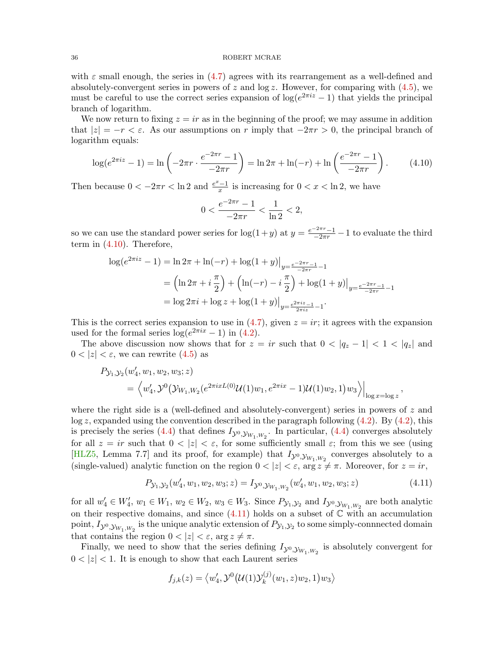with  $\varepsilon$  small enough, the series in [\(4.7\)](#page-34-2) agrees with its rearrangement as a well-defined and absolutely-convergent series in powers of z and  $log z$ . However, for comparing with [\(4.5\)](#page-33-0), we must be careful to use the correct series expansion of  $log(e^{2\pi i z} - 1)$  that yields the principal branch of logarithm.

We now return to fixing  $z = ir$  as in the beginning of the proof; we may assume in addition that  $|z| = -r < \varepsilon$ . As our assumptions on r imply that  $-2\pi r > 0$ , the principal branch of logarithm equals:

$$
\log(e^{2\pi i z} - 1) = \ln\left(-2\pi r \cdot \frac{e^{-2\pi r} - 1}{-2\pi r}\right) = \ln 2\pi + \ln(-r) + \ln\left(\frac{e^{-2\pi r} - 1}{-2\pi r}\right). \tag{4.10}
$$

Then because  $0 < -2\pi r < \ln 2$  and  $\frac{e^x - 1}{r}$  $\frac{y-1}{x}$  is increasing for  $0 < x < \ln 2$ , we have

<span id="page-35-0"></span>
$$
0 < \frac{e^{-2\pi r} - 1}{-2\pi r} < \frac{1}{\ln 2} < 2,
$$

so we can use the standard power series for  $\log(1+y)$  at  $y = \frac{e^{-2\pi r} - 1}{-2\pi r} - 1$  to evaluate the third term in [\(4.10\)](#page-35-0). Therefore,

$$
\log(e^{2\pi i z} - 1) = \ln 2\pi + \ln(-r) + \log(1+y)|_{y=\frac{e^{-2\pi r} - 1}{-2\pi r} - 1}
$$
  
=  $\left(\ln 2\pi + i\frac{\pi}{2}\right) + \left(\ln(-r) - i\frac{\pi}{2}\right) + \log(1+y)|_{y=\frac{e^{-2\pi r} - 1}{-2\pi r} - 1}$   
=  $\log 2\pi i + \log z + \log(1+y)|_{y=\frac{e^{2\pi i z} - 1}{2\pi i z} - 1}.$ 

This is the correct series expansion to use in  $(4.7)$ , given  $z = ir$ ; it agrees with the expansion used for the formal series  $\log(e^{2\pi ix} - 1)$  in  $(4.2)$ .

The above discussion now shows that for  $z = ir$  such that  $0 < |q_z - 1| < 1 < |q_z|$  and  $0 < |z| < \varepsilon$ , we can rewrite  $(4.5)$  as

$$
P_{\mathcal{Y}_1, \mathcal{Y}_2}(w'_4, w_1, w_2, w_3; z)
$$
  
=  $\langle w'_4, \mathcal{Y}^0(\mathcal{Y}_{W_1, W_2}(e^{2\pi ixL(0)}\mathcal{U}(1)w_1, e^{2\pi ix} - 1)\mathcal{U}(1)w_2, 1)w_3 \rangle|_{\log x = \log z}$ ,

where the right side is a (well-defined and absolutely-convergent) series in powers of  $z$  and  $\log z$ , expanded using the convention described in the paragraph following [\(4.2\)](#page-31-1). By (4.2), this is precisely the series [\(4.4\)](#page-33-1) that defines  $I_{\mathcal{Y}^0, \mathcal{Y}_{W_1, W_2}}$ . In particular, (4.4) converges absolutely for all  $z = ir$  such that  $0 < |z| < \varepsilon$ , for some sufficiently small  $\varepsilon$ ; from this we see (using [\[HLZ5,](#page-83-15) Lemma 7.7] and its proof, for example) that  $I_{\mathcal{Y}^0, \mathcal{Y}_{W_1,W_2}}$  converges absolutely to a (single-valued) analytic function on the region  $0 < |z| < \varepsilon$ ,  $\arg z \neq \pi$ . Moreover, for  $z = ir$ ,

$$
P_{\mathcal{Y}_1, \mathcal{Y}_2}(w'_4, w_1, w_2, w_3; z) = I_{\mathcal{Y}^0, \mathcal{Y}_{W_1, W_2}}(w'_4, w_1, w_2, w_3; z)
$$
\n(4.11)

for all  $w'_4 \in W'_4$ ,  $w_1 \in W_1$ ,  $w_2 \in W_2$ ,  $w_3 \in W_3$ . Since  $P_{\mathcal{Y}_1,\mathcal{Y}_2}$  and  $I_{\mathcal{Y}^0,\mathcal{Y}_{W_1,W_2}}$  are both analytic on their respective domains, and since  $(4.11)$  holds on a subset of  $\mathbb C$  with an accumulation point,  $I_{\mathcal{Y}^0, \mathcal{Y}_{W_1, W_2}}$  is the unique analytic extension of  $P_{\mathcal{Y}_1, \mathcal{Y}_2}$  to some simply-connnected domain that contains the region  $0 < |z| < \varepsilon$ , arg  $z \neq \pi$ .

Finally, we need to show that the series defining  $I_{\mathcal{Y}^0, \mathcal{Y}_{W_1,W_2}}$  is absolutely convergent for  $0 < |z| < 1$ . It is enough to show that each Laurent series

<span id="page-35-1"></span>
$$
f_{j,k}(z) = \langle w_4', \mathcal{Y}^0(\mathcal{U}(1)\mathcal{Y}_k^{(j)}(w_1,z)w_2, 1)w_3 \rangle
$$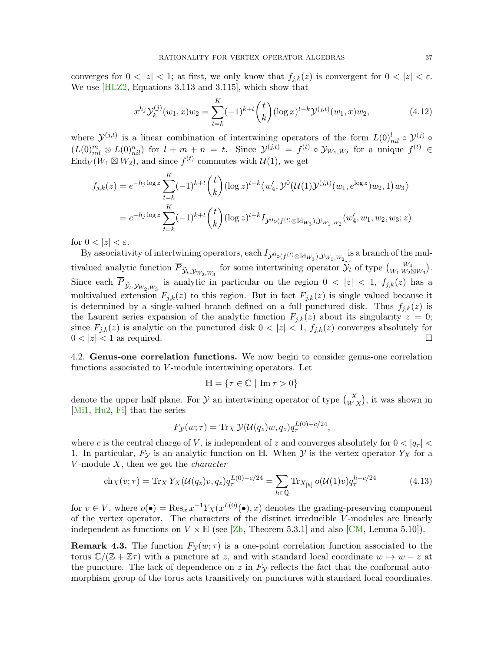converges for  $0 < |z| < 1$ ; at first, we only know that  $f_{i,k}(z)$  is convergent for  $0 < |z| < \varepsilon$ . We use [\[HLZ2,](#page-83-0) Equations 3.113 and 3.115], which show that

<span id="page-36-1"></span>
$$
x^{h_j} \mathcal{Y}_k^{(j)}(w_1, x) w_2 = \sum_{t=k}^K (-1)^{k+t} \binom{t}{k} (\log x)^{t-k} \mathcal{Y}^{(j,t)}(w_1, x) w_2,
$$
\n(4.12)

where  $\mathcal{Y}^{(j,t)}$  is a linear combination of intertwining operators of the form  $L(0)_{nil}^l \circ \mathcal{Y}^{(j)}$  o  $(L(0<sub>nil</sub><sup>m</sup> \otimes L(0)<sub>nil</sub><sup>n</sup>)$  for  $l + m + n = t$ . Since  $\mathcal{Y}^{(j,t)} = f^{(t)} \circ \mathcal{Y}_{W_1,W_2}$  for a unique  $f^{(t)} \in$  $\text{End}_V(W_1 \boxtimes W_2)$ , and since  $f^{(t)}$  commutes with  $\mathcal{U}(1)$ , we get

$$
f_{j,k}(z) = e^{-h_j \log z} \sum_{t=k}^{K} (-1)^{k+t} {t \choose k} (\log z)^{t-k} \langle w'_4, \mathcal{Y}^0(\mathcal{U}(1)\mathcal{Y}^{(j,t)}(w_1, e^{\log z})w_2, 1) w_3 \rangle
$$
  
=  $e^{-h_j \log z} \sum_{t=k}^{K} (-1)^{k+t} {t \choose k} (\log z)^{t-k} I_{\mathcal{Y}^0 \circ (f^{(t)} \otimes \text{Id}_{W_3}), \mathcal{Y}_{W_1, W_2}}(w'_4, w_1, w_2, w_3; z)$ 

for  $0 < |z| < \varepsilon$ .

By associativity of intertwining operators, each  $I_{\mathcal{Y}^{0} \circ (f^{(t)} \otimes \text{Id}_{W_3}),\mathcal{Y}_{W_1,W_2}}$  is a branch of the multivalued analytic function  $\overline{P}_{\widetilde{\mathcal{Y}}_t, \mathcal{Y}_{W_2, W_3}}$  for some intertwining operator  $\widetilde{\mathcal{Y}}_t$  of type  $\binom{W_4}{W_1 W_2 \boxtimes W_3}$ . Since each  $P_{\widetilde{\mathcal{Y}}_t, \mathcal{Y}_{W_2, W_3}}$  is analytic in particular on the region  $0 < |z| < 1$ ,  $f_{j,k}(z)$  has a multivalued extension  $F_{j,k}(z)$  to this region. But in fact  $F_{j,k}(z)$  is single valued because it is determined by a single-valued branch defined on a full punctured disk. Thus  $f_{i,k}(z)$  is the Laurent series expansion of the analytic function  $F_{j,k}(z)$  about its singularity  $z = 0$ ; since  $F_{j,k}(z)$  is analytic on the punctured disk  $0 < |z| < 1$ ,  $f_{j,k}(z)$  converges absolutely for  $0 < |z| < 1$  as required.

4.2. Genus-one correlation functions. We now begin to consider genus-one correlation functions associated to V-module intertwining operators. Let

<span id="page-36-0"></span>
$$
\mathbb{H} = \{ \tau \in \mathbb{C} \mid \mathrm{Im}\,\tau > 0 \}
$$

denote the upper half plane. For  $\mathcal Y$  an intertwining operator of type  $\binom{X}{W X}$ , it was shown in [\[Mi1,](#page-84-0) [Hu2,](#page-82-0) [Fi\]](#page-82-1) that the series

$$
F_{\mathcal{Y}}(w;\tau) = \text{Tr}_X \, \mathcal{Y}(\mathcal{U}(q_z)w, q_z) q_{\tau}^{L(0)-c/24},
$$

where c is the central charge of V, is independent of z and converges absolutely for  $0 < |q_{\tau}|$ 1. In particular,  $F_{\mathcal{Y}}$  is an analytic function on H. When  $\mathcal{Y}$  is the vertex operator  $Y_X$  for a V-module  $X$ , then we get the *character* 

$$
\operatorname{ch}_X(v;\tau) = \operatorname{Tr}_X Y_X(\mathcal{U}(q_z)v, q_z) q_\tau^{L(0)-c/24} = \sum_{h \in \mathbb{Q}} \operatorname{Tr}_{X_{[h]}} o(\mathcal{U}(1)v) q_\tau^{h-c/24}
$$
(4.13)

for  $v \in V$ , where  $o(\bullet) = \text{Res}_x x^{-1} Y_X(x^{L(0)}(\bullet), x)$  denotes the grading-preserving component of the vertex operator. The characters of the distinct irreducible  $V$ -modules are linearly independent as functions on  $V \times \mathbb{H}$  (see [\[Zh,](#page-84-1) Theorem 5.3.1] and also [\[CM,](#page-81-0) Lemma 5.10]).

**Remark 4.3.** The function  $F<sub>y</sub>(w; \tau)$  is a one-point correlation function associated to the torus  $\mathbb{C}/(\mathbb{Z} + \mathbb{Z}\tau)$  with a puncture at z, and with standard local coordinate  $w \mapsto w - z$  at the puncture. The lack of dependence on z in  $F<sub>y</sub>$  reflects the fact that the conformal automorphism group of the torus acts transitively on punctures with standard local coordinates.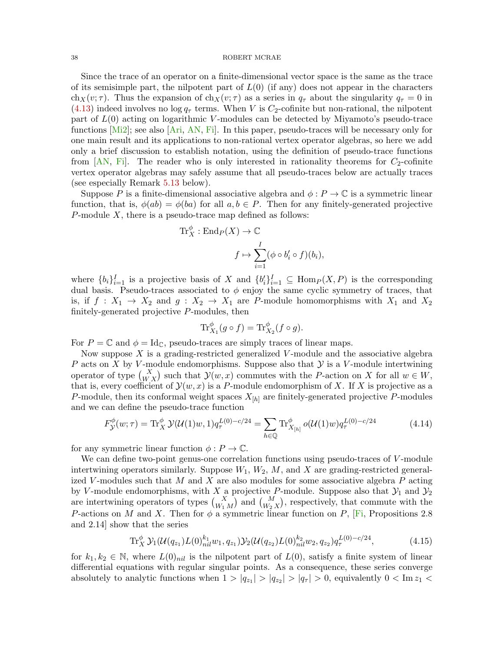Since the trace of an operator on a finite-dimensional vector space is the same as the trace of its semisimple part, the nilpotent part of  $L(0)$  (if any) does not appear in the characters ch<sub>X</sub>(v;  $\tau$ ). Thus the expansion of ch<sub>X</sub>(v;  $\tau$ ) as a series in  $q_{\tau}$  about the singularity  $q_{\tau} = 0$  in [\(4.13\)](#page-36-0) indeed involves no log  $q_{\tau}$  terms. When V is  $C_2$ -cofinite but non-rational, the nilpotent part of  $L(0)$  acting on logarithmic V-modules can be detected by Miyamoto's pseudo-trace functions  $[Mi2]$ ; see also  $[Ari, AN, Fi]$  $[Ari, AN, Fi]$  $[Ari, AN, Fi]$  $[Ari, AN, Fi]$  $[Ari, AN, Fi]$ . In this paper, pseudo-traces will be necessary only for one main result and its applications to non-rational vertex operator algebras, so here we add only a brief discussion to establish notation, using the definition of pseudo-trace functions from  $[AN, Fi]$  $[AN, Fi]$  $[AN, Fi]$ . The reader who is only interested in rationality theorems for  $C_2$ -cofinite vertex operator algebras may safely assume that all pseudo-traces below are actually traces (see especially Remark [5.13](#page-59-0) below).

Suppose P is a finite-dimensional associative algebra and  $\phi: P \to \mathbb{C}$  is a symmetric linear function, that is,  $\phi(ab) = \phi(ba)$  for all  $a, b \in P$ . Then for any finitely-generated projective P-module  $X$ , there is a pseudo-trace map defined as follows:

$$
\operatorname{Tr}_{X}^{\phi}: \operatorname{End}_{P}(X) \to \mathbb{C}
$$

$$
f \mapsto \sum_{i=1}^{I} (\phi \circ b_{i}' \circ f)(b_{i}),
$$

where  $\{b_i\}_{i=1}^I$  is a projective basis of X and  $\{b_i'\}_{i=1}^I \subseteq \text{Hom}_P(X, P)$  is the corresponding dual basis. Pseudo-traces associated to  $\phi$  enjoy the same cyclic symmetry of traces, that is, if  $f: X_1 \rightarrow X_2$  and  $g: X_2 \rightarrow X_1$  are P-module homomorphisms with  $X_1$  and  $X_2$ finitely-generated projective P-modules, then

$$
\mathrm{Tr}^{\phi}_{X_1}(g \circ f) = \mathrm{Tr}^{\phi}_{X_2}(f \circ g).
$$

For  $P = \mathbb{C}$  and  $\phi = \text{Id}_{\mathbb{C}}$ , pseudo-traces are simply traces of linear maps.

Now suppose  $X$  is a grading-restricted generalized V-module and the associative algebra P acts on X by V-module endomorphisms. Suppose also that  $\mathcal Y$  is a V-module intertwining operator of type  $\binom{X}{W X}$  such that  $\mathcal{Y}(w, x)$  commutes with the P-action on X for all  $w \in W$ , that is, every coefficient of  $\mathcal{Y}(w, x)$  is a P-module endomorphism of X. If X is projective as a P-module, then its conformal weight spaces  $X_{[h]}$  are finitely-generated projective P-modules and we can define the pseudo-trace function

$$
F_{\mathcal{Y}}^{\phi}(w;\tau) = \text{Tr}_{X}^{\phi} \mathcal{Y}(\mathcal{U}(1)w, 1) q_{\tau}^{L(0) - c/24} = \sum_{h \in \mathbb{Q}} \text{Tr}_{X_{[h]}}^{\phi} o(\mathcal{U}(1)w) q_{\tau}^{L(0) - c/24}
$$
(4.14)

for any symmetric linear function  $\phi : P \to \mathbb{C}$ .

We can define two-point genus-one correlation functions using pseudo-traces of V-module intertwining operators similarly. Suppose  $W_1, W_2, M$ , and X are grading-restricted generalized V-modules such that M and X are also modules for some associative algebra  $P$  acting by V-module endomorphisms, with X a projective P-module. Suppose also that  $\mathcal{Y}_1$  and  $\mathcal{Y}_2$ are intertwining operators of types  $\binom{X}{W_1 M}$  and  $\binom{M}{W_2 X}$ , respectively, that commute with the P-actions on M and X. Then for  $\phi$  a symmetric linear function on P, [\[Fi,](#page-82-1) Propositions 2.8 and 2.14] show that the series

<span id="page-37-0"></span>
$$
\operatorname{Tr}^{\phi}_X \mathcal{Y}_1(\mathcal{U}(q_{z_1}) L(0)^{k_1}_{nil} w_1, q_{z_1}) \mathcal{Y}_2(\mathcal{U}(q_{z_2}) L(0)^{k_2}_{nil} w_2, q_{z_2}) q^{L(0) - c/24}_\tau,
$$
\n(4.15)

for  $k_1, k_2 \in \mathbb{N}$ , where  $L(0)_{nil}$  is the nilpotent part of  $L(0)$ , satisfy a finite system of linear differential equations with regular singular points. As a consequence, these series converge absolutely to analytic functions when  $1 > |q_{z_1}| > |q_{z_2}| > |q_{\tau}| > 0$ , equivalently  $0 < \text{Im } z_1 <$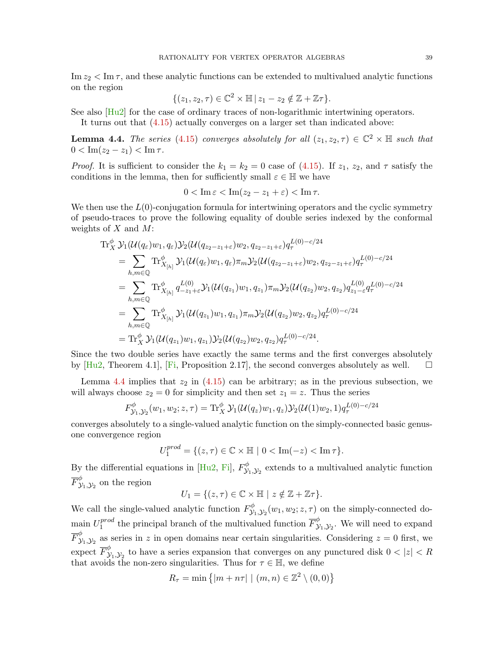$\text{Im } z_2 < \text{Im } \tau$ , and these analytic functions can be extended to multivalued analytic functions on the region

$$
\{(z_1, z_2, \tau) \in \mathbb{C}^2 \times \mathbb{H} \mid z_1 - z_2 \notin \mathbb{Z} + \mathbb{Z}\tau\}.
$$

See also [\[Hu2\]](#page-82-0) for the case of ordinary traces of non-logarithmic intertwining operators.

It turns out that [\(4.15\)](#page-37-0) actually converges on a larger set than indicated above:

<span id="page-38-0"></span>**Lemma 4.4.** The series [\(4.15\)](#page-37-0) converges absolutely for all  $(z_1, z_2, \tau) \in \mathbb{C}^2 \times \mathbb{H}$  such that  $0 < \text{Im}(z_2 - z_1) < \text{Im}\,\tau.$ 

*Proof.* It is sufficient to consider the  $k_1 = k_2 = 0$  case of [\(4.15\)](#page-37-0). If  $z_1$ ,  $z_2$ , and  $\tau$  satisfy the conditions in the lemma, then for sufficiently small  $\varepsilon \in \mathbb{H}$  we have

$$
0 < \operatorname{Im} \varepsilon < \operatorname{Im} (z_2 - z_1 + \varepsilon) < \operatorname{Im} \tau.
$$

We then use the  $L(0)$ -conjugation formula for intertwining operators and the cyclic symmetry of pseudo-traces to prove the following equality of double series indexed by the conformal weights of  $X$  and  $M$ :

$$
\begin{split} \operatorname{Tr}_{X}^{\phi} \mathcal{Y}_{1}(\mathcal{U}(q_{\varepsilon})w_{1},q_{\varepsilon})\mathcal{Y}_{2}(\mathcal{U}(q_{z_{2}-z_{1}+\varepsilon})w_{2},q_{z_{2}-z_{1}+\varepsilon})q_{\tau}^{L(0)-c/24} \\ & = \sum_{h,m \in \mathbb{Q}} \operatorname{Tr}_{X_{[h]}}^{\phi} \mathcal{Y}_{1}(\mathcal{U}(q_{\varepsilon})w_{1},q_{\varepsilon})\pi_{m}\mathcal{Y}_{2}(\mathcal{U}(q_{z_{2}-z_{1}+\varepsilon})w_{2},q_{z_{2}-z_{1}+\varepsilon})q_{\tau}^{L(0)-c/24} \\ & = \sum_{h,m \in \mathbb{Q}} \operatorname{Tr}_{X_{[h]}}^{\phi} q_{-z_{1}+\varepsilon}^{L(0)} \mathcal{Y}_{1}(\mathcal{U}(q_{z_{1}})w_{1},q_{z_{1}})\pi_{m}\mathcal{Y}_{2}(\mathcal{U}(q_{z_{2}})w_{2},q_{z_{2}})q_{z_{1}-\varepsilon}^{L(0)}q_{\tau}^{L(0)-c/24} \\ & = \sum_{h,m \in \mathbb{Q}} \operatorname{Tr}_{X_{[h]}}^{\phi} \mathcal{Y}_{1}(\mathcal{U}(q_{z_{1}})w_{1},q_{z_{1}})\pi_{m}\mathcal{Y}_{2}(\mathcal{U}(q_{z_{2}})w_{2},q_{z_{2}})q_{\tau}^{L(0)-c/24} \\ & = \operatorname{Tr}_{X}^{\phi} \mathcal{Y}_{1}(\mathcal{U}(q_{z_{1}})w_{1},q_{z_{1}})\mathcal{Y}_{2}(\mathcal{U}(q_{z_{2}})w_{2},q_{z_{2}})q_{\tau}^{L(0)-c/24} .\end{split}
$$

Since the two double series have exactly the same terms and the first converges absolutely by  $[Hu2, Theorem 4.1], [Fi, Proposition 2.17], the second converges absolutely as well.  $\square$$  $[Hu2, Theorem 4.1], [Fi, Proposition 2.17], the second converges absolutely as well.  $\square$$  $[Hu2, Theorem 4.1], [Fi, Proposition 2.17], the second converges absolutely as well.  $\square$$  $[Hu2, Theorem 4.1], [Fi, Proposition 2.17], the second converges absolutely as well.  $\square$$ 

Lemma [4.4](#page-38-0) implies that  $z_2$  in  $(4.15)$  can be arbitrary; as in the previous subsection, we will always choose  $z_2 = 0$  for simplicity and then set  $z_1 = z$ . Thus the series

$$
F_{\mathcal{Y}_1,\mathcal{Y}_2}^{\phi}(w_1,w_2;z,\tau) = \text{Tr}_X^{\phi} \mathcal{Y}_1(\mathcal{U}(q_z)w_1,q_z) \mathcal{Y}_2(\mathcal{U}(1)w_2,1) q_{\tau}^{L(0)-c/24}
$$

converges absolutely to a single-valued analytic function on the simply-connected basic genusone convergence region

 $U_1^{prod} = \{ (z, \tau) \in \mathbb{C} \times \mathbb{H} \mid 0 < \text{Im}(-z) < \text{Im} \tau \}.$ 

By the differential equations in [\[Hu2,](#page-82-0) [Fi\]](#page-82-1),  $F_{\mathcal{V}}^{\phi}$  $\mathcal{Y}_{1,\mathcal{Y}_{2}}^{\varphi}$  extends to a multivalued analytic function  $\overline{F}_{\mathcal{V}}^{\phi}$  $\overset{\varphi}{\mathcal{Y}}_1, \mathcal{Y}_2$  on the region

$$
U_1 = \{ (z, \tau) \in \mathbb{C} \times \mathbb{H} \mid z \notin \mathbb{Z} + \mathbb{Z}\tau \}.
$$

We call the single-valued analytic function  $F_{\mathcal{V}}^{\phi}$  $\mathcal{Y}_{1,\mathcal{Y}_{2}}^{ \phi}(w_{1},w_{2};z,\tau)$  on the simply-connected domain  $U_1^{prod}$  $t_1^{prod}$  the principal branch of the multivalued function  $\overline{F}_{\lambda}^{\phi}$  $y_1, y_2$ . We will need to expand  $\overline{F}_{\mathcal{V}}^{\phi}$  $\mathcal{Y}_{1,1}\mathcal{Y}_{2}$  as series in z in open domains near certain singularities. Considering  $z = 0$  first, we expect  $\overline{F}_{\mathcal{V}}^{\phi}$  $\mathcal{Y}_{1}, \mathcal{Y}_{2}$  to have a series expansion that converges on any punctured disk  $0 < |z| < R$ that avoids the non-zero singularities. Thus for  $\tau \in \mathbb{H}$ , we define

$$
R_{\tau} = \min\left\{ |m + n\tau| \mid (m, n) \in \mathbb{Z}^2 \setminus (0, 0) \right\}
$$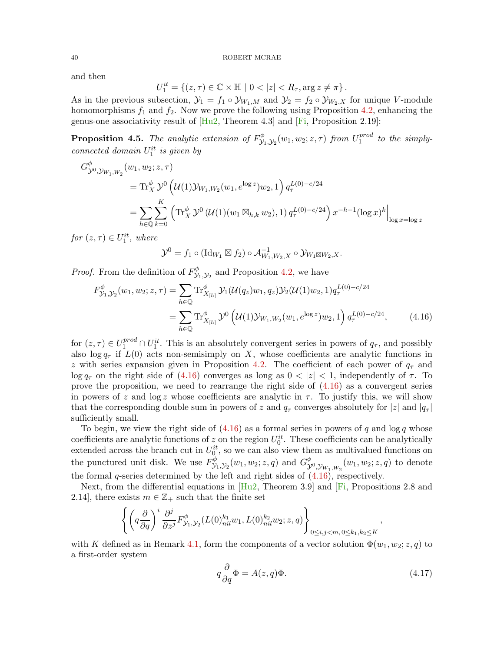and then

$$
U_1^{it} = \{(z,\tau) \in \mathbb{C} \times \mathbb{H} \mid 0 < |z| < R_{\tau}, \arg z \neq \pi\}.
$$

As in the previous subsection,  $\mathcal{Y}_1 = f_1 \circ \mathcal{Y}_{W_1,M}$  and  $\mathcal{Y}_2 = f_2 \circ \mathcal{Y}_{W_2,X}$  for unique V-module homomorphisms  $f_1$  and  $f_2$ . Now we prove the following using Proposition [4.2,](#page-33-0) enhancing the genus-one associativity result of  $[Hu2, Theorem 4.3]$  $[Hu2, Theorem 4.3]$  and  $[Fi, Proposition 2.19]$  $[Fi, Proposition 2.19]$ :

<span id="page-39-2"></span>**Proposition 4.5.** The analytic extension of  $F_{\mathcal{V}}^{\phi}$  $\mathcal{Y}_{1}, \mathcal{Y}_{2}(w_{1}, w_{2}; z, \tau)$  from  $U_{1}^{prod}$  $_1^{prod}$  to the simplyconnected domain  $U_1^{it}$  is given by

$$
G_{\mathcal{Y}^{0},\mathcal{Y}_{W_{1},W_{2}}}^{\phi}(w_{1},w_{2};z,\tau)
$$
  
= Tr\_{X}^{\phi} \mathcal{Y}^{0}\left(\mathcal{U}(1)\mathcal{Y}\_{W\_{1},W\_{2}}(w\_{1},e^{\log z})w\_{2},1\right) q\_{\tau}^{L(0)-c/24}  
= \sum\_{h \in \mathbb{Q}} \sum\_{k=0}^{K} \left( \text{Tr}\_{X}^{\phi} \mathcal{Y}^{0}\left(\mathcal{U}(1)(w\_{1} \boxtimes\_{h,k} w\_{2}),1\right) q\_{\tau}^{L(0)-c/24} \right) x^{-h-1} (\log x)^{k} \Big|\_{\log x = \log z}

for  $(z, \tau) \in U_1^{it}$ , where

<span id="page-39-0"></span>
$$
\mathcal{Y}^0 = f_1 \circ (\mathrm{Id}_{W_1} \boxtimes f_2) \circ \mathcal{A}_{W_1,W_2,X}^{-1} \circ \mathcal{Y}_{W_1 \boxtimes W_2,X}.
$$

*Proof.* From the definition of  $F_{\mathcal{V}}^{\phi}$  $\mathcal{Y}_{1}, \mathcal{Y}_{2}$  and Proposition [4.2,](#page-33-0) we have

$$
F_{\mathcal{Y}_1, \mathcal{Y}_2}^{\phi}(w_1, w_2; z, \tau) = \sum_{h \in \mathbb{Q}} \text{Tr}_{X_{[h]}}^{\phi} \mathcal{Y}_1(\mathcal{U}(q_z)w_1, q_z) \mathcal{Y}_2(\mathcal{U}(1)w_2, 1) q_{\tau}^{L(0) - c/24}
$$
  
= 
$$
\sum_{h \in \mathbb{Q}} \text{Tr}_{X_{[h]}}^{\phi} \mathcal{Y}^0(\mathcal{U}(1) \mathcal{Y}_{W_1, W_2}(w_1, e^{\log z}) w_2, 1) q_{\tau}^{L(0) - c/24}, \qquad (4.16)
$$

for  $(z, \tau) \in U_1^{prod} \cap U_1^{it}$ . This is an absolutely convergent series in powers of  $q_{\tau}$ , and possibly also  $\log q_{\tau}$  if  $L(0)$  acts non-semisimply on X, whose coefficients are analytic functions in z with series expansion given in Proposition [4.2.](#page-33-0) The coefficient of each power of  $q<sub>\tau</sub>$  and  $\log q_{\tau}$  on the right side of [\(4.16\)](#page-39-0) converges as long as  $0 < |z| < 1$ , independently of  $\tau$ . To prove the proposition, we need to rearrange the right side of [\(4.16\)](#page-39-0) as a convergent series in powers of z and  $\log z$  whose coefficients are analytic in  $\tau$ . To justify this, we will show that the corresponding double sum in powers of z and  $q<sub>\tau</sub>$  converges absolutely for  $|z|$  and  $|q<sub>\tau</sub>|$ sufficiently small.

To begin, we view the right side of  $(4.16)$  as a formal series in powers of q and log q whose coefficients are analytic functions of z on the region  $U_0^{it}$ . These coefficients can be analytically extended across the branch cut in  $U_0^{it}$ , so we can also view them as multivalued functions on the punctured unit disk. We use  $F_{\mathcal{V}}^{\phi}$  $S_{\mathcal{Y}_1,\mathcal{Y}_2}^{\phi}(w_1,w_2;z,q)$  and  $G_{\mathcal{Y}_1}^{\phi}$  $\overset{\varphi}{\mathcal{Y}^0}, \overset{\varphi}{\mathcal{Y}_{W_1,W_2}}(w_1,w_2;z,q)$  to denote the formal q-series determined by the left and right sides of  $(4.16)$ , respectively.

Next, from the differential equations in  $[Hu2,$  Theorem 3.9] and  $\overline{[Fi,}$  $\overline{[Fi,}$  $\overline{[Fi,}$  Propositions 2.8 and 2.14], there exists  $m \in \mathbb{Z}_+$  such that the finite set

$$
\left\{ \left( q \frac{\partial}{\partial q} \right)^i \frac{\partial^j}{\partial z^j} F_{\mathcal{Y}_1, \mathcal{Y}_2}^{\phi}(L(0)_{nil}^{k_1} w_1, L(0)_{nil}^{k_2} w_2; z, q) \right\}_{0 \le i, j < m, 0 \le k_1, k_2 \le K},
$$

with K defined as in Remark [4.1,](#page-33-1) form the components of a vector solution  $\Phi(w_1, w_2; z, q)$  to a first-order system

<span id="page-39-1"></span>
$$
q\frac{\partial}{\partial q}\Phi = A(z,q)\Phi.
$$
\n(4.17)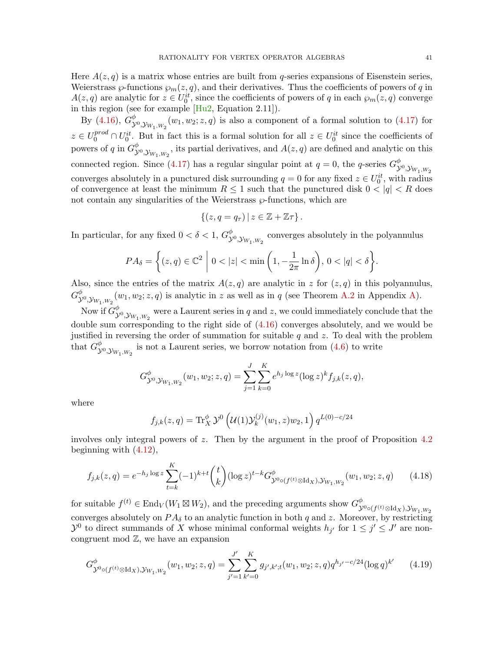Here  $A(z, q)$  is a matrix whose entries are built from q-series expansions of Eisenstein series, Weierstrass  $\varphi$ -functions  $\varphi_m(z, q)$ , and their derivatives. Thus the coefficients of powers of q in  $A(z,q)$  are analytic for  $z \in U_0^{it}$ , since the coefficients of powers of q in each  $\wp_m(z,q)$  converge in this region (see for example [\[Hu2,](#page-82-0) Equation 2.11]).

By [\(4.16\)](#page-39-0),  $G_{\chi}^{\phi}$  $\overset{\varphi}{\mathcal{Y}}^{0}$ ,  $\mathcal{Y}_{W_1,W_2}(w_1,w_2;z,q)$  is also a component of a formal solution to  $(4.17)$  for  $z \in U_0^{prod} \cap U_0^{it}$ . But in fact this is a formal solution for all  $z \in U_0^{it}$  since the coefficients of powers of q in  $G^{\phi}_{\mathcal{Y}}$  $\overset{\varphi}{\mathcal{Y}}^{0}$ ,  $\mathcal{Y}_{W_1,W_2}$ , its partial derivatives, and  $A(z,q)$  are defined and analytic on this connected region. Since [\(4.17\)](#page-39-1) has a regular singular point at  $q=0$ , the q-series  $G_{\mathcal{X}}^{\phi}$  $\mathcal{Y}^0, \mathcal{Y}_{W_1,W_2}$ converges absolutely in a punctured disk surrounding  $q = 0$  for any fixed  $z \in U_0^{it}$ , with radius of convergence at least the minimum  $R \leq 1$  such that the punctured disk  $0 < |q| < R$  does not contain any singularities of the Weierstrass  $\wp$ -functions, which are

$$
\{(z,q=q_{\tau})\,|\,z\in\mathbb{Z}+\mathbb{Z}\tau\}.
$$

In particular, for any fixed  $0 < \delta < 1, G_{\lambda}^{\phi}$  $\overset{\varphi}{\mathcal{Y}}^{0}$ ,  $\mathcal{Y}_{W_1,W_2}$  converges absolutely in the polyannulus

$$
PA_{\delta} = \left\{ (z, q) \in \mathbb{C}^2 \middle| 0 < |z| < \min\left(1, -\frac{1}{2\pi} \ln \delta\right), 0 < |q| < \delta \right\}.
$$

Also, since the entries of the matrix  $A(z, q)$  are analytic in z for  $(z, q)$  in this polyannulus,  $G^{\phi}_{\chi}$  $\mathcal{Y}^{\varphi}_{\mathcal{Y},\mathcal{Y}_{W_1,W_2}}(w_1,w_2;z,q)$  is analytic in z as well as in q (see Theorem [A.2](#page-69-0) in Appendix [A\)](#page-68-0).

Now if  $G^{\phi}_{\mathcal{X}}$  $\overset{\varphi}{\mathcal{Y}}^{0}, \mathcal{Y}_{W_1,W_2}$  were a Laurent series in  $q$  and  $z$ , we could immediately conclude that the double sum corresponding to the right side of [\(4.16\)](#page-39-0) converges absolutely, and we would be justified in reversing the order of summation for suitable  $q$  and  $z$ . To deal with the problem that  $G^{\phi}_{\mathcal{X}}$  $\overset{\varphi}{\mathcal{Y}}^{0}, \mathcal{Y}_{W_1, W_2}$  is not a Laurent series, we borrow notation from  $(4.6)$  to write

$$
G_{\mathcal{Y}^0, \mathcal{Y}_{W_1, W_2}}^{\phi}(w_1, w_2; z, q) = \sum_{j=1}^{J} \sum_{k=0}^{K} e^{h_j \log z} (\log z)^k f_{j,k}(z, q),
$$

where

<span id="page-40-1"></span><span id="page-40-0"></span>
$$
f_{j,k}(z,q) = \text{Tr}_X^{\phi} \mathcal{Y}^0 \left( \mathcal{U}(1) \mathcal{Y}_k^{(j)}(w_1, z) w_2, 1 \right) q^{L(0) - c/24}
$$

involves only integral powers of  $z$ . Then by the argument in the proof of Proposition [4.2](#page-33-0) beginning with [\(4.12\)](#page-36-1),

$$
f_{j,k}(z,q) = e^{-h_j \log z} \sum_{t=k}^{K} (-1)^{k+t} {t \choose k} (\log z)^{t-k} G_{\mathcal{Y}^{0} \circ (f^{(t)} \otimes \text{Id}_X), \mathcal{Y}_{W_1, W_2}}(w_1, w_2; z, q) \qquad (4.18)
$$

for suitable  $f^{(t)} \in \text{End}_V(W_1 \boxtimes W_2)$ , and the preceding arguments show  $G_{\mathcal{N}}^{\phi}$  $\mathcal{Y}^{0}$ ० $(f^{(t)} \otimes \operatorname{Id}_X)$ , $\mathcal{Y}_{W_1,W_2}$ converges absolutely on  $PA_{\delta}$  to an analytic function in both q and z. Moreover, by restricting  $\mathcal{Y}^0$  to direct summands of X whose minimal conformal weights  $h_{j'}$  for  $1 \leq j' \leq J'$  are noncongruent mod  $\mathbb{Z}$ , we have an expansion

$$
G_{\mathcal{Y}^{0}\circ(f^{(t)}\otimes \text{Id}_{X}),\mathcal{Y}_{W_{1},W_{2}}}(w_{1},w_{2};z,q)=\sum_{j'=1}^{J'}\sum_{k'=0}^{K}g_{j',k';t}(w_{1},w_{2};z,q)q^{h_{j'}-c/24}(\log q)^{k'}\qquad(4.19)
$$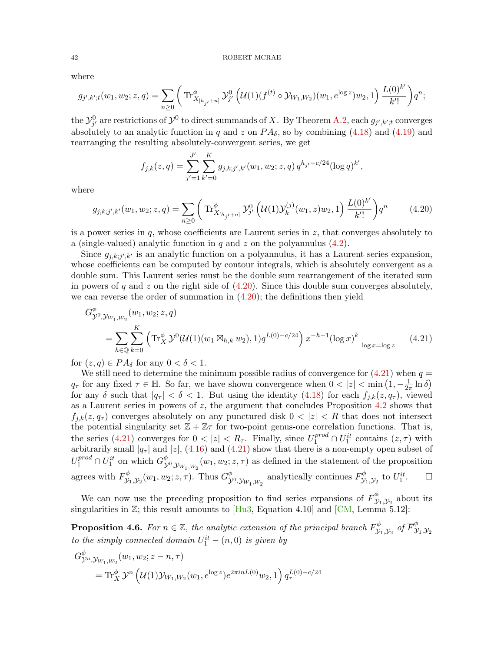where

$$
g_{j',k';t}(w_1, w_2; z, q) = \sum_{n \geq 0} \left( \operatorname{Tr}_{X_{[h_{j'}+n]}}^{\phi} \mathcal{Y}_{j'}^0 \left( \mathcal{U}(1)(f^{(t)} \circ \mathcal{Y}_{W_1, W_2})(w_1, e^{\log z}) w_2, 1 \right) \frac{L(0)^{k'}}{k'!} \right) q^n;
$$

the  $\mathcal{Y}_{j'}^0$  are restrictions of  $\mathcal{Y}^0$  to direct summands of X. By Theorem [A.2,](#page-69-0) each  $g_{j',k';t}$  converges absolutely to an analytic function in q and z on  $PA_{\delta}$ , so by combining [\(4.18\)](#page-40-0) and [\(4.19\)](#page-40-1) and rearranging the resulting absolutely-convergent series, we get

<span id="page-41-1"></span><span id="page-41-0"></span>
$$
f_{j,k}(z,q) = \sum_{j'=1}^{J'} \sum_{k'=0}^{K} g_{j,k;j',k'}(w_1, w_2; z, q) q^{h_{j'}-c/24} (\log q)^{k'},
$$

where

$$
g_{j,k;j',k'}(w_1, w_2; z, q) = \sum_{n \ge 0} \left( \text{Tr}_{X_{[h_{j'}+n]}}^{\phi} \mathcal{Y}_{j'}^0 \left( \mathcal{U}(1) \mathcal{Y}_k^{(j)}(w_1, z) w_2, 1 \right) \frac{L(0)^{k'}}{k'!} \right) q^n \tag{4.20}
$$

is a power series in  $q$ , whose coefficients are Laurent series in  $z$ , that converges absolutely to a (single-valued) analytic function in  $q$  and  $z$  on the polyannulus  $(4.2)$ .

Since  $g_{j,k;j',k'}$  is an analytic function on a polyannulus, it has a Laurent series expansion, whose coefficients can be computed by contour integrals, which is absolutely convergent as a double sum. This Laurent series must be the double sum rearrangement of the iterated sum in powers of q and z on the right side of  $(4.20)$ . Since this double sum converges absolutely, we can reverse the order of summation in  $(4.20)$ ; the definitions then yield

$$
G_{\mathcal{Y}^0, \mathcal{Y}_{W_1, W_2}}^{\phi}(w_1, w_2; z, q)
$$
  
= 
$$
\sum_{h \in \mathbb{Q}} \sum_{k=0}^K \left( \text{Tr}_X^{\phi} \mathcal{Y}^0(\mathcal{U}(1)(w_1 \boxtimes_{h,k} w_2), 1) q^{L(0) - c/24} \right) x^{-h-1} (\log x)^k \Big|_{\log x = \log z}
$$
 (4.21)

for  $(z, q) \in PA_\delta$  for any  $0 < \delta < 1$ .

We still need to determine the minimum possible radius of convergence for  $(4.21)$  when  $q =$  $q_{\tau}$  for any fixed  $\tau \in \mathbb{H}$ . So far, we have shown convergence when  $0 < |z| < \min(1, -\frac{1}{2\tau})$  $rac{1}{2\pi} \ln \delta$ ) for any  $\delta$  such that  $|q_{\tau}| < \delta < 1$ . But using the identity [\(4.18\)](#page-40-0) for each  $f_{j,k}(z, q_{\tau})$ , viewed as a Laurent series in powers of  $z$ , the argument that concludes Proposition [4.2](#page-33-0) shows that  $f_{j,k}(z, q_\tau)$  converges absolutely on any punctured disk  $0 < |z| < R$  that does not intersect the potential singularity set  $\mathbb{Z} + \mathbb{Z}\tau$  for two-point genus-one correlation functions. That is, the series [\(4.21\)](#page-41-1) converges for  $0 < |z| < R_{\tau}$ . Finally, since  $U_1^{prod} \cap U_1^{it}$  contains  $(z, \tau)$  with arbitrarily small  $|q_{\tau}|$  and  $|z|$ , [\(4.16\)](#page-39-0) and [\(4.21\)](#page-41-1) show that there is a non-empty open subset of  $U_1^{prod} \cap U_1^{it}$  on which  $G_{\mathcal{Y}}^{\phi}$  $\overset{\varphi}{\mathcal{Y}}^{0}$ ,  $\overset{\circ}{\mathcal{Y}}_{W_1,W_2}(w_1,w_2;z,\tau)$  as defined in the statement of the proposition agrees with  $F_{\mathcal{V}}^{\phi}$  $\mathcal{Y}_{1}, \mathcal{Y}_{2}(w_{1}, w_{2}; z, \tau)$ . Thus  $G^{\phi}_{\mathcal{Y}}$  $\psi^{\phi}_{\mathcal{Y}^0, \mathcal{Y}_{W_1, W_2}}$  analytically continues  $F^{\phi}_{\mathcal{Y}}$  $\stackrel{\phi}{\mathcal{Y}_1,\mathcal{Y}_2}$  to  $U^{it}_1$  $\Box$ 

We can now use the preceding proposition to find series expansions of  $\overline{F}_{\lambda}^{\phi}$  $\overset{\varphi}{\mathcal{Y}}_1, \mathcal{Y}_2$  about its singularities in  $\mathbb{Z}$ ; this result amounts to  $[Hu3, Equation 4.10]$  $[Hu3, Equation 4.10]$  and  $[CM, Lemma 5.12]$  $[CM, Lemma 5.12]$ :

<span id="page-41-2"></span>**Proposition 4.6.** For  $n \in \mathbb{Z}$ , the analytic extension of the principal branch  $F_{\mathcal{V}}^{\phi}$  $\mathcal{Y}_1, \mathcal{Y}_2$  of  $\overline{F}_{\mathcal{Y}}^{\phi}$  $\mathcal{Y}_1, \mathcal{Y}_2$ to the simply connected domain  $U_1^{it} - (n,0)$  is given by

$$
G_{\mathcal{Y}^n, \mathcal{Y}_{W_1, W_2}}^{\phi}(w_1, w_2; z - n, \tau)
$$
  
= Tr\_X^{\phi} \mathcal{Y}^n \left( \mathcal{U}(1) \mathcal{Y}\_{W\_1, W\_2}(w\_1, e^{\log z}) e^{2\pi i n L(0)} w\_2, 1 \right) q\_{\tau}^{L(0) - c/24}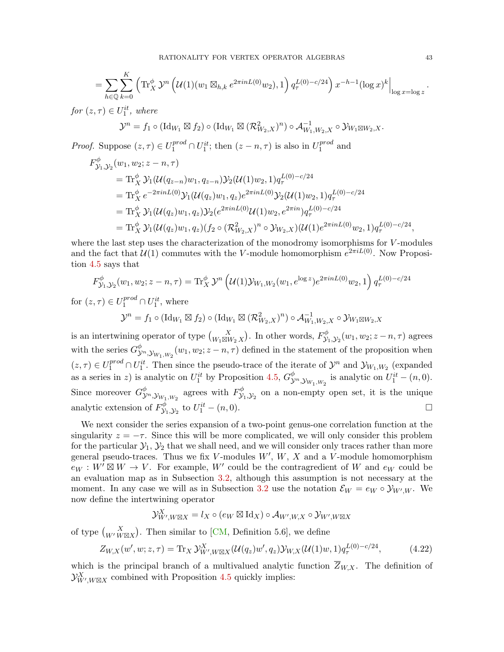$$
= \sum_{h\in\mathbb{Q}} \sum_{k=0}^K \left( \text{Tr}_X^{\phi} \mathcal{Y}^n \left( \mathcal{U}(1)(w_1 \boxtimes_{h,k} e^{2\pi i n L(0)} w_2), 1 \right) q_\tau^{L(0)-c/24} \right) x^{-h-1} (\log x)^k \Big|_{\log x = \log z}.
$$

for  $(z, \tau) \in U_1^{it}$ , where

$$
\mathcal{Y}^n = f_1 \circ (\mathrm{Id}_{W_1} \boxtimes f_2) \circ (\mathrm{Id}_{W_1} \boxtimes (\mathcal{R}_{W_2,X}^2)^n) \circ \mathcal{A}_{W_1,W_2,X}^{-1} \circ \mathcal{Y}_{W_1 \boxtimes W_2,X}.
$$

*Proof.* Suppose  $(z, \tau) \in U_1^{prod} \cap U_1^{it}$ ; then  $(z - n, \tau)$  is also in  $U_1^{prod}$  $_1^{prod}$  and

$$
F_{\mathcal{Y}_1, \mathcal{Y}_2}^{\phi}(w_1, w_2; z - n, \tau)
$$
  
= Tr\_X^{\phi} \mathcal{Y}\_1(\mathcal{U}(q\_{z-n})w\_1, q\_{z-n}) \mathcal{Y}\_2(\mathcal{U}(1)w\_2, 1) q\_{\tau}^{L(0)-c/24}  
= Tr\_X^{\phi} e^{-2\pi i n L(0)} \mathcal{Y}\_1(\mathcal{U}(q\_z)w\_1, q\_z) e^{2\pi i n L(0)} \mathcal{Y}\_2(\mathcal{U}(1)w\_2, 1) q\_{\tau}^{L(0)-c/24}  
= Tr\_X^{\phi} \mathcal{Y}\_1(\mathcal{U}(q\_z)w\_1, q\_z) \mathcal{Y}\_2(e^{2\pi i n L(0)} \mathcal{U}(1)w\_2, e^{2\pi i n}) q\_{\tau}^{L(0)-c/24}  
= Tr\_X^{\phi} \mathcal{Y}\_1(\mathcal{U}(q\_z)w\_1, q\_z) (f\_2 \circ (\mathcal{R}\_{W\_2, X}^2)^n \circ \mathcal{Y}\_{W\_2, X})(\mathcal{U}(1)e^{2\pi i n L(0)}w\_2, 1) q\_{\tau}^{L(0)-c/24},

where the last step uses the characterization of the monodromy isomorphisms for V-modules and the fact that  $\mathcal{U}(1)$  commutes with the V-module homomorphism  $e^{2\pi i L(0)}$ . Now Proposition [4.5](#page-39-2) says that

$$
F_{\mathcal{Y}_1, \mathcal{Y}_2}^{\phi}(w_1, w_2; z - n, \tau) = \text{Tr}_{X}^{\phi} \mathcal{Y}^n \left( \mathcal{U}(1) \mathcal{Y}_{W_1, W_2}(w_1, e^{\log z}) e^{2\pi i n L(0)} w_2, 1 \right) q_{\tau}^{L(0) - c/24}
$$

for  $(z, \tau) \in U_1^{prod} \cap U_1^{it}$ , where

$$
\mathcal{Y}^n = f_1 \circ (\mathrm{Id}_{W_1} \boxtimes f_2) \circ (\mathrm{Id}_{W_1} \boxtimes (\mathcal{R}_{W_2,X}^2)^n) \circ \mathcal{A}_{W_1,W_2,X}^{-1} \circ \mathcal{Y}_{W_1 \boxtimes W_2,X}
$$

is an intertwining operator of type  $\binom{X}{W_1 \boxtimes W_2 X}$ . In other words,  $F^{\phi}_{\mathcal{Y}}$  $y_{1, y_{2}}^{ \varphi}(w_{1}, w_{2}; z-n, \tau)$  agrees with the series  $G^{\phi}_{\mathcal{V}}$  $\int_{\mathcal{Y}^n, \mathcal{Y}_{W_1,W_2}} (w_1, w_2; z-n, \tau)$  defined in the statement of the proposition when  $(z, \tau) \in U_1^{prod} \cap U_1^{it}$ . Then since the pseudo-trace of the iterate of  $\mathcal{Y}^n$  and  $\mathcal{Y}_{W_1, W_2}$  (expanded as a series in z) is analytic on  $U_1^{it}$  by Proposition [4.5,](#page-39-2)  $G_{\mathcal{Y}}^{\phi}$  $\overset{\phi}{\mathcal{Y}}^{n}, \mathcal{Y}_{W_1, W_2}$  is analytic on  $U_1^{it} - (n, 0)$ . Since moreover  $G^{\phi}_{\lambda}$  $\overset{\phi}{\mathcal{Y}}^n, \mathcal{Y}_{W_1,W_2}$  agrees with  $F^\phi_{\mathcal{Y}}$  $y_1^{\varphi}$ ,  $y_2$  on a non-empty open set, it is the unique analytic extension of  $F_{\mathcal{V}}^{\phi}$  $y_1^{\phi}$ ,  $y_2$  to  $U_1^{it} - (n, 0)$ .

We next consider the series expansion of a two-point genus-one correlation function at the singularity  $z = -\tau$ . Since this will be more complicated, we will only consider this problem for the particular  $\mathcal{Y}_1, \mathcal{Y}_2$  that we shall need, and we will consider only traces rather than more general pseudo-traces. Thus we fix V-modules  $W'$ ,  $W$ ,  $X$  and a V-module homomorphism  $e_W : W^{\prime} \boxtimes W \rightarrow V$ . For example, W' could be the contragredient of W and  $e_W$  could be an evaluation map as in Subsection [3.2,](#page-21-0) although this assumption is not necessary at the moment. In any case we will as in Subsection [3.2](#page-21-0) use the notation  $\mathcal{E}_W = e_W \circ \mathcal{Y}_{W',W}$ . We now define the intertwining operator

<span id="page-42-0"></span>
$$
\mathcal{Y}_{W',W\boxtimes X}^X = l_X \circ (e_W \boxtimes \mathrm{Id}_X) \circ \mathcal{A}_{W',W,X} \circ \mathcal{Y}_{W',W\boxtimes X}
$$

of type  $\binom{X}{W'W\boxtimes X}$ . Then similar to [\[CM,](#page-81-0) Definition 5.6], we define

$$
Z_{W,X}(w',w;z,\tau) = \text{Tr}_X \mathcal{Y}_{W',W\boxtimes X}^X(\mathcal{U}(q_z)w',q_z) \mathcal{Y}_{W,X}(\mathcal{U}(1)w,1) q_\tau^{L(0)-c/24},\tag{4.22}
$$

which is the principal branch of a multivalued analytic function  $\overline{Z}_{W,X}$ . The definition of  $\mathcal{Y}_{W',W\boxtimes X}^X$  combined with Proposition [4.5](#page-39-2) quickly implies: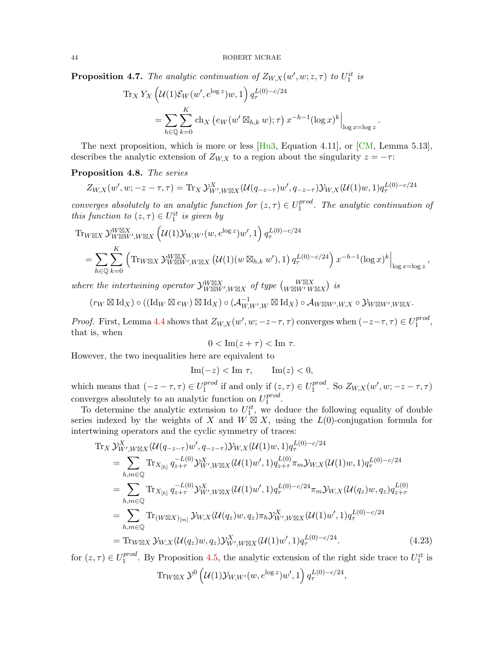<span id="page-43-2"></span>**Proposition 4.7.** The analytic continuation of  $Z_{W,X}(w', w; z, \tau)$  to  $U_1^{it}$  is

$$
\operatorname{Tr}_X Y_X \left( \mathcal{U}(1) \mathcal{E}_W(w', e^{\log z}) w, 1 \right) q_\tau^{L(0) - c/24}
$$

$$
= \sum_{h \in \mathbb{Q}} \sum_{k=0}^K \operatorname{ch}_X \left( e_W(w' \boxtimes_{h,k} w); \tau \right) x^{-h-1} (\log x)^k \Big|_{\log x = \log z}
$$

.

The next proposition, which is more or less  $[Hu3, Equation 4.11]$  $[Hu3, Equation 4.11]$ , or  $[CM, Lemma 5.13]$  $[CM, Lemma 5.13]$ , describes the analytic extension of  $Z_{W,X}$  to a region about the singularity  $z = -\tau$ :

# <span id="page-43-0"></span>Proposition 4.8. The series

$$
Z_{W,X}(w', w; -z - \tau, \tau) = \text{Tr}_X \mathcal{Y}_{W', W \boxtimes X}^X(\mathcal{U}(q_{-z-\tau})w', q_{-z-\tau}) \mathcal{Y}_{W,X}(\mathcal{U}(1)w, 1) q_{\tau}^{L(0)-c/24}
$$

converges absolutely to an analytic function for  $(z, \tau) \in U_1^{prod}$  $_1^{prod}$ . The analytic continuation of this function to  $(z, \tau) \in U_1^{it}$  is given by

$$
\mathrm{Tr}_{W\boxtimes X} \mathcal{Y}^{W\boxtimes X}_{W\boxtimes W', W\boxtimes X} \left( \mathcal{U}(1) \mathcal{Y}_{W,W'}(w, e^{\log z}) w', 1 \right) q_{\tau}^{L(0)-c/24}
$$
\n
$$
= \sum_{h \in \mathbb{Q}} \sum_{k=0}^{K} \left( \mathrm{Tr}_{W\boxtimes X} \mathcal{Y}^{W\boxtimes X}_{W\boxtimes W', W\boxtimes X} \left( \mathcal{U}(1)(w \boxtimes_{h,k} w'), 1 \right) q_{\tau}^{L(0)-c/24} \right) x^{-h-1} (\log x)^{k} \Big|_{\log x = \log z},
$$

where the intertwining operator  $\mathcal{Y}_{W \boxtimes W', W \boxtimes X}^{W \boxtimes X}$  of type  $\binom{W \boxtimes X}{W \boxtimes W' W \boxtimes X}$  is

$$
(r_W \boxtimes \mathrm{Id}_X) \circ ((\mathrm{Id}_W \boxtimes e_W) \boxtimes \mathrm{Id}_X) \circ (\mathcal{A}_{W,W',W}^{-1} \boxtimes \mathrm{Id}_X) \circ \mathcal{A}_{W \boxtimes W',W,X} \circ \mathcal{Y}_{W \boxtimes W',W \boxtimes X}.
$$

*Proof.* First, Lemma [4.4](#page-38-0) shows that  $Z_{W,X}(w', w; -z-\tau, \tau)$  converges when  $(-z-\tau, \tau) \in U_1^{prod}$ proa<sub>,</sub> that is, when

$$
0 < \operatorname{Im}(z + \tau) < \operatorname{Im} \tau.
$$

However, the two inequalities here are equivalent to

$$
\operatorname{Im}(-z) < \operatorname{Im} \tau, \qquad \operatorname{Im}(z) < 0,
$$

which means that  $(-z - \tau, \tau) \in U_1^{prod}$  $i_1^{prod}$  if and only if  $(z, \tau) \in U_1^{prod}$  $1^{prod}$ . So  $Z_{W,X}(w', w; -z-\tau, \tau)$ converges absolutely to an analytic function on  $U_1^{prod}$  $1^{proa}$ .

To determine the analytic extension to  $U_1^{it}$ , we deduce the following equality of double series indexed by the weights of X and  $W \boxtimes X$ , using the  $L(0)$ -conjugation formula for intertwining operators and the cyclic symmetry of traces:

$$
\begin{split}\n&\text{Tr}_{X}\mathcal{Y}_{W',W\boxtimes X}^{X}(\mathcal{U}(q_{-z-\tau})w',q_{-z-\tau})\mathcal{Y}_{W,X}(\mathcal{U}(1)w,1)q_{\tau}^{L(0)-c/24} \\
&=\sum_{h,m\in\mathbb{Q}}\text{Tr}_{X_{[h]}}q_{z+\tau}^{-L(0)}\mathcal{Y}_{W',W\boxtimes X}^{X}(\mathcal{U}(1)w',1)q_{z+\tau}^{L(0)}\pi_{m}\mathcal{Y}_{W,X}(\mathcal{U}(1)w,1)q_{\tau}^{L(0)-c/24} \\
&=\sum_{h,m\in\mathbb{Q}}\text{Tr}_{X_{[h]}}q_{z+\tau}^{-L(0)}\mathcal{Y}_{W',W\boxtimes X}^{X}(\mathcal{U}(1)w',1)q_{\tau}^{L(0)-c/24}\pi_{m}\mathcal{Y}_{W,X}(\mathcal{U}(q_{z})w,q_{z})q_{z+\tau}^{L(0)} \\
&=\sum_{h,m\in\mathbb{Q}}\text{Tr}_{(W\boxtimes X)_{[m]}}\mathcal{Y}_{W,X}(\mathcal{U}(q_{z})w,q_{z})\pi_{h}\mathcal{Y}_{W',W\boxtimes X}^{X}(\mathcal{U}(1)w',1)q_{\tau}^{L(0)-c/24} \\
&=\text{Tr}_{W\boxtimes X}\mathcal{Y}_{W,X}(\mathcal{U}(q_{z})w,q_{z})\mathcal{Y}_{W',W\boxtimes X}^{X}(\mathcal{U}(1)w',1)q_{\tau}^{L(0)-c/24}.\n\end{split} \tag{4.23}
$$

for  $(z, \tau) \in U_1^{prod}$  $1<sup>prod</sup>$ . By Proposition [4.5,](#page-39-2) the analytic extension of the right side trace to  $U_1^{it}$  is

$$
\mathop{\rm Tr}\nolimits_{W \boxtimes X} \mathcal{Y}^0 \left(\mathcal{U}(1)\mathcal{Y}_{W,W'}(w,e^{\log z})w',1\right) q_\tau^{L(0)-c/24}
$$

<span id="page-43-1"></span>,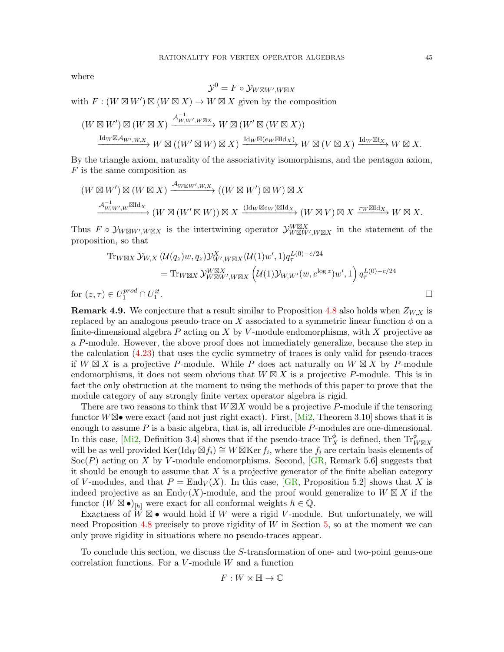where

$$
\mathcal{Y}^0 = F \circ \mathcal{Y}_{W \boxtimes W', W \boxtimes X}
$$
  
with  $F : (W \boxtimes W') \boxtimes (W \boxtimes X) \to W \boxtimes X$  given by the composition  

$$
(W \boxtimes W') \boxtimes (W \boxtimes X) \xrightarrow{\mathcal{A}_{W,W',W \boxtimes X}^{-1}} W \boxtimes (W' \boxtimes (W \boxtimes X))
$$

$$
\xrightarrow{\mathrm{Id}_W \boxtimes \mathcal{A}_{W',W,X}} W \boxtimes ((W' \boxtimes W) \boxtimes X) \xrightarrow{\mathrm{Id}_W \boxtimes (e_W \boxtimes \mathrm{Id}_X)} W \boxtimes (V \boxtimes X) \xrightarrow{\mathrm{Id}_W \boxtimes \mathcal{A}_{W',W,X}} W \otimes ((W' \boxtimes W) \boxtimes X) \xrightarrow{\mathrm{Id}_W \boxtimes (e_W \boxtimes \mathrm{Id}_X)} W \otimes (V \boxtimes X) \xrightarrow{\mathrm{Id}_W \boxtimes \mathcal{A}_{W',W,X}} W \otimes ((W' \boxtimes W) \boxtimes X) \xrightarrow{\mathrm{Id}_W \boxtimes \mathcal{A}_{W',W,X}^{-1}} W \otimes ((W' \boxtimes W) \boxtimes X) \xrightarrow{\mathrm{Id}_W \boxtimes \mathcal{A}_{W',W,X}^{-1}} W \otimes ((W' \boxtimes W) \otimes (W \boxtimes X) \xrightarrow{\mathrm{Id}_W \boxtimes \mathcal{A}_{W',W,X}^{-1}} W \otimes ((W' \boxtimes W) \otimes (W \boxtimes X) \xrightarrow{\mathrm{Id}_W \boxtimes \mathcal{A}_{W',W,X}^{-1}} W \otimes ((W' \boxtimes W) \otimes (W \boxtimes X) \xrightarrow{\mathrm{Id}_W \boxtimes \mathcal{A}_{W',W,X}^{-1}} W \otimes ((W' \boxtimes W) \otimes (W \boxtimes X) \xrightarrow{\mathrm{Id}_W \boxtimes \mathcal{A}_{W',W,X}^{-1}} W \otimes ((W' \boxtimes W) \otimes (W \boxtimes X) \xrightarrow{\mathrm{Id}_W \boxtimes \mathcal{A}_{W',W,X}^{-1}} W \otimes ((W' \boxtimes W) \otimes (W \boxtimes X) \xrightarrow{\mathrm{Id}_W \boxtimes \mathcal{A}_{W',W,X}^{-1}} W \otimes ((W' \boxtimes W) \otimes (W \boxtimes X) \xrightarrow{\mathrm{Id}_W \boxtimes \mathcal{A}_{W',W,X}^{-1}} W \otimes ((W' \boxtimes W) \otimes (W \boxtimes X) \xrightarrow
$$

By the triangle axiom, naturally of the associativity isomorphisms, and the pentagon axiom, 
$$
F
$$
 is the same composition as

$$
(W \boxtimes W') \boxtimes (W \boxtimes X) \xrightarrow{\mathcal{A}_{W \boxtimes W', W, X}} ((W \boxtimes W') \boxtimes W) \boxtimes X
$$
  

$$
\xrightarrow{\mathcal{A}_{W, W', W}^{-1} \boxtimes \mathrm{Id}_X} (W \boxtimes (W' \boxtimes W)) \boxtimes X \xrightarrow{(\mathrm{Id}_W \boxtimes e_W) \boxtimes \mathrm{Id}_X} (W \boxtimes V) \boxtimes X \xrightarrow{r_W \boxtimes \mathrm{Id}_X} W \boxtimes X.
$$

Thus  $F \circ \mathcal{Y}_{W \boxtimes W', W \boxtimes X}$  is the intertwining operator  $\mathcal{Y}_{W \boxtimes W', W \boxtimes X}^{W \boxtimes X}$  in the statement of the proposition, so that

$$
\begin{split} \operatorname{Tr}_{W \boxtimes X} \mathcal{Y}_{W,X} \left( \mathcal{U}(q_z) w, q_z \right) & \mathcal{Y}_{W',W \boxtimes X}^X(\mathcal{U}(1) w', 1) q_\tau^{L(0) - c/24} \\ &= \operatorname{Tr}_{W \boxtimes X} \mathcal{Y}_{W \boxtimes W',W \boxtimes X}^W \left( \mathcal{U}(1) \mathcal{Y}_{W,W'}(w, e^{\log z}) w', 1 \right) q_\tau^{L(0) - c/24} \\ &) \in U_1^{prod} \cap U_1^{it}. \end{split}
$$

for  $(z, \tau)$  $1^{proa} \cap U$ 1

**Remark 4.9.** We conjecture that a result similar to Proposition [4.8](#page-43-0) also holds when  $Z_{W,X}$  is replaced by an analogous pseudo-trace on X associated to a symmetric linear function  $\phi$  on a finite-dimensional algebra P acting on X by V-module endomorphisms, with X projective as a P-module. However, the above proof does not immediately generalize, because the step in the calculation [\(4.23\)](#page-43-1) that uses the cyclic symmetry of traces is only valid for pseudo-traces if  $W \boxtimes X$  is a projective P-module. While P does act naturally on  $W \boxtimes X$  by P-module endomorphisms, it does not seem obvious that  $W \boxtimes X$  is a projective P-module. This is in fact the only obstruction at the moment to using the methods of this paper to prove that the module category of any strongly finite vertex operator algebra is rigid.

There are two reasons to think that  $W\boxtimes X$  would be a projective P-module if the tensoring functor  $W\boxtimes\bullet$  were exact (and not just right exact). First,  $[Mi2, Theorem 3.10]$  $[Mi2, Theorem 3.10]$  shows that it is enough to assume  $P$  is a basic algebra, that is, all irreducible  $P$ -modules are one-dimensional. In this case, [\[Mi2,](#page-84-2) Definition 3.4] shows that if the pseudo-trace  $\text{Tr}_X^{\phi}$  is defined, then  $\text{Tr}_{W \boxtimes X}^{\phi}$ will be as well provided  $\text{Ker}(\text{Id}_W \boxtimes f_i) \cong W \boxtimes \text{Ker } f_i$ , where the  $f_i$  are certain basis elements of  $Soc(P)$  acting on X by V-module endomorphisms. Second, [\[GR,](#page-82-3) Remark 5.6] suggests that it should be enough to assume that  $X$  is a projective generator of the finite abelian category of V-modules, and that  $P = \text{End}_V(X)$ . In this case, [\[GR,](#page-82-3) Proposition 5.2] shows that X is indeed projective as an End $\overline{V}(X)$ -module, and the proof would generalize to  $W \boxtimes X$  if the functor  $(W \boxtimes \bullet)_{[h]}$  were exact for all conformal weights  $h \in \mathbb{Q}$ .

Exactness of  $\overline{W} \boxtimes \bullet$  would hold if W were a rigid V-module. But unfortunately, we will need Proposition [4.8](#page-43-0) precisely to prove rigidity of  $W$  in Section [5,](#page-45-0) so at the moment we can only prove rigidity in situations where no pseudo-traces appear.

To conclude this section, we discuss the S-transformation of one- and two-point genus-one correlation functions. For a  $V$ -module  $W$  and a function

$$
F:W\times\mathbb{H}\to\mathbb{C}
$$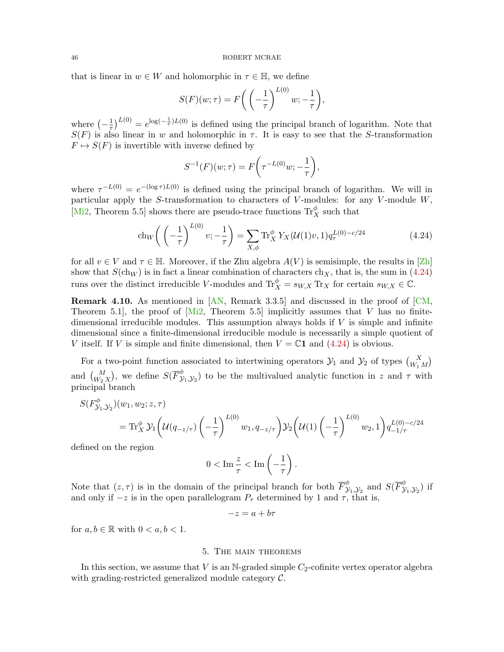that is linear in  $w \in W$  and holomorphic in  $\tau \in \mathbb{H}$ , we define

$$
S(F)(w;\tau) = F\bigg(\left(-\frac{1}{\tau}\right)^{L(0)}w; -\frac{1}{\tau}\bigg),\,
$$

where  $\left(-\frac{1}{\tau}\right)$  $\frac{1}{\tau}$ <sub>1</sub><sup>L(0)</sup> =  $e^{\log(-\frac{1}{\tau})L(0)}$  is defined using the principal branch of logarithm. Note that  $S(F)$  is also linear in w and holomorphic in  $\tau$ . It is easy to see that the S-transformation  $F \mapsto S(F)$  is invertible with inverse defined by

<span id="page-45-1"></span>
$$
S^{-1}(F)(w;\tau) = F\left(\tau^{-L(0)}w; -\frac{1}{\tau}\right),\,
$$

where  $\tau^{-L(0)} = e^{-(\log \tau)L(0)}$  is defined using the principal branch of logarithm. We will in particular apply the S-transformation to characters of  $V$ -modules: for any  $V$ -module  $W$ , [\[Mi2,](#page-84-2) Theorem 5.5] shows there are pseudo-trace functions  $\text{Tr}^{\phi}_X$  such that

$$
ch_W\left(\left(-\frac{1}{\tau}\right)^{L(0)}\nu; -\frac{1}{\tau}\right) = \sum_{X,\phi} \text{Tr}_X^{\phi} Y_X(\mathcal{U}(1)\nu, 1) q_{\tau}^{L(0)-c/24} \tag{4.24}
$$

for all  $v \in V$  and  $\tau \in \mathbb{H}$ . Moreover, if the Zhu algebra  $A(V)$  is semisimple, the results in [\[Zh\]](#page-84-1) show that  $S(\text{ch}_W)$  is in fact a linear combination of characters  $\text{ch}_X$ , that is, the sum in [\(4.24\)](#page-45-1) runs over the distinct irreducible V-modules and  $\text{Tr}_X^{\phi} = s_{W,X} \text{ Tr}_X$  for certain  $s_{W,X} \in \mathbb{C}$ .

Remark 4.10. As mentioned in [\[AN,](#page-81-2) Remark 3.3.5] and discussed in the proof of [\[CM,](#page-81-0) Theorem 5.1], the proof of [\[Mi2,](#page-84-2) Theorem 5.5] implicitly assumes that V has no finitedimensional irreducible modules. This assumption always holds if  $V$  is simple and infinite dimensional since a finite-dimensional irreducible module is necessarily a simple quotient of V itself. If V is simple and finite dimensional, then  $V = \mathbb{C}1$  and  $(4.24)$  is obvious.

For a two-point function associated to intertwining operators  $\mathcal{Y}_1$  and  $\mathcal{Y}_2$  of types  $\binom{X}{W_1 M}$ and  $\binom{M}{W_2 X}$ , we define  $S(\overline{F}_{\mathcal{Y}}^{\phi})$  $(\mathcal{Y}_{1}, \mathcal{Y}_{2})$  to be the multivalued analytic function in z and  $\tau$  with principal branch

$$
S(F^{\phi}_{\mathcal{Y}_1,\mathcal{Y}_2})(w_1, w_2; z, \tau)
$$
  
=  $\text{Tr}_X^{\phi} \mathcal{Y}_1 \left( \mathcal{U}(q_{-z/\tau}) \left( -\frac{1}{\tau} \right)^{L(0)} w_1, q_{-z/\tau} \right) \mathcal{Y}_2 \left( \mathcal{U}(1) \left( -\frac{1}{\tau} \right)^{L(0)} w_2, 1 \right) q_{-1/\tau}^{L(0)-c/24}$ 

defined on the region

$$
0 < \operatorname{Im} \frac{z}{\tau} < \operatorname{Im} \left( -\frac{1}{\tau} \right).
$$

Note that  $(z, \tau)$  is in the domain of the principal branch for both  $\overline{F}_{\lambda}^{\phi}$  $\overset{\phi}{\mathcal{Y}}_1, \overset{\phi}{\mathcal{Y}}_2$  and  $S(\overline{F}_{\mathcal{Y}}^{\phi})$  $(\mathcal{Y}_1, \mathcal{Y}_2)$  if and only if  $-z$  is in the open parallelogram  $P_{\tau}$  determined by 1 and  $\tau$ , that is,

$$
-z = a + b\tau
$$

for  $a, b \in \mathbb{R}$  with  $0 < a, b < 1$ .

### 5. The main theorems

<span id="page-45-0"></span>In this section, we assume that  $V$  is an N-graded simple  $C_2$ -cofinite vertex operator algebra with grading-restricted generalized module category C.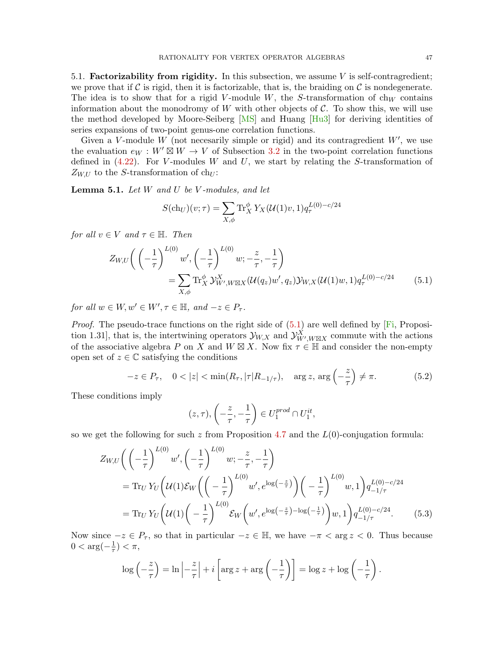5.1. Factorizability from rigidity. In this subsection, we assume  $V$  is self-contragredient; we prove that if  $\mathcal C$  is rigid, then it is factorizable, that is, the braiding on  $\mathcal C$  is nondegenerate. The idea is to show that for a rigid V-module W, the S-transformation of  $ch_W$  contains information about the monodromy of  $W$  with other objects of  $\mathcal{C}$ . To show this, we will use the method developed by Moore-Seiberg [\[MS\]](#page-84-3) and Huang [\[Hu3\]](#page-82-2) for deriving identities of series expansions of two-point genus-one correlation functions.

Given a V-module W (not necesarily simple or rigid) and its contragredient  $W'$ , we use the evaluation  $e_W : W' \boxtimes W \to V$  of Subsection [3.2](#page-21-0) in the two-point correlation functions defined in  $(4.22)$ . For V-modules W and U, we start by relating the S-transformation of  $Z_{W,U}$  to the S-transformation of ch<sub>U</sub>:

<span id="page-46-3"></span>**Lemma 5.1.** Let  $W$  and  $U$  be  $V$ -modules, and let

<span id="page-46-0"></span>
$$
S(\text{ch}_U)(v;\tau) = \sum_{X,\phi} \text{Tr}_X^{\phi} Y_X(\mathcal{U}(1)v, 1) q_{\tau}^{L(0)-c/24}
$$

for all  $v \in V$  and  $\tau \in \mathbb{H}$ . Then

$$
Z_{W,U}\left(\left(-\frac{1}{\tau}\right)^{L(0)}w',\left(-\frac{1}{\tau}\right)^{L(0)}w;-\frac{z}{\tau},-\frac{1}{\tau}\right)
$$
  
=
$$
\sum_{X,\phi}\text{Tr}_X^{\phi}\mathcal{Y}_{W',W\boxtimes X}^X(\mathcal{U}(q_z)w',q_z)\mathcal{Y}_{W,X}(\mathcal{U}(1)w,1)q_{\tau}^{L(0)-c/24}
$$
(5.1)

for all  $w \in W$ ,  $w' \in W'$ ,  $\tau \in \mathbb{H}$ , and  $-z \in P_{\tau}$ .

*Proof.* The pseudo-trace functions on the right side of  $(5.1)$  are well defined by [\[Fi,](#page-82-1) Proposition 1.31], that is, the intertwining operators  $\mathcal{Y}_{W,X}$  and  $\mathcal{Y}_{W',W\boxtimes X}^X$  commute with the actions of the associative algebra P on X and  $W \boxtimes X$ . Now fix  $\tau \in \mathbb{H}$  and consider the non-empty open set of  $z \in \mathbb{C}$  satisfying the conditions

$$
-z \in P_{\tau}, \quad 0 < |z| < \min(R_{\tau}, |\tau| R_{-1/\tau}), \quad \arg z, \arg\left(-\frac{z}{\tau}\right) \neq \pi. \tag{5.2}
$$

These conditions imply

<span id="page-46-2"></span><span id="page-46-1"></span>
$$
(z,\tau), \left(-\frac{z}{\tau}, -\frac{1}{\tau}\right) \in U_1^{prod} \cap U_1^{it},
$$

so we get the following for such z from Proposition [4.7](#page-43-2) and the  $L(0)$ -conjugation formula:

$$
Z_{W,U}\left(\left(-\frac{1}{\tau}\right)^{L(0)}w',\left(-\frac{1}{\tau}\right)^{L(0)}w;-\frac{z}{\tau},-\frac{1}{\tau}\right)
$$
  
= Tr<sub>U</sub>  $Y_U\left(\mathcal{U}(1)\mathcal{E}_W\left(\left(-\frac{1}{\tau}\right)^{L(0)}w',e^{\log\left(-\frac{z}{\tau}\right)}\right)\left(-\frac{1}{\tau}\right)^{L(0)}w,1\right)q_{-1/\tau}^{L(0)-c/24}$   
= Tr<sub>U</sub>  $Y_U\left(\mathcal{U}(1)\left(-\frac{1}{\tau}\right)^{L(0)}\mathcal{E}_W\left(w',e^{\log\left(-\frac{z}{\tau}\right)-\log\left(-\frac{1}{\tau}\right)}\right)w,1\right)q_{-1/\tau}^{L(0)-c/24}.$  (5.3)

Now since  $-z \in P_\tau$ , so that in particular  $-z \in \mathbb{H}$ , we have  $-\pi < \arg z < 0$ . Thus because  $0 < \arg(-\frac{1}{\tau})$  $(\frac{1}{\tau}) < \pi$ ,

$$
\log\left(-\frac{z}{\tau}\right) = \ln\left|-\frac{z}{\tau}\right| + i\left[\arg z + \arg\left(-\frac{1}{\tau}\right)\right] = \log z + \log\left(-\frac{1}{\tau}\right).
$$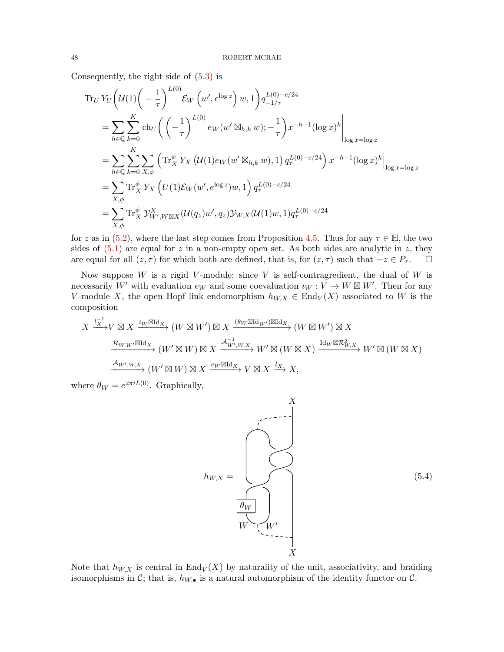Consequently, the right side of [\(5.3\)](#page-46-1) is

$$
\begin{split}\n\operatorname{Tr}_{U} Y_{U} \Big( & \mathcal{U}(1) \Big( -\frac{1}{\tau} \Big)^{L(0)} \mathcal{E}_{W} \left( w', e^{\log z} \right) w, 1 \Big) q_{-1/\tau}^{L(0) - c/24} \\
&= \sum_{h \in \mathbb{Q}} \sum_{k=0}^{K} \operatorname{ch}_{U} \bigg( \left( -\frac{1}{\tau} \right)^{L(0)} e_{W}(w' \boxtimes_{h,k} w); -\frac{1}{\tau} \bigg) x^{-h-1} (\log x)^{k} \Big|_{\log x = \log z} \\
&= \sum_{h \in \mathbb{Q}} \sum_{k=0}^{K} \sum_{X, \phi} \left( \operatorname{Tr}_{X}^{\phi} Y_{X} \left( \mathcal{U}(1) e_{W}(w' \boxtimes_{h,k} w), 1 \right) q_{\tau}^{L(0) - c/24} \right) x^{-h-1} (\log x)^{k} \Big|_{\log x = \log z} \\
&= \sum_{X, \phi} \operatorname{Tr}_{X}^{\phi} Y_{X} \left( U(1) \mathcal{E}_{W}(w', e^{\log z}) w, 1 \right) q_{\tau}^{L(0) - c/24} \\
&= \sum_{X, \phi} \operatorname{Tr}_{X}^{\phi} \mathcal{Y}_{W', W \boxtimes X}^X (\mathcal{U}(q_z) w', q_z) \mathcal{Y}_{W, X} (\mathcal{U}(1) w, 1) q_{\tau}^{L(0) - c/24}\n\end{split}
$$

for z as in [\(5.2\)](#page-46-2), where the last step comes from Proposition [4.5.](#page-39-2) Thus for any  $\tau \in \mathbb{H}$ , the two sides of  $(5.1)$  are equal for z in a non-empty open set. As both sides are analytic in z, they are equal for all  $(z, \tau)$  for which both are defined, that is, for  $(z, \tau)$  such that  $-z \in P_{\tau}$ .  $\square$ 

Now suppose  $W$  is a rigid V-module; since V is self-contragredient, the dual of  $W$  is necessarily W' with evaluation  $e_W$  and some coevaluation  $i_W : V \to W \boxtimes W'$ . Then for any V-module X, the open Hopf link endomorphism  $h_{W,X} \in End_V(X)$  associated to W is the composition

$$
X \xrightarrow{l_X^{-1}} V \boxtimes X \xrightarrow{i_W \boxtimes \mathrm{Id}_X} (W \boxtimes W') \boxtimes X \xrightarrow{(\theta_W \boxtimes \mathrm{Id}_{W'}) \boxtimes \mathrm{Id}_X} (W \boxtimes W') \boxtimes X
$$
  

$$
\xrightarrow{\mathcal{R}_{W,W'} \boxtimes \mathrm{Id}_X} (W' \boxtimes W) \boxtimes X \xrightarrow{\mathcal{A}_{W',W,X}^{-1}} W' \boxtimes (W \boxtimes X) \xrightarrow{\mathrm{Id}_W \boxtimes \mathcal{R}_{W,X}^2} W' \boxtimes (W \boxtimes X)
$$
  

$$
\xrightarrow{\mathcal{A}_{W',W,X}} (W' \boxtimes W) \boxtimes X \xrightarrow{e_W \boxtimes \mathrm{Id}_X} V \boxtimes X \xrightarrow{l_X} X,
$$

where  $\theta_W = e^{2\pi i L(0)}$ . Graphically,



Note that  $h_{W,X}$  is central in End $_V(X)$  by naturality of the unit, associativity, and braiding isomorphisms in C; that is,  $h_{W,\bullet}$  is a natural automorphism of the identity functor on C.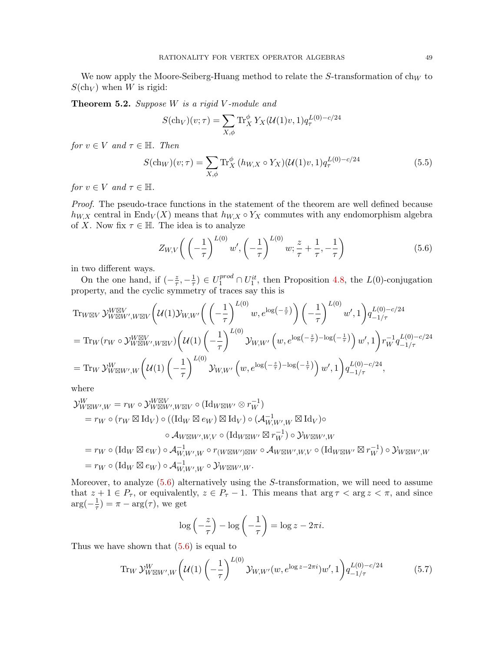We now apply the Moore-Seiberg-Huang method to relate the  $S$ -transformation of ch $_W$  to  $S(\ch_V)$  when W is rigid:

<span id="page-48-3"></span>Theorem 5.2. Suppose W is a rigid V-module and

<span id="page-48-2"></span>
$$
S(\text{ch}_V)(v;\tau) = \sum_{X,\phi} \text{Tr}_X^{\phi} Y_X(\mathcal{U}(1)v, 1) q_{\tau}^{L(0)-c/24}
$$

for  $v \in V$  and  $\tau \in \mathbb{H}$ . Then

$$
S(\text{ch}_W)(v;\tau) = \sum_{X,\phi} \text{Tr}_X^{\phi} (h_{W,X} \circ Y_X)(\mathcal{U}(1)v, 1) q_{\tau}^{L(0)-c/24}
$$
(5.5)

for  $v \in V$  and  $\tau \in \mathbb{H}$ .

Proof. The pseudo-trace functions in the statement of the theorem are well defined because  $h_{W,X}$  central in End $_V(X)$  means that  $h_{W,X} \circ Y_X$  commutes with any endomorphism algebra of X. Now fix  $\tau \in \mathbb{H}$ . The idea is to analyze

<span id="page-48-0"></span>
$$
Z_{W,V}\left(\left(-\frac{1}{\tau}\right)^{L(0)}w',\left(-\frac{1}{\tau}\right)^{L(0)}w;\frac{z}{\tau}+\frac{1}{\tau},-\frac{1}{\tau}\right) \tag{5.6}
$$

in two different ways.

On the one hand, if  $\left(-\frac{z}{\tau}\right)$  $\frac{z}{\tau}, -\frac{1}{\tau}$  $(\frac{1}{\tau}) \in U_1^{prod} \cap U_1^{it}$ , then Proposition [4.8,](#page-43-0) the  $L(0)$ -conjugation property, and the cyclic symmetry of traces say this is

Tr<sub>W</sub>W<sub>V</sub>W<sub>WW</sub><sup>WW</sup>,<sub>W</sub>W<sub>V</sub>
$$
\left(U(1)\mathcal{Y}_{W,W'}\left(\left(-\frac{1}{\tau}\right)^{L(0)}w, e^{\log\left(-\frac{z}{\tau}\right)}\right)\left(-\frac{1}{\tau}\right)^{L(0)}w', 1\right)q_{-1/\tau}^{L(0)-c/24}
$$
  
\n
$$
= \text{Tr}_{W}(r_{W}\circ\mathcal{Y}_{W\boxtimes W',W\boxtimes V}^{W\boxtimes V})\left(U(1)\left(-\frac{1}{\tau}\right)^{L(0)}\mathcal{Y}_{W,W'}\left(w, e^{\log\left(-\frac{z}{\tau}\right)-\log\left(-\frac{1}{\tau}\right)}\right)w', 1\right)r_{W}^{-1}q_{-1/\tau}^{L(0)-c/24}
$$
\n
$$
= \text{Tr}_{W}\mathcal{Y}_{W\boxtimes W',W}^{W}\left(U(1)\left(-\frac{1}{\tau}\right)^{L(0)}\mathcal{Y}_{W,W'}\left(w, e^{\log\left(-\frac{z}{\tau}\right)-\log\left(-\frac{1}{\tau}\right)}\right)w', 1\right)q_{-1/\tau}^{L(0)-c/24},
$$

where

$$
\mathcal{Y}_{W \boxtimes W',W}^W = r_W \circ \mathcal{Y}_{W \boxtimes W',W \boxtimes V}^{W \boxtimes V} \circ (\mathrm{Id}_{W \boxtimes W'} \otimes r_W^{-1})
$$
\n
$$
= r_W \circ (r_W \boxtimes \mathrm{Id}_V) \circ ((\mathrm{Id}_W \boxtimes e_W) \boxtimes \mathrm{Id}_V) \circ (\mathcal{A}_{W,W',W}^{-1} \boxtimes \mathrm{Id}_V) \circ
$$
\n
$$
\circ \mathcal{A}_{W \boxtimes W',W,V} \circ (\mathrm{Id}_{W \boxtimes W'} \boxtimes r_W^{-1}) \circ \mathcal{Y}_{W \boxtimes W',W}
$$
\n
$$
= r_W \circ (\mathrm{Id}_W \boxtimes e_W) \circ \mathcal{A}_{W,W',W}^{-1} \circ r_{(W \boxtimes W') \boxtimes W} \circ \mathcal{A}_{W \boxtimes W',W,V} \circ (\mathrm{Id}_{W \boxtimes W'} \boxtimes r_W^{-1}) \circ \mathcal{Y}_{W \boxtimes W',W}
$$
\n
$$
= r_W \circ (\mathrm{Id}_W \boxtimes e_W) \circ \mathcal{A}_{W,W',W}^{-1} \circ \mathcal{Y}_{W \boxtimes W',W}.
$$

Moreover, to analyze [\(5.6\)](#page-48-0) alternatively using the S-transformation, we will need to assume that  $z + 1 \in P_{\tau}$ , or equivalently,  $z \in P_{\tau} - 1$ . This means that  $\arg \tau < \arg z < \pi$ , and since  $\arg(-\frac{1}{\tau})$  $(\frac{1}{\tau}) = \pi - \arg(\tau)$ , we get

<span id="page-48-1"></span>
$$
\log\left(-\frac{z}{\tau}\right) - \log\left(-\frac{1}{\tau}\right) = \log z - 2\pi i.
$$

Thus we have shown that  $(5.6)$  is equal to

Tr<sub>W</sub> 
$$
\mathcal{Y}_{W \boxtimes W',W}^{W} \left( \mathcal{U}(1) \left( -\frac{1}{\tau} \right)^{L(0)} \mathcal{Y}_{W,W'}(w, e^{\log z - 2\pi i}) w', 1 \right) q_{-1/\tau}^{L(0) - c/24}
$$
 (5.7)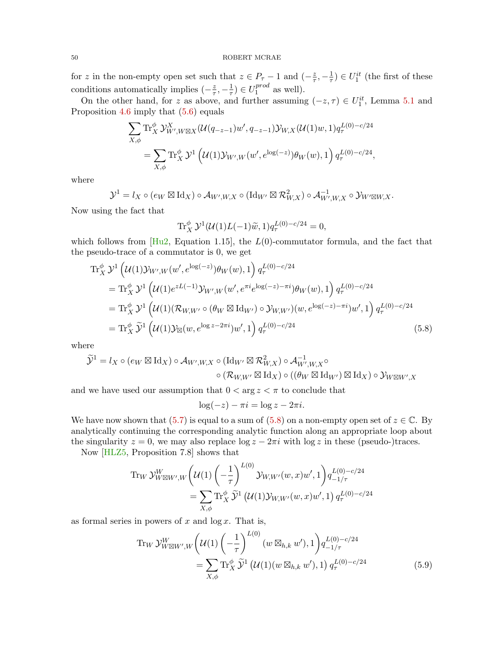for z in the non-empty open set such that  $z \in P_\tau - 1$  and  $\left(-\frac{z}{\tau}\right)$  $\frac{z}{\tau}, -\frac{1}{\tau}$  $(\frac{1}{\tau}) \in U_1^{it}$  (the first of these conditions automatically implies  $\left(-\frac{z}{\tau}\right)$  $\frac{z}{\tau}, -\frac{1}{\tau}$  $(\frac{1}{\tau}) \in U_1^{prod}$  $_1^{proa}$  as well).

On the other hand, for z as above, and further assuming  $(-z, \tau) \in U_1^{it}$ , Lemma [5.1](#page-46-3) and Proposition [4.6](#page-41-2) imply that [\(5.6\)](#page-48-0) equals

$$
\sum_{X,\phi} \text{Tr}_{X}^{\phi} \mathcal{Y}_{W',W\boxtimes X}^{X} (\mathcal{U}(q_{-z-1})w', q_{-z-1}) \mathcal{Y}_{W,X} (\mathcal{U}(1)w, 1) q_{\tau}^{L(0)-c/24}
$$
\n
$$
= \sum_{X,\phi} \text{Tr}_{X}^{\phi} \mathcal{Y}^{1} (\mathcal{U}(1) \mathcal{Y}_{W',W}(w', e^{\log(-z)}) \theta_{W}(w), 1) q_{\tau}^{L(0)-c/24},
$$

where

$$
\mathcal{Y}^1 = l_X \circ (e_W \boxtimes \mathrm{Id}_X) \circ \mathcal{A}_{W',W,X} \circ (\mathrm{Id}_{W'} \boxtimes \mathcal{R}_{W,X}^2) \circ \mathcal{A}_{W',W,X}^{-1} \circ \mathcal{Y}_{W' \boxtimes W,X}.
$$

Now using the fact that

$$
\text{Tr}_X^{\phi} \mathcal{Y}^1(\mathcal{U}(1)L(-1)\widetilde{w}, 1) q_{\tau}^{L(0)-c/24} = 0,
$$

which follows from  $[Hu2, Equation 1.15],$  $[Hu2, Equation 1.15],$  the  $L(0)$ -commutator formula, and the fact that the pseudo-trace of a commutator is 0, we get

$$
\begin{split} \operatorname{Tr}_{X}^{\phi} \mathcal{Y}^{1} \left( \mathcal{U}(1) \mathcal{Y}_{W',W}(w', e^{\log(-z)}) \theta_{W}(w), 1 \right) q_{\tau}^{L(0) - c/24} \\ &= \operatorname{Tr}_{X}^{\phi} \mathcal{Y}^{1} \left( \mathcal{U}(1) e^{zL(-1)} \mathcal{Y}_{W',W}(w', e^{\pi i} e^{\log(-z) - \pi i}) \theta_{W}(w), 1 \right) q_{\tau}^{L(0) - c/24} \\ &= \operatorname{Tr}_{X}^{\phi} \mathcal{Y}^{1} \left( \mathcal{U}(1) (\mathcal{R}_{W,W'} \circ (\theta_{W} \boxtimes \mathrm{Id}_{W'}) \circ \mathcal{Y}_{W,W'}) (w, e^{\log(-z) - \pi i}) w', 1 \right) q_{\tau}^{L(0) - c/24} \\ &= \operatorname{Tr}_{X}^{\phi} \widetilde{\mathcal{Y}}^{1} \left( \mathcal{U}(1) \mathcal{Y}_{\boxtimes}(w, e^{\log z - 2\pi i}) w', 1 \right) q_{\tau}^{L(0) - c/24} \end{split} \tag{5.8}
$$

where

$$
\widetilde{\mathcal{Y}}^1 = l_X \circ (e_W \boxtimes \mathrm{Id}_X) \circ \mathcal{A}_{W',W,X} \circ (\mathrm{Id}_{W'} \boxtimes \mathcal{R}_{W,X}^2) \circ \mathcal{A}_{W',W,X}^{-1} \circ \circ (\mathcal{R}_{W,W'} \boxtimes \mathrm{Id}_X) \circ ((\theta_W \boxtimes \mathrm{Id}_{W'}) \boxtimes \mathrm{Id}_X) \circ \mathcal{Y}_{W \boxtimes W',X}
$$

and we have used our assumption that  $0 < \arg z < \pi$  to conclude that

<span id="page-49-1"></span><span id="page-49-0"></span>
$$
\log(-z) - \pi i = \log z - 2\pi i.
$$

We have now shown that  $(5.7)$  is equal to a sum of  $(5.8)$  on a non-empty open set of  $z \in \mathbb{C}$ . By analytically continuing the corresponding analytic function along an appropriate loop about the singularity  $z = 0$ , we may also replace  $\log z - 2\pi i$  with  $\log z$  in these (pseudo-)traces.

Now [\[HLZ5,](#page-83-1) Proposition 7.8] shows that

Tr<sub>W</sub> 
$$
\mathcal{Y}_{W \boxtimes W',W}^{W} \left( \mathcal{U}(1) \left( -\frac{1}{\tau} \right)^{L(0)} \mathcal{Y}_{W,W'}(w,x) w', 1 \right) q_{-1/\tau}^{L(0)-c/24}
$$
  
= 
$$
\sum_{X,\phi} \text{Tr}_{X}^{\phi} \widetilde{\mathcal{Y}}^{1} \left( \mathcal{U}(1) \mathcal{Y}_{W,W'}(w,x) w', 1 \right) q_{\tau}^{L(0)-c/24}
$$

as formal series in powers of  $x$  and  $\log x$ . That is,

Tr<sub>W</sub> 
$$
\mathcal{Y}_{W \boxtimes W',W}^{W} \left( \mathcal{U}(1) \left( -\frac{1}{\tau} \right)^{L(0)} (w \boxtimes_{h,k} w'), 1 \right) q_{-1/\tau}^{L(0)-c/24}
$$
  
= 
$$
\sum_{X,\phi} \text{Tr}_{X}^{\phi} \widetilde{\mathcal{Y}}^{1} \left( \mathcal{U}(1)(w \boxtimes_{h,k} w'), 1 \right) q_{\tau}^{L(0)-c/24}
$$
(5.9)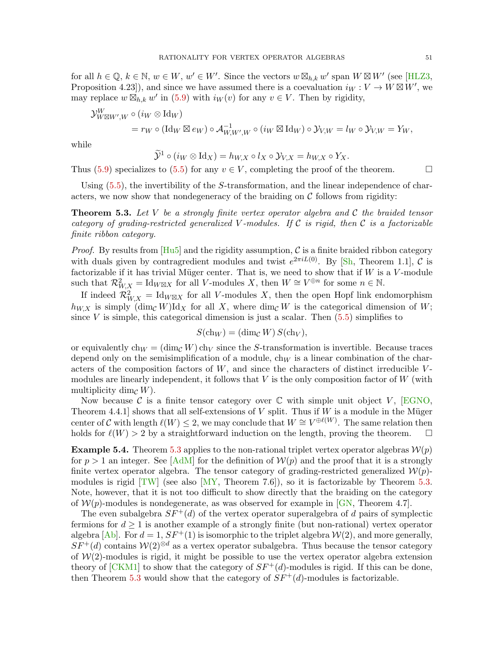for all  $h \in \mathbb{Q}, k \in \mathbb{N}, w \in W, w' \in W'$ . Since the vectors  $w \boxtimes_{h,k} w'$  span  $W \boxtimes W'$  (see [\[HLZ3,](#page-83-2) Proposition 4.23]), and since we have assumed there is a coevaluation  $i_W : V \to W \boxtimes W'$ , we may replace  $w \boxtimes_{h,k} w'$  in [\(5.9\)](#page-49-1) with  $i_W(v)$  for any  $v \in V$ . Then by rigidity,

$$
\mathcal{Y}_{W \boxtimes W',W}^W \circ (i_W \otimes \text{Id}_W)
$$
  
=  $r_W \circ (\text{Id}_W \boxtimes e_W) \circ \mathcal{A}_{W,W',W}^{-1} \circ (i_W \boxtimes \text{Id}_W) \circ \mathcal{Y}_{V,W} = i_W \circ \mathcal{Y}_{V,W} = Y_W,$ 

while

$$
\widetilde{\mathcal{Y}}^1 \circ (i_W \otimes \mathrm{Id}_X) = h_{W,X} \circ l_X \circ \mathcal{Y}_{V,X} = h_{W,X} \circ Y_X.
$$

Thus [\(5.9\)](#page-49-1) specializes to [\(5.5\)](#page-48-2) for any  $v \in V$ , completing the proof of the theorem.

Using  $(5.5)$ , the invertibility of the S-transformation, and the linear independence of characters, we now show that nondegeneracy of the braiding on  $\mathcal C$  follows from rigidity:

<span id="page-50-0"></span>**Theorem 5.3.** Let V be a strongly finite vertex operator algebra and C the braided tensor category of grading-restricted generalized V-modules. If C is rigid, then C is a factorizable finite ribbon category.

*Proof.* By results from  $[Hu5]$  and the rigidity assumption, C is a finite braided ribbon category with duals given by contragredient modules and twist  $e^{2\pi i L(0)}$ . By [\[Sh,](#page-84-4) Theorem 1.1], C is factorizable if it has trivial Müger center. That is, we need to show that if  $W$  is a  $V$ -module such that  $\mathcal{R}_{W,X}^2 = \text{Id}_{W \boxtimes X}$  for all V-modules X, then  $W \cong V^{\oplus n}$  for some  $n \in \mathbb{N}$ .

If indeed  $\mathcal{R}_{W,X}^2 = \text{Id}_{W\boxtimes X}$  for all V-modules X, then the open Hopf link endomorphism  $h_{W,X}$  is simply  $(\dim_{\mathcal{C}} W)\mathrm{Id}_X$  for all X, where  $\dim_{\mathcal{C}} W$  is the categorical dimension of W; since  $V$  is simple, this categorical dimension is just a scalar. Then  $(5.5)$  simplifies to

$$
S(\mathrm{ch}_W) = (\dim_{\mathcal{C}} W) S(\mathrm{ch}_V),
$$

or equivalently  $ch_W = (dim_{\mathcal{C}} W) ch_V$  since the S-transformation is invertible. Because traces depend only on the semisimplification of a module,  $ch_W$  is a linear combination of the characters of the composition factors of  $W$ , and since the characters of distinct irreducible  $V$ modules are linearly independent, it follows that  $V$  is the only composition factor of  $W$  (with multiplicity dim<sub> $\mathcal{C}(W)$ </sub>.

Now because C is a finite tensor category over  $\mathbb C$  with simple unit object V, [\[EGNO,](#page-82-5) Theorem 4.4.1] shows that all self-extensions of V split. Thus if W is a module in the Müger center of C with length  $\ell(W) \leq 2$ , we may conclude that  $W \cong V^{\oplus \ell(W)}$ . The same relation then holds for  $\ell(W) > 2$  by a straightforward induction on the length, proving the theorem.  $\square$ 

**Example 5.4.** Theorem [5.3](#page-50-0) applies to the non-rational triplet vertex operator algebras  $\mathcal{W}(p)$ for  $p > 1$  an integer. See [\[AdM\]](#page-81-3) for the definition of  $\mathcal{W}(p)$  and the proof that it is a strongly finite vertex operator algebra. The tensor category of grading-restricted generalized  $\mathcal{W}(p)$ modules is rigid  $[TW]$  (see also  $[MY,$  Theorem 7.6), so it is factorizable by Theorem [5.3.](#page-50-0) Note, however, that it is not too difficult to show directly that the braiding on the category of  $W(p)$ -modules is nondegenerate, as was observed for example in [\[GN,](#page-82-6) Theorem 4.7].

The even subalgebra  $SF^+(d)$  of the vertex operator superalgebra of d pairs of symplectic fermions for  $d \geq 1$  is another example of a strongly finite (but non-rational) vertex operator algebra [\[Ab\]](#page-81-4). For  $d = 1$ ,  $SF^+(1)$  is isomorphic to the triplet algebra  $W(2)$ , and more generally,  $SF^+(d)$  contains  $W(2)^{\otimes d}$  as a vertex operator subalgebra. Thus because the tensor category of  $W(2)$ -modules is rigid, it might be possible to use the vertex operator algebra extension theory of  $[CKM1]$  to show that the category of  $SF^+(d)$ -modules is rigid. If this can be done, then Theorem [5.3](#page-50-0) would show that the category of  $SF^+(d)$ -modules is factorizable.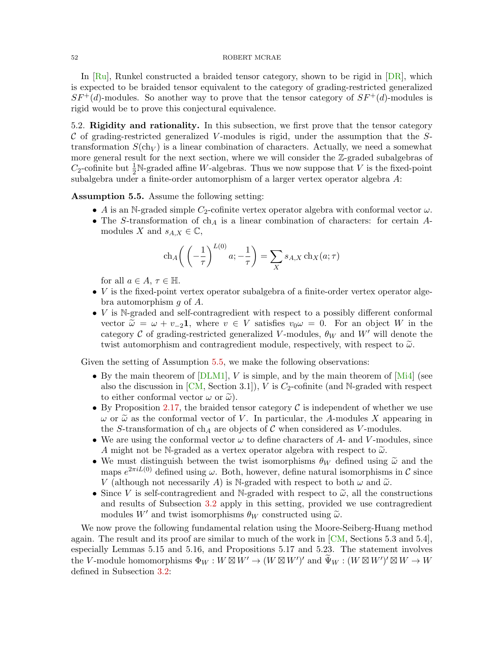In  $[Ru]$ , Runkel constructed a braided tensor category, shown to be rigid in  $[DR]$ , which is expected to be braided tensor equivalent to the category of grading-restricted generalized  $SF^+(d)$ -modules. So another way to prove that the tensor category of  $SF^+(d)$ -modules is rigid would be to prove this conjectural equivalence.

5.2. Rigidity and rationality. In this subsection, we first prove that the tensor category  $\mathcal C$  of grading-restricted generalized V-modules is rigid, under the assumption that the Stransformation  $S(\text{ch}_V)$  is a linear combination of characters. Actually, we need a somewhat more general result for the next section, where we will consider the Z-graded subalgebras of  $C_2$ -cofinite but  $\frac{1}{2}N$ -graded affine W-algebras. Thus we now suppose that V is the fixed-point subalgebra under a finite-order automorphism of a larger vertex operator algebra A:

<span id="page-51-0"></span>Assumption 5.5. Assume the following setting:

- A is an N-graded simple  $C_2$ -cofinite vertex operator algebra with conformal vector  $\omega$ .
- The S-transformation of  $ch_A$  is a linear combination of characters: for certain Amodules X and  $s_{A,X} \in \mathbb{C}$ ,

$$
\operatorname{ch}_A\left(\left(-\frac{1}{\tau}\right)^{L(0)}a; -\frac{1}{\tau}\right) = \sum_X s_{A,X} \operatorname{ch}_X(a; \tau)
$$

for all  $a \in A$ ,  $\tau \in \mathbb{H}$ .

- *V* is the fixed-point vertex operator subalgebra of a finite-order vertex operator algebra automorphism g of A.
- $V$  is N-graded and self-contragredient with respect to a possibly different conformal vector  $\tilde{\omega} = \omega + v_{-2}$ , where  $v \in V$  satisfies  $v_0 \omega = 0$ . For an object W in the category C of grading-restricted generalized V-modules,  $\theta_W$  and W' will denote the twist automorphism and contragredient module, respectively, with respect to  $\tilde{\omega}$ .

Given the setting of Assumption [5.5,](#page-51-0) we make the following observations:

- By the main theorem of  $[DLM1]$ , V is simple, and by the main theorem of  $[Mi4]$  (see also the discussion in  $[CM, Section 3.1]$  $[CM, Section 3.1]$ , V is  $C_2$ -cofinite (and N-graded with respect to either conformal vector  $\omega$  or  $\tilde{\omega}$ ).
- By Proposition [2.17,](#page-18-0) the braided tensor category  $\mathcal C$  is independent of whether we use  $\omega$  or  $\tilde{\omega}$  as the conformal vector of V. In particular, the A-modules X appearing in the S-transformation of ch<sub>A</sub> are objects of C when considered as V-modules.
- We are using the conformal vector  $\omega$  to define characters of A- and V-modules, since A might not be N-graded as a vertex operator algebra with respect to  $\tilde{\omega}$ .
- We must distinguish between the twist isomorphisms  $\theta_W$  defined using  $\tilde{\omega}$  and the maps  $e^{2\pi i L(0)}$  defined using  $\omega$ . Both, however, define natural isomorphisms in C since V (although not necessarily A) is N-graded with respect to both  $\omega$  and  $\tilde{\omega}$ .
- Since V is self-contragredient and N-graded with respect to  $\tilde{\omega}$ , all the constructions and results of Subsection [3.2](#page-21-0) apply in this setting, provided we use contragredient modules W' and twist isomorphisms  $\theta_W$  constructed using  $\tilde{\omega}$ .

We now prove the following fundamental relation using the Moore-Seiberg-Huang method again. The result and its proof are similar to much of the work in  $\overline{CM}$ , Sections 5.3 and 5.4], especially Lemmas 5.15 and 5.16, and Propositions 5.17 and 5.23. The statement involves the V-module homomorphisms  $\Phi_W : W \boxtimes W' \to (W \boxtimes W')'$  and  $\widetilde{\Psi}_W : (W \boxtimes W')' \boxtimes W \to W$ defined in Subsection [3.2:](#page-21-0)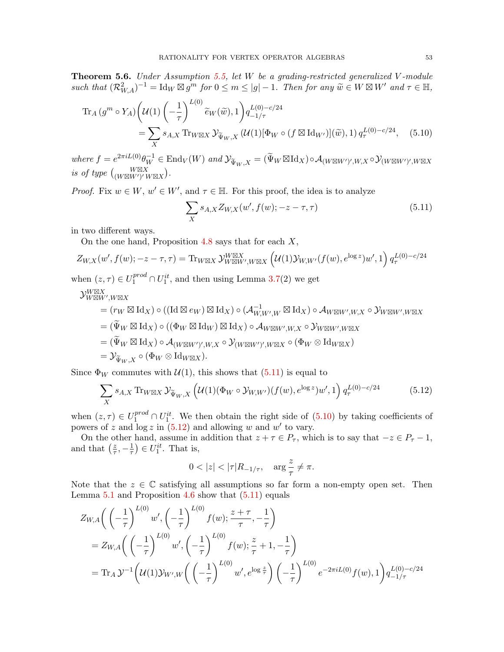<span id="page-52-3"></span>Theorem 5.6. Under Assumption [5.5,](#page-51-0) let W be a grading-restricted generalized V-module such that  $(\mathcal{R}_{W,A}^2)^{-1} = \text{Id}_W \boxtimes g^m$  for  $0 \leq m \leq |g|-1$ . Then for any  $\widetilde{w} \in W \boxtimes W'$  and  $\tau \in \mathbb{H}$ ,

$$
\operatorname{Tr}_{A}(g^{m} \circ Y_{A})\left(\mathcal{U}(1)\left(-\frac{1}{\tau}\right)^{L(0)}\tilde{e}_{W}(\tilde{w}), 1\right)q_{-1/\tau}^{L(0)-c/24}
$$
\n
$$
=\sum_{X} s_{A,X} \operatorname{Tr}_{W\boxtimes X} \mathcal{Y}_{\tilde{\Psi}_{W},X}\left(\mathcal{U}(1)[\Phi_{W} \circ (f \boxtimes \mathrm{Id}_{W'})](\tilde{w}), 1\right)q_{\tau}^{L(0)-c/24}, \quad (5.10)
$$

where  $f = e^{2\pi i L(0)} \theta_W^{-1} \in \text{End}_V(W)$  and  $\mathcal{Y}_{\Psi_W, X} = (\Psi_W \boxtimes \text{Id}_X) \circ \mathcal{A}_{(W \boxtimes W')', W, X} \circ \mathcal{Y}_{(W \boxtimes W')', W \boxtimes X}$ is of type  $\begin{pmatrix} W\boxtimes X \\ (W\boxtimes W')' W\boxtimes X \end{pmatrix}$ .

*Proof.* Fix  $w \in W$ ,  $w' \in W'$ , and  $\tau \in \mathbb{H}$ . For this proof, the idea is to analyze

<span id="page-52-1"></span><span id="page-52-0"></span>
$$
\sum_{X} s_{A,X} Z_{W,X}(w', f(w); -z - \tau, \tau)
$$
\n(5.11)

in two different ways.

On the one hand, Proposition [4.8](#page-43-0) says that for each  $X$ ,

$$
Z_{W,X}(w',f(w);-z-\tau,\tau) = \text{Tr}_{W\boxtimes X} \mathcal{Y}_{W\boxtimes W',W\boxtimes X}^{W\boxtimes X} \left( \mathcal{U}(1)\mathcal{Y}_{W,W'}(f(w),e^{\log z})w',1 \right) q_{\tau}^{L(0)-c/24}
$$

when  $(z, \tau) \in U_1^{prod} \cap U_1^{it}$ , and then using Lemma [3.7\(](#page-26-0)2) we get

 $\mathcal{Y}_{W \boxtimes W', W \boxtimes X}^{W \boxtimes X}$ 

$$
= (r_W \boxtimes \mathrm{Id}_X) \circ ((\mathrm{Id} \boxtimes e_W) \boxtimes \mathrm{Id}_X) \circ (\mathcal{A}_{W,W',W}^{-1} \boxtimes \mathrm{Id}_X) \circ \mathcal{A}_{W \boxtimes W',W,X} \circ \mathcal{Y}_{W \boxtimes W',W \boxtimes X}
$$
  

$$
= (\widetilde{\Psi}_W \boxtimes \mathrm{Id}_X) \circ ((\Phi_W \boxtimes \mathrm{Id}_W) \boxtimes \mathrm{Id}_X) \circ \mathcal{A}_{W \boxtimes W',W,X} \circ \mathcal{Y}_{W \boxtimes W',W \boxtimes X}
$$
  

$$
= (\widetilde{\Psi}_W \boxtimes \mathrm{Id}_X) \circ \mathcal{A}_{(W \boxtimes W')',W,X} \circ \mathcal{Y}_{(W \boxtimes W')',W \boxtimes X} \circ (\Phi_W \otimes \mathrm{Id}_{W \boxtimes X})
$$
  

$$
= \mathcal{Y}_{\widetilde{\Psi}_W,X} \circ (\Phi_W \otimes \mathrm{Id}_{W \boxtimes X}).
$$

Since  $\Phi_W$  commutes with  $\mathcal{U}(1)$ , this shows that  $(5.11)$  is equal to

$$
\sum_{X} s_{A,X} \operatorname{Tr}_{W\boxtimes X} \mathcal{Y}_{\widetilde{\Psi}_W, X} \left( \mathcal{U}(1)(\Phi_W \circ \mathcal{Y}_{W,W'}) (f(w), e^{\log z}) w', 1 \right) q_{\tau}^{L(0) - c/24} \tag{5.12}
$$

when  $(z, \tau) \in U_1^{prod} \cap U_1^{it}$ . We then obtain the right side of  $(5.10)$  by taking coefficients of powers of z and  $\log z$  in [\(5.12\)](#page-52-2) and allowing w and w' to vary.

On the other hand, assume in addition that  $z + \tau \in P_{\tau}$ , which is to say that  $-z \in P_{\tau} - 1$ , and that  $\left(\frac{z}{\tau}\right)$  $\frac{z}{\tau}, -\frac{1}{\tau}$  $(\frac{1}{\tau}) \in U_1^{it}$ . That is,

<span id="page-52-2"></span>
$$
0<|z|<|\tau|R_{-1/\tau}, \quad \arg\frac{z}{\tau}\neq \pi.
$$

Note that the  $z \in \mathbb{C}$  satisfying all assumptions so far form a non-empty open set. Then Lemma [5.1](#page-46-3) and Proposition [4.6](#page-41-2) show that [\(5.11\)](#page-52-0) equals

$$
Z_{W,A}\left(\left(-\frac{1}{\tau}\right)^{L(0)}w',\left(-\frac{1}{\tau}\right)^{L(0)}f(w);\frac{z+\tau}{\tau},-\frac{1}{\tau}\right)
$$
  
=  $Z_{W,A}\left(\left(-\frac{1}{\tau}\right)^{L(0)}w',\left(-\frac{1}{\tau}\right)^{L(0)}f(w);\frac{z}{\tau}+1,-\frac{1}{\tau}\right)$   
=  $\text{Tr}_A\mathcal{Y}^{-1}\left(\mathcal{U}(1)\mathcal{Y}_{W',W}\left(\left(-\frac{1}{\tau}\right)^{L(0)}w',e^{\log\frac{z}{\tau}}\right)\left(-\frac{1}{\tau}\right)^{L(0)}e^{-2\pi iL(0)}f(w),1\right)q_{-1/\tau}^{L(0)-c/24}$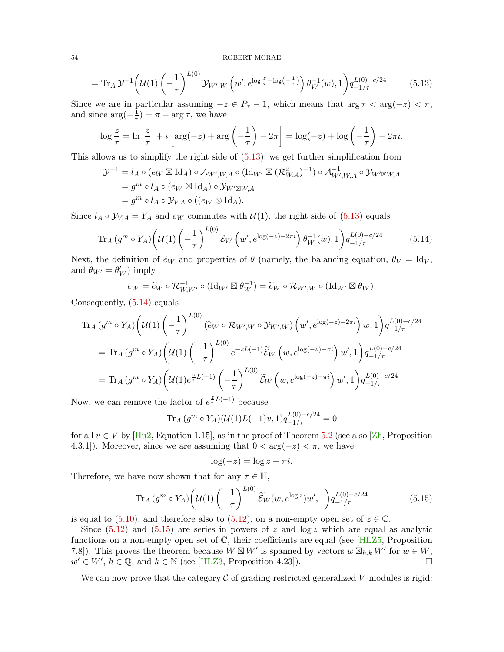$$
= \operatorname{Tr}_A \mathcal{Y}^{-1} \left( \mathcal{U}(1) \left( -\frac{1}{\tau} \right)^{L(0)} \mathcal{Y}_{W',W} \left( w', e^{\log \frac{z}{\tau} - \log \left( -\frac{1}{\tau} \right)} \right) \theta_W^{-1}(w), 1 \right) q_{-1/\tau}^{L(0) - c/24}.
$$
 (5.13)

Since we are in particular assuming  $-z \in P_\tau - 1$ , which means that  $\arg \tau < \arg(-z) < \pi$ , and since  $\arg(-\frac{1}{\tau})$  $(\frac{1}{\tau}) = \pi - \arg \tau$ , we have

<span id="page-53-0"></span>
$$
\log \frac{z}{\tau} = \ln \left| \frac{z}{\tau} \right| + i \left[ \arg(-z) + \arg\left(-\frac{1}{\tau}\right) - 2\pi \right] = \log(-z) + \log\left(-\frac{1}{\tau}\right) - 2\pi i.
$$

This allows us to simplify the right side of [\(5.13\)](#page-53-0); we get further simplification from

$$
\mathcal{Y}^{-1} = l_A \circ (e_W \boxtimes \mathrm{Id}_A) \circ \mathcal{A}_{W',W,A} \circ (\mathrm{Id}_{W'} \boxtimes (\mathcal{R}_{W,A}^2)^{-1}) \circ \mathcal{A}_{W',W,A}^{-1} \circ \mathcal{Y}_{W' \boxtimes W,A}
$$
  
=  $g^m \circ l_A \circ (e_W \boxtimes \mathrm{Id}_A) \circ \mathcal{Y}_{W' \boxtimes W,A}$   
=  $g^m \circ l_A \circ \mathcal{Y}_{V,A} \circ ((e_W \otimes \mathrm{Id}_A)).$ 

Since  $l_A \circ \mathcal{Y}_{V,A} = Y_A$  and  $e_W$  commutes with  $\mathcal{U}(1)$ , the right side of [\(5.13\)](#page-53-0) equals

$$
\operatorname{Tr}_{A}(g^{m} \circ Y_{A}) \left( \mathcal{U}(1) \left( -\frac{1}{\tau} \right)^{L(0)} \mathcal{E}_{W} \left( w', e^{\log(-z) - 2\pi i} \right) \theta_{W}^{-1}(w), 1 \right) q_{-1/\tau}^{L(0) - c/24}
$$
(5.14)

Next, the definition of  $\tilde{e}_W$  and properties of  $\theta$  (namely, the balancing equation,  $\theta_V = \text{Id}_V$ , and  $\theta_{W'} = \theta'_W$ ) imply

<span id="page-53-1"></span>
$$
e_W = \widetilde{e}_W \circ \mathcal{R}_{W,W'}^{-1} \circ (\mathrm{Id}_{W'} \boxtimes \theta_W^{-1}) = \widetilde{e}_W \circ \mathcal{R}_{W',W} \circ (\mathrm{Id}_{W'} \boxtimes \theta_W).
$$

Consequently, [\(5.14\)](#page-53-1) equals

$$
\begin{split} \operatorname{Tr}_{A} \left( g^{m} \circ Y_{A} \right) \left( \mathcal{U}(1) \left( -\frac{1}{\tau} \right)^{L(0)} \left( \tilde{e}_{W} \circ \mathcal{R}_{W',W} \circ \mathcal{Y}_{W',W} \right) \left( w', e^{\log(-z) - 2\pi i} \right) w, 1 \right) q_{-1/\tau}^{L(0) - c/24} \\ &= \operatorname{Tr}_{A} \left( g^{m} \circ Y_{A} \right) \left( \mathcal{U}(1) \left( -\frac{1}{\tau} \right)^{L(0)} e^{-zL(-1)} \tilde{\mathcal{E}}_{W} \left( w, e^{\log(-z) - \pi i} \right) w', 1 \right) q_{-1/\tau}^{L(0) - c/24} \\ &= \operatorname{Tr}_{A} \left( g^{m} \circ Y_{A} \right) \left( \mathcal{U}(1) e^{\frac{z}{\tau}L(-1)} \left( -\frac{1}{\tau} \right)^{L(0)} \tilde{\mathcal{E}}_{W} \left( w, e^{\log(-z) - \pi i} \right) w', 1 \right) q_{-1/\tau}^{L(0) - c/24} \end{split}
$$

Now, we can remove the factor of  $e^{\frac{z}{\tau}L(-1)}$  because

$$
\text{Tr}_A(g^m \circ Y_A)(\mathcal{U}(1)L(-1)v, 1)q_{-1/\tau}^{L(0)-c/24} = 0
$$

for all  $v \in V$  by [\[Hu2,](#page-82-0) Equation 1.15], as in the proof of Theorem [5.2](#page-48-3) (see also [\[Zh,](#page-84-1) Proposition 4.3.1]). Moreover, since we are assuming that  $0 < \arg(-z) < \pi$ , we have

<span id="page-53-2"></span>
$$
\log(-z) = \log z + \pi i.
$$

Therefore, we have now shown that for any  $\tau \in \mathbb{H}$ ,

$$
\operatorname{Tr}_{A}(g^{m} \circ Y_{A}) \left( \mathcal{U}(1) \left( -\frac{1}{\tau} \right)^{L(0)} \widetilde{\mathcal{E}}_{W}(w, e^{\log z}) w', 1 \right) q_{-1/\tau}^{L(0) - c/24}
$$
(5.15)

is equal to [\(5.10\)](#page-52-1), and therefore also to [\(5.12\)](#page-52-2), on a non-empty open set of  $z \in \mathbb{C}$ .

Since  $(5.12)$  and  $(5.15)$  are series in powers of z and  $log z$  which are equal as analytic functions on a non-empty open set of  $\mathbb C$ , their coefficients are equal (see [\[HLZ5,](#page-83-1) Proposition 7.8]). This proves the theorem because  $W \boxtimes W'$  is spanned by vectors  $w \boxtimes_{h,k} W'$  for  $w \in W$ ,  $w' \in W'$ ,  $h \in \mathbb{Q}$ , and  $k \in \mathbb{N}$  (see [\[HLZ3,](#page-83-2) Proposition 4.23]).

We can now prove that the category  $\mathcal C$  of grading-restricted generalized V-modules is rigid: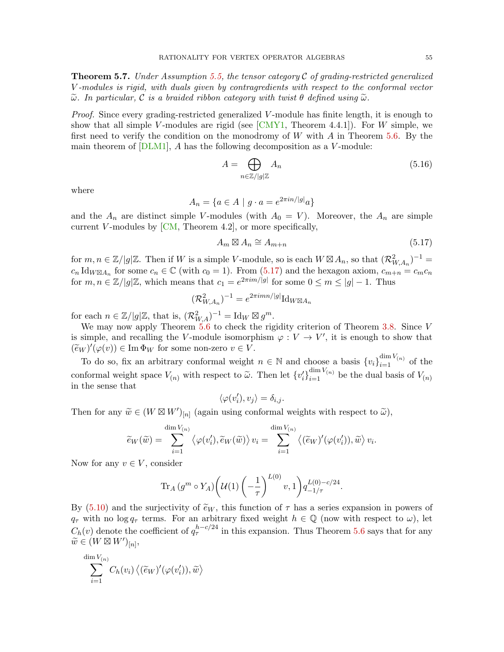<span id="page-54-2"></span>**Theorem 5.7.** Under Assumption [5.5,](#page-51-0) the tensor category  $\mathcal C$  of grading-restricted generalized V -modules is rigid, with duals given by contragredients with respect to the conformal vector  $\tilde{\omega}$ . In particular, C is a braided ribbon category with twist  $\theta$  defined using  $\tilde{\omega}$ .

Proof. Since every grading-restricted generalized V-module has finite length, it is enough to show that all simple V-modules are rigid (see  $\lfloor \text{CMY1}, \text{Theorem 4.4.1} \rfloor$ ). For W simple, we first need to verify the condition on the monodromy of  $W$  with  $A$  in Theorem [5.6.](#page-52-3) By the main theorem of  $[DLM1]$ ,  $A$  has the following decomposition as a  $V$ -module:

<span id="page-54-1"></span>
$$
A = \bigoplus_{n \in \mathbb{Z}/|g|\mathbb{Z}} A_n \tag{5.16}
$$

where

$$
A_n = \{ a \in A \mid g \cdot a = e^{2\pi i n / |g|} a \}
$$

and the  $A_n$  are distinct simple V-modules (with  $A_0 = V$ ). Moreover, the  $A_n$  are simple current V-modules by  $[CM, Theorem 4.2]$  $[CM, Theorem 4.2]$ , or more specifically,

<span id="page-54-0"></span>
$$
A_m \boxtimes A_n \cong A_{m+n} \tag{5.17}
$$

for  $m, n \in \mathbb{Z}/|g|\mathbb{Z}$ . Then if W is a simple V-module, so is each  $W \boxtimes A_n$ , so that  $(\mathcal{R}_{W,A_n}^2)^{-1} =$  $c_n \operatorname{Id}_{W \boxtimes A_n}$  for some  $c_n \in \mathbb{C}$  (with  $c_0 = 1$ ). From [\(5.17\)](#page-54-0) and the hexagon axiom,  $c_{m+n} = c_m c_n$ for  $m, n \in \mathbb{Z}/|g|\mathbb{Z}$ , which means that  $c_1 = e^{2\pi i m/|g|}$  for some  $0 \le m \le |g| - 1$ . Thus

$$
(\mathcal{R}_{W,A_n}^2)^{-1} = e^{2\pi i mn/|g|} \mathrm{Id}_{W \boxtimes A_n}
$$

for each  $n \in \mathbb{Z}/|g|\mathbb{Z}$ , that is,  $(\mathcal{R}_{W,A}^2)^{-1} = \text{Id}_W \boxtimes g^m$ .

We may now apply Theorem [5.6](#page-52-3) to check the rigidity criterion of Theorem [3.8.](#page-27-0) Since V is simple, and recalling the V-module isomorphism  $\varphi: V \to V'$ , it is enough to show that  $(\widetilde{e}_W)'(\varphi(v)) \in \text{Im } \Phi_W$  for some non-zero  $v \in V$ .

To do so, fix an arbitrary conformal weight  $n \in \mathbb{N}$  and choose a basis  ${v_i}_{i=1}^{\dim V_{(n)}}$  of the conformal weight space  $V_{(n)}$  with respect to  $\tilde{\omega}$ . Then let  $\{v_i'\}_{i=1}^{\dim V_{(n)}}$  be the dual basis of  $V_{(n)}$ in the sense that

$$
\langle \varphi(v_i'), v_j \rangle = \delta_{i,j}.
$$

Then for any  $\widetilde{w} \in (W \boxtimes W')_{[n]}$  (again using conformal weights with respect to  $\widetilde{\omega}$ ),

$$
\widetilde{e}_W(\widetilde{w}) = \sum_{i=1}^{\dim V_{(n)}} \langle \varphi(v_i'), \widetilde{e}_W(\widetilde{w}) \rangle v_i = \sum_{i=1}^{\dim V_{(n)}} \langle (\widetilde{e}_W)'(\varphi(v_i')), \widetilde{w} \rangle v_i.
$$

Now for any  $v \in V$ , consider

$$
\text{Tr}_A(g^m \circ Y_A) \bigg( \mathcal{U}(1) \left( -\frac{1}{\tau} \right)^{L(0)} v, 1 \bigg) q_{-1/\tau}^{L(0) - c/24}.
$$

By [\(5.10\)](#page-52-1) and the surjectivity of  $\tilde{e}_W$ , this function of  $\tau$  has a series expansion in powers of  $q_{\tau}$  with no log  $q_{\tau}$  terms. For an arbitrary fixed weight  $h \in \mathbb{Q}$  (now with respect to  $\omega$ ), let  $C_h(v)$  denote the coefficient of  $q_\tau^{h-c/24}$  in this expansion. Thus Theorem [5.6](#page-52-3) says that for any  $\widetilde{w} \in (W \boxtimes W')_{[n]},$ 

$$
\sum_{i=1}^{\dim V_{(n)}} C_h(v_i) \left\langle (\widetilde{e}_W)'(\varphi(v_i')), \widetilde{w} \right\rangle
$$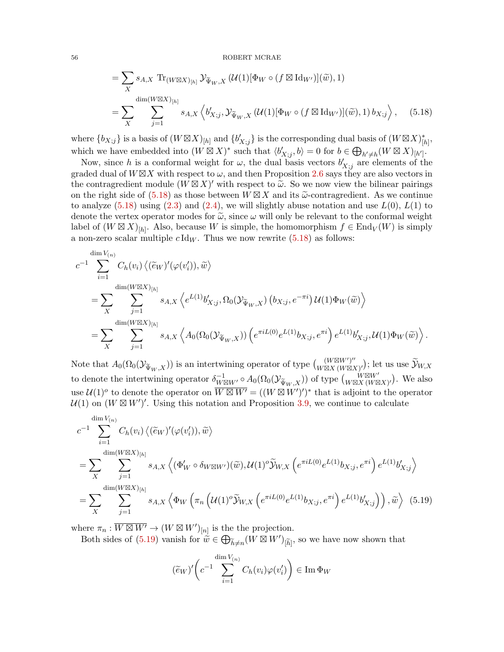<span id="page-55-0"></span>
$$
= \sum_{X} s_{A,X} \operatorname{Tr}_{(W \boxtimes X)_{[h]}} \mathcal{Y}_{\widetilde{\Psi}_W, X} \left( \mathcal{U}(1) [\Phi_W \circ (f \boxtimes \operatorname{Id}_{W'})] (\widetilde{w}), 1 \right)
$$
  

$$
= \sum_{X} \sum_{j=1}^{\dim(W \boxtimes X)_{[h]}} s_{A,X} \left\langle b'_{X;j}, \mathcal{Y}_{\widetilde{\Psi}_W, X} \left( \mathcal{U}(1) [\Phi_W \circ (f \boxtimes \operatorname{Id}_{W'})] (\widetilde{w}), 1 \right) b_{X;j} \right\rangle, \quad (5.18)
$$

where  ${b_{X;j}}$  is a basis of  $(W \boxtimes X)_{[h]}$  and  ${b'_{X;j}}$  is the corresponding dual basis of  $(W \boxtimes X)_{[h]}^*$ , which we have embedded into  $(W \boxtimes X)^*$  such that  $\langle b'_{X;j}, b \rangle = 0$  for  $b \in \bigoplus_{h' \neq h} (W \boxtimes X)_{[h']}$ .

Now, since h is a conformal weight for  $\omega$ , the dual basis vectors  $b'_{X;j}$  are elements of the graded dual of  $W\boxtimes X$  with respect to  $\omega$ , and then Proposition [2.6](#page-11-0) says they are also vectors in the contragredient module  $(W \boxtimes X)'$  with respect to  $\tilde{\omega}$ . So we now view the bilinear pairings<br>on the right side of (5.18) as these between  $W \boxtimes Y$  and its  $\tilde{\omega}$  contragredient. As we continue on the right side of  $(5.18)$  as those between  $W \boxtimes X$  and its  $\tilde{\omega}$ -contragredient. As we continue<br>to analyze  $(5.18)$  using  $(2.3)$  and  $(2.4)$  we will slightly abuse notation and use  $I(0)$ ,  $I(1)$  to to analyze  $(5.18)$  using  $(2.3)$  and  $(2.4)$ , we will slightly abuse notation and use  $L(0)$ ,  $L(1)$  to denote the vertex operator modes for  $\tilde{\omega}$ , since  $\omega$  will only be relevant to the conformal weight label of  $(W \boxtimes X)_{[h]}$ . Also, because W is simple, the homomorphism  $f \in \text{End}_V(W)$  is simply a non-zero scalar multiple  $c \, \text{Id}_W$ . Thus we now rewrite  $(5.18)$  as follows:

$$
c^{-1} \sum_{i=1}^{\dim V_{(n)}} C_h(v_i) \langle (\widetilde{e}_W)'(\varphi(v_i')), \widetilde{w} \rangle
$$
  
= 
$$
\sum_{X} \sum_{j=1}^{\dim(W \boxtimes X)_{[h]}} s_{A,X} \langle e^{L(1)}b'_{X,j}, \Omega_0(\mathcal{Y}_{\widetilde{\Psi}_W,X}) (b_{X,j}, e^{-\pi i}) U(1) \Phi_W(\widetilde{w}) \rangle
$$
  
= 
$$
\sum_{X} \sum_{j=1}^{\dim(W \boxtimes X)_{[h]}} s_{A,X} \langle A_0(\Omega_0(\mathcal{Y}_{\widetilde{\Psi}_W,X})) (e^{\pi i L(0)} e^{L(1)} b_{X,j}, e^{\pi i}) e^{L(1)} b'_{X,j}, u(1) \Phi_W(\widetilde{w}) \rangle.
$$

Note that  $A_0(\Omega_0(\mathcal{Y}_{\widetilde{\Psi}_W,X}))$  is an intertwining operator of type  $\binom{(W\boxtimes W')''}{W\boxtimes X(W\boxtimes Y)}$  $\frac{(W \boxtimes W')''}{W \boxtimes X (W \boxtimes X)'}$ ; let us use  $\mathcal{Y}_{W,X}$ to denote the intertwining operator  $\delta_{W \boxtimes W'}^{-1} \circ A_0(\Omega_0(\mathcal{Y}_{\widetilde{\Psi}_W,X}))$  of type  $\begin{pmatrix} W \boxtimes W' \\ W \boxtimes X \end{pmatrix}$  $W \boxtimes W' \cong W' \boxtimes X'$ . We also use  $\mathcal{U}(1)^\circ$  to denote the operator on  $\overline{W \boxtimes W'} = ((W \boxtimes W')')^*$  that is adjoint to the operator  $\mathcal{U}(1)$  on  $(W \boxtimes W)'$ . Using this notation and Proposition [3.9,](#page-29-0) we continue to calculate

$$
c^{-1} \sum_{i=1}^{\dim V_{(n)}} C_h(v_i) \langle (\widetilde{e}_W)'(\varphi(v_i')), \widetilde{w} \rangle
$$
  
\n
$$
= \sum_{X} \sum_{j=1}^{\dim (W \boxtimes X)_{[h]}} s_{A,X} \langle (\Phi_W' \circ \delta_{W \boxtimes W'})(\widetilde{w}), \mathcal{U}(1)^o \widetilde{\mathcal{Y}}_{W,X} \left( e^{\pi i L(0)} e^{L(1)} b_{X;j}, e^{\pi i} \right) e^{L(1)} b'_{X;j} \rangle
$$
  
\n
$$
= \sum_{X} \sum_{j=1}^{\dim (W \boxtimes X)_{[h]}} s_{A,X} \langle \Phi_W \left( \pi_n \left( \mathcal{U}(1)^o \widetilde{\mathcal{Y}}_{W,X} \left( e^{\pi i L(0)} e^{L(1)} b_{X;j}, e^{\pi i} \right) e^{L(1)} b'_{X;j} \right) \right), \widetilde{w} \rangle \tag{5.19}
$$

where  $\pi_n : \overline{W \boxtimes W'} \to (W \boxtimes W')_{[n]}$  is the the projection.

Both sides of [\(5.19\)](#page-55-1) vanish for  $\tilde{\vec{w}} \in \bigoplus_{\tilde{h} \neq n} (W \boxtimes W')_{\tilde{[h]}}$ , so we have now shown that

<span id="page-55-1"></span>
$$
(\widetilde{e}_W)'\bigg(c^{-1}\sum_{i=1}^{\dim V_{(n)}}C_h(v_i)\varphi(v_i')\bigg)\in \operatorname{Im}\Phi_W
$$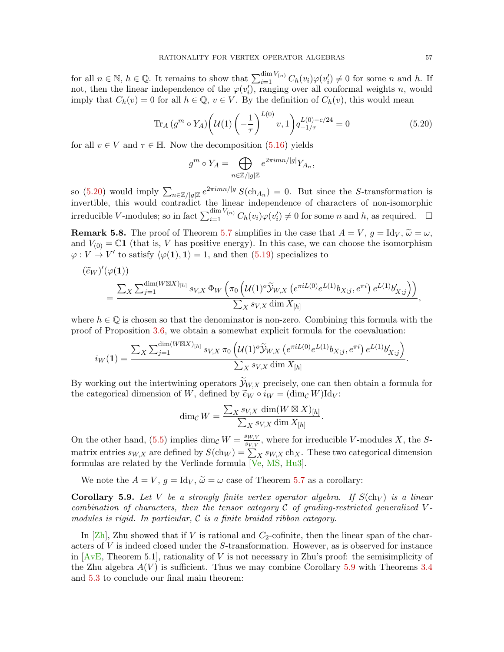for all  $n \in \mathbb{N}$ ,  $h \in \mathbb{Q}$ . It remains to show that  $\sum_{i=1}^{\dim V_{(n)}} C_h(v_i) \varphi(v_i') \neq 0$  for some n and h. If not, then the linear independence of the  $\varphi(v_i')$ , ranging over all conformal weights n, would imply that  $C_h(v) = 0$  for all  $h \in \mathbb{Q}$ ,  $v \in V$ . By the definition of  $C_h(v)$ , this would mean

$$
\operatorname{Tr}_A(g^m \circ Y_A) \left( \mathcal{U}(1) \left( -\frac{1}{\tau} \right)^{L(0)} v, 1 \right) q_{-1/\tau}^{L(0) - c/24} = 0 \tag{5.20}
$$

for all  $v \in V$  and  $\tau \in \mathbb{H}$ . Now the decomposition [\(5.16\)](#page-54-1) yields

<span id="page-56-0"></span>
$$
g^m \circ Y_A = \bigoplus_{n \in \mathbb{Z}/|g|\mathbb{Z}} e^{2\pi i mn/|g|} Y_{A_n},
$$

so [\(5.20\)](#page-56-0) would imply  $\sum_{n\in\mathbb{Z}/|g|\mathbb{Z}}e^{2\pi imn/|g|}S(\text{ch}_{A_n})=0$ . But since the S-transformation is invertible, this would contradict the linear independence of characters of non-isomorphic irreducible V-modules; so in fact  $\sum_{i=1}^{\dim V_{(n)}} C_h(v_i) \varphi(v_i') \neq 0$  for some n and h, as required.  $\Box$ 

**Remark 5.8.** The proof of Theorem [5.7](#page-54-2) simplifies in the case that  $A = V$ ,  $g = \text{Id}_V$ ,  $\tilde{\omega} = \omega$ , and  $V_{(0)} = \mathbb{C}1$  (that is, V has positive energy). In this case, we can choose the isomorphism  $\varphi: V \to V'$  to satisfy  $\langle \varphi(1), 1 \rangle = 1$ , and then  $(5.19)$  specializes to

$$
\begin{split} (\tilde{e}_W)'(\varphi(\mathbf{1})) \\ &= \frac{\sum_X \sum_{j=1}^{\dim(W \boxtimes X)_{[h]}} s_{V,X} \, \Phi_W \left( \pi_0 \left( \mathcal{U}(1)^o \widetilde{\mathcal{Y}}_{W,X} \left( e^{\pi i L(0)} e^{L(1)} b_{X;j}, e^{\pi i} \right) e^{L(1)} b'_{X;j} \right) \right)}{\sum_X s_{V,X} \dim X_{[h]}}, \end{split}
$$

where  $h \in \mathbb{Q}$  is chosen so that the denominator is non-zero. Combining this formula with the proof of Proposition [3.6,](#page-24-0) we obtain a somewhat explicit formula for the coevaluation:

$$
i_W(1) = \frac{\sum_X \sum_{j=1}^{\dim(W \boxtimes X)_{[h]}} s_{V,X} \, \pi_0 \left( \mathcal{U}(1)^o \widetilde{\mathcal{Y}}_{W,X} \left( e^{\pi i L(0)} e^{L(1)} b_{X;j}, e^{\pi i} \right) e^{L(1)} b'_{X;j} \right)}{\sum_X s_{V,X} \dim X_{[h]}}.
$$

By working out the intertwining operators  $\widetilde{\mathcal{Y}}_{W,X}$  precisely, one can then obtain a formula for the categorical dimension of W, defined by  $\widetilde{e}_W \circ i_W = (\dim_{\mathcal{C}} W) \mathrm{Id}_V$ :

$$
\dim_{\mathcal{C}} W = \frac{\sum_{X} s_{V,X} \dim(W \boxtimes X)_{[h]}}{\sum_{X} s_{V,X} \dim X_{[h]}}.
$$

On the other hand, [\(5.5\)](#page-48-2) implies dim<sub>C</sub>  $W = \frac{s_{W,V}}{s_{V,V}}$  $\frac{S_{W,V}}{S_{V,V}}$ , where for irreducible V-modules X, the Smatrix entries  $s_{W,X}$  are defined by  $S(\text{ch}_W) = \sum_X s_{W,X} \text{ch}_X$ . These two categorical dimension formulas are related by the Verlinde formula [\[Ve,](#page-84-9) [MS,](#page-84-3) [Hu3\]](#page-82-2).

We note the  $A = V$ ,  $g = \text{Id}_V$ ,  $\tilde{\omega} = \omega$  case of Theorem [5.7](#page-54-2) as a corollary:

<span id="page-56-1"></span>**Corollary 5.9.** Let V be a strongly finite vertex operator algebra. If  $S(\text{ch}_V)$  is a linear combination of characters, then the tensor category  $\mathcal C$  of grading-restricted generalized Vmodules is rigid. In particular,  $\mathcal C$  is a finite braided ribbon category.

In [\[Zh\]](#page-84-1), Zhu showed that if V is rational and  $C_2$ -cofinite, then the linear span of the characters of V is indeed closed under the S-transformation. However, as is observed for instance in  $[AvE, Theorem 5.1]$  $[AvE, Theorem 5.1]$ , rationality of V is not necessary in Zhu's proof: the semisimplicity of the Zhu algebra  $A(V)$  is sufficient. Thus we may combine Corollary [5.9](#page-56-1) with Theorems [3.4](#page-20-0) and [5.3](#page-50-0) to conclude our final main theorem: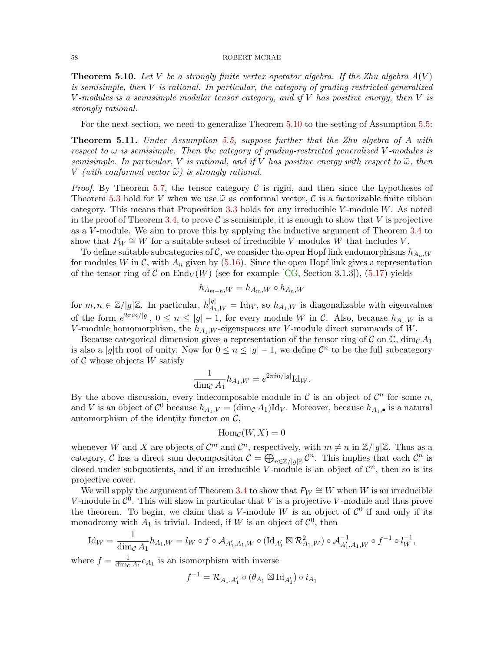<span id="page-57-0"></span>**Theorem 5.10.** Let V be a strongly finite vertex operator algebra. If the Zhu algebra  $A(V)$ is semisimple, then  $V$  is rational. In particular, the category of grading-restricted generalized V-modules is a semisimple modular tensor category, and if V has positive energy, then V is strongly rational.

For the next section, we need to generalize Theorem [5.10](#page-57-0) to the setting of Assumption [5.5:](#page-51-0)

<span id="page-57-1"></span>Theorem 5.11. Under Assumption [5.5,](#page-51-0) suppose further that the Zhu algebra of A with respect to  $\omega$  is semisimple. Then the category of grading-restricted generalized V-modules is semisimple. In particular, V is rational, and if V has positive energy with respect to  $\tilde{\omega}$ , then V (with conformal vector  $\tilde{\omega}$ ) is strongly rational.

*Proof.* By Theorem [5.7,](#page-54-2) the tensor category  $\mathcal C$  is rigid, and then since the hypotheses of Theorem [5.3](#page-50-0) hold for V when we use  $\tilde{\omega}$  as conformal vector, C is a factorizable finite ribbon category. This means that Proposition [3.3](#page-20-1) holds for any irreducible V-module  $W$ . As noted in the proof of Theorem [3.4,](#page-20-0) to prove  $\mathcal C$  is semisimple, it is enough to show that V is projective as a V -module. We aim to prove this by applying the inductive argument of Theorem [3.4](#page-20-0) to show that  $P_W \cong W$  for a suitable subset of irreducible V-modules W that includes V.

To define suitable subcategories of C, we consider the open Hopf link endomorphisms  $h_{A_n,W}$ for modules W in C, with  $A_n$  given by [\(5.16\)](#page-54-1). Since the open Hopf link gives a representation of the tensor ring of C on End<sub>V</sub> $(W)$  (see for example [\[CG,](#page-81-7) Section 3.1.3]), [\(5.17\)](#page-54-0) yields

$$
h_{A_{m+n},W} = h_{A_m,W} \circ h_{A_n,W}
$$

for  $m, n \in \mathbb{Z}/|g|\mathbb{Z}$ . In particular,  $h_{A_1,W}^{|g|} = \text{Id}_W$ , so  $h_{A_1,W}$  is diagonalizable with eigenvalues of the form  $e^{2\pi i n/|g|}$ ,  $0 \le n \le |g|-1$ , for every module W in C. Also, because  $h_{A_1,W}$  is a V-module homomorphism, the  $h_{A_1,W}$ -eigenspaces are V-module direct summands of W.

Because categorical dimension gives a representation of the tensor ring of C on  $\mathbb{C}$ , dim<sub>C</sub> A<sub>1</sub> is also a |g|th root of unity. Now for  $0 \le n \le |g| - 1$ , we define  $\mathcal{C}^n$  to be the full subcategory of  $\mathcal C$  whose objects  $W$  satisfy

$$
\frac{1}{\dim_{\mathcal{C}} A_1} h_{A_1,W} = e^{2\pi i n/|g|} \mathrm{Id}_W.
$$

By the above discussion, every indecomposable module in  $\mathcal C$  is an object of  $\mathcal C^n$  for some n, and V is an object of  $\mathcal{C}^0$  because  $h_{A_1,V} = (\dim_{\mathcal{C}} A_1) \mathrm{Id}_V$ . Moreover, because  $h_{A_1,\bullet}$  is a natural automorphism of the identity functor on  $C$ ,

$$
\operatorname{Hom}_{\mathcal{C}}(W,X)=0
$$

whenever W and X are objects of  $\mathcal{C}^m$  and  $\mathcal{C}^n$ , respectively, with  $m \neq n$  in  $\mathbb{Z}/|g|\mathbb{Z}$ . Thus as a category, C has a direct sum decomposition  $\mathcal{C} = \bigoplus_{n \in \mathbb{Z}/|g|\mathbb{Z}} \mathcal{C}^n$ . This implies that each  $\mathcal{C}^n$  is closed under subquotients, and if an irreducible V-module is an object of  $\mathcal{C}^n$ , then so is its projective cover.

We will apply the argument of Theorem [3.4](#page-20-0) to show that  $P_W \cong W$  when W is an irreducible V-module in  $\mathcal{C}^0$ . This will show in particular that V is a projective V-module and thus prove the theorem. To begin, we claim that a V-module W is an object of  $\mathcal{C}^0$  if and only if its monodromy with  $A_1$  is trivial. Indeed, if W is an object of  $\mathcal{C}^0$ , then

$$
\mathrm{Id}_W = \frac{1}{\dim_{\mathcal{C}} A_1} h_{A_1, W} = l_W \circ f \circ A_{A'_1, A_1, W} \circ (\mathrm{Id}_{A'_1} \boxtimes \mathcal{R}_{A_1, W}^2) \circ A_{A'_1, A_1, W}^{-1} \circ f^{-1} \circ l_W^{-1},
$$

where  $f = \frac{1}{\dim e}$  $\frac{1}{\dim_{\mathcal{C}} A_1} e_{A_1}$  is an isomorphism with inverse

$$
f^{-1} = \mathcal{R}_{A_1,A_1'} \circ (\theta_{A_1} \boxtimes \mathrm{Id}_{A_1'}) \circ i_{A_1}
$$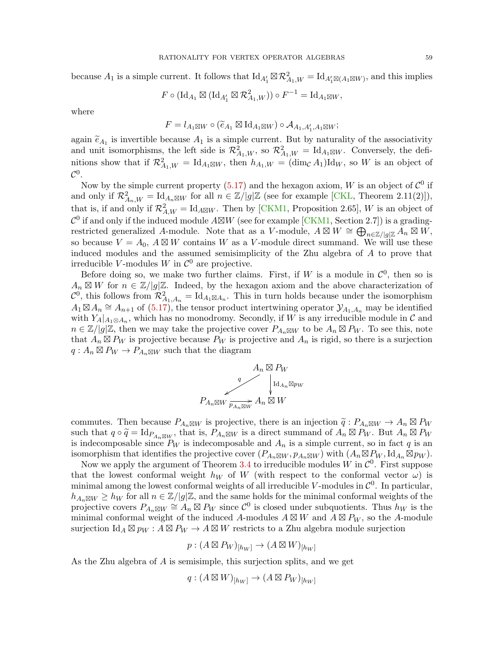because  $A_1$  is a simple current. It follows that  $\mathrm{Id}_{A'_1} \boxtimes \mathcal{R}_{A_1,W}^2 = \mathrm{Id}_{A'_1 \boxtimes (A_1 \boxtimes W)}$ , and this implies

$$
F\circ (\mathrm{Id}_{A_1}\boxtimes (\mathrm{Id}_{A'_1}\boxtimes \mathcal{R}_{A_1,W}^2))\circ F^{-1}=\mathrm{Id}_{A_1\boxtimes W},
$$

where

$$
F = l_{A_1 \boxtimes W} \circ (\widetilde{e}_{A_1} \boxtimes \mathrm{Id}_{A_1 \boxtimes W}) \circ \mathcal{A}_{A_1, A'_1, A_1 \boxtimes W};
$$

again  $\tilde{e}_{A_1}$  is invertible because  $A_1$  is a simple current. But by naturality of the associativity<br>and unit isomorphisms, the left side is  $\mathcal{P}^2$  so  $\mathcal{P}^2$  = Id is sure. Conversely, the defiand unit isomorphisms, the left side is  $\mathcal{R}^2_{A_1,W}$ , so  $\mathcal{R}^2_{A_1,W} = \text{Id}_{A_1\boxtimes W}$ . Conversely, the definitions show that if  $\mathcal{R}^2_{A_1,W} = \mathrm{Id}_{A_1 \boxtimes W}$ , then  $h_{A_1,W} = (\dim_{\mathcal{C}} A_1) \mathrm{Id}_W$ , so W is an object of  $\mathcal{C}^0.$ 

Now by the simple current property [\(5.17\)](#page-54-0) and the hexagon axiom, W is an object of  $\mathcal{C}^0$  if and only if  $\mathcal{R}_{A_n,W}^2 = \text{Id}_{A_n \boxtimes W}$  for all  $n \in \mathbb{Z}/|g|\mathbb{Z}$  (see for example [\[CKL,](#page-81-8) Theorem 2.11(2)]), that is, if and only if  $\mathcal{R}^2_{A,W} = \text{Id}_{A\boxtimes W}$ . Then by [\[CKM1,](#page-81-5) Proposition 2.65], W is an object of  $\mathcal{C}^0$  if and only if the induced module  $A\boxtimes W$  (see for example [\[CKM1,](#page-81-5) Section 2.7]) is a gradingrestricted generalized A-module. Note that as a V-module,  $A \boxtimes W \cong \bigoplus_{n \in \mathbb{Z}/[g]\mathbb{Z}} \widetilde{A}_n \boxtimes W$ , so because  $V = A_0$ ,  $A \boxtimes W$  contains W as a V-module direct summand. We will use these induced modules and the assumed semisimplicity of the Zhu algebra of A to prove that irreducible V-modules W in  $\mathcal{C}^0$  are projective.

Before doing so, we make two further claims. First, if W is a module in  $\mathcal{C}^0$ , then so is  $A_n \boxtimes W$  for  $n \in \mathbb{Z}/|g|\mathbb{Z}$ . Indeed, by the hexagon axiom and the above characterization of  $\mathcal{C}^0$ , this follows from  $\mathcal{R}^2_{A_1,A_n} = \mathrm{Id}_{A_1 \boxtimes A_n}$ . This in turn holds because under the isomorphism  $A_1 \boxtimes A_n \cong A_{n+1}$  of  $(5.17)$ , the tensor product intertwining operator  $\mathcal{Y}_{A_1,A_n}$  may be identified with  $Y_A|_{A_1\otimes A_n}$ , which has no monodromy. Secondly, if W is any irreducible module in C and  $n \in \mathbb{Z}/|g|\mathbb{Z}$ , then we may take the projective cover  $P_{A_n \boxtimes W}$  to be  $A_n \boxtimes P_W$ . To see this, note that  $A_n \boxtimes P_W$  is projective because  $P_W$  is projective and  $A_n$  is rigid, so there is a surjection  $q: A_n \boxtimes P_W \to P_{A_n \boxtimes W}$  such that the diagram

$$
A_n \boxtimes P_W
$$
  
\n
$$
P_{A_n \boxtimes W} \xrightarrow[q_{A_n} \boxtimes W]{} A_n \boxtimes W
$$
  
\n
$$
P_{A_n \boxtimes W} \xrightarrow[p_{A_n \boxtimes W} A_n \boxtimes W]{} A_n
$$

commutes. Then because  $P_{A_n \boxtimes W}$  is projective, there is an injection  $\tilde{q}: P_{A_n \boxtimes W} \to A_n \boxtimes P_W$ <br>such that  $a \circ \tilde{q} = \text{Id}_{\text{D}}$  that is  $P_{A_n \boxtimes W}$  is a direct summand of  $A \boxtimes P_W$ . But  $A \boxtimes P_W$ such that  $q \circ \tilde{q} = \text{Id}_{P_{An} \boxtimes W}$ , that is,  $P_{An} \boxtimes W$  is a direct summand of  $A_n \boxtimes P_W$ . But  $A_n \boxtimes P_W$ <br>is indecomposable since  $B_{\infty}$  is indecomposable and  $A$  is a simple current so in fact a is an is indecomposable since  $P_W$  is indecomposable and  $A_n$  is a simple current, so in fact q is an isomorphism that identifies the projective cover  $(P_{A_n \boxtimes W}, p_{A_n \boxtimes W})$  with  $(A_n \boxtimes P_W, \mathrm{Id}_{A_n} \boxtimes p_W)$ .

Now we apply the argument of Theorem [3.4](#page-20-0) to irreducible modules  $W$  in  $\mathcal{C}^0$ . First suppose that the lowest conformal weight  $h_W$  of W (with respect to the conformal vector  $\omega$ ) is minimal among the lowest conformal weights of all irreducible V-modules in  $\mathcal{C}^0$ . In particular,  $h_{A_n\boxtimes W} \geq h_W$  for all  $n \in \mathbb{Z}/|g|\mathbb{Z}$ , and the same holds for the minimal conformal weights of the projective covers  $P_{A_n \boxtimes W} \cong A_n \boxtimes P_W$  since  $\mathcal{C}^0$  is closed under subquotients. Thus  $h_W$  is the minimal conformal weight of the induced A-modules  $A \boxtimes W$  and  $\overline{A} \boxtimes P_W$ , so the A-module surjection  $\mathrm{Id}_A \boxtimes p_W : A \boxtimes P_W \to A \boxtimes W$  restricts to a Zhu algebra module surjection

$$
p: (A \boxtimes P_W)_{[h_W]} \to (A \boxtimes W)_{[h_W]}
$$

As the Zhu algebra of A is semisimple, this surjection splits, and we get

$$
q: (A \boxtimes W)_{[h_W]} \to (A \boxtimes P_W)_{[h_W]}
$$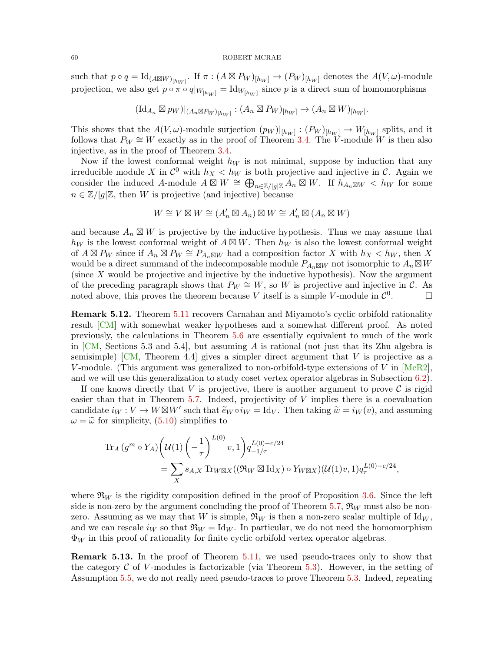such that  $p \circ q = \text{Id}_{(A \boxtimes W)_{[h_W]}}$ . If  $\pi : (A \boxtimes P_W)_{[h_W]} \to (P_W)_{[h_W]}$  denotes the  $A(V, \omega)$ -module projection, we also get  $p \circ \pi \circ q|_{W_{[h_W]}} = \text{Id}_{W_{[h_W]}}$  since  $p$  is a direct sum of homomorphisms

$$
(\mathrm{Id}_{A_n}\boxtimes p_W)|_{(A_n\boxtimes P_W)_{[h_W]}}:(A_n\boxtimes P_W)_{[h_W]}\to (A_n\boxtimes W)_{[h_W]}.
$$

This shows that the  $A(V, \omega)$ -module surjection  $(p_W)|_{[h_W]} : (P_W)_{[h_W]} \to W_{[h_W]}$  splits, and it follows that  $P_W \cong W$  exactly as in the proof of Theorem [3.4.](#page-20-0) The V-module W is then also injective, as in the proof of Theorem [3.4.](#page-20-0)

Now if the lowest conformal weight  $h_W$  is not minimal, suppose by induction that any irreducible module X in  $\mathcal{C}^0$  with  $h_X < h_W$  is both projective and injective in C. Again we consider the induced A-module  $A \boxtimes W \cong \bigoplus_{n \in \mathbb{Z}/[g]\mathbb{Z}} A_n \boxtimes W$ . If  $h_{A_n \boxtimes W} < h_W$  for some  $n \in \mathbb{Z}/|q|\mathbb{Z}$ , then W is projective (and injective) because

$$
W\cong V\boxtimes W\cong (A'_n\boxtimes A_n)\boxtimes W\cong A'_n\boxtimes (A_n\boxtimes W)
$$

and because  $A_n \boxtimes W$  is projective by the inductive hypothesis. Thus we may assume that  $h_W$  is the lowest conformal weight of  $A \boxtimes W$ . Then  $h_W$  is also the lowest conformal weight of  $A \boxtimes P_W$  since if  $A_n \boxtimes P_W \cong P_{A_n \boxtimes W}$  had a composition factor X with  $h_X < h_W$ , then X would be a direct summand of the indecomposable module  $P_{A_n \boxtimes W}$  not isomorphic to  $A_n \boxtimes W$ (since X would be projective and injective by the inductive hypothesis). Now the argument of the preceding paragraph shows that  $P_W \cong W$ , so W is projective and injective in C. As noted above, this proves the theorem because V itself is a simple V-module in  $\mathcal{C}^0$  $\Box$ 

Remark 5.12. Theorem [5.11](#page-57-1) recovers Carnahan and Miyamoto's cyclic orbifold rationality result [\[CM\]](#page-81-0) with somewhat weaker hypotheses and a somewhat different proof. As noted previously, the calculations in Theorem [5.6](#page-52-3) are essentially equivalent to much of the work in  $[CM,$  Sections 5.3 and 5.4, but assuming A is rational (not just that its Zhu algebra is semisimple)  $\lfloor CM \rfloor$ , Theorem 4.4 gives a simpler direct argument that V is projective as a V-module. (This argument was generalized to non-orbifold-type extensions of V in  $[McR2]$ , and we will use this generalization to study coset vertex operator algebras in Subsection [6.2\)](#page-65-0).

If one knows directly that V is projective, there is another argument to prove  $\mathcal C$  is rigid easier than that in Theorem [5.7.](#page-54-2) Indeed, projectivity of  $V$  implies there is a coevaluation candidate  $i_W : V \to W \boxtimes W'$  such that  $\tilde{e}_W \circ i_W = \text{Id}_V$ . Then taking  $\tilde{w} = i_W(v)$ , and assuming  $\omega = \tilde{\omega}$  for simplicity (5.10) simplifies to  $\omega = \tilde{\omega}$  for simplicity, [\(5.10\)](#page-52-1) simplifies to

$$
\mathrm{Tr}_{A} (g^{m} \circ Y_{A}) \left( \mathcal{U}(1) \left( -\frac{1}{\tau} \right)^{L(0)} v, 1 \right) q_{-1/\tau}^{L(0) - c/24}
$$
\n
$$
= \sum_{X} s_{A,X} \mathrm{Tr}_{W \boxtimes X} ((\mathfrak{R}_{W} \boxtimes \mathrm{Id}_{X}) \circ Y_{W \boxtimes X}) (\mathcal{U}(1)v, 1) q_{\tau}^{L(0) - c/24},
$$

where  $\mathfrak{R}_W$  is the rigidity composition defined in the proof of Proposition [3.6.](#page-24-0) Since the left side is non-zero by the argument concluding the proof of Theorem [5.7,](#page-54-2)  $\mathfrak{R}_W$  must also be nonzero. Assuming as we may that W is simple,  $\mathfrak{R}_W$  is then a non-zero scalar multiple of  $\mathrm{Id}_W$ , and we can rescale  $i_W$  so that  $\Re_W = \text{Id}_W$ . In particular, we do not need the homomorphism  $\Phi_W$  in this proof of rationality for finite cyclic orbifold vertex operator algebras.

<span id="page-59-0"></span>Remark 5.13. In the proof of Theorem [5.11,](#page-57-1) we used pseudo-traces only to show that the category  $\mathcal C$  of V-modules is factorizable (via Theorem [5.3\)](#page-50-0). However, in the setting of Assumption [5.5,](#page-51-0) we do not really need pseudo-traces to prove Theorem [5.3.](#page-50-0) Indeed, repeating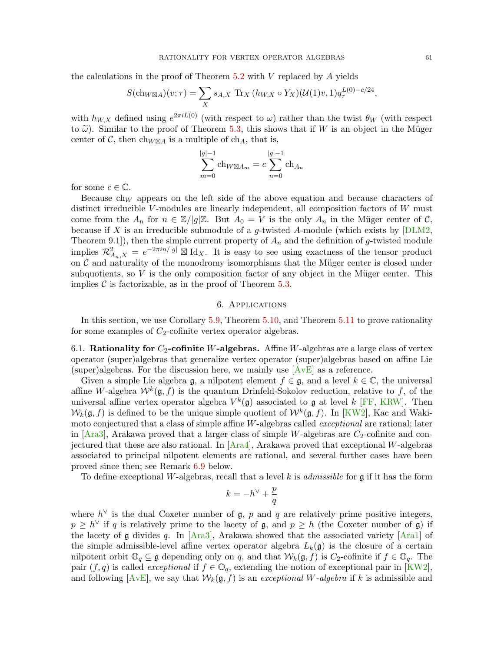the calculations in the proof of Theorem  $5.2$  with V replaced by A yields

$$
S(\text{ch}_{W\boxtimes A})(v;\tau) = \sum_{X} s_{A,X} \text{ Tr}_X (h_{W,X} \circ Y_X)(\mathcal{U}(1)v, 1) q_{\tau}^{L(0)-c/24},
$$

with  $h_{W,X}$  defined using  $e^{2\pi i L(0)}$  (with respect to  $\omega$ ) rather than the twist  $\theta_W$  (with respect to  $\tilde{\omega}$ ). Similar to the proof of Theorem [5.3,](#page-50-0) this shows that if W is an object in the Müger center of C, then  $\text{ch}_{W \boxtimes A}$  is a multiple of  $\text{ch}_A$ , that is,

$$
\sum_{m=0}^{|g|-1} \text{ch}_{W \boxtimes A_m} = c \sum_{n=0}^{|g|-1} \text{ch}_{A_n}
$$

for some  $c \in \mathbb{C}$ .

Because  $\text{ch}_W$  appears on the left side of the above equation and because characters of distinct irreducible V-modules are linearly independent, all composition factors of  $W$  must come from the  $A_n$  for  $n \in \mathbb{Z}/|g|\mathbb{Z}$ . But  $A_0 = V$  is the only  $A_n$  in the Müger center of  $\mathcal{C}$ , because if  $X$  is an irreducible submodule of a  $g$ -twisted A-module (which exists by [\[DLM2,](#page-82-10) Theorem 9.1]), then the simple current property of  $A_n$  and the definition of g-twisted module implies  $\mathcal{R}^2_{A_n,X} = e^{-2\pi i n/|g|} \boxtimes \mathrm{Id}_X$ . It is easy to see using exactness of the tensor product on  $C$  and naturality of the monodromy isomorphisms that the Müger center is closed under subquotients, so  $V$  is the only composition factor of any object in the Müger center. This implies  $\mathcal C$  is factorizable, as in the proof of Theorem [5.3.](#page-50-0)

# 6. Applications

In this section, we use Corollary [5.9,](#page-56-1) Theorem [5.10,](#page-57-0) and Theorem [5.11](#page-57-1) to prove rationality for some examples of  $C_2$ -cofinite vertex operator algebras.

6.1. Rationality for  $C_2$ -cofinite W-algebras. Affine W-algebras are a large class of vertex operator (super)algebras that generalize vertex operator (super)algebras based on affine Lie (super)algebras. For the discussion here, we mainly use  $[AvE]$  as a reference.

Given a simple Lie algebra  $\mathfrak{g}$ , a nilpotent element  $f \in \mathfrak{g}$ , and a level  $k \in \mathbb{C}$ , the universal affine W-algebra  $W^k(\mathfrak{g},f)$  is the quantum Drinfeld-Sokolov reduction, relative to f, of the universal affine vertex operator algebra  $V^k(\mathfrak{g})$  associated to  $\mathfrak{g}$  at level k [\[FF,](#page-82-11) [KRW\]](#page-83-4). Then  $W_k(\mathfrak{g}, f)$  is defined to be the unique simple quotient of  $\mathcal{W}^k(\mathfrak{g}, f)$ . In [\[KW2\]](#page-83-5), Kac and Wakimoto conjectured that a class of simple affine W-algebras called *exceptional* are rational; later in  $[Ara3]$ , Arakawa proved that a larger class of simple W-algebras are  $C_2$ -cofinite and conjectured that these are also rational. In  $[{\rm A}r\text{a}4]$ , Arakawa proved that exceptional W-algebras associated to principal nilpotent elements are rational, and several further cases have been proved since then; see Remark [6.9](#page-64-0) below.

To define exceptional W-algebras, recall that a level k is *admissible* for  $\mathfrak g$  if it has the form

$$
k=-h^{\vee}+\frac{p}{q}
$$

where  $h^{\vee}$  is the dual Coxeter number of  $\mathfrak{g}$ ,  $p$  and  $q$  are relatively prime positive integers,  $p \ge h^{\vee}$  if q is relatively prime to the lacety of g, and  $p \ge h$  (the Coxeter number of g) if the lacety of  $\mathfrak g$  divides q. In  $[{\rm Ara3}]$ , Arakawa showed that the associated variety  $[{\rm Ara1}]$  of the simple admissible-level affine vertex operator algebra  $L_k(\mathfrak{g})$  is the closure of a certain nilpotent orbit  $\mathbb{O}_q \subseteq \mathfrak{g}$  depending only on q, and that  $\mathcal{W}_k(\mathfrak{g}, f)$  is  $C_2$ -cofinite if  $f \in \mathbb{O}_q$ . The pair  $(f, q)$  is called *exceptional* if  $f \in \mathbb{O}_q$ , extending the notion of exceptional pair in [\[KW2\]](#page-83-5), and following  $[AvE]$ , we say that  $W_k(\mathfrak{g}, f)$  is an exceptional W-algebra if k is admissible and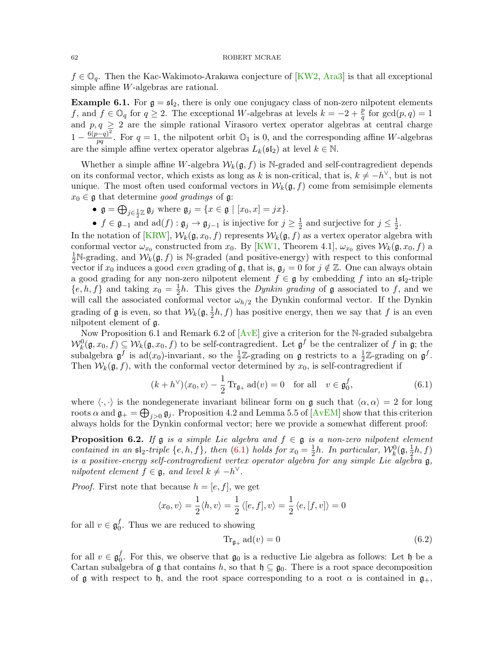$f \in \mathbb{O}_q$ . Then the Kac-Wakimoto-Arakawa conjecture of [\[KW2,](#page-83-5) [Ara3\]](#page-81-9) is that all exceptional simple affine W-algebras are rational.

**Example 6.1.** For  $g = \mathfrak{sl}_2$ , there is only one conjugacy class of non-zero nilpotent elements f, and  $f \in \mathbb{O}_q$  for  $q \geq 2$ . The exceptional W-algebras at levels  $k = -2 + \frac{p}{q}$  for  $gcd(p, q) = 1$  $p, q \geq 2$  are the simple rational Virasoro vertex operator algebras at central charge and  $p, q \geq 2$  are the simple rational Virasoro vertex operator algebras at central charge  $1-\frac{6(p-q)^2}{pq}$  $\frac{p-q^2}{pq}$ . For  $q=1$ , the nilpotent orbit  $\mathbb{O}_1$  is 0, and the corresponding affine W-algebras are the simple affine vertex operator algebras  $L_k(\mathfrak{sl}_2)$  at level  $k \in \mathbb{N}$ .

Whether a simple affine W-algebra  $W_k(\mathfrak{g}, f)$  is N-graded and self-contragredient depends on its conformal vector, which exists as long as k is non-critical, that is,  $k \neq -h^{\vee}$ , but is not unique. The most often used conformal vectors in  $W_k(\mathfrak{g}, f)$  come from semisimple elements  $x_0 \in \mathfrak{g}$  that determine good gradings of  $\mathfrak{g}$ :

- $\mathfrak{g} = \bigoplus_{j \in \frac{1}{2}\mathbb{Z}} \mathfrak{g}_j$  where  $\mathfrak{g}_j = \{x \in \mathfrak{g} \mid [x_0, x] = jx\}.$
- $f \in \mathfrak{g}_{-1}$  and  $\text{ad}(f) : \mathfrak{g}_j \to \mathfrak{g}_{j-1}$  is injective for  $j \geq \frac{1}{2}$  $\frac{1}{2}$  and surjective for  $j \leq \frac{1}{2}$  $\frac{1}{2}$ .

In the notation of [\[KRW\]](#page-83-4),  $W_k(\mathfrak{g}, x_0, f)$  represents  $W_k(\mathfrak{g}, f)$  as a vertex operator algebra with conformal vector  $\omega_{x_0}$  constructed from  $x_0$ . By [\[KW1,](#page-83-6) Theorem 4.1],  $\omega_{x_0}$  gives  $\mathcal{W}_k(\mathfrak{g}, x_0, f)$  a  $\frac{1}{2}N$ -grading, and  $\mathcal{W}_k(\mathfrak{g},f)$  is N-graded (and positive-energy) with respect to this conformal vector if  $x_0$  induces a good *even* grading of g, that is,  $\mathfrak{g}_j = 0$  for  $j \notin \mathbb{Z}$ . One can always obtain a good grading for any non-zero nilpotent element  $f \in \mathfrak{g}$  by embedding f into an  $\mathfrak{sl}_2$ -triple  $\{e, h, f\}$  and taking  $x_0 = \frac{1}{2}$  $\frac{1}{2}h$ . This gives the *Dynkin grading* of **g** associated to f, and we will call the associated conformal vector  $\omega_{h/2}$  the Dynkin conformal vector. If the Dynkin grading of  $\mathfrak g$  is even, so that  $\mathcal W_k(\mathfrak g, \frac{1}{2})$  $\frac{1}{2}h, f$  has positive energy, then we say that f is an even nilpotent element of g.

Now Proposition 6.1 and Remark 6.2 of  $[AvE]$  give a criterion for the N-graded subalgebra  $\mathcal{W}_k^0(\mathfrak{g},x_0,f) \subseteq \mathcal{W}_k(\mathfrak{g},x_0,f)$  to be self-contragredient. Let  $\mathfrak{g}^f$  be the centralizer of f in  $\mathfrak{g}$ ; the subalgebra  $\mathfrak{g}^f$  is ad(x<sub>0</sub>)-invariant, so the  $\frac{1}{2}\mathbb{Z}$ -grading on  $\mathfrak{g}$  restricts to a  $\frac{1}{2}\mathbb{Z}$ -grading on  $\mathfrak{g}^f$ . Then  $W_k(\mathfrak{g}, f)$ , with the conformal vector determined by  $x_0$ , is self-contragredient if

$$
(k+h^{\vee})\langle x_0, v\rangle - \frac{1}{2}\operatorname{Tr}_{\mathfrak{g}_+} \operatorname{ad}(v) = 0 \quad \text{for all} \quad v \in \mathfrak{g}_0^f,
$$
 (6.1)

where  $\langle \cdot, \cdot \rangle$  is the nondegenerate invariant bilinear form on g such that  $\langle \alpha, \alpha \rangle = 2$  for long roots  $\alpha$  and  $\mathfrak{g}_+ = \bigoplus_{j>0} \mathfrak{g}_j$ . Proposition 4.2 and Lemma 5.5 of [\[AvEM\]](#page-81-12) show that this criterion always holds for the Dynkin conformal vector; here we provide a somewhat different proof:

<span id="page-61-2"></span>**Proposition 6.2.** If  $\mathfrak{g}$  is a simple Lie algebra and  $f \in \mathfrak{g}$  is a non-zero nilpotent element contained in an  $\mathfrak{sl}_2$ -triple  $\{e, h, f\}$ , then  $(6.1)$  holds for  $x_0 = \frac{1}{2}$  $\frac{1}{2}h$ . In particular,  $\mathcal{W}_k^0(\mathfrak{g}, \frac{1}{2})$  $\frac{1}{2}h, f$ is a positive-energy self-contragredient vertex operator algebra for any simple Lie algebra g, nilpotent element  $f \in \mathfrak{g}$ , and level  $k \neq -h^{\vee}$ .

*Proof.* First note that because  $h = [e, f]$ , we get

$$
\langle x_0, v \rangle = \frac{1}{2} \langle h, v \rangle = \frac{1}{2} \langle [e, f], v \rangle = \frac{1}{2} \langle e, [f, v] \rangle = 0
$$

for all  $v \in \mathfrak{g}_0^f$  $_{0}^{J}$ . Thus we are reduced to showing

<span id="page-61-1"></span><span id="page-61-0"></span>
$$
\text{Tr}_{\mathfrak{g}_+} \operatorname{ad}(v) = 0 \tag{6.2}
$$

for all  $v \in \mathfrak{g}_0^f$  $\mathfrak{g}_0^J$ . For this, we observe that  $\mathfrak{g}_0$  is a reductive Lie algebra as follows: Let  $\mathfrak{h}$  be a Cartan subalgebra of  $\mathfrak g$  that contains h, so that  $\mathfrak h \subseteq \mathfrak g_0$ . There is a root space decomposition of g with respect to h, and the root space corresponding to a root  $\alpha$  is contained in  $\mathfrak{g}_+,$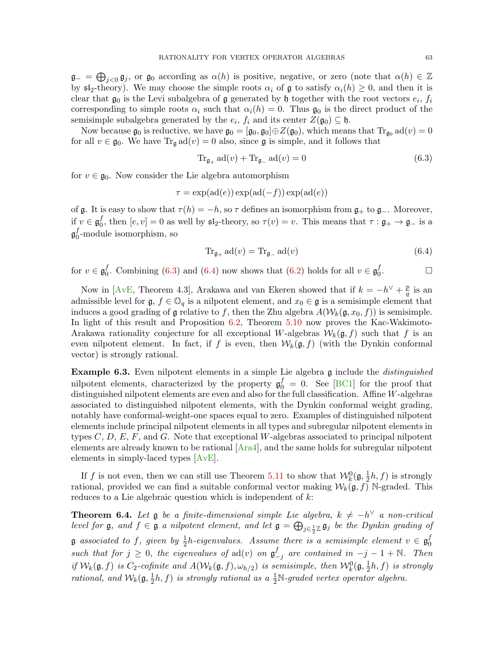$\mathfrak{g}_{-} = \bigoplus_{j < 0} \mathfrak{g}_{j}$ , or  $\mathfrak{g}_{0}$  according as  $\alpha(h)$  is positive, negative, or zero (note that  $\alpha(h) \in \mathbb{Z}$ by  $\mathfrak{sl}_2$ -theory). We may choose the simple roots  $\alpha_i$  of  $\mathfrak g$  to satisfy  $\alpha_i(h) \geq 0$ , and then it is clear that  $\mathfrak{g}_0$  is the Levi subalgebra of  $\mathfrak g$  generated by  $\mathfrak h$  together with the root vectors  $e_i$ ,  $f_i$ corresponding to simple roots  $\alpha_i$  such that  $\alpha_i(h) = 0$ . Thus  $\mathfrak{g}_0$  is the direct product of the semisimple subalgebra generated by the  $e_i$ ,  $f_i$  and its center  $Z(\mathfrak{g}_0) \subseteq \mathfrak{h}$ .

Now because  $\mathfrak{g}_0$  is reductive, we have  $\mathfrak{g}_0 = [\mathfrak{g}_0, \mathfrak{g}_0] \oplus Z(\mathfrak{g}_0)$ , which means that  $\text{Tr}_{\mathfrak{g}_0} \text{ad}(v) = 0$ for all  $v \in \mathfrak{g}_0$ . We have  $\text{Tr}_{\mathfrak{g}} \text{ad}(v) = 0$  also, since  $\mathfrak{g}$  is simple, and it follows that

<span id="page-62-0"></span>
$$
\operatorname{Tr}_{\mathfrak{g}_+} \operatorname{ad}(v) + \operatorname{Tr}_{\mathfrak{g}_-} \operatorname{ad}(v) = 0 \tag{6.3}
$$

for  $v \in \mathfrak{g}_0$ . Now consider the Lie algebra automorphism

$$
\tau = \exp(\mathrm{ad}(e)) \exp(\mathrm{ad}(-f)) \exp(\mathrm{ad}(e))
$$

of g. It is easy to show that  $\tau(h) = -h$ , so  $\tau$  defines an isomorphism from  $\mathfrak{g}_+$  to  $\mathfrak{g}_-$ . Moreover, if  $v \in \mathfrak{g}^f_0$ <sup>*I*</sup><sub>0</sub>, then  $[e, v] = 0$  as well by  $\mathfrak{sl}_2$ -theory, so  $\tau(v) = v$ . This means that  $\tau : \mathfrak{g}_+ \to \mathfrak{g}_-$  is a  $\mathfrak{g}^f_0$  $_{0}^{J}$ -module isomorphism, so

<span id="page-62-1"></span>
$$
\operatorname{Tr}_{\mathfrak{g}_+} \operatorname{ad}(v) = \operatorname{Tr}_{\mathfrak{g}_-} \operatorname{ad}(v) \tag{6.4}
$$

for  $v \in \mathfrak{g}_0^f$  $_0^f$ . Combining [\(6.3\)](#page-62-0) and [\(6.4\)](#page-62-1) now shows that [\(6.2\)](#page-61-1) holds for all  $v \in \mathfrak{g}_0^f$ 0  $\Box$ 

Now in [\[AvE,](#page-81-6) Theorem 4.3], Arakawa and van Ekeren showed that if  $k = -h^{\vee} + \frac{p}{q}$  $\frac{p}{q}$  is an admissible level for  $\mathfrak{g}, f \in \mathbb{O}_q$  is a nilpotent element, and  $x_0 \in \mathfrak{g}$  is a semisimple element that induces a good grading of g relative to f, then the Zhu algebra  $A(\mathcal{W}_k(\mathfrak{g},x_0,f))$  is semisimple. In light of this result and Proposition [6.2,](#page-61-2) Theorem [5.10](#page-57-0) now proves the Kac-Wakimoto-Arakawa rationality conjecture for all exceptional W-algebras  $\mathcal{W}_k(\mathfrak{g}, f)$  such that f is an even nilpotent element. In fact, if f is even, then  $\mathcal{W}_k(\mathfrak{g}, f)$  (with the Dynkin conformal vector) is strongly rational.

**Example 6.3.** Even nilpotent elements in a simple Lie algebra  $\frak{g}$  include the *distinguished* nilpotent elements, characterized by the property  $\mathfrak{g}_0^f = 0$ . See [\[BC1\]](#page-81-13) for the proof that distinguished nilpotent elements are even and also for the full classification. Affine W-algebras associated to distinguished nilpotent elements, with the Dynkin conformal weight grading, notably have conformal-weight-one spaces equal to zero. Examples of distinguished nilpotent elements include principal nilpotent elements in all types and subregular nilpotent elements in types  $C, D, E, F$ , and  $G$ . Note that exceptional W-algebras associated to principal nilpotent elements are already known to be rational  $[{\rm A}ra4]$ , and the same holds for subregular nilpotent elements in simply-laced types [\[AvE\]](#page-81-6).

If f is not even, then we can still use Theorem [5.11](#page-57-1) to show that  $\mathcal{W}_k^0(\mathfrak{g}, \frac{1}{2})$  $\frac{1}{2}h, f$  is strongly rational, provided we can find a suitable conformal vector making  $W_k(\mathfrak{g}, f)$  N-graded. This reduces to a Lie algebraic question which is independent of k:

<span id="page-62-2"></span>**Theorem 6.4.** Let  $\mathfrak g$  be a finite-dimensional simple Lie algebra,  $k \neq -h^{\vee}$  a non-critical level for  $\mathfrak g$ , and  $f \in \mathfrak g$  a nilpotent element, and let  $\mathfrak g = \bigoplus_{j \in \frac{1}{2} \mathbb{Z}} \mathfrak g_j$  be the Dynkin grading of  $\mathfrak g$  associated to f, given by  $\frac{1}{2}h$ -eigenvalues. Assume there is a semisimple element  $v\in\mathfrak g_0^f$ 0 such that for  $j \geq 0$ , the eigenvalues of  $ad(v)$  on  $\mathfrak{g}^f$  $\frac{f}{-j}$  are contained in  $-j-1+\mathbb{N}$ . Then if  $W_k(\mathfrak{g},f)$  is  $C_2$ -cofinite and  $A(W_k(\mathfrak{g},f),\omega_{h/2})$  is semisimple, then  $W_k^0(\mathfrak{g},\frac{1}{2})$  $\frac{1}{2}h, f$  is strongly rational, and  $\mathcal{W}_k(\mathfrak{g}, \frac{1}{2})$  $(\frac{1}{2}h, f)$  is strongly rational as a  $\frac{1}{2}N$ -graded vertex operator algebra.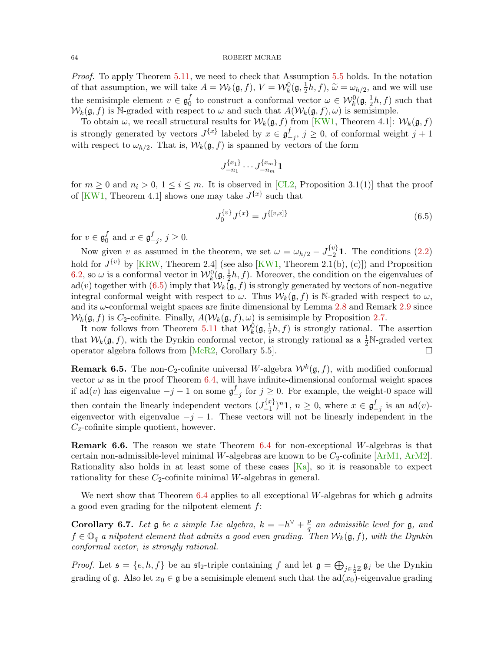Proof. To apply Theorem [5.11,](#page-57-1) we need to check that Assumption [5.5](#page-51-0) holds. In the notation of that assumption, we will take  $A = \mathcal{W}_k(\mathfrak{g}, f)$ ,  $V = \mathcal{W}_k^0(\mathfrak{g}, \frac{1}{2})$  $(\frac{1}{2}h, f), \tilde{\omega} = \omega_{h/2}$ , and we will use the semisimple element  $v \in \mathfrak{g}_0^f$  $\frac{f}{0}$  to construct a conformal vector  $\omega \in \mathcal{W}_k^0(\mathfrak{g}, \frac{1}{2})$  $\frac{1}{2}h, f$  such that  $W_k(\mathfrak{g}, f)$  is N-graded with respect to  $\omega$  and such that  $A(W_k(\mathfrak{g}, f), \omega)$  is semisimple.

To obtain  $\omega$ , we recall structural results for  $\mathcal{W}_k(\mathfrak{g}, f)$  from [\[KW1,](#page-83-6) Theorem 4.1]:  $\mathcal{W}_k(\mathfrak{g}, f)$ is strongly generated by vectors  $J^{\{x\}}$  labeled by  $x \in \mathfrak{g}^f$  $\sum_{j}^{J}$ ,  $j \geq 0$ , of conformal weight  $j+1$ with respect to  $\omega_{h/2}$ . That is,  $\mathcal{W}_k(\mathfrak{g},f)$  is spanned by vectors of the form

$$
J_{-n_1}^{\{x_1\}}\cdots J_{-n_m}^{\{x_m\}}\mathbf{1}
$$

for  $m \geq 0$  and  $n_i > 0$ ,  $1 \leq i \leq m$ . It is observed in [\[CL2,](#page-82-12) Proposition 3.1(1)] that the proof of [\[KW1,](#page-83-6) Theorem 4.1] shows one may take  $J^{\{x\}}$  such that

<span id="page-63-0"></span>
$$
J_0^{\{v\}} J^{\{x\}} = J^{\{[v,x]\}} \tag{6.5}
$$

for  $v \in \mathfrak{g}_0^f$  $\begin{array}{c} f \\ 0 \end{array}$  and  $x \in \mathfrak{g}^f$  $_{-j}^{J}, j \geq 0.$ 

Now given v as assumed in the theorem, we set  $\omega = \omega_{h/2} - J_{-2}^{\{v\}} \mathbf{1}$ . The conditions [\(2.2\)](#page-11-1) hold for  $J^{\{v\}}$  by [\[KRW,](#page-83-4) Theorem 2.4] (see also [\[KW1,](#page-83-6) Theorem 2.1(b), (c)]) and Proposition [6.2,](#page-61-2) so  $\omega$  is a conformal vector in  $\mathcal{W}_k^0(\mathfrak{g}, \frac{1}{2})$  $\frac{1}{2}h, f$ ). Moreover, the condition on the eigenvalues of ad(v) together with [\(6.5\)](#page-63-0) imply that  $W_k(\mathfrak{g}, f)$  is strongly generated by vectors of non-negative integral conformal weight with respect to  $\omega$ . Thus  $\mathcal{W}_k(\mathfrak{g}, f)$  is N-graded with respect to  $\omega$ , and its  $\omega$ -conformal weight spaces are finite dimensional by Lemma [2.8](#page-13-0) and Remark [2.9](#page-13-1) since  $W_k(\mathfrak{g}, f)$  is  $C_2$ -cofinite. Finally,  $A(W_k(\mathfrak{g}, f), \omega)$  is semisimple by Proposition [2.7.](#page-12-0)

It now follows from Theorem [5.11](#page-57-1) that  $\mathcal{W}_k^0(\mathfrak{g}, \frac{1}{2})$  $\frac{1}{2}h, f$  is strongly rational. The assertion that  $W_k(\mathfrak{g}, f)$ , with the Dynkin conformal vector, is strongly rational as a  $\frac{1}{2}N$ -graded vertex operator algebra follows from  $[McR2, Corollary 5.5].$  $[McR2, Corollary 5.5].$ 

**Remark 6.5.** The non-C<sub>2</sub>-cofinite universal W-algebra  $W^k(\mathfrak{g}, f)$ , with modified conformal vector  $\omega$  as in the proof Theorem [6.4,](#page-62-2) will have infinite-dimensional conformal weight spaces if ad(v) has eigenvalue  $-j-1$  on some  $\mathfrak{g}^f_ \frac{J}{-j}$  for  $j \geq 0$ . For example, the weight-0 space will then contain the linearly independent vectors  $(J_{-1}^{\{x\}})$  $\binom{\{x\}}{-1}$ <sup>n</sup>**1**,  $n \geq 0$ , where  $x \in \mathfrak{g}^f$  $\frac{J}{-j}$  is an ad(v)eigenvector with eigenvalue  $-j-1$ . These vectors will not be linearly independent in the  $C_2$ -cofinite simple quotient, however.

Remark 6.6. The reason we state Theorem [6.4](#page-62-2) for non-exceptional W-algebras is that certain non-admissible-level minimal W-algebras are known to be  $C_2$ -cofinite  $[ArM1, ArM2]$  $[ArM1, ArM2]$  $[ArM1, ArM2]$ . Rationality also holds in at least some of these cases  $[Ka]$ , so it is reasonable to expect rationality for these  $C_2$ -cofinite minimal W-algebras in general.

We next show that Theorem [6.4](#page-62-2) applies to all exceptional W-algebras for which  $\mathfrak g$  admits a good even grading for the nilpotent element  $f$ :

Corollary 6.7. Let  $\mathfrak g$  be a simple Lie algebra,  $k = -h^{\vee} + \frac{p}{a}$  $\frac{p}{q}$  an admissible level for  $\frak g,$  and  $f \in \mathbb{O}_q$  a nilpotent element that admits a good even grading. Then  $\mathcal{W}_k(\mathfrak{g}, f)$ , with the Dynkin conformal vector, is strongly rational.

*Proof.* Let  $\mathfrak{s} = \{e, h, f\}$  be an  $\mathfrak{sl}_2$ -triple containing f and let  $\mathfrak{g} = \bigoplus_{j \in \frac{1}{2}\mathbb{Z}} \mathfrak{g}_j$  be the Dynkin grading of g. Also let  $x_0 \in \mathfrak{g}$  be a semisimple element such that the ad $(x_0)$ -eigenvalue grading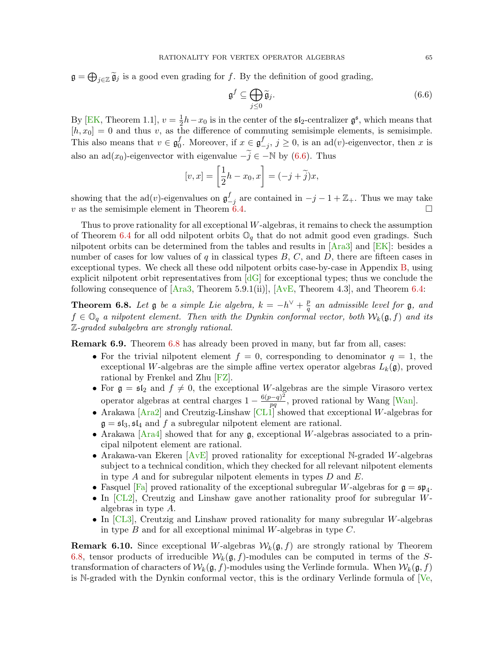$\mathfrak{g} = \bigoplus_{j \in \mathbb{Z}} \widetilde{\mathfrak{g}}_j$  is a good even grading for f. By the definition of good grading,

<span id="page-64-1"></span>
$$
\mathfrak{g}^f \subseteq \bigoplus_{j \leq 0} \widetilde{\mathfrak{g}}_j. \tag{6.6}
$$

By [\[EK,](#page-82-13) Theorem 1.1],  $v = \frac{1}{2}$  $\frac{1}{2}h-x_0$  is in the center of the  $\mathfrak{sl}_2$ -centralizer  $\mathfrak{g}^{\mathfrak{s}}$ , which means that  $[h, x_0] = 0$  and thus v, as the difference of commuting semisimple elements, is semisimple. This also means that  $v \in \mathfrak{g}_0^f$  $_0^f$ . Moreover, if  $x \in \mathfrak{g}^f$  $\sum_{j=1}^{J}$ ,  $j \geq 0$ , is an ad(v)-eigenvector, then x is also an ad(x<sub>0</sub>)-eigenvector with eigenvalue  $-\tilde{i} \in -\mathbb{N}$  by [\(6.6\)](#page-64-1). Thus

$$
[v, x] = \left[\frac{1}{2}h - x_0, x\right] = (-j + \tilde{j})x,
$$

showing that the  $ad(v)$ -eigenvalues on  $g_-^f$  $\frac{f}{-j}$  are contained in  $-j-1+\mathbb{Z}_+$ . Thus we may take v as the semisimple element in Theorem [6.4.](#page-62-2)

Thus to prove rationality for all exceptional W-algebras, it remains to check the assumption of Theorem [6.4](#page-62-2) for all odd nilpotent orbits  $\mathbb{O}_q$  that do not admit good even gradings. Such nilpotent orbits can be determined from the tables and results in [\[Ara3\]](#page-81-9) and [\[EK\]](#page-82-13): besides a number of cases for low values of  $q$  in classical types  $B, C$ , and  $D$ , there are fifteen cases in exceptional types. We check all these odd nilpotent orbits case-by-case in Appendix [B,](#page-73-0) using explicit nilpotent orbit representatives from  $\lfloor dG \rfloor$  for exceptional types; thus we conclude the following consequence of  $[{\text{Ara3}}, {\text{Theorem 5.9.1(ii)}}], [{\text{AvE}}, {\text{Theorem 4.3}}],$  and Theorem [6.4:](#page-62-2)

<span id="page-64-2"></span>**Theorem 6.8.** Let  $\mathfrak{g}$  be a simple Lie algebra,  $k = -h^{\vee} + \frac{p}{a}$  $\frac{p}{q}$  an admissible level for  $\frak g,$  and  $f \in \mathbb{O}_q$  a nilpotent element. Then with the Dynkin conformal vector, both  $\mathcal{W}_k(\mathfrak{g}, f)$  and its Z-graded subalgebra are strongly rational.

<span id="page-64-0"></span>Remark 6.9. Theorem [6.8](#page-64-2) has already been proved in many, but far from all, cases:

- For the trivial nilpotent element  $f = 0$ , corresponding to denominator  $q = 1$ , the exceptional W-algebras are the simple affine vertex operator algebras  $L_k(\mathfrak{g})$ , proved rational by Frenkel and Zhu [\[FZ\]](#page-82-15).
- For  $\mathfrak{g} = \mathfrak{sl}_2$  and  $f \neq 0$ , the exceptional W-algebras are the simple Virasoro vertex operator algebras at central charges  $1 - \frac{6(p-q)^2}{pq}$  $\frac{p-q}{pq}$ , proved rational by Wang [\[Wan\]](#page-84-10).
- Arakawa [\[Ara2\]](#page-81-16) and Creutzig-Linshaw [\[CL1\]](#page-81-17) showed that exceptional W-algebras for  $\mathfrak{g} = \mathfrak{sl}_3, \mathfrak{sl}_4$  and f a subregular nilpotent element are rational.
- Arakawa [\[Ara4\]](#page-81-10) showed that for any  $\mathfrak{g}$ , exceptional W-algebras associated to a principal nilpotent element are rational.
- Arakawa-van Ekeren  $[AvE]$  proved rationality for exceptional N-graded W-algebras subject to a technical condition, which they checked for all relevant nilpotent elements in type A and for subregular nilpotent elements in types  $D$  and  $E$ .
- Fasquel [\[Fa\]](#page-82-16) proved rationality of the exceptional subregular W-algebras for  $\mathfrak{g} = \mathfrak{sp}_4$ .
- In [\[CL2\]](#page-82-12), Creutzig and Linshaw gave another rationality proof for subregular Walgebras in type A.
- In [\[CL3\]](#page-82-17), Creutzig and Linshaw proved rationality for many subregular W-algebras in type  $B$  and for all exceptional minimal W-algebras in type  $C$ .

**Remark 6.10.** Since exceptional W-algebras  $W_k(\mathfrak{g}, f)$  are strongly rational by Theorem [6.8,](#page-64-2) tensor products of irreducible  $W_k(\mathfrak{g}, f)$ -modules can be computed in terms of the Stransformation of characters of  $W_k(\mathfrak{g}, f)$ -modules using the Verlinde formula. When  $W_k(\mathfrak{g}, f)$ is N-graded with the Dynkin conformal vector, this is the ordinary Verlinde formula of [\[Ve,](#page-84-9)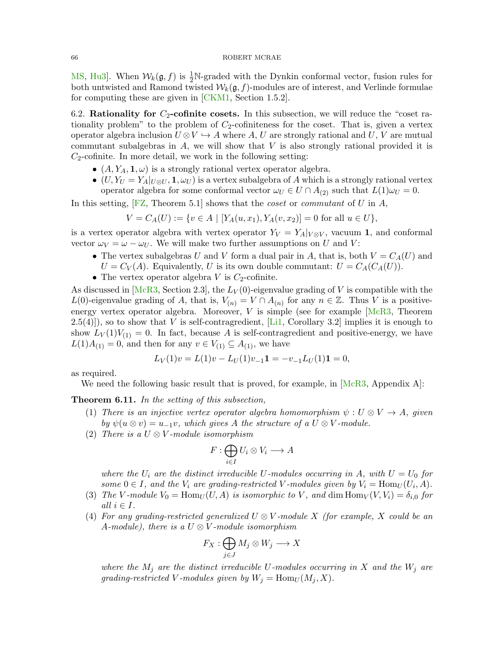[MS,](#page-84-3) [Hu3\]](#page-82-2). When  $W_k(\mathfrak{g}, f)$  is  $\frac{1}{2}N$ -graded with the Dynkin conformal vector, fusion rules for both untwisted and Ramond twisted  $W_k(\mathfrak{g}, f)$ -modules are of interest, and Verlinde formulae for computing these are given in [\[CKM1,](#page-81-5) Section 1.5.2].

<span id="page-65-0"></span>6.2. Rationality for  $C_2$ -cofinite cosets. In this subsection, we will reduce the "coset rationality problem" to the problem of  $C_2$ -cofiniteness for the coset. That is, given a vertex operator algebra inclusion  $U \otimes V \hookrightarrow A$  where A, U are strongly rational and U, V are mutual commutant subalgebras in  $A$ , we will show that  $V$  is also strongly rational provided it is  $C_2$ -cofinite. In more detail, we work in the following setting:

- $(A, Y_A, 1, \omega)$  is a strongly rational vertex operator algebra.
- $(U, Y_U = Y_A|_{U \otimes U}, \mathbf{1}, \omega_U)$  is a vertex subalgebra of A which is a strongly rational vertex operator algebra for some conformal vector  $\omega_U \in U \cap A_{(2)}$  such that  $L(1)\omega_U = 0$ .

In this setting,  $[FZ, Theorem 5.1]$  $[FZ, Theorem 5.1]$  shows that the *coset* or *commutant* of U in A,

$$
V = C_A(U) := \{ v \in A \mid [Y_A(u, x_1), Y_A(v, x_2)] = 0 \text{ for all } u \in U \},
$$

is a vertex operator algebra with vertex operator  $Y_V = Y_A|_{V \otimes V}$ , vacuum 1, and conformal vector  $\omega_V = \omega - \omega_U$ . We will make two further assumptions on U and V:

- The vertex subalgebras U and V form a dual pair in A, that is, both  $V = C<sub>A</sub>(U)$  and
	- $U = C_V(A)$ . Equivalently, U is its own double commutant:  $U = C_A(C_A(U))$ .
- The vertex operator algebra  $V$  is  $C_2$ -cofinite.

As discussed in [\[McR3,](#page-83-8) Section 2.3], the  $L_V(0)$ -eigenvalue grading of V is compatible with the L(0)-eigenvalue grading of A, that is,  $V_{(n)} = V \cap A_{(n)}$  for any  $n \in \mathbb{Z}$ . Thus V is a positiveenergy vertex operator algebra. Moreover,  $V$  is simple (see for example  $[McR3, Thecrem]$  $[McR3, Thecrem]$  $(2.5(4))$ , so to show that V is self-contragredient, [\[Li1,](#page-83-9) Corollary 3.2] implies it is enough to show  $L_V(1)V_{(1)} = 0$ . In fact, because A is self-contragredient and positive-energy, we have  $L(1)A_{(1)}=0$ , and then for any  $v \in V_{(1)} \subseteq A_{(1)}$ , we have

$$
L_V(1)v = L(1)v - L_U(1)v_{-1}\mathbf{1} = -v_{-1}L_U(1)\mathbf{1} = 0,
$$

as required.

We need the following basic result that is proved, for example, in  $[McR3, Appendix A]$  $[McR3, Appendix A]$ :

<span id="page-65-1"></span>**Theorem 6.11.** In the setting of this subsection,

- (1) There is an injective vertex operator algebra homomorphism  $\psi : U \otimes V \to A$ , given by  $\psi(u \otimes v) = u_{-1}v$ , which gives A the structure of a  $U \otimes V$ -module.
- (2) There is a  $U \otimes V$ -module isomorphism

$$
F:\bigoplus_{i\in I}U_i\otimes V_i\longrightarrow A
$$

where the  $U_i$  are the distinct irreducible U-modules occurring in A, with  $U = U_0$  for some  $0 \in I$ , and the  $V_i$  are grading-restricted V-modules given by  $V_i = \text{Hom}_U(U_i, A)$ .

- (3) The V-module  $V_0 = \text{Hom}_U(U, A)$  is isomorphic to V, and dim  $\text{Hom}_V(V, V_i) = \delta_{i,0}$  for all  $i \in I$ .
- (4) For any grading-restricted generalized  $U \otimes V$ -module X (for example, X could be an A-module), there is a  $U \otimes V$ -module isomorphism

$$
F_X: \bigoplus_{j \in J} M_j \otimes W_j \longrightarrow X
$$

where the  $M_j$  are the distinct irreducible U-modules occurring in X and the  $W_j$  are grading-restricted V-modules given by  $W_j = \text{Hom}_U(M_j, X)$ .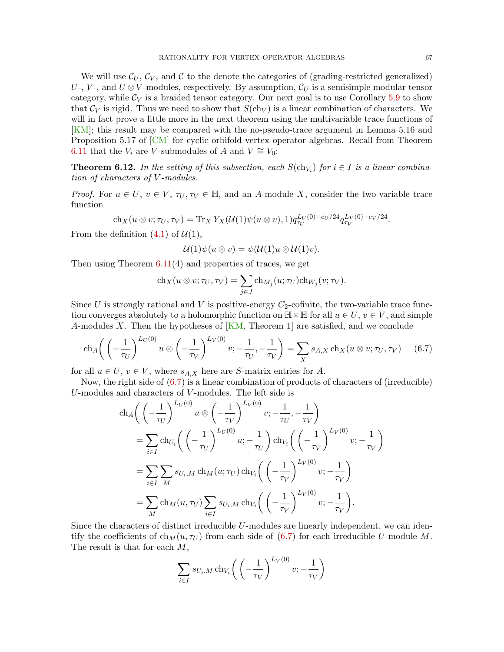We will use  $\mathcal{C}_U, \mathcal{C}_V$ , and  $\mathcal C$  to the denote the categories of (grading-restricted generalized) U-, V-, and  $U \otimes V$ -modules, respectively. By assumption,  $\mathcal{C}_U$  is a semisimple modular tensor category, while  $\mathcal{C}_V$  is a braided tensor category. Our next goal is to use Corollary [5.9](#page-56-1) to show that  $\mathcal{C}_V$  is rigid. Thus we need to show that  $S(\text{ch}_V)$  is a linear combination of characters. We will in fact prove a little more in the next theorem using the multivariable trace functions of [\[KM\]](#page-83-10); this result may be compared with the no-pseudo-trace argument in Lemma 5.16 and Proposition 5.17 of [\[CM\]](#page-81-0) for cyclic orbifold vertex operator algebras. Recall from Theorem [6.11](#page-65-1) that the  $V_i$  are V-submodules of A and  $V ≌ V_0$ :

<span id="page-66-1"></span>**Theorem 6.12.** In the setting of this subsection, each  $S(\text{ch}_{V_i})$  for  $i \in I$  is a linear combination of characters of V -modules.

*Proof.* For  $u \in U$ ,  $v \in V$ ,  $\tau_U, \tau_V \in \mathbb{H}$ , and an A-module X, consider the two-variable trace function

$$
\mathrm{ch}_X(u \otimes v; \tau_U, \tau_V) = \mathrm{Tr}_X Y_X(\mathcal{U}(1)\psi(u \otimes v), 1) q_{\tau_U}^{L_U(0) - c_U/24} q_{\tau_V}^{L_V(0) - c_V/24}.
$$

From the definition  $(4.1)$  of  $\mathcal{U}(1)$ ,

<span id="page-66-0"></span>
$$
\mathcal{U}(1)\psi(u\otimes v)=\psi(\mathcal{U}(1)u\otimes\mathcal{U}(1)v).
$$

Then using Theorem  $6.11(4)$  $6.11(4)$  and properties of traces, we get

$$
\mathrm{ch}_X(u \otimes v; \tau_U, \tau_V) = \sum_{j \in J} \mathrm{ch}_{M_j}(u; \tau_U) \mathrm{ch}_{W_j}(v; \tau_V).
$$

Since U is strongly rational and V is positive-energy  $C_2$ -cofinite, the two-variable trace function converges absolutely to a holomorphic function on  $\mathbb{H}\times\mathbb{H}$  for all  $u\in U, v\in V$ , and simple A-modules X. Then the hypotheses of  $\overline{KM}$ , Theorem 1 are satisfied, and we conclude

$$
\mathrm{ch}_A\bigg(\left(-\frac{1}{\tau_U}\right)^{L_U(0)}u\otimes\left(-\frac{1}{\tau_V}\right)^{L_V(0)}v; -\frac{1}{\tau_U}, -\frac{1}{\tau_V}\bigg)=\sum_X s_{A,X}\,\mathrm{ch}_X(u\otimes v; \tau_U, \tau_V)\qquad(6.7)
$$

for all  $u \in U$ ,  $v \in V$ , where  $s_{A,X}$  here are S-matrix entries for A.

Now, the right side of [\(6.7\)](#page-66-0) is a linear combination of products of characters of (irreducible) U-modules and characters of V -modules. The left side is

$$
\begin{split} \operatorname{ch}_{A}\bigg(\left(-\frac{1}{\tau_{U}}\right)^{L_{U}(0)}u \otimes \left(-\frac{1}{\tau_{V}}\right)^{L_{V}(0)}v; -\frac{1}{\tau_{U}}, -\frac{1}{\tau_{V}} \\ &=\sum_{i\in I}\operatorname{ch}_{U_{i}}\bigg(\left(-\frac{1}{\tau_{U}}\right)^{L_{U}(0)}u; -\frac{1}{\tau_{U}}\bigg)\operatorname{ch}_{V_{i}}\bigg(\left(-\frac{1}{\tau_{V}}\right)^{L_{V}(0)}v; -\frac{1}{\tau_{V}}\bigg) \\ &=\sum_{i\in I}\sum_{M}s_{U_{i},M}\operatorname{ch}_{M}(u;\tau_{U})\operatorname{ch}_{V_{i}}\bigg(\left(-\frac{1}{\tau_{V}}\right)^{L_{V}(0)}v; -\frac{1}{\tau_{V}}\bigg) \\ &=\sum_{M}\operatorname{ch}_{M}(u,\tau_{U})\sum_{i\in I}s_{U_{i},M}\operatorname{ch}_{V_{i}}\bigg(\left(-\frac{1}{\tau_{V}}\right)^{L_{V}(0)}v; -\frac{1}{\tau_{V}}\bigg). \end{split}
$$

Since the characters of distinct irreducible U-modules are linearly independent, we can identify the coefficients of  $ch_M(u, \tau_U)$  from each side of [\(6.7\)](#page-66-0) for each irreducible U-module M. The result is that for each M,

$$
\sum_{i \in I} s_{U_i,M} \operatorname{ch}_{V_i} \left( \left( -\frac{1}{\tau_V} \right)^{L_V(0)} v; -\frac{1}{\tau_V} \right)
$$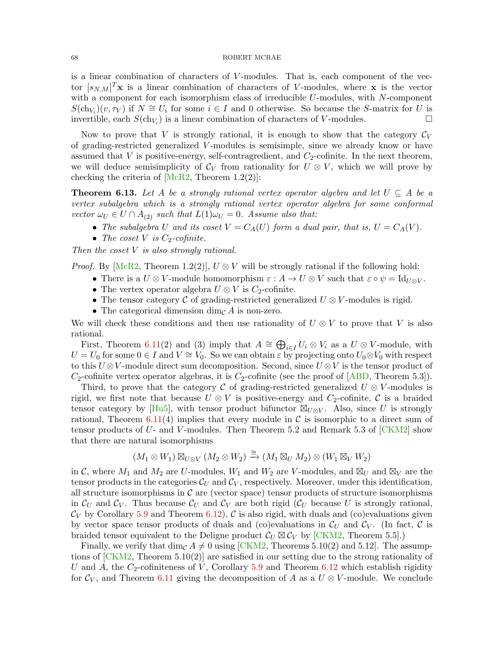is a linear combination of characters of V-modules. That is, each component of the vector  $[s_{N,M}]^T$ **x** is a linear combination of characters of V-modules, where **x** is the vector with a component for each isomorphism class of irreducible U-modules, with N-component  $S(\ch_{V_i})(v, \tau_V)$  if  $N \cong U_i$  for some  $i \in I$  and 0 otherwise. So because the S-matrix for U is invertible, each  $S(\text{ch}_{V_i})$  is a linear combination of characters of V-modules.

Now to prove that V is strongly rational, it is enough to show that the category  $\mathcal{C}_V$ of grading-restricted generalized V -modules is semisimple, since we already know or have assumed that  $V$  is positive-energy, self-contragredient, and  $C_2$ -cofinite. In the next theorem, we will deduce semisimplicity of  $\mathcal{C}_V$  from rationality for  $U \otimes V$ , which we will prove by checking the criteria of  $[MeR2, Theorem 1.2(2)]$ :

<span id="page-67-0"></span>**Theorem 6.13.** Let A be a strongly rational vertex operator algebra and let  $U \subseteq A$  be a vertex subalgebra which is a strongly rational vertex operator algebra for some conformal vector  $\omega_U \in U \cap A_{(2)}$  such that  $L(1)\omega_U = 0$ . Assume also that:

- The subalgebra U and its coset  $V = C_A(U)$  form a dual pair, that is,  $U = C_A(V)$ .
- The coset V is  $C_2$ -cofinite.

Then the coset V is also strongly rational.

*Proof.* By [\[McR2,](#page-83-3) Theorem 1.2(2)],  $U \otimes V$  will be strongly rational if the following hold:

- There is a  $U \otimes V$ -module homomorphism  $\varepsilon : A \to U \otimes V$  such that  $\varepsilon \circ \psi = \mathrm{Id}_{U \otimes V}$ .
- The vertex operator algebra  $U \otimes V$  is  $C_2$ -cofinite.
- The tensor category C of grading-restricted generalized  $U \otimes V$ -modules is rigid.
- The categorical dimension dim<sub> $\mathcal{C}$ </sub> A is non-zero.

We will check these conditions and then use rationality of  $U \otimes V$  to prove that V is also rational.

First, Theorem [6.11\(](#page-65-1)2) and (3) imply that  $A \cong \bigoplus_{i \in I} U_i \otimes V_i$  as a  $U \otimes V$ -module, with  $U = U_0$  for some  $0 \in I$  and  $V \cong V_0$ . So we can obtain  $\varepsilon$  by projecting onto  $U_0 \otimes V_0$  with respect to this  $U \otimes V$ -module direct sum decomposition. Second, since  $U \otimes V$  is the tensor product of  $C_2$ -cofinite vertex operator algebras, it is  $C_2$ -cofinite (see the proof of  $[ABD,$  Theorem 5.3]).

Third, to prove that the category C of grading-restricted generalized  $U \otimes V$ -modules is rigid, we first note that because  $U \otimes V$  is positive-energy and  $C_2$ -cofinite, C is a braided tensor category by [\[Hu5\]](#page-82-4), with tensor product bifunctor  $\mathbb{Z}_{U\otimes V}$ . Also, since U is strongly rational, Theorem [6.11\(](#page-65-1)4) implies that every module in  $\mathcal C$  is isomorphic to a direct sum of tensor products of  $U$ - and  $V$ -modules. Then Theorem 5.2 and Remark 5.3 of  $\lceil CKM2 \rceil$  show that there are natural isomorphisms

$$
(M_1 \otimes W_1) \boxtimes_{U \otimes V} (M_2 \otimes W_2) \xrightarrow{\cong} (M_1 \boxtimes_U M_2) \otimes (W_1 \boxtimes_V W_2)
$$

in C, where  $M_1$  and  $M_2$  are U-modules,  $W_1$  and  $W_2$  are V-modules, and  $\boxtimes_U$  and  $\boxtimes_V$  are the tensor products in the categories  $\mathcal{C}_U$  and  $\mathcal{C}_V$ , respectively. Moreover, under this identification, all structure isomorphisms in  $\mathcal C$  are (vector space) tensor products of structure isomorphisms in  $\mathcal{C}_U$  and  $\mathcal{C}_V$ . Thus because  $\mathcal{C}_U$  and  $\mathcal{C}_V$  are both rigid ( $\mathcal{C}_U$  because U is strongly rational,  $\mathcal{C}_V$  by Corollary [5.9](#page-56-1) and Theorem [6.12\)](#page-66-1), C is also rigid, with duals and (co)evaluations given by vector space tensor products of duals and (co)evaluations in  $\mathcal{C}_U$  and  $\mathcal{C}_V$ . (In fact,  $\mathcal C$  is braided tensor equivalent to the Deligne product  $\mathcal{C}_U \boxtimes \mathcal{C}_V$  by [\[CKM2,](#page-81-19) Theorem 5.5].)

Finally, we verify that dim<sub>C</sub>  $A \neq 0$  using [\[CKM2,](#page-81-19) Theorems 5.10(2) and 5.12]. The assumptions of [\[CKM2,](#page-81-19) Theorem 5.10(2)] are satisfied in our setting due to the strong rationality of U and A, the  $C_2$ -cofiniteness of V, Corollary [5.9](#page-56-1) and Theorem [6.12](#page-66-1) which establish rigidity for  $\mathcal{C}_V$ , and Theorem [6.11](#page-65-1) giving the decomposition of A as a  $U \otimes V$ -module. We conclude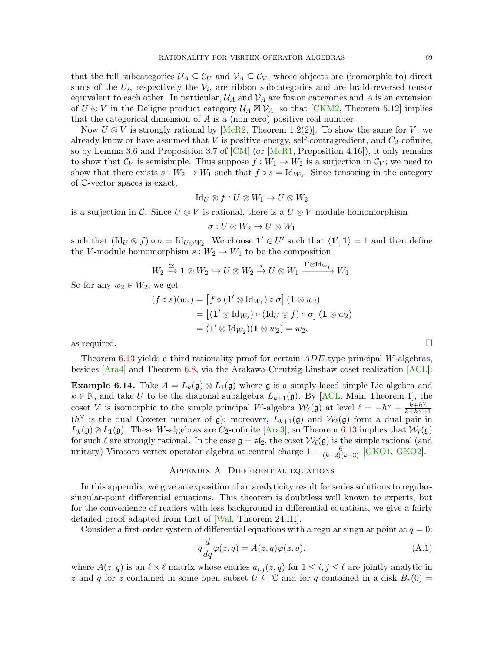that the full subcategories  $U_A \subseteq C_U$  and  $V_A \subseteq C_V$ , whose objects are (isomorphic to) direct sums of the  $U_i$ , respectively the  $V_i$ , are ribbon subcategories and are braid-reversed tensor equivalent to each other. In particular,  $\mathcal{U}_A$  and  $\mathcal{V}_A$  are fusion categories and A is an extension of  $U \otimes V$  in the Deligne product category  $\mathcal{U}_A \boxtimes \mathcal{V}_A$ , so that [\[CKM2,](#page-81-19) Theorem 5.12] implies that the categorical dimension of A is a (non-zero) positive real number.

Now  $U \otimes V$  is strongly rational by [\[McR2,](#page-83-3) Theorem 1.2(2)]. To show the same for V, we already know or have assumed that  $V$  is positive-energy, self-contragredient, and  $C_2$ -cofinite, so by Lemma 3.6 and Proposition 3.7 of [\[CM\]](#page-81-0) (or [\[McR1,](#page-83-11) Proposition 4.16]), it only remains to show that  $\mathcal{C}_V$  is semisimple. Thus suppose  $f: W_1 \to W_2$  is a surjection in  $\mathcal{C}_V$ ; we need to show that there exists  $s: W_2 \to W_1$  such that  $f \circ s = \text{Id}_{W_2}$ . Since tensoring in the category of C-vector spaces is exact,

$$
Id_U \otimes f : U \otimes W_1 \to U \otimes W_2
$$

is a surjection in C. Since  $U \otimes V$  is rational, there is a  $U \otimes V$ -module homomorphism

$$
\sigma: U \otimes W_2 \to U \otimes W_1
$$

such that  $(\mathrm{Id}_U \otimes f) \circ \sigma = \mathrm{Id}_{U \otimes W_2}$ . We choose  $\mathbf{1}' \in U'$  such that  $\langle \mathbf{1}', \mathbf{1} \rangle = 1$  and then define the V-module homomorphism  $s: W_2 \to W_1$  to be the composition

$$
W_2 \xrightarrow{\cong} \mathbf{1} \otimes W_2 \hookrightarrow U \otimes W_2 \xrightarrow{\sigma} U \otimes W_1 \xrightarrow{\mathbf{1}' \otimes \mathrm{Id}_{W_1}} W_1.
$$

So for any  $w_2 \in W_2$ , we get

$$
(f \circ s)(w_2) = [f \circ (\mathbf{1}' \otimes \mathrm{Id}_{W_1}) \circ \sigma] (\mathbf{1} \otimes w_2)
$$
  
\n
$$
= [(\mathbf{1}' \otimes \mathrm{Id}_{W_2}) \circ (\mathrm{Id}_U \otimes f) \circ \sigma] (\mathbf{1} \otimes w_2)
$$
  
\n
$$
= (\mathbf{1}' \otimes \mathrm{Id}_{W_2}) (\mathbf{1} \otimes w_2) = w_2,
$$
  
\nas required.

Theorem [6.13](#page-67-0) yields a third rationality proof for certain ADE-type principal W-algebras, besides [\[Ara4\]](#page-81-10) and Theorem [6.8,](#page-64-2) via the Arakawa-Creutzig-Linshaw coset realization [\[ACL\]](#page-81-20):

**Example 6.14.** Take  $A = L_k(\mathfrak{g}) \otimes L_1(\mathfrak{g})$  where  $\mathfrak{g}$  is a simply-laced simple Lie algebra and  $k \in \mathbb{N}$ , and take U to be the diagonal subalgebra  $L_{k+1}(\mathfrak{g})$ . By [\[ACL,](#page-81-20) Main Theorem 1], the coset V is isomorphic to the simple principal W-algebra  $W_{\ell}(\mathfrak{g})$  at level  $\ell = -h^{\vee} + \frac{k+h^{\vee}}{k+h^{\vee}+h^{\vee}}$  $\overline{k+h^{\vee}+1}$ ( $h^{\vee}$  is the dual Coxeter number of g); moreover,  $L_{k+1}(\mathfrak{g})$  and  $\mathcal{W}_{\ell}(\mathfrak{g})$  form a dual pair in  $L_k(\mathfrak{g}) \otimes L_1(\mathfrak{g})$ . These W-algebras are C<sub>2</sub>-cofinite [\[Ara3\]](#page-81-9), so Theorem [6.13](#page-67-0) implies that  $\mathcal{W}_{\ell}(\mathfrak{g})$ for such  $\ell$  are strongly rational. In the case  $\mathfrak{g} = \mathfrak{sl}_2$ , the coset  $\mathcal{W}_{\ell}(\mathfrak{g})$  is the simple rational (and unitary) Virasoro vertex operator algebra at central charge  $1 - \frac{6}{(k+2)(k+3)}$  [\[GKO1,](#page-82-18) [GKO2\]](#page-82-19).

### Appendix A. Differential equations

<span id="page-68-0"></span>In this appendix, we give an exposition of an analyticity result for series solutions to regularsingular-point differential equations. This theorem is doubtless well known to experts, but for the convenience of readers with less background in differential equations, we give a fairly detailed proof adapted from that of [\[Wal,](#page-84-11) Theorem 24.III].

Consider a first-order system of differential equations with a regular singular point at  $q = 0$ :

<span id="page-68-1"></span>
$$
q\frac{d}{dq}\varphi(z,q) = A(z,q)\varphi(z,q),\tag{A.1}
$$

where  $A(z, q)$  is an  $\ell \times \ell$  matrix whose entries  $a_{i,j} (z, q)$  for  $1 \le i, j \le \ell$  are jointly analytic in z and q for z contained in some open subset  $U \subseteq \mathbb{C}$  and for q contained in a disk  $B_r(0) =$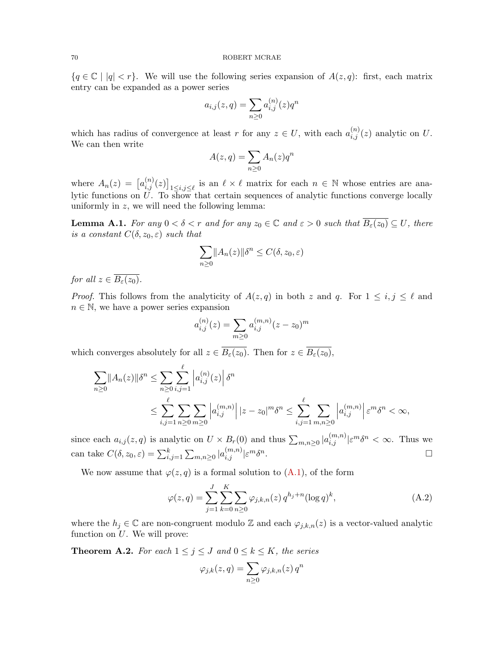${q \in \mathbb{C} \mid |q| < r}$ . We will use the following series expansion of  $A(z, q)$ : first, each matrix entry can be expanded as a power series

$$
a_{i,j}(z,q) = \sum_{n \ge 0} a_{i,j}^{(n)}(z) q^n
$$

which has radius of convergence at least r for any  $z \in U$ , with each  $a_{i,j}^{(n)}(z)$  analytic on U. We can then write

$$
A(z,q) = \sum_{n\geq 0} A_n(z)q^n
$$

where  $A_n(z) = [a_{i,j}^{(n)}(z)]_{1 \le i,j \le \ell}$  is an  $\ell \times \ell$  matrix for each  $n \in \mathbb{N}$  whose entries are analytic functions on U. To show that certain sequences of analytic functions converge locally uniformly in  $z$ , we will need the following lemma:

<span id="page-69-2"></span>**Lemma A.1.** For any  $0 < \delta < r$  and for any  $z_0 \in \mathbb{C}$  and  $\varepsilon > 0$  such that  $B_{\varepsilon}(z_0) \subseteq U$ , there is a constant  $C(\delta, z_0, \varepsilon)$  such that

$$
\sum_{n\geq 0} ||A_n(z)||\delta^n \leq C(\delta, z_0, \varepsilon)
$$

for all  $z \in \overline{B_{\varepsilon}(z_0)}$ .

*Proof.* This follows from the analyticity of  $A(z, q)$  in both z and q. For  $1 \leq i, j \leq \ell$  and  $n \in \mathbb{N}$ , we have a power series expansion

$$
a_{i,j}^{(n)}(z) = \sum_{m \ge 0} a_{i,j}^{(m,n)}(z - z_0)^m
$$

which converges absolutely for all  $z \in \overline{B_{\varepsilon}(z_0)}$ . Then for  $z \in \overline{B_{\varepsilon}(z_0)}$ ,

$$
\sum_{n\geq 0} ||A_n(z)||\delta^n \leq \sum_{n\geq 0} \sum_{i,j=1}^{\ell} |a_{i,j}^{(n)}(z)| \delta^n
$$
  

$$
\leq \sum_{i,j=1}^{\ell} \sum_{n\geq 0} \sum_{m\geq 0} |a_{i,j}^{(m,n)}| |z-z_0|^m \delta^n \leq \sum_{i,j=1}^{\ell} \sum_{m,n\geq 0} |a_{i,j}^{(m,n)}| \varepsilon^m \delta^n < \infty,
$$

since each  $a_{i,j}(z,q)$  is analytic on  $U \times B_r(0)$  and thus  $\sum_{m,n\geq 0} |a_{i,j}^{(m,n)}| \varepsilon^m \delta^n < \infty$ . Thus we can take  $C(\delta, z_0, \varepsilon) = \sum_{i,j=1}^k \sum_{m,n \geq 0} |a_{i,j}^{(m,n)}| \varepsilon^m \delta^n$ .

We now assume that  $\varphi(z,q)$  is a formal solution to  $(A.1)$ , of the form

$$
\varphi(z,q) = \sum_{j=1}^{J} \sum_{k=0}^{K} \sum_{n \ge 0} \varphi_{j,k,n}(z) q^{h_j+n} (\log q)^k,
$$
\n(A.2)

where the  $h_j \in \mathbb{C}$  are non-congruent modulo Z and each  $\varphi_{j,k,n}(z)$  is a vector-valued analytic function on  $U$ . We will prove:

<span id="page-69-0"></span>**Theorem A.2.** For each  $1 \leq j \leq J$  and  $0 \leq k \leq K$ , the series

<span id="page-69-1"></span>
$$
\varphi_{j,k}(z,q) = \sum_{n\geq 0} \varphi_{j,k,n}(z) q^n
$$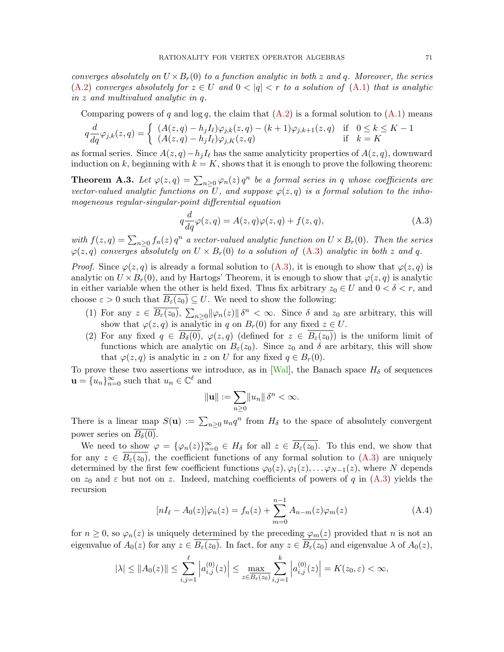converges absolutely on  $U \times B_r(0)$  to a function analytic in both z and q. Moreover, the series [\(A.2\)](#page-69-1) converges absolutely for  $z \in U$  and  $0 < |q| < r$  to a solution of [\(A.1\)](#page-68-1) that is analytic in z and multivalued analytic in q.

Comparing powers of q and  $\log q$ , the claim that  $(A.2)$  is a formal solution to  $(A.1)$  means

$$
q\frac{d}{dq}\varphi_{j,k}(z,q) = \begin{cases} (A(z,q) - h_j I_\ell)\varphi_{j,k}(z,q) - (k+1)\varphi_{j,k+1}(z,q) & \text{if } 0 \le k \le K-1\\ (A(z,q) - h_j I_\ell)\varphi_{j,K}(z,q) & \text{if } k = K \end{cases}
$$

as formal series. Since  $A(z, q) - h_j I_\ell$  has the same analyticity properties of  $A(z, q)$ , downward induction on k, beginning with  $k = K$ , shows that it is enough to prove the following theorem:

**Theorem A.3.** Let  $\varphi(z,q) = \sum_{n\geq 0} \varphi_n(z) q^n$  be a formal series in q whose coefficients are vector-valued analytic functions on U, and suppose  $\varphi(z,q)$  is a formal solution to the inhomogeneous regular-singular-point differential equation

<span id="page-70-0"></span>
$$
q\frac{d}{dq}\varphi(z,q) = A(z,q)\varphi(z,q) + f(z,q),\tag{A.3}
$$

with  $f(z,q) = \sum_{n\geq 0} f_n(z) q^n$  a vector-valued analytic function on  $U \times B_r(0)$ . Then the series  $\varphi(z,q)$  converges absolutely on  $U \times B_r(0)$  to a solution of  $(A.3)$  analytic in both z and q.

*Proof.* Since  $\varphi(z,q)$  is already a formal solution to [\(A.3\)](#page-70-0), it is enough to show that  $\varphi(z,q)$  is analytic on  $U \times B_r(0)$ , and by Hartogs' Theorem, it is enough to show that  $\varphi(z, q)$  is analytic in either variable when the other is held fixed. Thus fix arbitrary  $z_0 \in U$  and  $0 < \delta < r$ , and choose  $\varepsilon > 0$  such that  $B_{\varepsilon}(z_0) \subseteq U$ . We need to show the following:

- (1) For any  $z \in \overline{B_{\varepsilon}(z_0)}$ ,  $\sum_{n\geq 0} ||\varphi_n(z)|| \delta^n < \infty$ . Since  $\delta$  and  $z_0$  are arbitrary, this will show that  $\varphi(z, q)$  is analytic in q on  $B_r(0)$  for any fixed  $z \in U$ .
- (2) For any fixed  $q \in B_\delta(0)$ ,  $\varphi(z,q)$  (defined for  $z \in B_\varepsilon(z_0)$ ) is the uniform limit of functions which are analytic on  $B_{\varepsilon}(z_0)$ . Since  $z_0$  and  $\delta$  are arbitary, this will show that  $\varphi(z, q)$  is analytic in z on U for any fixed  $q \in B_r(0)$ .

To prove these two assertions we introduce, as in [\[Wal\]](#page-84-11), the Banach space  $H_\delta$  of sequences  $\mathbf{u} = \{u_n\}_{n=0}^{\infty}$  such that  $u_n \in \mathbb{C}^{\ell}$  and

<span id="page-70-1"></span>
$$
\|\mathbf{u}\| := \sum_{n\geq 0} \|u_n\| \delta^n < \infty.
$$

There is a linear map  $S(\mathbf{u}) := \sum_{n\geq 0} u_n q^n$  from  $H_\delta$  to the space of absolutely convergent power series on  $B_\delta(0)$ .

We need to show  $\varphi = {\varphi_n(z)}_{n=0}^{\infty} \in H_\delta$  for all  $z \in \overline{B_\varepsilon(z_0)}$ . To this end, we show that for any  $z \in B_{\varepsilon}(z_0)$ , the coefficient functions of any formal solution to  $(A.3)$  are uniquely determined by the first few coefficient functions  $\varphi_0(z), \varphi_1(z), \ldots \varphi_{N-1}(z)$ , where N depends on  $z_0$  and  $\varepsilon$  but not on z. Indeed, matching coefficients of powers of q in [\(A.3\)](#page-70-0) yields the recursion

$$
[nI_{\ell} - A_0(z)]\varphi_n(z) = f_n(z) + \sum_{m=0}^{n-1} A_{n-m}(z)\varphi_m(z)
$$
 (A.4)

for  $n \geq 0$ , so  $\varphi_n(z)$  is uniquely determined by the preceding  $\varphi_m(z)$  provided that n is not an eigenvalue of  $A_0(z)$  for any  $z \in \overline{B_\varepsilon(z_0)}$ . In fact, for any  $z \in \overline{B_\varepsilon(z_0)}$  and eigenvalue  $\lambda$  of  $A_0(z)$ ,

$$
|\lambda| \le ||A_0(z)|| \le \sum_{i,j=1}^{\ell} \left| a_{i,j}^{(0)}(z) \right| \le \max_{z \in \overline{B_{\varepsilon}(z_0)}} \sum_{i,j=1}^k \left| a_{i,j}^{(0)}(z) \right| = K(z_0, \varepsilon) < \infty,
$$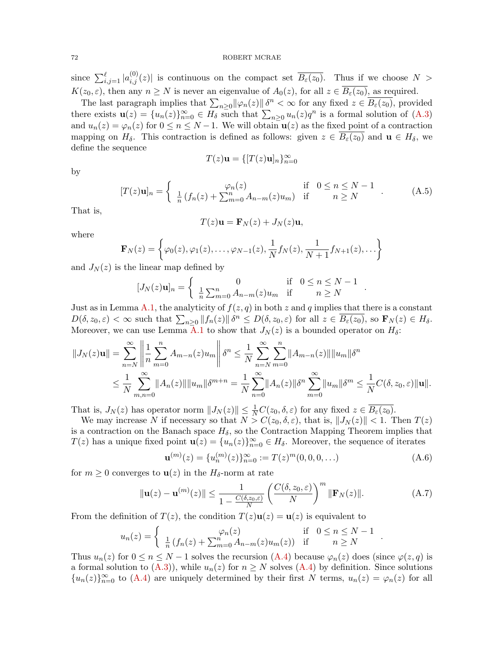since  $\sum_{i,j=1}^{\ell} |a_{i,j}^{(0)}(z)|$  is continuous on the compact set  $\overline{B_{\varepsilon}(z_0)}$ . Thus if we choose  $N >$  $K(z_0, \varepsilon)$ , then any  $n \geq N$  is never an eigenvalue of  $A_0(z)$ , for all  $z \in \overline{B_{\varepsilon}(z_0)}$ , as required.

The last paragraph implies that  $\sum_{n\geq 0} ||\varphi_n(z)|| \delta^n < \infty$  for any fixed  $z \in \overline{B_{\varepsilon}(z_0)}$ , provided there exists  $\mathbf{u}(z) = \{u_n(z)\}_{n=0}^{\infty} \in H_\delta$  such that  $\sum_{n\geq 0} u_n(z)q^n$  is a formal solution of  $(A.3)$ and  $u_n(z) = \varphi_n(z)$  for  $0 \leq n \leq N-1$ . We will obtain  $\mathbf{u}(z)$  as the fixed point of a contraction mapping on  $H_\delta$ . This contraction is defined as follows: given  $z \in B_\varepsilon(z_0)$  and  $\mathbf{u} \in H_\delta$ , we define the sequence

$$
T(z)\mathbf{u} = \{ [T(z)\mathbf{u}]_n \}_{n=0}^{\infty}
$$

by

$$
[T(z)\mathbf{u}]_n = \begin{cases} \varphi_n(z) & \text{if } 0 \le n \le N - 1 \\ \frac{1}{n} \left( f_n(z) + \sum_{m=0}^n A_{n-m}(z) u_m \right) & \text{if } n \ge N \end{cases} . \tag{A.5}
$$

That is,

$$
T(z)\mathbf{u} = \mathbf{F}_N(z) + J_N(z)\mathbf{u},
$$

where

$$
\mathbf{F}_N(z) = \left\{ \varphi_0(z), \varphi_1(z), \dots, \varphi_{N-1}(z), \frac{1}{N} f_N(z), \frac{1}{N+1} f_{N+1}(z), \dots \right\}
$$

and  $J_N(z)$  is the linear map defined by

$$
[J_N(z)\mathbf{u}]_n = \begin{cases} 0 & \text{if } 0 \le n \le N-1\\ \frac{1}{n}\sum_{m=0}^n A_{n-m}(z)u_m & \text{if } n \ge N \end{cases}
$$

Just as in Lemma [A.1,](#page-69-2) the analyticity of  $f(z, q)$  in both z and q implies that there is a constant  $D(\delta, z_0, \varepsilon) < \infty$  such that  $\sum_{n\geq 0} ||f_n(z)|| \delta^n \leq D(\delta, z_0, \varepsilon)$  for all  $z \in \overline{B_{\varepsilon}(z_0)}$ , so  $\mathbf{F}_N(z) \in H_{\delta}$ . Moreover, we can use Lemma [A.1](#page-69-2) to show that  $J_N(z)$  is a bounded operator on  $H_\delta$ :

$$
||J_N(z)\mathbf{u}|| = \sum_{n=N}^{\infty} \left\| \frac{1}{n} \sum_{m=0}^{n} A_{m-n}(z) u_m \right\| \delta^n \le \frac{1}{N} \sum_{n=N}^{\infty} \sum_{m=0}^{n} ||A_{m-n}(z)|| ||u_m|| \delta^n
$$
  

$$
\le \frac{1}{N} \sum_{m,n=0}^{\infty} ||A_n(z)|| ||u_m|| \delta^{m+n} = \frac{1}{N} \sum_{n=0}^{\infty} ||A_n(z)|| \delta^n \sum_{m=0}^{\infty} ||u_m|| \delta^m \le \frac{1}{N} C(\delta, z_0, \varepsilon) ||\mathbf{u}||.
$$

That is,  $J_N(z)$  has operator norm  $||J_N(z)|| \leq \frac{1}{N}C(z_0, \delta, \varepsilon)$  for any fixed  $z \in \overline{B_{\varepsilon}(z_0)}$ .

We may increase N if necessary so that  $N > C(z_0, \delta, \varepsilon)$ , that is,  $||J_N(z)|| < 1$ . Then  $T(z)$ is a contraction on the Banach space  $H_{\delta}$ , so the Contraction Mapping Theorem implies that  $T(z)$  has a unique fixed point  $\mathbf{u}(z) = \{u_n(z)\}_{n=0}^{\infty} \in H_\delta$ . Moreover, the sequence of iterates

$$
\mathbf{u}^{(m)}(z) = \{u_n^{(m)}(z)\}_{n=0}^{\infty} := T(z)^m(0,0,0,\ldots)
$$
 (A.6)

.

.

for  $m \geq 0$  converges to  $\mathbf{u}(z)$  in the  $H_{\delta}$ -norm at rate

$$
\|\mathbf{u}(z) - \mathbf{u}^{(m)}(z)\| \le \frac{1}{1 - \frac{C(\delta, z_0, \varepsilon)}{N}} \left(\frac{C(\delta, z_0, \varepsilon)}{N}\right)^m \|\mathbf{F}_N(z)\|.
$$
 (A.7)

From the definition of  $T(z)$ , the condition  $T(z)u(z) = u(z)$  is equivalent to

$$
u_n(z) = \begin{cases} \varphi_n(z) & \text{if } 0 \le n \le N-1\\ \frac{1}{n} \left( f_n(z) + \sum_{m=0}^n A_{n-m}(z) u_m(z) \right) & \text{if } n \ge N \end{cases}
$$

Thus  $u_n(z)$  for  $0 \le n \le N-1$  solves the recursion  $(A.4)$  because  $\varphi_n(z)$  does (since  $\varphi(z,q)$  is a formal solution to  $(A.3)$ , while  $u_n(z)$  for  $n \geq N$  solves  $(A.4)$  by definition. Since solutions  ${u_n(z)}_{n=0}^{\infty}$  to [\(A.4\)](#page-70-1) are uniquely determined by their first N terms,  $u_n(z) = \varphi_n(z)$  for all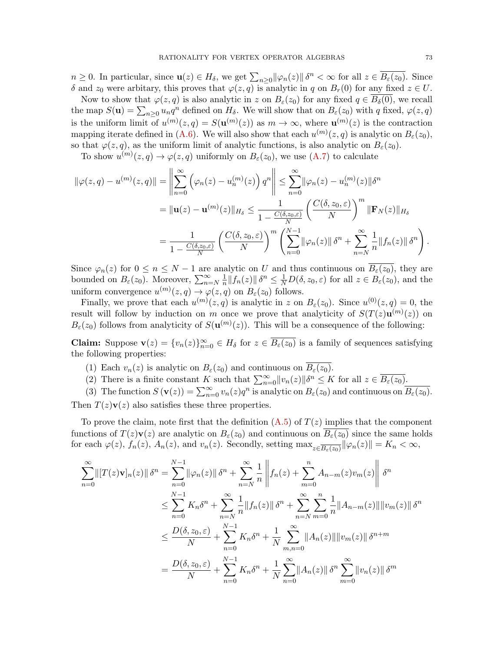$n \geq 0$ . In particular, since  $\mathbf{u}(z) \in H_{\delta}$ , we get  $\sum_{n \geq 0} ||\varphi_n(z)|| \delta^n < \infty$  for all  $z \in \overline{B_{\varepsilon}(z_0)}$ . Since δ and  $z_0$  were arbitary, this proves that  $\varphi(z, q)$  is analytic in q on  $B_r(0)$  for any fixed  $z \in U$ .

Now to show that  $\varphi(z, q)$  is also analytic in z on  $B_{\varepsilon}(z_0)$  for any fixed  $q \in B_{\delta}(0)$ , we recall the map  $S(\mathbf{u}) = \sum_{n\geq 0} u_n q^n$  defined on  $H_\delta$ . We will show that on  $B_\varepsilon(z_0)$  with q fixed,  $\varphi(z, q)$ is the uniform limit of  $u^{(m)}(z,q) = S(u^{(m)}(z))$  as  $m \to \infty$ , where  $u^{(m)}(z)$  is the contraction mapping iterate defined in [\(A.6\)](#page-71-0). We will also show that each  $u^{(m)}(z, q)$  is analytic on  $B_{\varepsilon}(z_0)$ , so that  $\varphi(z, q)$ , as the uniform limit of analytic functions, is also analytic on  $B_{\varepsilon}(z_0)$ .

To show  $u^{(m)}(z,q) \to \varphi(z,q)$  uniformly on  $B_{\varepsilon}(z_0)$ , we use  $(A.7)$  to calculate

$$
\|\varphi(z,q) - u^{(m)}(z,q)\| = \left\|\sum_{n=0}^{\infty} \left(\varphi_n(z) - u_n^{(m)}(z)\right) q^n\right\| \le \sum_{n=0}^{\infty} \|\varphi_n(z) - u_n^{(m)}(z)\| \delta^n
$$
  
\n
$$
= \|\mathbf{u}(z) - \mathbf{u}^{(m)}(z)\|_{H_\delta} \le \frac{1}{1 - \frac{C(\delta, z_0, \varepsilon)}{N}} \left(\frac{C(\delta, z_0, \varepsilon)}{N}\right)^m \|\mathbf{F}_N(z)\|_{H_\delta}
$$
  
\n
$$
= \frac{1}{1 - \frac{C(\delta, z_0, \varepsilon)}{N}} \left(\frac{C(\delta, z_0, \varepsilon)}{N}\right)^m \left(\sum_{n=0}^{N-1} \|\varphi_n(z)\| \delta^n + \sum_{n=N}^{\infty} \frac{1}{n} \|f_n(z)\| \delta^n\right).
$$

Since  $\varphi_n(z)$  for  $0 \leq n \leq N-1$  are analytic on U and thus continuous on  $B_{\varepsilon}(z_0)$ , they are bounded on  $B_{\varepsilon}(z_0)$ . Moreover,  $\sum_{n=N}^{\infty} \frac{1}{n}$  $\frac{1}{n} \|f_n(z)\| \delta^n \leq \frac{1}{N} D(\delta, z_0, \varepsilon)$  for all  $z \in B_{\varepsilon}(z_0)$ , and the uniform convergence  $u^{(m)}(z,q) \to \varphi(z,q)$  on  $B_{\varepsilon}(z_0)$  follows.

Finally, we prove that each  $u^{(m)}(z,q)$  is analytic in z on  $B_{\varepsilon}(z_0)$ . Since  $u^{(0)}(z,q) = 0$ , the result will follow by induction on m once we prove that analyticity of  $S(T(z)u^{(m)}(z))$  on  $B_{\varepsilon}(z_0)$  follows from analyticity of  $S(\mathbf{u}^{(m)}(z))$ . This will be a consequence of the following:

**Claim:** Suppose  $\mathbf{v}(z) = \{v_n(z)\}_{n=0}^{\infty} \in H_\delta$  for  $z \in \overline{B_\varepsilon(z_0)}$  is a family of sequences satisfying the following properties:

- (1) Each  $v_n(z)$  is analytic on  $B_{\varepsilon}(z_0)$  and continuous on  $\overline{B_{\varepsilon}(z_0)}$ .
- (2) There is a finite constant K such that  $\sum_{n=0}^{\infty} ||v_n(z)|| \delta^n \leq K$  for all  $z \in \overline{B_{\varepsilon}(z_0)}$ .

(3) The function  $S(\mathbf{v}(z)) = \sum_{n=0}^{\infty} v_n(z) q^n$  is analytic on  $B_{\varepsilon}(z_0)$  and continuous on  $\overline{B_{\varepsilon}(z_0)}$ . Then  $T(z)\mathbf{v}(z)$  also satisfies these three properties.

To prove the claim, note first that the definition  $(A.5)$  of  $T(z)$  implies that the component functions of  $T(z)\mathbf{v}(z)$  are analytic on  $B_{\varepsilon}(z_0)$  and continuous on  $B_{\varepsilon}(z_0)$  since the same holds for each  $\varphi(z)$ ,  $f_n(z)$ ,  $A_n(z)$ , and  $v_n(z)$ . Secondly, setting  $\max_{z \in \overline{B_\varepsilon(z_0)}} ||\varphi_n(z)|| = K_n < \infty$ ,

$$
\sum_{n=0}^{\infty} ||[T(z)\mathbf{v}]_n(z)|| \delta^n = \sum_{n=0}^{N-1} ||\varphi_n(z)|| \delta^n + \sum_{n=N}^{\infty} \frac{1}{n} ||f_n(z) + \sum_{m=0}^n A_{n-m}(z)v_m(z)|| \delta^n
$$
  
\n
$$
\leq \sum_{n=0}^{N-1} K_n \delta^n + \sum_{n=N}^{\infty} \frac{1}{n} ||f_n(z)|| \delta^n + \sum_{n=N}^{\infty} \sum_{m=0}^n \frac{1}{n} ||A_{n-m}(z)|| ||v_m(z)|| \delta^n
$$
  
\n
$$
\leq \frac{D(\delta, z_0, \varepsilon)}{N} + \sum_{n=0}^{N-1} K_n \delta^n + \frac{1}{N} \sum_{m,n=0}^{\infty} ||A_n(z)|| ||v_m(z)|| \delta^{n+m}
$$
  
\n
$$
= \frac{D(\delta, z_0, \varepsilon)}{N} + \sum_{n=0}^{N-1} K_n \delta^n + \frac{1}{N} \sum_{n=0}^{\infty} ||A_n(z)|| \delta^n \sum_{m=0}^{\infty} ||v_n(z)|| \delta^m
$$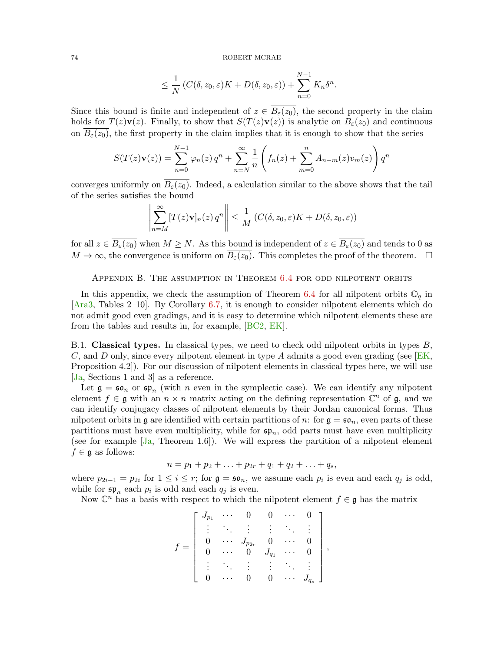$$
\leq \frac{1}{N} \left( C(\delta, z_0, \varepsilon) K + D(\delta, z_0, \varepsilon) \right) + \sum_{n=0}^{N-1} K_n \delta^n.
$$

Since this bound is finite and independent of  $z \in B_{\varepsilon}(z_0)$ , the second property in the claim holds for  $T(z)\mathbf{v}(z)$ . Finally, to show that  $S(T(z)\mathbf{v}(z))$  is analytic on  $B_{\varepsilon}(z_0)$  and continuous on  $B_{\varepsilon}(z_0)$ , the first property in the claim implies that it is enough to show that the series

$$
S(T(z)\mathbf{v}(z)) = \sum_{n=0}^{N-1} \varphi_n(z) q^n + \sum_{n=N}^{\infty} \frac{1}{n} \left( f_n(z) + \sum_{m=0}^{n} A_{n-m}(z) v_m(z) \right) q^n
$$

converges uniformly on  $B_{\varepsilon}(z_0)$ . Indeed, a calculation similar to the above shows that the tail of the series satisfies the bound

$$
\left\| \sum_{n=M}^{\infty} [T(z)\mathbf{v}]_n(z) q^n \right\| \le \frac{1}{M} \left( C(\delta, z_0, \varepsilon) K + D(\delta, z_0, \varepsilon) \right)
$$

for all  $z \in \overline{B_{\varepsilon}(z_0)}$  when  $M \geq N$ . As this bound is independent of  $z \in \overline{B_{\varepsilon}(z_0)}$  and tends to 0 as  $M \to \infty$ , the convergence is uniform on  $\overline{B_{\varepsilon}(z_0)}$ . This completes the proof of the theorem.  $\square$ 

# Appendix B. The assumption in Theorem [6.4](#page-62-0) for odd nilpotent orbits

In this appendix, we check the assumption of Theorem [6.4](#page-62-0) for all nilpotent orbits  $\mathbb{O}_q$  in [\[Ara3,](#page-81-0) Tables 2–10]. By Corollary [6.7,](#page-63-0) it is enough to consider nilpotent elements which do not admit good even gradings, and it is easy to determine which nilpotent elements these are from the tables and results in, for example, [\[BC2,](#page-81-1) [EK\]](#page-82-0).

B.1. Classical types. In classical types, we need to check odd nilpotent orbits in types B, C, and D only, since every nilpotent element in type A admits a good even grading (see  $E$ K, Proposition 4.2]). For our discussion of nilpotent elements in classical types here, we will use [\[Ja,](#page-83-0) Sections 1 and 3] as a reference.

Let  $\mathfrak{g} = \mathfrak{so}_n$  or  $\mathfrak{sp}_n$  (with *n* even in the symplectic case). We can identify any nilpotent element  $f \in \mathfrak{g}$  with an  $n \times n$  matrix acting on the defining representation  $\mathbb{C}^n$  of  $\mathfrak{g}$ , and we can identify conjugacy classes of nilpotent elements by their Jordan canonical forms. Thus nilpotent orbits in g are identified with certain partitions of n: for  $g = \mathfrak{so}_n$ , even parts of these partitions must have even multiplicity, while for  $\mathfrak{sp}_n$ , odd parts must have even multiplicity (see for example  $[Ja,$  Theorem 1.6). We will express the partition of a nilpotent element  $f \in \mathfrak{g}$  as follows:

$$
n = p_1 + p_2 + \ldots + p_{2r} + q_1 + q_2 + \ldots + q_s,
$$

where  $p_{2i-1} = p_{2i}$  for  $1 \leq i \leq r$ ; for  $\mathfrak{g} = \mathfrak{so}_n$ , we assume each  $p_i$  is even and each  $q_j$  is odd, while for  $\mathfrak{sp}_n$  each  $p_i$  is odd and each  $q_j$  is even.

Now  $\mathbb{C}^n$  has a basis with respect to which the nilpotent element  $f \in \mathfrak{g}$  has the matrix

$$
f = \left[ \begin{array}{ccccc} J_{p_1} & \cdots & 0 & 0 & \cdots & 0 \\ \vdots & \ddots & \vdots & \vdots & \ddots & \vdots \\ 0 & \cdots & J_{p_{2r}} & 0 & \cdots & 0 \\ 0 & \cdots & 0 & J_{q_1} & \cdots & 0 \\ \vdots & \ddots & \vdots & \vdots & \ddots & \vdots \\ 0 & \cdots & 0 & 0 & \cdots & J_{q_s} \end{array} \right],
$$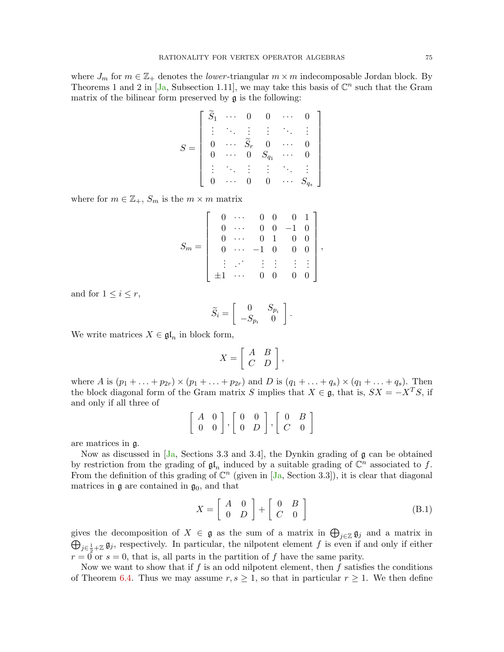where  $J_m$  for  $m \in \mathbb{Z}_+$  denotes the *lower*-triangular  $m \times m$  indecomposable Jordan block. By Theorems 1 and 2 in  $[Ja, Subsection 1.11]$  $[Ja, Subsection 1.11]$ , we may take this basis of  $\mathbb{C}^n$  such that the Gram matrix of the bilinear form preserved by  $\mathfrak g$  is the following:

$$
S = \left[ \begin{array}{cccccc} \widetilde{S}_1 & \cdots & 0 & 0 & \cdots & 0 \\ \vdots & \ddots & \vdots & \vdots & \ddots & \vdots \\ 0 & \cdots & \widetilde{S}_r & 0 & \cdots & 0 \\ 0 & \cdots & 0 & S_{q_1} & \cdots & 0 \\ \vdots & \ddots & \vdots & \vdots & \ddots & \vdots \\ 0 & \cdots & 0 & 0 & \cdots & S_{q_s} \end{array} \right]
$$

where for  $m \in \mathbb{Z}_+$ ,  $S_m$  is the  $m \times m$  matrix

$$
S_m = \left[\begin{array}{ccccc} 0 & \cdots & 0 & 0 & 0 & 1 \\ 0 & \cdots & 0 & 0 & -1 & 0 \\ 0 & \cdots & 0 & 1 & 0 & 0 \\ 0 & \cdots & -1 & 0 & 0 & 0 \\ \vdots & \ddots & \vdots & \vdots & \vdots & \vdots \\ \pm 1 & \cdots & 0 & 0 & 0 & 0 \end{array}\right],
$$

and for  $1 \leq i \leq r$ ,

$$
\widetilde{S}_i = \left[ \begin{array}{cc} 0 & S_{p_i} \\ -S_{p_i} & 0 \end{array} \right].
$$

We write matrices  $X \in \mathfrak{gl}_n$  in block form,

$$
X = \left[ \begin{array}{cc} A & B \\ C & D \end{array} \right],
$$

where A is  $(p_1 + ... + p_{2r}) \times (p_1 + ... + p_{2r})$  and D is  $(q_1 + ... + q_s) \times (q_1 + ... + q_s)$ . Then the block diagonal form of the Gram matrix S implies that  $X \in \mathfrak{g}$ , that is,  $SX = -X^{T}S$ , if and only if all three of

$$
\left[\begin{array}{cc}A & 0 \\ 0 & 0\end{array}\right], \left[\begin{array}{cc}0 & 0 \\ 0 & D\end{array}\right], \left[\begin{array}{cc}0 & B \\ C & 0\end{array}\right]
$$

are matrices in g.

Now as discussed in  $JA$ , Sections 3.3 and 3.4, the Dynkin grading of g can be obtained by restriction from the grading of  $\mathfrak{gl}_n$  induced by a suitable grading of  $\mathbb{C}^n$  associated to f. From the definition of this grading of  $\mathbb{C}^n$  (given in [J<sub>a</sub>, Section 3.3]), it is clear that diagonal matrices in  $\mathfrak g$  are contained in  $\mathfrak g_0$ , and that

<span id="page-74-0"></span>
$$
X = \left[ \begin{array}{cc} A & 0 \\ 0 & D \end{array} \right] + \left[ \begin{array}{cc} 0 & B \\ C & 0 \end{array} \right] \tag{B.1}
$$

gives the decomposition of  $X \in \mathfrak{g}$  as the sum of a matrix in  $\bigoplus_{j\in\mathbb{Z}} \mathfrak{g}_j$  and a matrix in  $\bigoplus_{j\in\frac{1}{2}+\mathbb{Z}}\mathfrak{g}_j$ , respectively. In particular, the nilpotent element f is even if and only if either  $r = 0$  or  $s = 0$ , that is, all parts in the partition of f have the same parity.

Now we want to show that if  $f$  is an odd nilpotent element, then  $f$  satisfies the conditions of Theorem [6.4.](#page-62-0) Thus we may assume  $r, s \geq 1$ , so that in particular  $r \geq 1$ . We then define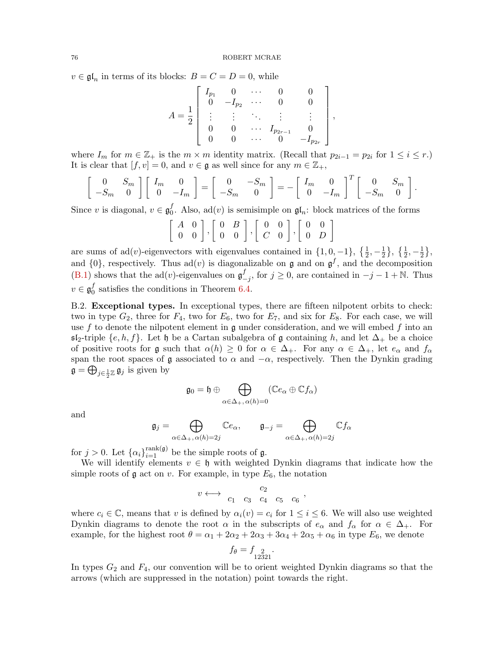$v \in \mathfrak{gl}_n$  in terms of its blocks:  $B = C = D = 0$ , while

$$
A = \frac{1}{2} \left[ \begin{array}{cccc} I_{p_1} & 0 & \cdots & 0 & 0 \\ 0 & -I_{p_2} & \cdots & 0 & 0 \\ \vdots & \vdots & \ddots & \vdots & \vdots \\ 0 & 0 & \cdots & I_{p_{2r-1}} & 0 \\ 0 & 0 & \cdots & 0 & -I_{p_{2r}} \end{array} \right]
$$

,

where  $I_m$  for  $m \in \mathbb{Z}_+$  is the  $m \times m$  identity matrix. (Recall that  $p_{2i-1} = p_{2i}$  for  $1 \le i \le r$ .) It is clear that  $[f, v] = 0$ , and  $v \in \mathfrak{g}$  as well since for any  $m \in \mathbb{Z}_+$ ,

$$
\begin{bmatrix} 0 & S_m \\ -S_m & 0 \end{bmatrix} \begin{bmatrix} I_m & 0 \\ 0 & -I_m \end{bmatrix} = \begin{bmatrix} 0 & -S_m \\ -S_m & 0 \end{bmatrix} = - \begin{bmatrix} I_m & 0 \\ 0 & -I_m \end{bmatrix}^T \begin{bmatrix} 0 & S_m \\ -S_m & 0 \end{bmatrix}.
$$

Since v is diagonal,  $v \in \mathfrak{g}_0^f$ <sup>*I*</sup>, Also, ad(*v*) is semisimple on  $\mathfrak{gl}_n$ : block matrices of the forms

$$
\left[\begin{array}{cc}A & 0\\0 & 0\end{array}\right], \left[\begin{array}{cc}0 & B\\0 & 0\end{array}\right], \left[\begin{array}{cc}0 & 0\\C & 0\end{array}\right], \left[\begin{array}{cc}0 & 0\\0 & D\end{array}\right]
$$

are sums of  $ad(v)$ -eigenvectors with eigenvalues contained in  $\{1, 0, -1\}$ ,  $\{\frac{1}{2}, -\frac{1}{2}\}$  $\frac{1}{2}$ ,  $\{\frac{1}{2}, -\frac{1}{2}$  $\frac{1}{2}$ , and  $\{0\}$ , respectively. Thus ad(v) is diagonalizable on **g** and on  $\mathfrak{g}^f$ , and the decomposition  $(B.1)$  shows that the ad(*v*)-eigenvalues on  $\mathfrak{g}^f$  $_{-j}^{f}$ , for  $j \geq 0$ , are contained in  $-j-1+\mathbb{N}$ . Thus  $v \in \mathfrak{g}_0^f$  $\frac{J}{0}$  satisfies the conditions in Theorem [6.4.](#page-62-0)

B.2. Exceptional types. In exceptional types, there are fifteen nilpotent orbits to check: two in type  $G_2$ , three for  $F_4$ , two for  $E_6$ , two for  $E_7$ , and six for  $E_8$ . For each case, we will use f to denote the nilpotent element in g under consideration, and we will embed f into an  $\mathfrak{sl}_2$ -triple  $\{e, h, f\}$ . Let h be a Cartan subalgebra of g containing h, and let  $\Delta_+$  be a choice of positive roots for g such that  $\alpha(h) \geq 0$  for  $\alpha \in \Delta_+$ . For any  $\alpha \in \Delta_+$ , let  $e_\alpha$  and  $f_\alpha$ span the root spaces of  $\mathfrak g$  associated to  $\alpha$  and  $-\alpha$ , respectively. Then the Dynkin grading  $\mathfrak{g} = \bigoplus_{j \in \frac{1}{2}\mathbb{Z}} \mathfrak{g}_j$  is given by

$$
\mathfrak{g}_0 = \mathfrak{h} \oplus \bigoplus_{\alpha \in \Delta_+, \alpha(h) = 0} (\mathbb{C}e_\alpha \oplus \mathbb{C}f_\alpha)
$$

and

$$
\mathfrak{g}_j = \bigoplus_{\alpha \in \Delta_+, \, \alpha(h) = 2j} \mathbb{C}e_{\alpha}, \qquad \mathfrak{g}_{-j} = \bigoplus_{\alpha \in \Delta_+, \, \alpha(h) = 2j} \mathbb{C}f_{\alpha}
$$

for  $j > 0$ . Let  $\{\alpha_i\}_{i=1}^{\text{rank}(\mathfrak{g})}$  be the simple roots of  $\mathfrak{g}$ .

We will identify elements  $v \in \mathfrak{h}$  with weighted Dynkin diagrams that indicate how the simple roots of  $\mathfrak g$  act on v. For example, in type  $E_6$ , the notation

$$
v \longleftrightarrow \begin{array}{ccccc} & & c_2 & & \\ c_1 & c_3 & c_4 & c_5 & c_6 \end{array},
$$

where  $c_i \in \mathbb{C}$ , means that v is defined by  $\alpha_i(v) = c_i$  for  $1 \leq i \leq 6$ . We will also use weighted Dynkin diagrams to denote the root  $\alpha$  in the subscripts of  $e_{\alpha}$  and  $f_{\alpha}$  for  $\alpha \in \Delta_{+}$ . For example, for the highest root  $\theta = \alpha_1 + 2\alpha_2 + 2\alpha_3 + 3\alpha_4 + 2\alpha_5 + \alpha_6$  in type  $E_6$ , we denote

$$
f_{\theta} = f_{12321}^2
$$

.

In types  $G_2$  and  $F_4$ , our convention will be to orient weighted Dynkin diagrams so that the arrows (which are suppressed in the notation) point towards the right.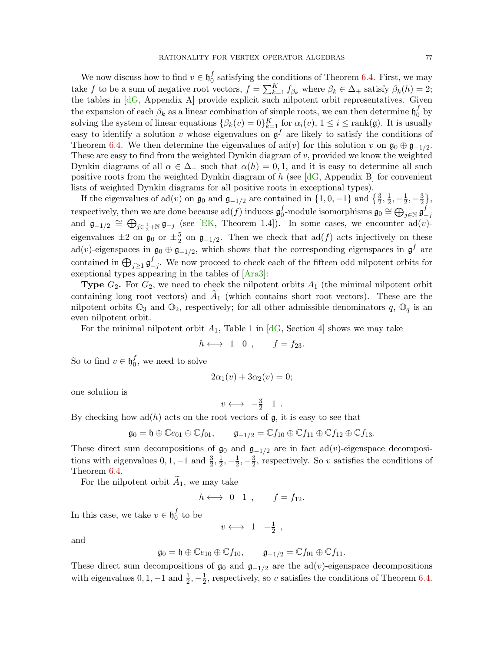We now discuss how to find  $v \in \mathfrak{h}_0^f$  $\sigma_0^J$  satisfying the conditions of Theorem [6.4.](#page-62-0) First, we may take f to be a sum of negative root vectors,  $f = \sum_{k=1}^{K} f_{\beta_k}$  where  $\beta_k \in \Delta_+$  satisfy  $\beta_k(h) = 2$ ; the tables in [\[dG,](#page-82-1) Appendix A] provide explicit such nilpotent orbit representatives. Given the expansion of each  $\beta_k$  as a linear combination of simple roots, we can then determine  $\mathfrak{h}_0^f$  $_0^J$  by solving the system of linear equations  $\{\beta_k(v) = 0\}_{k=1}^K$  for  $\alpha_i(v)$ ,  $1 \le i \le \text{rank}(\mathfrak{g})$ . It is usually easy to identify a solution v whose eigenvalues on  $\mathfrak{g}^f$  are likely to satisfy the conditions of Theorem [6.4.](#page-62-0) We then determine the eigenvalues of  $\text{ad}(v)$  for this solution v on  $\mathfrak{g}_0 \oplus \mathfrak{g}_{-1/2}$ . These are easy to find from the weighted Dynkin diagram of  $v$ , provided we know the weighted Dynkin diagrams of all  $\alpha \in \Delta_+$  such that  $\alpha(h) = 0, 1$ , and it is easy to determine all such positive roots from the weighted Dynkin diagram of h (see  $[dG,$  Appendix B] for convenient lists of weighted Dynkin diagrams for all positive roots in exceptional types).

If the eigenvalues of  $ad(v)$  on  $\mathfrak{g}_0$  and  $\mathfrak{g}_{-1/2}$  are contained in  $\{1,0,-1\}$  and  $\{\frac{3}{2},\frac{1}{2}$  $\frac{1}{2}, -\frac{1}{2}$  $\frac{1}{2}, -\frac{3}{2}$  $\frac{3}{2}$ , respectively, then we are done because  $\operatorname{ad}(f)$  induces  $\mathfrak{g}^f_0$  $^f_0\text{-module isomorphisms }\mathfrak{g}_0\cong\bigoplus_{j\in\mathbb{N}}\mathfrak{g}^f_-\,$  $-i$ and  $\mathfrak{g}_{-1/2} \cong \bigoplus_{j \in \frac{1}{2} + \mathbb{N}} \mathfrak{g}_{-j}$  (see [\[EK,](#page-82-0) Theorem 1.4]). In some cases, we encounter ad(v)eigenvalues  $\pm 2$  on  $\mathfrak{g}_0$  or  $\pm \frac{5}{2}$  $\frac{5}{2}$  on  $\mathfrak{g}_{-1/2}$ . Then we check that  $\text{ad}(f)$  acts injectively on these ad(v)-eigenspaces in  $\mathfrak{g}_0 \oplus \mathfrak{g}_{-1/2}$ , which shows that the corresponding eigenspaces in  $\mathfrak{g}^f$  are contained in  $\bigoplus_{j\geq 1}\mathfrak{g}^f$  $\frac{J}{-j}$ . We now proceed to check each of the fifteen odd nilpotent orbits for exeptional types appearing in the tables of [\[Ara3\]](#page-81-0):

**Type**  $G_2$ . For  $G_2$ , we need to check the nilpotent orbits  $A_1$  (the minimal nilpotent orbit containing long root vectors) and  $A_1$  (which contains short root vectors). These are the nilpotent orbits  $\mathbb{O}_3$  and  $\mathbb{O}_2$ , respectively; for all other admissible denominators q,  $\mathbb{O}_q$  is an even nilpotent orbit.

For the minimal nilpotent orbit  $A_1$ , Table 1 in [\[dG,](#page-82-1) Section 4] shows we may take

$$
h \longleftrightarrow 1 \quad 0 \ , \qquad f = f_{23}.
$$

So to find  $v \in \mathfrak{h}_0^f$  $_0^J$ , we need to solve

$$
2\alpha_1(v) + 3\alpha_2(v) = 0;
$$

one solution is

$$
v \longleftrightarrow -\frac{3}{2} 1 .
$$

By checking how  $ad(h)$  acts on the root vectors of  $g$ , it is easy to see that

$$
\mathfrak{g}_0 = \mathfrak{h} \oplus \mathbb{C}e_{01} \oplus \mathbb{C}f_{01}, \qquad \mathfrak{g}_{-1/2} = \mathbb{C}f_{10} \oplus \mathbb{C}f_{11} \oplus \mathbb{C}f_{12} \oplus \mathbb{C}f_{13}.
$$

These direct sum decompositions of  $\mathfrak{g}_0$  and  $\mathfrak{g}_{-1/2}$  are in fact ad(v)-eigenspace decompositions with eigenvalues  $0, 1, -1$  and  $\frac{3}{2}, \frac{1}{2}$  $\frac{1}{2}, -\frac{1}{2}$  $\frac{1}{2}, -\frac{3}{2}$  $\frac{3}{2}$ , respectively. So v satisfies the conditions of Theorem [6.4.](#page-62-0)

For the nilpotent orbit  $A_1$ , we may take

$$
h \longleftrightarrow 0 \quad 1 \quad , \qquad f = f_{12}.
$$

In this case, we take  $v \in \mathfrak{h}_0^f$  $\frac{J}{0}$  to be

 $v \longleftrightarrow 1 \quad -\frac{1}{2}$  $\frac{1}{2}$ ,

and

$$
\mathfrak{g}_0 = \mathfrak{h} \oplus \mathbb{C}e_{10} \oplus \mathbb{C}f_{10}, \qquad \mathfrak{g}_{-1/2} = \mathbb{C}f_{01} \oplus \mathbb{C}f_{11}.
$$

These direct sum decompositions of  $\mathfrak{g}_0$  and  $\mathfrak{g}_{-1/2}$  are the ad(v)-eigenspace decompositions with eigenvalues  $0, 1, -1$  and  $\frac{1}{2}, -\frac{1}{2}$  $\frac{1}{2}$ , respectively, so v satisfies the conditions of Theorem [6.4.](#page-62-0)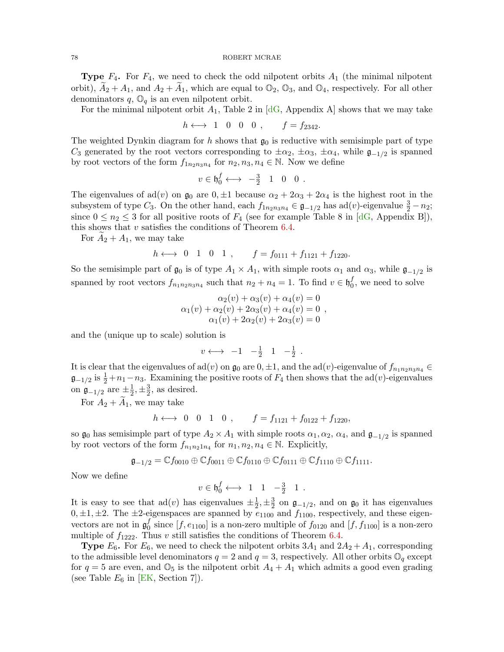**Type**  $F_4$ . For  $F_4$ , we need to check the odd nilpotent orbits  $A_1$  (the minimal nilpotent orbit),  $A_2 + A_1$ , and  $A_2 + A_1$ , which are equal to  $\mathbb{O}_2$ ,  $\mathbb{O}_3$ , and  $\mathbb{O}_4$ , respectively. For all other denominators  $q$ ,  $\mathbb{O}_q$  is an even nilpotent orbit.

For the minimal nilpotent orbit  $A_1$ , Table 2 in [\[dG,](#page-82-1) Appendix A] shows that we may take

$$
h \longleftrightarrow 1 \quad 0 \quad 0 \quad 0 \quad , \qquad f = f_{2342}.
$$

The weighted Dynkin diagram for h shows that  $\mathfrak{g}_0$  is reductive with semisimple part of type C<sub>3</sub> generated by the root vectors corresponding to  $\pm \alpha_2$ ,  $\pm \alpha_3$ ,  $\pm \alpha_4$ , while  $\mathfrak{g}_{-1/2}$  is spanned by root vectors of the form  $f_{1n_2n_3n_4}$  for  $n_2, n_3, n_4 \in \mathbb{N}$ . Now we define

$$
v \in \mathfrak{h}_0^f \longleftrightarrow -\frac{3}{2} \quad 1 \quad 0 \quad 0 \; .
$$

The eigenvalues of ad(v) on  $\mathfrak{g}_0$  are  $0, \pm 1$  because  $\alpha_2 + 2\alpha_3 + 2\alpha_4$  is the highest root in the subsystem of type  $C_3$ . On the other hand, each  $f_{1n_2n_3n_4} \in \mathfrak{g}_{-1/2}$  has ad $(v)$ -eigenvalue  $\frac{3}{2} - n_2$ ; since  $0 \le n_2 \le 3$  for all positive roots of  $F_4$  (see for example Table 8 in [\[dG,](#page-82-1) Appendix B]), this shows that  $v$  satisfies the conditions of Theorem [6.4.](#page-62-0)

For  $A_2 + A_1$ , we may take

$$
h \leftrightarrow 0 \quad 1 \quad 0 \quad 1 \quad , \qquad f = f_{0111} + f_{1121} + f_{1220}.
$$

So the semisimple part of  $\mathfrak{g}_0$  is of type  $A_1 \times A_1$ , with simple roots  $\alpha_1$  and  $\alpha_3$ , while  $\mathfrak{g}_{-1/2}$  is spanned by root vectors  $f_{n_1n_2n_3n_4}$  such that  $n_2 + n_4 = 1$ . To find  $v \in \mathfrak{h}_0^f$  $_0^J$ , we need to solve

$$
\alpha_2(v) + \alpha_3(v) + \alpha_4(v) = 0
$$
  
\n
$$
\alpha_1(v) + \alpha_2(v) + 2\alpha_3(v) + \alpha_4(v) = 0 ,
$$
  
\n
$$
\alpha_1(v) + 2\alpha_2(v) + 2\alpha_3(v) = 0
$$

and the (unique up to scale) solution is

$$
v \longleftrightarrow -1 \quad -\frac{1}{2} \quad 1 \quad -\frac{1}{2} \ .
$$

It is clear that the eigenvalues of ad(v) on  $\mathfrak{g}_0$  are  $0, \pm 1$ , and the ad(v)-eigenvalue of  $f_{n_1n_2n_3n_4}$  $\mathfrak{g}_{-1/2}$  is  $\frac{1}{2} + n_1 - n_3$ . Examining the positive roots of  $F_4$  then shows that the ad(v)-eigenvalues on  $\mathfrak{g}_{-1/2}$  are  $\pm \frac{1}{2}$  $\frac{1}{2}, \pm \frac{3}{2}$  $\frac{3}{2}$ , as desired.

For  $A_2 + A_1$ , we may take

$$
h \longleftrightarrow 0 \quad 0 \quad 1 \quad 0 \quad , \qquad f = f_{1121} + f_{0122} + f_{1220},
$$

so  $\mathfrak{g}_0$  has semisimple part of type  $A_2 \times A_1$  with simple roots  $\alpha_1, \alpha_2, \alpha_4$ , and  $\mathfrak{g}_{-1/2}$  is spanned by root vectors of the form  $f_{n_1n_21n_4}$  for  $n_1, n_2, n_4 \in \mathbb{N}$ . Explicitly,

$$
\mathfrak{g}_{-1/2}=\mathbb{C} f_{0010}\oplus \mathbb{C} f_{0011}\oplus \mathbb{C} f_{0110}\oplus \mathbb{C} f_{0111}\oplus \mathbb{C} f_{1110}\oplus \mathbb{C} f_{1111}.
$$

Now we define

$$
v \in \mathfrak{h}_0^f \longleftrightarrow 1 \quad 1 \quad -\frac{3}{2} \quad 1 \ .
$$

It is easy to see that  $ad(v)$  has eigenvalues  $\pm \frac{1}{2}$  $\frac{1}{2}, \pm \frac{3}{2}$  $\frac{3}{2}$  on  $\mathfrak{g}_{-1/2}$ , and on  $\mathfrak{g}_0$  it has eigenvalues  $0, \pm 1, \pm 2$ . The  $\pm 2$ -eigenspaces are spanned by  $e_{1100}$  and  $f_{1100}$ , respectively, and these eigenvectors are not in  $\mathfrak{g}_0^f$  $\begin{bmatrix} J_0 \end{bmatrix}$  since  $[f, e_{1100}]$  is a non-zero multiple of  $f_{0120}$  and  $[f, f_{1100}]$  is a non-zero multiple of  $f_{1222}$ . Thus v still satisfies the conditions of Theorem [6.4.](#page-62-0)

**Type**  $E_6$ . For  $E_6$ , we need to check the nilpotent orbits  $3A_1$  and  $2A_2 + A_1$ , corresponding to the admissible level denominators  $q = 2$  and  $q = 3$ , respectively. All other orbits  $\mathbb{O}_q$  except for  $q = 5$  are even, and  $\mathbb{O}_5$  is the nilpotent orbit  $A_4 + A_1$  which admits a good even grading (see Table  $E_6$  in [\[EK,](#page-82-0) Section 7]).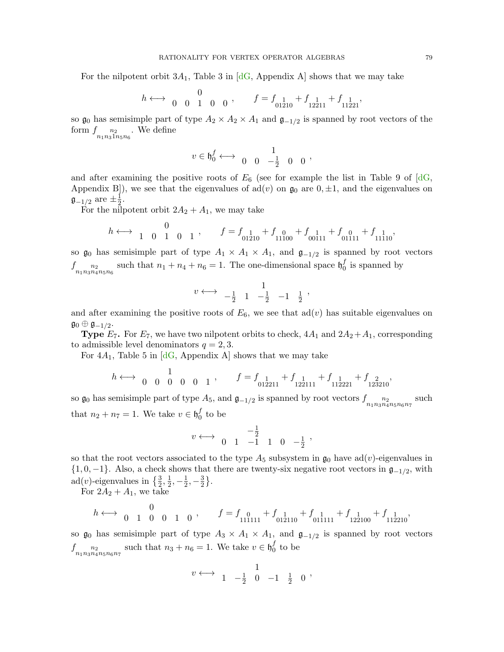For the nilpotent orbit  $3A_1$ , Table 3 in [\[dG,](#page-82-1) Appendix A] shows that we may take

$$
h \longleftrightarrow \begin{array}{cccc} 0 & & \\ 0 & 0 & 1 & 0 & 0 \end{array}, \qquad f=f_{\begin{array}{c} 1 \\ 01210 \end{array}}+f_{\begin{array}{c} 1 \\ 12211 \end{array}}+f_{\begin{array}{c} 1 \\ 11221 \end{array}},
$$

so  $\mathfrak{g}_0$  has semisimple part of type  $A_2 \times A_2 \times A_1$  and  $\mathfrak{g}_{-1/2}$  is spanned by root vectors of the form  $f_{n_1 n_3 1 n_5 n_6}$ . We define

$$
\overline{t}
$$

$$
v \in \mathfrak{h}_0^f \longleftrightarrow \begin{array}{cccc} 1 & 1 \\ 0 & 0 & -\frac{1}{2} & 0 \end{array}
$$

1

and after examining the positive roots of  $E_6$  (see for example the list in Table 9 of  $[dG,$ Appendix B]), we see that the eigenvalues of  $ad(v)$  on  $\mathfrak{g}_0$  are  $0, \pm 1$ , and the eigenvalues on  $\mathfrak{g}_{-1/2}$  are  $\pm\frac{1}{2}$  $\frac{1}{2}$ .

For the nilpotent orbit  $2A_2 + A_1$ , we may take

$$
h \longleftrightarrow \begin{array}{cccc} 0 & & \\ 1 & 0 & 1 & 0 & 1 \end{array}, \qquad f=f_{01\overline{2}10}+f_{1\overline{1}100}+f_{00\overline{1}11}+f_{01\overline{1}11}+f_{11\overline{1}10} ,
$$

so  $\mathfrak{g}_0$  has semisimple part of type  $A_1 \times A_1 \times A_1$ , and  $\mathfrak{g}_{-1/2}$  is spanned by root vectors  $f_{n_1 n_3 n_4 n_5 n_6}^{\qquad n_2}$ such that  $n_1 + n_4 + n_6 = 1$ . The one-dimensional space  $\mathfrak{h}_0^f$  $_0^J$  is spanned by

$$
v \longleftrightarrow -\frac{1}{2} \quad 1 \quad -\frac{1}{2} \quad -1 \quad \frac{1}{2}
$$

,

and after examining the positive roots of  $E_6$ , we see that  $ad(v)$  has suitable eigenvalues on  $\mathfrak{g}_0\oplus\mathfrak{g}_{-1/2}.$ 

**Type**  $E_7$ . For  $E_7$ , we have two nilpotent orbits to check,  $4A_1$  and  $2A_2+A_1$ , corresponding to admissible level denominators  $q = 2, 3$ .

For  $4A_1$ , Table 5 in  $[dG,$  Appendix A shows that we may take

$$
h\longleftrightarrow \begin{array}{cccc} 1 & \\ 0 & 0 & 0 & 0 & 1 \end{array}, \qquad f=f_{01\overline{2}211}+f_{1\overline{2}2111}+f_{11\overline{2}221}+f_{12\overline{2}310},
$$

so  $\mathfrak{g}_0$  has semisimple part of type  $A_5$ , and  $\mathfrak{g}_{-1/2}$  is spanned by root vectors  $f_{n_1 n_3 n_4 n_5 n_6 n_7}$  such that  $n_2 + n_7 = 1$ . We take  $v \in \mathfrak{h}_0^f$  $\frac{J}{0}$  to be

$$
v \longleftrightarrow \begin{array}{ccccc} & & -\frac{1}{2} & & \\ 0 & 1 & -1 & 1 & 0 & -\frac{1}{2} \end{array},
$$

so that the root vectors associated to the type  $A_5$  subsystem in  $\mathfrak{g}_0$  have ad(v)-eigenvalues in  $\{1, 0, -1\}$ . Also, a check shows that there are twenty-six negative root vectors in  $\mathfrak{g}_{-1/2}$ , with ad(*v*)-eigenvalues in  $\{\frac{3}{2},\frac{1}{2}\}$  $\frac{1}{2}, -\frac{1}{2}$  $\frac{1}{2}, -\frac{3}{2}$  $\frac{3}{2}$ .

For  $2A_2 + A_1$ , we take

$$
h \longleftrightarrow \begin{array}{cccc} 0 & 0 & 1 & 0 \end{array}, \qquad f = f_{\begin{array}{cc} 0 \\ 111111 \end{array}} + f_{\begin{array}{cc} 1 \\ 012110 \end{array}} + f_{\begin{array}{cc} 1 \\ 011111 \end{array}} + f_{\begin{array}{cc} 1 \\ 122100 \end{array}} + f_{\begin{array}{cc} 1 \\ 112210 \end{array}},
$$

so  $\mathfrak{g}_0$  has semisimple part of type  $A_3 \times A_1 \times A_1$ , and  $\mathfrak{g}_{-1/2}$  is spanned by root vectors  $f_{n_1 n_3 n_4 n_5 n_6 n_7}$  such that  $n_3 + n_6 = 1$ . We take  $v \in \mathfrak{h}_0^f$  $\frac{J}{0}$  to be

$$
v \longleftrightarrow \begin{array}{ccccc} & & 1 & \\ 1 & -\frac{1}{2} & 0 & -1 & \frac{1}{2} & 0 \end{array},
$$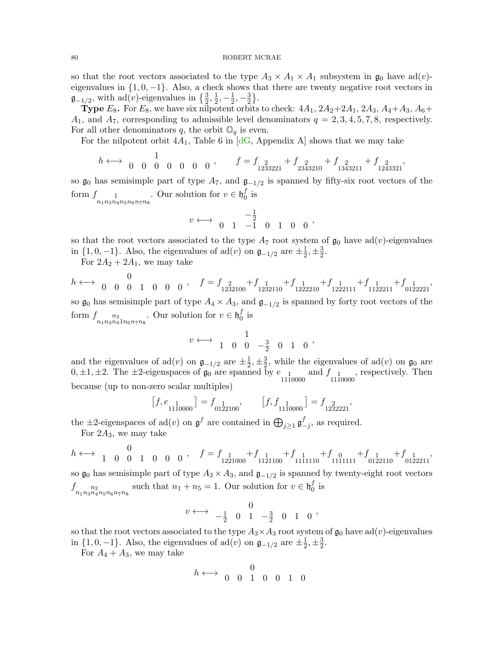so that the root vectors associated to the type  $A_3 \times A_1 \times A_1$  subsystem in  $\mathfrak{g}_0$  have ad(v)eigenvalues in  $\{1, 0, -1\}$ . Also, a check shows that there are twenty negative root vectors in  $\mathfrak{g}_{-1/2}$ , with ad(v)-eigenvalues in  $\{\frac{3}{2},\frac{1}{2}\}$  $\frac{1}{2}, -\frac{1}{2}$  $\frac{1}{2}, -\frac{3}{2}$  $\frac{3}{2}$ .

**Type**  $E_8$ . For  $E_8$ , we have six nilpotent orbits to check:  $4A_1$ ,  $2A_2+2A_1$ ,  $2A_3$ ,  $A_4+A_3$ ,  $A_6+A_5$  $A_1$ , and  $A_7$ , corresponding to admissible level denominators  $q = 2, 3, 4, 5, 7, 8$ , respectively. For all other denominators q, the orbit  $\mathbb{O}_q$  is even.

For the nilpotent orbit  $4A_1$ , Table 6 in [\[dG,](#page-82-1) Appendix A] shows that we may take

$$
h\longleftrightarrow \begin{array}{cccc} 1\\0&0&0&0&0&0 \end{array},\qquad f=f_{\begin{array}{cc} 2\\1233221 \end{array}}+f_{\begin{array}{cc} 2\\2343210 \end{array}}+f_{\begin{array}{cc} 2\\1343211 \end{array}}+f_{\begin{array}{cc} 2\\1243321 \end{array}},
$$

so  $\mathfrak{g}_0$  has semisimple part of type  $A_7$ , and  $\mathfrak{g}_{-1/2}$  is spanned by fifty-six root vectors of the form  $f_{n_1 n_3 n_4 n_5 n_6 n_7 n_8}$ . Our solution for  $v \in \mathfrak{h}_0^f$  $\frac{J}{0}$  is

$$
v \longleftrightarrow \begin{array}{ccccc} & & -\frac{1}{2} & & \\ 0 & 1 & -1 & 0 & 1 & 0 & 0 \end{array},
$$

so that the root vectors associated to the type  $A_7$  root system of  $\mathfrak{g}_0$  have ad(v)-eigenvalues in  $\{1, 0, -1\}$ . Also, the eigenvalues of ad(v) on  $\mathfrak{g}_{-1/2}$  are  $\pm \frac{1}{2}$  $\frac{1}{2}, \pm \frac{3}{2}$  $\frac{3}{2}$ .

For  $2A_2 + 2A_1$ , we may take

$$
h \longleftrightarrow 0
$$
 0 0 0 1 0 0 0,  $f = f_{1232100} + f_{1232110} + f_{1222210} + f_{1222111} + f_{1122211} + f_{0122211}$  so  $\mathfrak{g}_0$  has semisimple part of type  $A_4 \times A_3$ , and  $\mathfrak{g}_{-1/2}$  is spanned by forty root vectors of the form  $f_{n_1 n_3 n_4 1 n_6 n_7 n_8}$ . Our solution for  $v \in \mathfrak{h}_0^f$  is

$$
v \longleftrightarrow \begin{array}{cccccc} & 1 & & \\ 1 & 0 & 0 & -\frac{3}{2} & 0 & 1 & 0 \end{array},
$$

and the eigenvalues of ad(v) on  $\mathfrak{g}_{-1/2}$  are  $\pm \frac{1}{2}$  $\frac{1}{2}, \pm \frac{3}{2}$  $\frac{3}{2}$ , while the eigenvalues of ad(*v*) on  $\mathfrak{g}_0$  are  $0, \pm 1, \pm 2$ . The  $\pm 2$ -eigenspaces of  $\mathfrak{g}_0$  are spanned by  $e_{1}$  and  $f_{1}$ , respectively. Then because (up to non-zero scalar multiples)

$$
\left[f, e_{\substack{1\\1110000}}\right] = f_{\substack{1\\0122100}}, \qquad \left[f, f_{\substack{1\\1110000}}\right] = f_{\substack{2\\1232221}},
$$

the  $\pm 2$ -eigenspaces of ad(*v*) on  $\mathfrak{g}^f$  are contained in  $\bigoplus_{j\geq 1} \mathfrak{g}^f$  $_{-j}^{J}$ , as required.

For  $2A_3$ , we may take

$$
h \longleftrightarrow \begin{array}{cccc} 0 & 0 & 1 & 0 & 0 & 0 \end{array}, \quad f=f_{\begin{array}{cc} 1 & 1 \\ 1 & 2 \\ 2 & 1000 \end{array}}+f_{\begin{array}{cc} 1 & 1 \\ 1 & 1 \\ 1 & 111110 \end{array}}+f_{\begin{array}{cc} 0 & 1 \\ 1 & 111111 \end{array}}+f_{\begin{array}{cc} 1 & 1 \\ 0 & 122110 \end{array}}+f_{\begin{array}{cc} 1 & 1 \\ 0 & 122211 \end{array}},
$$

so  $\mathfrak{g}_0$  has semisimple part of type  $A_3 \times A_3$ , and  $\mathfrak{g}_{-1/2}$  is spanned by twenty-eight root vectors  $f_{n_1 n_3 n_4 n_5 n_6 n_7 n_8}$  such that  $n_1 + n_5 = 1$ . Our solution for  $v \in \mathfrak{h}_0^f$  $^J_0$  is

$$
v \longleftrightarrow \begin{array}{cccc} 0 \\ -\frac{1}{2} & 0 & 1 & -\frac{3}{2} & 0 & 1 & 0 \end{array},
$$

so that the root vectors associated to the type  $A_3 \times A_3$  root system of  $\mathfrak{g}_0$  have ad(*v*)-eigenvalues in  $\{1, 0, -1\}$ . Also, the eigenvalues of ad(v) on  $\mathfrak{g}_{-1/2}$  are  $\pm \frac{1}{2}$  $\frac{1}{2}, \pm \frac{3}{2}$  $\frac{3}{2}$ .

For  $A_4 + A_3$ , we may take

$$
h \longleftrightarrow \begin{array}{cccccc} & 0 & & \\ 0 & 0 & 1 & 0 & 0 & 1 & 0 \end{array}
$$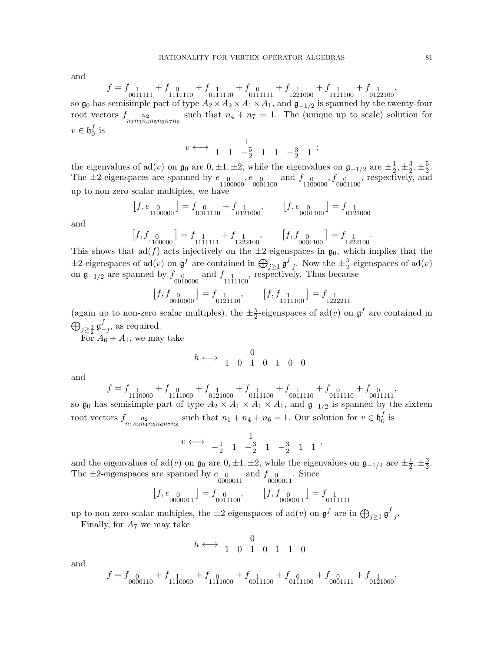and

$$
f=f_{0\overline{0}\overline{1}1\overline{1}11}+f_{1\overline{0}\overline{1}1110}+f_{0\overline{1}\overline{1}1110}+f_{0\overline{1}1\overline{1}111}+f_{1\overline{2}\overline{2}1000}+f_{1\overline{1}\overline{2}1100}+f_{0\overline{1}\overline{2}2100},\\
$$

so  $\mathfrak{g}_0$  has semisimple part of type  $A_2 \times A_2 \times A_1 \times A_1$ , and  $\mathfrak{g}_{-1/2}$  is spanned by the twenty-four root vectors  $f_{n_1 n_3 n_4 n_5 n_6 n_7 n_8}$  such that  $n_4 + n_7 = 1$ . The (unique up to scale) solution for  $v \in \mathfrak{h}^f_0$  $^{\prime\prime}_0$  is

$$
v \longleftrightarrow \begin{array}{ccccc} & 1 & & \\ 1 & 1 & -\frac{5}{2} & 1 & 1 & -\frac{3}{2} & 1 \end{array};
$$

the eigenvalues of ad(v) on  $\mathfrak{g}_0$  are  $0, \pm 1, \pm 2$ , while the eigenvalues on  $\mathfrak{g}_{-1/2}$  are  $\pm \frac{1}{2}$  $\frac{1}{2}, \pm \frac{3}{2}$  $\frac{3}{2}, \pm \frac{5}{2}$  $\frac{5}{2}$ . The  $\pm 2$ -eigenspaces are spanned by  $e_{0}$ ,  $e_{0}$  and  $f_{0}$ ,  $f_{0}$ ,  $f_{0001100}$ , respectively, and up to non-zero scalar multiples, we have

$$
\left[f, e_{\substack{0\\1100000}}\right] = f_{\substack{0\\0011110}} + f_{\substack{1\\0121000}}, \qquad \left[f, e_{\substack{0\\0001100}}\right] = f_{\substack{1\\0121000}}
$$

and

$$
\begin{bmatrix} f, f_{00} \\ 1100000 \end{bmatrix} = f_{11111111} + f_{122100}, \qquad \begin{bmatrix} f, f_{00} \\ 0.0001100 \end{bmatrix} = f_{122100}
$$

This shows that ad(f) acts injectively on the  $\pm 2$ -eigenspaces in  $\mathfrak{g}_0$ , which implies that the  $\pm 2$ -eigenspaces of ad(*v*) on  $\mathfrak{g}^f$  are contained in  $\bigoplus_{j\geq 1} \mathfrak{g}^f$  $\frac{f}{-j}$ . Now the  $\pm \frac{5}{2}$  $\frac{5}{2}$ -eigenspaces of ad(*v*) on  $\mathfrak{g}_{-1/2}$  are spanned by  $f_{00}$  and  $f_{1111100}$ , respectively. Thus because

$$
\left[f, f_{\substack{0\\0010000}}\right] = f_{\substack{1\\0121110}}, \qquad \left[f, f_{\substack{1\\1111100}}\right] = f_{\substack{1\\1222211}}
$$

(again up to non-zero scalar multiples), the  $\pm \frac{5}{2}$  $\frac{5}{2}$ -eigenspaces of ad(*v*) on  $\mathfrak{g}^f$  are contained in  $\bigoplus_{j\geq\frac{3}{2}}\mathfrak{g}^f_ \frac{J}{-j}$ , as required.

For  $A_6 + A_1$ , we may take

$$
h\longleftrightarrow\begin{array}{cccccc} & 0\\ 1& 0& 1& 0& 1& 0& 0\end{array}
$$

and

$$
f = f_{1110000} + f_{0000} + f_{0111000} + f_{0111100} + f_{0011110} + f_{0011110} + f_{0011111}
$$
  
so  $\mathfrak{g}_0$  has semisimple part of type  $A_2 \times A_1 \times A_1 \times A_1$ , and  $\mathfrak{g}_{-1/2}$  is spanned by the sixteen

root vectors  $f_{n_1 n_3 n_4 n_5 n_6 n_7 n_8}$  such that  $n_1 + n_4 + n_6 = 1$ . Our solution for  $v \in \mathfrak{h}_0^f$  $_0^J$  is

$$
v \longleftrightarrow -\frac{1}{2} \quad 1 \quad -\frac{3}{2} \quad 1 \quad -\frac{3}{2} \quad 1 \quad 1
$$

and the eigenvalues of ad(v) on  $\mathfrak{g}_0$  are  $0, \pm 1, \pm 2$ , while the eigenvalues on  $\mathfrak{g}_{-1/2}$  are  $\pm \frac{1}{2}$  $\frac{1}{2}, \pm \frac{3}{2}$  $\frac{3}{2}$ . The  $\pm 2$ -eigenspaces are spanned by  $e_{00}$  and  $f_{00}$ . Since  $\frac{0000011}{00000011}$ 

$$
\left[f,e_{\begin{array}{cc} 0\\0000011 \end{array}}\right] = f_{\begin{array}{cc} 0\\0011100 \end{array}} , \qquad \left[f,f_{\begin{array}{cc} 0\\0000011 \end{array}}\right] = f_{\begin{array}{cc} 1\\0111111 \end{array}}
$$

up to non-zero scalar multiples, the  $\pm 2$ -eigenspaces of  $ad(v)$  on  $\mathfrak{g}^f$  are in  $\bigoplus_{j\geq 1} \mathfrak{g}^f$  $\frac{J}{-j}$ .

Finally, for  $A_7$  we may take

$$
h \longleftrightarrow \begin{array}{cccccc} & 0 \\ 1 & 0 & 1 & 0 & 1 & 1 & 0 \end{array}
$$

and

$$
f = f_{\substack{0\\0000110}} + f_{\substack{1\\1110000}} + f_{\substack{0\\1111000}} + f_{\substack{1\\0011100}} + f_{\substack{0\\0111100}} + f_{\substack{0\\0001111}} + f_{\substack{0\\121000}},
$$

.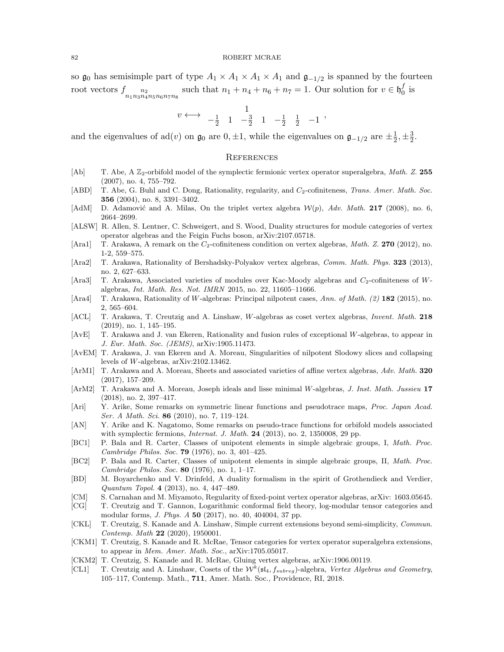so  $\mathfrak{g}_0$  has semisimple part of type  $A_1 \times A_1 \times A_1 \times A_1$  and  $\mathfrak{g}_{-1/2}$  is spanned by the fourteen root vectors  $f_{n_1 n_3 n_4 n_5 n_6 n_7 n_8}$  such that  $n_1 + n_4 + n_6 + n_7 = 1$ . Our solution for  $v \in \mathfrak{h}_0^f$  $\frac{J}{0}$  is

$$
v \longleftrightarrow -\frac{1}{2} \quad 1 \quad -\frac{3}{2} \quad 1 \quad -\frac{1}{2} \quad \frac{1}{2} \quad -1 \quad ,
$$

and the eigenvalues of ad(v) on  $\mathfrak{g}_0$  are  $0, \pm 1$ , while the eigenvalues on  $\mathfrak{g}_{-1/2}$  are  $\pm \frac{1}{2}$  $\frac{1}{2}, \pm \frac{3}{2}$  $\frac{3}{2}$ .

## **REFERENCES**

- [Ab] T. Abe, A  $\mathbb{Z}_2$ -orbifold model of the symplectic fermionic vertex operator superalgebra, Math. Z. 255 (2007), no. 4, 755–792.
- [ABD] T. Abe, G. Buhl and C. Dong, Rationality, regularity, and C<sub>2</sub>-cofiniteness, Trans. Amer. Math. Soc. 356 (2004), no. 8, 3391–3402.
- [AdM] D. Adamović and A. Milas, On the triplet vertex algebra  $W(p)$ , Adv. Math. 217 (2008), no. 6, 2664–2699.
- [ALSW] R. Allen, S. Lentner, C. Schweigert, and S. Wood, Duality structures for module categories of vertex operator algebras and the Feigin Fuchs boson, arXiv:2107.05718.
- [Ara1] T. Arakawa, A remark on the  $C_2$ -cofiniteness condition on vertex algebras, Math. Z. 270 (2012), no. 1-2, 559–575.
- [Ara2] T. Arakawa, Rationality of Bershadsky-Polyakov vertex algebras, Comm. Math. Phys. 323 (2013), no. 2, 627–633.
- <span id="page-81-0"></span>[Ara3] T. Arakawa, Associated varieties of modules over Kac-Moody algebras and C<sub>2</sub>-cofiniteness of Walgebras, Int. Math. Res. Not. IMRN 2015, no. 22, 11605–11666.
- [Ara4] T. Arakawa, Rationality of W-algebras: Principal nilpotent cases, Ann. of Math. (2) 182 (2015), no. 2, 565–604.
- [ACL] T. Arakawa, T. Creutzig and A. Linshaw, W-algebras as coset vertex algebras, Invent. Math. 218 (2019), no. 1, 145–195.
- [AvE] T. Arakawa and J. van Ekeren, Rationality and fusion rules of exceptional W-algebras, to appear in J. Eur. Math. Soc. (JEMS), arXiv:1905.11473.
- [AvEM] T. Arakawa, J. van Ekeren and A. Moreau, Singularities of nilpotent Slodowy slices and collapsing levels of W-algebras, arXiv:2102.13462.
- [ArM1] T. Arakawa and A. Moreau, Sheets and associated varieties of affine vertex algebras, Adv. Math. 320 (2017), 157–209.
- [ArM2] T. Arakawa and A. Moreau, Joseph ideals and lisse minimal W-algebras, J. Inst. Math. Jussieu 17 (2018), no. 2, 397–417.
- [Ari] Y. Arike, Some remarks on symmetric linear functions and pseudotrace maps, Proc. Japan Acad. Ser. A Math. Sci. 86 (2010), no. 7, 119-124.
- [AN] Y. Arike and K. Nagatomo, Some remarks on pseudo-trace functions for orbifold models associated with symplectic fermions, *Internat. J. Math.* **24** (2013), no. 2, 1350008, 29 pp.
- [BC1] P. Bala and R. Carter, Classes of unipotent elements in simple algebraic groups, I, Math. Proc. Cambridge Philos. Soc. 79 (1976), no. 3, 401–425.
- <span id="page-81-1"></span>[BC2] P. Bala and R. Carter, Classes of unipotent elements in simple algebraic groups, II, Math. Proc. Cambridge Philos. Soc. 80 (1976), no. 1, 1–17.
- [BD] M. Boyarchenko and V. Drinfeld, A duality formalism in the spirit of Grothendieck and Verdier, Quantum Topol. 4 (2013), no. 4, 447–489.
- [CM] S. Carnahan and M. Miyamoto, Regularity of fixed-point vertex operator algebras, arXiv: 1603.05645.
- [CG] T. Creutzig and T. Gannon, Logarithmic conformal field theory, log-modular tensor categories and modular forms, J. Phys. A 50 (2017), no. 40, 404004, 37 pp.
- [CKL] T. Creutzig, S. Kanade and A. Linshaw, Simple current extensions beyond semi-simplicity, Commun. Contemp. Math 22 (2020), 1950001.
- [CKM1] T. Creutzig, S. Kanade and R. McRae, Tensor categories for vertex operator superalgebra extensions, to appear in Mem. Amer. Math. Soc., arXiv:1705.05017.
- [CKM2] T. Creutzig, S. Kanade and R. McRae, Gluing vertex algebras, arXiv:1906.00119.
- [CL1] T. Creutzig and A. Linshaw, Cosets of the  $W^k(\mathfrak{sl}_4, f_{subreg})$ -algebra, Vertex Algebras and Geometry, 105–117, Contemp. Math., 711, Amer. Math. Soc., Providence, RI, 2018.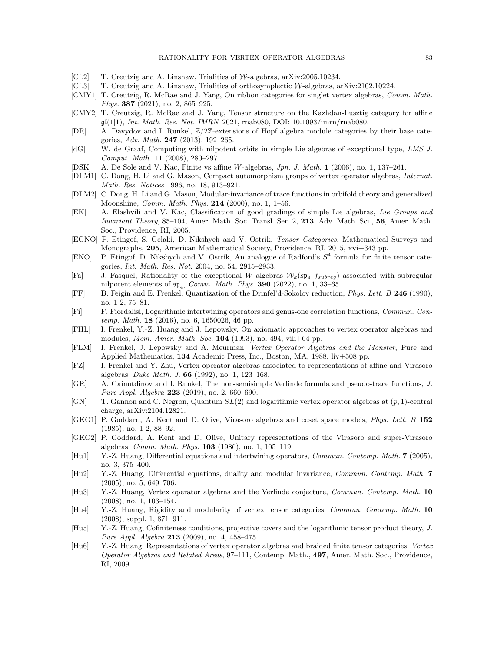- [CL2] T. Creutzig and A. Linshaw, Trialities of W-algebras, arXiv:2005.10234.
- [CL3] T. Creutzig and A. Linshaw, Trialities of orthosymplectic W-algebras, arXiv:2102.10224.
- [CMY1] T. Creutzig, R. McRae and J. Yang, On ribbon categories for singlet vertex algebras, Comm. Math. Phys. 387 (2021), no. 2, 865-925.
- [CMY2] T. Creutzig, R. McRae and J. Yang, Tensor structure on the Kazhdan-Lusztig category for affine  $\mathfrak{gl}(1|1),$  Int. Math. Res. Not. IMRN 2021, rnab080, DOI: 10.1093/imrn/rnab080.
- [DR] A. Davydov and I. Runkel, Z/2Z-extensions of Hopf algebra module categories by their base categories, Adv. Math. 247 (2013), 192–265.
- <span id="page-82-1"></span>[dG] W. de Graaf, Computing with nilpotent orbits in simple Lie algebras of exceptional type, LMS J. Comput. Math. 11 (2008), 280–297.
- [DSK] A. De Sole and V. Kac, Finite vs affine W-algebras, Jpn. J. Math. 1 (2006), no. 1, 137–261.
- [DLM1] C. Dong, H. Li and G. Mason, Compact automorphism groups of vertex operator algebras, Internat. Math. Res. Notices 1996, no. 18, 913–921.
- [DLM2] C. Dong, H. Li and G. Mason, Modular-invariance of trace functions in orbifold theory and generalized Moonshine, Comm. Math. Phys. 214 (2000), no. 1, 1–56.
- <span id="page-82-0"></span>[EK] A. Elashvili and V. Kac, Classification of good gradings of simple Lie algebras, Lie Groups and Invariant Theory, 85–104, Amer. Math. Soc. Transl. Ser. 2, 213, Adv. Math. Sci., 56, Amer. Math. Soc., Providence, RI, 2005.
- [EGNO] P. Etingof, S. Gelaki, D. Nikshych and V. Ostrik, Tensor Categories, Mathematical Surveys and Monographs, 205, American Mathematical Society, Providence, RI, 2015, xvi+343 pp.
- [ENO] P. Etingof, D. Nikshych and V. Ostrik, An analogue of Radford's S 4 formula for finite tensor categories, Int. Math. Res. Not. 2004, no. 54, 2915–2933.
- [Fa] J. Fasquel, Rationality of the exceptional W-algebras  $W_k(\mathfrak{sp}_4, f_{subreg})$  associated with subregular nilpotent elements of  $\mathfrak{sp}_4$ , *Comm. Math. Phys.* **390** (2022), no. 1, 33–65.
- [FF] B. Feigin and E. Frenkel, Quantization of the Drinfel'd-Sokolov reduction, Phys. Lett. B 246 (1990), no. 1-2, 75–81.
- [Fi] F. Fiordalisi, Logarithmic intertwining operators and genus-one correlation functions, Commun. Contemp. Math. 18 (2016), no. 6, 1650026, 46 pp.
- [FHL] I. Frenkel, Y.-Z. Huang and J. Lepowsky, On axiomatic approaches to vertex operator algebras and modules, Mem. Amer. Math. Soc. 104 (1993), no. 494, viii+64 pp.
- [FLM] I. Frenkel, J. Lepowsky and A. Meurman, Vertex Operator Algebras and the Monster, Pure and Applied Mathematics, 134 Academic Press, Inc., Boston, MA, 1988. liv+508 pp.
- [FZ] I. Frenkel and Y. Zhu, Vertex operator algebras associated to representations of affine and Virasoro algebras, Duke Math. J. 66 (1992), no. 1, 123–168.
- [GR] A. Gainutdinov and I. Runkel, The non-semisimple Verlinde formula and pseudo-trace functions, J. Pure Appl. Algebra 223 (2019), no. 2, 660–690.
- [GN] T. Gannon and C. Negron, Quantum SL(2) and logarithmic vertex operator algebras at (p, 1)-central charge, arXiv:2104.12821.
- [GKO1] P. Goddard, A. Kent and D. Olive, Virasoro algebras and coset space models, Phys. Lett. B 152 (1985), no. 1-2, 88–92.
- [GKO2] P. Goddard, A. Kent and D. Olive, Unitary representations of the Virasoro and super-Virasoro algebras, Comm. Math. Phys. 103 (1986), no. 1, 105–119.
- [Hu1] Y.-Z. Huang, Differential equations and intertwining operators, Commun. Contemp. Math. 7 (2005), no. 3, 375–400.
- [Hu2] Y.-Z. Huang, Differential equations, duality and modular invariance, Commun. Contemp. Math. 7 (2005), no. 5, 649–706.
- [Hu3] Y.-Z. Huang, Vertex operator algebras and the Verlinde conjecture, Commun. Contemp. Math. 10 (2008), no. 1, 103–154.
- [Hu4] Y.-Z. Huang, Rigidity and modularity of vertex tensor categories, Commun. Contemp. Math. 10 (2008), suppl. 1, 871–911.
- [Hu5] Y.-Z. Huang, Cofiniteness conditions, projective covers and the logarithmic tensor product theory, J. Pure Appl. Algebra 213 (2009), no. 4, 458–475.
- [Hu6] Y.-Z. Huang, Representations of vertex operator algebras and braided finite tensor categories, Vertex Operator Algebras and Related Areas, 97–111, Contemp. Math., 497, Amer. Math. Soc., Providence, RI, 2009.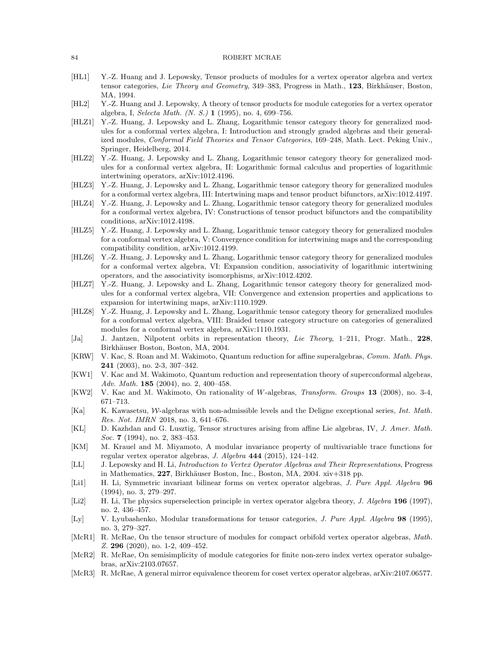- [HL1] Y.-Z. Huang and J. Lepowsky, Tensor products of modules for a vertex operator algebra and vertex tensor categories, Lie Theory and Geometry, 349–383, Progress in Math., 123, Birkhäuser, Boston, MA, 1994.
- [HL2] Y.-Z. Huang and J. Lepowsky, A theory of tensor products for module categories for a vertex operator algebra, I, Selecta Math. (N. S.) 1 (1995), no. 4, 699–756.
- [HLZ1] Y.-Z. Huang, J. Lepowsky and L. Zhang, Logarithmic tensor category theory for generalized modules for a conformal vertex algebra, I: Introduction and strongly graded algebras and their generalized modules, Conformal Field Theories and Tensor Categories, 169–248, Math. Lect. Peking Univ., Springer, Heidelberg, 2014.
- [HLZ2] Y.-Z. Huang, J. Lepowsky and L. Zhang, Logarithmic tensor category theory for generalized modules for a conformal vertex algebra, II: Logarithmic formal calculus and properties of logarithmic intertwining operators, arXiv:1012.4196.
- [HLZ3] Y.-Z. Huang, J. Lepowsky and L. Zhang, Logarithmic tensor category theory for generalized modules for a conformal vertex algebra, III: Intertwining maps and tensor product bifunctors, arXiv:1012.4197.
- [HLZ4] Y.-Z. Huang, J. Lepowsky and L. Zhang, Logarithmic tensor category theory for generalized modules for a conformal vertex algebra, IV: Constructions of tensor product bifunctors and the compatibility conditions, arXiv:1012.4198.
- [HLZ5] Y.-Z. Huang, J. Lepowsky and L. Zhang, Logarithmic tensor category theory for generalized modules for a conformal vertex algebra, V: Convergence condition for intertwining maps and the corresponding compatibility condition, arXiv:1012.4199.
- [HLZ6] Y.-Z. Huang, J. Lepowsky and L. Zhang, Logarithmic tensor category theory for generalized modules for a conformal vertex algebra, VI: Expansion condition, associativity of logarithmic intertwining operators, and the associativity isomorphisms, arXiv:1012.4202.
- [HLZ7] Y.-Z. Huang, J. Lepowsky and L. Zhang, Logarithmic tensor category theory for generalized modules for a conformal vertex algebra, VII: Convergence and extension properties and applications to expansion for intertwining maps, arXiv:1110.1929.
- [HLZ8] Y.-Z. Huang, J. Lepowsky and L. Zhang, Logarithmic tensor category theory for generalized modules for a conformal vertex algebra, VIII: Braided tensor category structure on categories of generalized modules for a conformal vertex algebra, arXiv:1110.1931.
- <span id="page-83-0"></span>[Ja] J. Jantzen, Nilpotent orbits in representation theory, Lie Theory, 1–211, Progr. Math., 228, Birkhäuser Boston, Boston, MA, 2004.
- [KRW] V. Kac, S. Roan and M. Wakimoto, Quantum reduction for affine superalgebras, Comm. Math. Phys. 241 (2003), no. 2-3, 307–342.
- [KW1] V. Kac and M. Wakimoto, Quantum reduction and representation theory of superconformal algebras, Adv. Math. 185 (2004), no. 2, 400–458.
- [KW2] V. Kac and M. Wakimoto, On rationality of W-algebras, Transform. Groups 13 (2008), no. 3-4, 671–713.
- [Ka] K. Kawasetsu, W-algebras with non-admissible levels and the Deligne exceptional series, Int. Math. Res. Not. IMRN 2018, no. 3, 641–676.
- [KL] D. Kazhdan and G. Lusztig, Tensor structures arising from affine Lie algebras, IV, J. Amer. Math. Soc. 7 (1994), no. 2, 383-453.
- [KM] M. Krauel and M. Miyamoto, A modular invariance property of multivariable trace functions for regular vertex operator algebras, J. Algebra 444 (2015), 124–142.
- [LL] J. Lepowsky and H. Li, Introduction to Vertex Operator Algebras and Their Representations, Progress in Mathematics,  $227$ , Birkhäuser Boston, Inc., Boston, MA,  $2004$ . xiv $+318$  pp.
- [Li1] H. Li, Symmetric invariant bilinear forms on vertex operator algebras, J. Pure Appl. Algebra 96 (1994), no. 3, 279–297.
- [Li2] H. Li, The physics superselection principle in vertex operator algebra theory, J. Algebra 196 (1997), no. 2, 436–457.
- [Ly] V. Lyubashenko, Modular transformations for tensor categories, J. Pure Appl. Algebra 98 (1995), no. 3, 279–327.
- [McR1] R. McRae, On the tensor structure of modules for compact orbifold vertex operator algebras, Math. Z. 296 (2020), no. 1-2, 409–452.
- [McR2] R. McRae, On semisimplicity of module categories for finite non-zero index vertex operator subalgebras, arXiv:2103.07657.
- [McR3] R. McRae, A general mirror equivalence theorem for coset vertex operator algebras, arXiv:2107.06577.